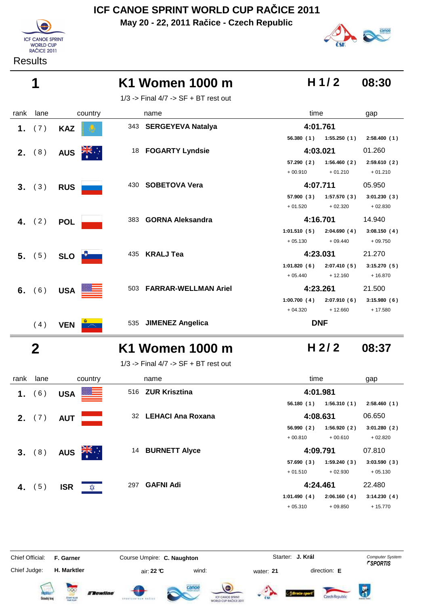**May 20 - 22, 2011 Račice - Czech Republic**





# canoe

| K1 Women 1000 m | $H$ 1/2 08:30 |  |
|-----------------|---------------|--|
|-----------------|---------------|--|

1/3 -> Final 4/7 -> SF + BT rest out

| rank | lane        | country                  | name                                     | time                       | gap         |
|------|-------------|--------------------------|------------------------------------------|----------------------------|-------------|
| 1.   | (7)         | <b>KAZ</b>               | 343 SERGEYEVA Natalya                    | 4:01.761                   |             |
|      |             |                          |                                          | 56.380 (1) 1:55.250 (1)    | 2:58.400(1) |
|      | 2. (8)      | <b>AUS</b><br>$z_1$      | 18 FOGARTY Lyndsie                       | 4:03.021                   | 01.260      |
|      |             |                          |                                          | 57.290 (2)<br>1:56.460(2)  | 2:59.610(2) |
|      |             |                          |                                          | $+00.910$<br>$+01.210$     | $+01.210$   |
|      | 3. (3)      | <b>RUS</b>               | 430 SOBETOVA Vera                        | 4:07.711                   | 05.950      |
|      |             |                          |                                          | 1:57.570(3)<br>57.900 (3)  | 3:01.230(3) |
|      |             |                          |                                          | $+02.320$<br>$+01.520$     | $+02.830$   |
|      | 4. $(2)$    | <b>POL</b>               | <b>GORNA Aleksandra</b><br>383           | 4:16.701                   | 14.940      |
|      |             |                          |                                          | 1:01.510(5)<br>2:04.690(4) | 3:08.150(4) |
|      |             |                          |                                          | $+05.130$<br>$+09.440$     | $+09.750$   |
|      | 5. (5)      | SLO <b>D</b>             | 435 KRALJ Tea                            | 4:23.031                   | 21.270      |
|      |             |                          |                                          | 2:07.410(5)<br>1:01.820(6) | 3:15.270(5) |
|      |             |                          |                                          | $+12.160$<br>$+05.440$     | $+16.870$   |
|      | 6. $(6)$    | USA <b>EXAMPLE</b>       | <b>FARRAR-WELLMAN Ariel</b><br>503       | 4:23.261                   | 21.500      |
|      |             |                          |                                          | 1:00.700(4)<br>2:07.910(6) | 3:15.980(6) |
|      |             |                          |                                          | $+04.320$<br>$+12.660$     | $+17.580$   |
|      | (4)         | <b>VEN</b><br>$\sim 100$ | 535 JIMENEZ Angelica                     | <b>DNF</b>                 |             |
|      | $\mathbf 2$ |                          | K1 Women 1000 m                          | H 2/2                      | 08:37       |
|      |             |                          | $1/3$ -> Final $4/7$ -> SF + BT rest out |                            |             |
| rank | lane        | country                  | name                                     | time                       | gap         |

|    | ialin iali <del>c</del> | <b>COUNTRY</b>               | паше                        | uur                        | yay         |
|----|-------------------------|------------------------------|-----------------------------|----------------------------|-------------|
| 1. | 6)                      | ▓▆<br><b>USA</b>             | <b>ZUR Krisztina</b><br>516 | 4:01.981                   |             |
|    |                         |                              |                             | 1:56.310(1)<br>56.180(1)   | 2:58.460(1) |
| 2. | (7)                     | <b>AUT</b>                   | 32 LEHACI Ana Roxana        | 4:08.631                   | 06.650      |
|    |                         |                              |                             | 56.990(2)<br>1:56.920(2)   | 3:01.280(2) |
|    |                         |                              |                             | $+00.810$<br>$+00.610$     | $+02.820$   |
|    | 3. (8)                  | $\frac{2R}{N}$<br><b>AUS</b> | <b>BURNETT Alyce</b><br>14  | 4:09.791                   | 07.810      |
|    |                         |                              |                             | 57.690(3)<br>1:59.240(3)   | 3:03.590(3) |
|    |                         |                              |                             | $+01.510$<br>$+02.930$     | $+05.130$   |
| 4. | 5)                      | <b>ISR</b><br>✿              | <b>GAFNI Adi</b><br>297     | 4:24.461                   | 22.480      |
|    |                         |                              |                             | 1:01.490(4)<br>2:06.160(4) | 3:14.230(4) |
|    |                         |                              |                             | $+05.310$<br>$+09.850$     | $+15.770$   |

Chief Official: **F. Garner Course Umpire: C. Naughton** Course Conputer System **Computer System** Chief Judge: **H. Marktler** air: **22 °C** wind: water: **21** direction: **E**

**J. Král**



















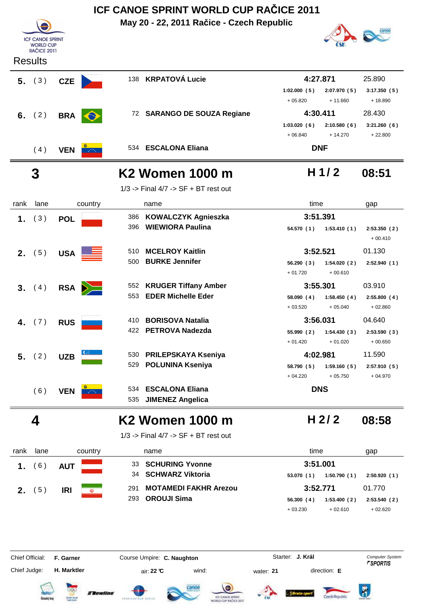| <b>ICF CANOE SPRINT</b><br><b>WORLD CUP</b><br><b>RAČICE 2011</b><br><b>Results</b><br>5. (3)<br>(2)<br>(4)<br>$\mathbf 3$<br>lane<br>(3) | <b>CZE</b><br><b>BRA</b><br>$\bullet$<br><b>VEN</b><br>country<br><b>POL</b> | 386                                                            | 138 KRPATOVÁ Lucie<br>72 SARANGO DE SOUZA Regiane<br>534 ESCALONA Eliana<br>K2 Women 1000 m<br>$1/3$ -> Final $4/7$ -> SF + BT rest out<br>name | 1:02.000(5)<br>$+05.820$<br>1:03.020(6)<br>$+06.840$                                                                                                                                                                                                                   | 4:27.871<br>2:07.970(5)<br>$+11.660$<br>4:30.411<br>2:10.580(6)<br>$+14.270$<br><b>DNF</b><br>H $1/2$ | 25.890<br>3:17.350(5)<br>$+18.890$<br>28.430<br>3:21.260(6)<br>$+22.800$<br>08:51                                                                      |
|-------------------------------------------------------------------------------------------------------------------------------------------|------------------------------------------------------------------------------|----------------------------------------------------------------|-------------------------------------------------------------------------------------------------------------------------------------------------|------------------------------------------------------------------------------------------------------------------------------------------------------------------------------------------------------------------------------------------------------------------------|-------------------------------------------------------------------------------------------------------|--------------------------------------------------------------------------------------------------------------------------------------------------------|
|                                                                                                                                           |                                                                              |                                                                |                                                                                                                                                 |                                                                                                                                                                                                                                                                        |                                                                                                       |                                                                                                                                                        |
|                                                                                                                                           |                                                                              |                                                                |                                                                                                                                                 |                                                                                                                                                                                                                                                                        |                                                                                                       |                                                                                                                                                        |
|                                                                                                                                           |                                                                              |                                                                |                                                                                                                                                 |                                                                                                                                                                                                                                                                        |                                                                                                       |                                                                                                                                                        |
|                                                                                                                                           |                                                                              |                                                                |                                                                                                                                                 |                                                                                                                                                                                                                                                                        |                                                                                                       |                                                                                                                                                        |
|                                                                                                                                           |                                                                              |                                                                |                                                                                                                                                 |                                                                                                                                                                                                                                                                        |                                                                                                       |                                                                                                                                                        |
|                                                                                                                                           |                                                                              |                                                                |                                                                                                                                                 |                                                                                                                                                                                                                                                                        |                                                                                                       |                                                                                                                                                        |
|                                                                                                                                           |                                                                              |                                                                |                                                                                                                                                 |                                                                                                                                                                                                                                                                        |                                                                                                       |                                                                                                                                                        |
|                                                                                                                                           |                                                                              |                                                                |                                                                                                                                                 |                                                                                                                                                                                                                                                                        |                                                                                                       |                                                                                                                                                        |
|                                                                                                                                           |                                                                              |                                                                |                                                                                                                                                 |                                                                                                                                                                                                                                                                        |                                                                                                       |                                                                                                                                                        |
|                                                                                                                                           |                                                                              |                                                                |                                                                                                                                                 |                                                                                                                                                                                                                                                                        |                                                                                                       |                                                                                                                                                        |
|                                                                                                                                           |                                                                              |                                                                |                                                                                                                                                 |                                                                                                                                                                                                                                                                        |                                                                                                       |                                                                                                                                                        |
|                                                                                                                                           |                                                                              |                                                                |                                                                                                                                                 | time                                                                                                                                                                                                                                                                   |                                                                                                       | gap                                                                                                                                                    |
|                                                                                                                                           |                                                                              |                                                                | <b>KOWALCZYK Agnieszka</b>                                                                                                                      |                                                                                                                                                                                                                                                                        | 3:51.391                                                                                              |                                                                                                                                                        |
|                                                                                                                                           |                                                                              | 396                                                            | <b>WIEWIORA Paulina</b>                                                                                                                         | 54.570 (1)                                                                                                                                                                                                                                                             | 1:53.410(1)                                                                                           | 2:53.350(2)<br>$+00.410$                                                                                                                               |
| (5)                                                                                                                                       |                                                                              | 510                                                            | <b>MCELROY Kaitlin</b>                                                                                                                          |                                                                                                                                                                                                                                                                        |                                                                                                       | 01.130                                                                                                                                                 |
|                                                                                                                                           |                                                                              | 500                                                            | <b>BURKE Jennifer</b>                                                                                                                           | 56.290(3)<br>$+01.720$                                                                                                                                                                                                                                                 | 1:54.020(2)<br>$+00.610$                                                                              | 2:52.940(1)                                                                                                                                            |
| (4)                                                                                                                                       | <b>RSA</b>                                                                   |                                                                |                                                                                                                                                 |                                                                                                                                                                                                                                                                        |                                                                                                       | 03.910                                                                                                                                                 |
|                                                                                                                                           |                                                                              | 553                                                            | <b>EDER Michelle Eder</b>                                                                                                                       | 58.090(4)<br>$+03.520$                                                                                                                                                                                                                                                 | 1:58.450(4)<br>$+05.040$                                                                              | 2:55.800(4)<br>$+02.860$                                                                                                                               |
| (7)                                                                                                                                       | <b>RUS</b>                                                                   | 410                                                            | <b>BORISOVA Natalia</b>                                                                                                                         |                                                                                                                                                                                                                                                                        |                                                                                                       | 04.640                                                                                                                                                 |
|                                                                                                                                           |                                                                              | 422                                                            |                                                                                                                                                 | 55.990 (2)<br>$+01.420$                                                                                                                                                                                                                                                | 1:54.430(3)<br>$+01.020$                                                                              | 2:53.590(3)<br>$+00.650$                                                                                                                               |
| 5. (2)                                                                                                                                    | <b>UZB</b>                                                                   | 530                                                            |                                                                                                                                                 |                                                                                                                                                                                                                                                                        |                                                                                                       | 11.590                                                                                                                                                 |
|                                                                                                                                           |                                                                              |                                                                |                                                                                                                                                 | 58.790 (5)<br>$+04.220$                                                                                                                                                                                                                                                | 1:59.160(5)<br>$+05.750$                                                                              | 2:57.910(5)<br>$+04.970$                                                                                                                               |
| (6)                                                                                                                                       | <b>VEN</b>                                                                   | 534<br>535                                                     | <b>ESCALONA Eliana</b><br><b>JIMENEZ Angelica</b>                                                                                               |                                                                                                                                                                                                                                                                        |                                                                                                       |                                                                                                                                                        |
| 4                                                                                                                                         |                                                                              |                                                                |                                                                                                                                                 |                                                                                                                                                                                                                                                                        |                                                                                                       | 08:58                                                                                                                                                  |
|                                                                                                                                           |                                                                              |                                                                |                                                                                                                                                 |                                                                                                                                                                                                                                                                        |                                                                                                       |                                                                                                                                                        |
| lane                                                                                                                                      |                                                                              |                                                                |                                                                                                                                                 |                                                                                                                                                                                                                                                                        |                                                                                                       | gap                                                                                                                                                    |
| (6)                                                                                                                                       | <b>AUT</b>                                                                   | 33                                                             | <b>SCHURING Yvonne</b>                                                                                                                          |                                                                                                                                                                                                                                                                        |                                                                                                       |                                                                                                                                                        |
|                                                                                                                                           |                                                                              | 34                                                             | <b>SCHWARZ Viktoria</b>                                                                                                                         | 53.070(1)                                                                                                                                                                                                                                                              | 1:50.790(1)                                                                                           | 2:50.920(1)                                                                                                                                            |
| (5)                                                                                                                                       | <b>IRI</b>                                                                   | 291                                                            | <b>MOTAMEDI FAKHR Arezou</b>                                                                                                                    |                                                                                                                                                                                                                                                                        |                                                                                                       | 01.770                                                                                                                                                 |
|                                                                                                                                           |                                                                              |                                                                |                                                                                                                                                 | 56.300 (4)<br>$+03.230$                                                                                                                                                                                                                                                | $+02.610$                                                                                             | 2:53.540(2)<br>$+02.620$                                                                                                                               |
|                                                                                                                                           |                                                                              |                                                                |                                                                                                                                                 |                                                                                                                                                                                                                                                                        |                                                                                                       |                                                                                                                                                        |
| Chief Official:                                                                                                                           |                                                                              |                                                                |                                                                                                                                                 |                                                                                                                                                                                                                                                                        |                                                                                                       | <b>Computer System</b><br><b><i>FSPORTIS</i></b>                                                                                                       |
| Chief Judge:                                                                                                                              |                                                                              |                                                                |                                                                                                                                                 |                                                                                                                                                                                                                                                                        |                                                                                                       |                                                                                                                                                        |
|                                                                                                                                           | <b>Detecký</b> kraj                                                          | <b>USA</b><br>$\geq$<br>F. Garner<br>H. Marktler<br>CESAT GUIA | 529<br>country<br>293<br><b>E Bewline</b><br>drustication safet                                                                                 | 552 KRUGER Tiffany Amber<br><b>PETROVA Nadezda</b><br><b>PRILEPSKAYA Kseniya</b><br><b>POLUNINA Kseniya</b><br>K2 Women 1000 m<br>$1/3$ -> Final $4/7$ -> SF + BT rest out<br>name<br><b>OROUJI Sima</b><br>Course Umpire: C. Naughton<br>air: 22 °C<br>wind:<br>tanoe | Starter: J. Král<br>water: 21<br>ICF CANCE SPRINT                                                     | 3:52.521<br>3:55.301<br>3:56.031<br>4:02.981<br><b>DNS</b><br>H $2/2$<br>time<br>3:51.001<br>3:52.771<br>1:53.400(2)<br>direction: E<br>Czech Republic |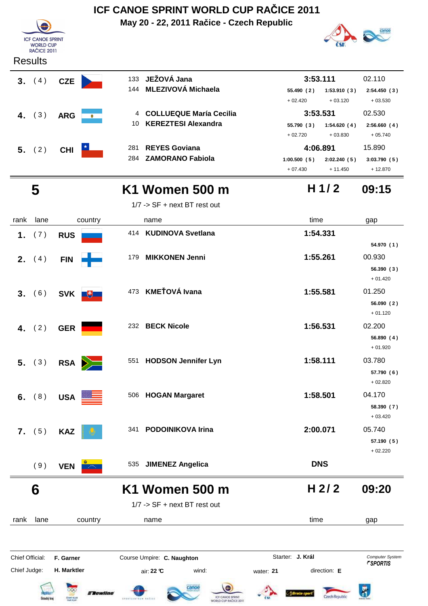|                 |                                             |             |                |                  | ICF CANOE SPRINT WORLD CUP RACICE 2011          |                                                  |                         |            |                          |                                           |
|-----------------|---------------------------------------------|-------------|----------------|------------------|-------------------------------------------------|--------------------------------------------------|-------------------------|------------|--------------------------|-------------------------------------------|
|                 |                                             |             |                |                  | May 20 - 22, 2011 Račice - Czech Republic       |                                                  |                         |            |                          |                                           |
|                 | <b>ICF CANOE SPRINT</b><br><b>WORLD CUP</b> |             |                |                  |                                                 |                                                  |                         |            |                          |                                           |
|                 | <b>RAČICE 2011</b><br><b>Results</b>        |             |                |                  |                                                 |                                                  |                         |            |                          |                                           |
|                 |                                             |             |                |                  |                                                 |                                                  |                         |            |                          |                                           |
|                 | 3. (4)                                      | <b>CZE</b>  |                | 133<br>144       | JEŽOVÁ Jana<br><b>MLEZIVOVÁ Michaela</b>        |                                                  |                         | 3:53.111   |                          | 02.110                                    |
|                 |                                             |             |                |                  |                                                 |                                                  | 55.490 (2)<br>$+02.420$ |            | 1:53.910(3)<br>$+03.120$ | 2:54.450(3)<br>$+03.530$                  |
| 4.              | (3)                                         | <b>ARG</b>  | $\bullet$      | 4                | <b>COLLUEQUE María Cecilia</b>                  |                                                  |                         | 3:53.531   |                          | 02.530                                    |
|                 |                                             |             |                | 10               | <b>KEREZTESI Alexandra</b>                      |                                                  | 55.790 (3)              |            | 1:54.620(4)              | 2:56.660(4)                               |
|                 |                                             |             |                |                  |                                                 |                                                  | $+02.720$               |            | $+03.830$                | $+05.740$                                 |
|                 | 5. (2)                                      | <b>CHI</b>  |                | 281<br>284       | <b>REYES Goviana</b><br><b>ZAMORANO Fabiola</b> |                                                  | 1:00.500(5)             | 4:06.891   | 2:02.240(5)              | 15.890<br>3:03.790(5)                     |
|                 |                                             |             |                |                  |                                                 |                                                  | $+07.430$               |            | $+11.450$                | + 12.870                                  |
|                 |                                             |             |                |                  |                                                 |                                                  |                         |            |                          |                                           |
|                 | 5                                           |             |                |                  | K1 Women 500 m                                  |                                                  |                         |            | H $1/2$                  | 09:15                                     |
|                 |                                             |             |                |                  | $1/7$ -> SF + next BT rest out                  |                                                  |                         |            |                          |                                           |
| rank            | lane                                        |             | country        |                  | name                                            |                                                  |                         | time       |                          | gap                                       |
| 1.              | (7)                                         | <b>RUS</b>  |                |                  | 414 KUDINOVA Svetlana                           |                                                  |                         | 1:54.331   |                          | 54.970 (1)                                |
|                 |                                             |             |                | 179              | <b>MIKKONEN Jenni</b>                           |                                                  |                         | 1:55.261   |                          | 00.930                                    |
| 2.              | (4)                                         | <b>FIN</b>  |                |                  |                                                 |                                                  |                         |            |                          | 56.390(3)                                 |
|                 |                                             |             |                |                  |                                                 |                                                  |                         |            |                          | $+01.420$                                 |
| 3.              | (6)                                         | <b>SVK</b>  | $\mathbb{R}^+$ |                  | 473 KMEŤOVÁ Ivana                               |                                                  |                         | 1:55.581   |                          | 01.250                                    |
|                 |                                             |             |                |                  |                                                 |                                                  |                         |            |                          | 56.090(2)                                 |
|                 |                                             |             |                |                  | 232 BECK Nicole                                 |                                                  |                         | 1:56.531   |                          | $+01.120$<br>02.200                       |
| 4.              | (2)                                         | <b>GER</b>  |                |                  |                                                 |                                                  |                         |            |                          | 56.890 (4)                                |
|                 |                                             |             |                |                  |                                                 |                                                  |                         |            |                          | $+01.920$                                 |
|                 | 5. (3)                                      |             | $RSA$ $\geq$   |                  | 551 HODSON Jennifer Lyn                         |                                                  |                         | 1:58.111   |                          | 03.780                                    |
|                 |                                             |             |                |                  |                                                 |                                                  |                         |            |                          | 57.790 (6)<br>$+02.820$                   |
|                 |                                             |             |                |                  | 506 HOGAN Margaret                              |                                                  |                         | 1:58.501   |                          | 04.170                                    |
| 6.              | (8)                                         | <b>USA</b>  |                |                  |                                                 |                                                  |                         |            |                          | 58.390 (7)                                |
|                 |                                             |             |                |                  |                                                 |                                                  |                         |            |                          | $+03.420$                                 |
|                 | 7. (5)                                      | <b>KAZ</b>  |                |                  | 341 PODOINIKOVA Irina                           |                                                  |                         | 2:00.071   |                          | 05.740                                    |
|                 |                                             |             |                |                  |                                                 |                                                  |                         |            |                          | 57.190(5)<br>$+02.220$                    |
|                 | (9)                                         | <b>VEN</b>  |                | 535              | <b>JIMENEZ Angelica</b>                         |                                                  |                         | <b>DNS</b> |                          |                                           |
|                 |                                             |             |                |                  |                                                 |                                                  |                         |            |                          |                                           |
|                 | 6                                           |             |                |                  | K1 Women 500 m                                  |                                                  |                         |            | H 2/2                    | 09:20                                     |
|                 |                                             |             |                |                  | $1/7$ -> SF + next BT rest out                  |                                                  |                         |            |                          |                                           |
| rank            | lane                                        |             | country        |                  | name                                            |                                                  |                         | time       |                          | gap                                       |
|                 |                                             |             |                |                  |                                                 |                                                  |                         |            |                          |                                           |
|                 |                                             |             |                |                  |                                                 |                                                  |                         |            |                          |                                           |
| Chief Official: |                                             | F. Garner   |                |                  | Course Umpire: C. Naughton                      |                                                  | Starter: J. Král        |            |                          | Computer System<br><b><i>FSPORTIS</i></b> |
| Chief Judge:    |                                             | H. Marktler |                |                  | wind:<br>air: 22 °C                             |                                                  | water: 21               |            | direction: E             |                                           |
|                 |                                             |             | <b>Tewline</b> |                  |                                                 |                                                  |                         |            |                          |                                           |
|                 | Ostecký kra                                 | CENT GUN    |                | EPOXICATES ALIEU |                                                 | ICF CANCE SPRINT<br><b>MORLD CUP RAČICE 2011</b> |                         |            | Czech Republic           |                                           |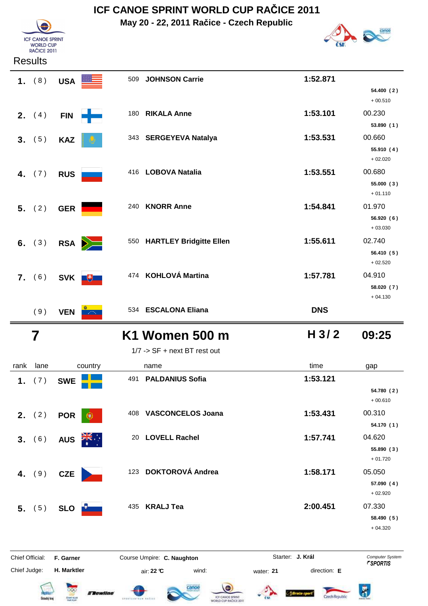**May 20 - 22, 2011 Račice - Czech Republic**



| <b>ICF CANOE SPRINT</b><br><b>WORLD CUP</b><br><b>RAČICE 2011</b> |  |
|-------------------------------------------------------------------|--|

## Results

|                 | 1. $(8)$                | <b>USA</b>       |         | 509 JOHNSON Carrie           | 1:52.871                  |                         |
|-----------------|-------------------------|------------------|---------|------------------------------|---------------------------|-------------------------|
|                 |                         |                  |         |                              |                           | 54.400 (2)              |
|                 |                         |                  |         |                              |                           | $+00.510$               |
|                 | <b>2.</b> $(4)$         | <b>FIN</b>       | -1-     | 180 RIKALA Anne              | 1:53.101                  | 00.230<br>53.890 (1)    |
|                 |                         |                  |         | 343 SERGEYEVA Natalya        | 1:53.531                  | 00.660                  |
|                 | 3. (5)                  | <b>KAZ</b>       |         |                              |                           | 55.910 (4)              |
|                 |                         |                  |         |                              |                           | $+02.020$               |
|                 | 4. $(7)$                | <b>RUS</b>       |         | 416 LOBOVA Natalia           | 1:53.551                  | 00.680                  |
|                 |                         |                  |         |                              |                           | 55.000 (3)<br>$+01.110$ |
|                 |                         |                  |         | 240 KNORR Anne               | 1:54.841                  | 01.970                  |
|                 | 5. (2)                  | <b>GER</b>       |         |                              |                           | 56.920 (6)              |
|                 |                         |                  |         |                              |                           | $+03.030$               |
|                 | 6. $(3)$                | RSA <b>D</b>     |         | 550 HARTLEY Bridgitte Ellen  | 1:55.611                  | 02.740                  |
|                 |                         |                  |         |                              |                           | 56.410 (5)<br>$+02.520$ |
|                 |                         |                  |         | 474 KOHLOVÁ Martina          | 1:57.781                  | 04.910                  |
|                 | 7. (6)                  | SVK <sup>#</sup> |         |                              |                           | 58.020 (7)              |
|                 |                         |                  |         |                              |                           | $+04.130$               |
|                 | (9)                     | <b>VEN</b>       |         | 534 ESCALONA Eliana          | <b>DNS</b>                |                         |
|                 | $\overline{\mathbf{7}}$ |                  |         | K1 Women 500 m               | H <sub>3/2</sub>          | 09:25                   |
|                 |                         |                  |         | 1/7 -> SF + next BT rest out |                           |                         |
|                 |                         |                  |         |                              |                           |                         |
| rank            | lane                    |                  | country | name                         | time                      |                         |
|                 |                         |                  |         | 491 PALDANIUS Sofia          | 1:53.121                  | gap                     |
| 1.              | (7)                     | <b>SWE</b>       |         |                              |                           | 54.780 (2)              |
|                 |                         |                  |         |                              |                           | $+00.610$               |
|                 | 2. $(2)$                | <b>POR</b>       |         | 408 VASCONCELOS Joana        | 1:53.431                  | 00.310                  |
|                 |                         |                  |         |                              |                           | 54.170 (1)              |
| 3.              | (6)                     | <b>AUS</b>       |         | 20 LOVELL Rachel             | 1:57.741                  | 04.620<br>55.890 (3)    |
|                 |                         |                  |         |                              |                           | $+01.720$               |
|                 | 4. $(9)$                | <b>CZE</b>       |         | 123 DOKTOROVÁ Andrea         | 1:58.171                  | 05.050                  |
|                 |                         |                  |         |                              |                           | 57.090 (4)<br>$+02.920$ |
|                 | 5. (5)                  | SLO <b>Let</b>   |         | 435 KRALJ Tea                | 2:00.451                  | 07.330                  |
|                 |                         |                  |         |                              |                           | 58.490 (5)              |
|                 |                         |                  |         |                              |                           | $+04.320$               |
| Chief Official: |                         | F. Garner        |         | Course Umpire: C. Naughton   | Starter: J. Král          | Computer System         |
| Chief Judge:    |                         | H. Marktler      |         | wind:<br>air: 22 °C          | direction: E<br>water: 21 | <i><b>FSPORTIS</b></i>  |













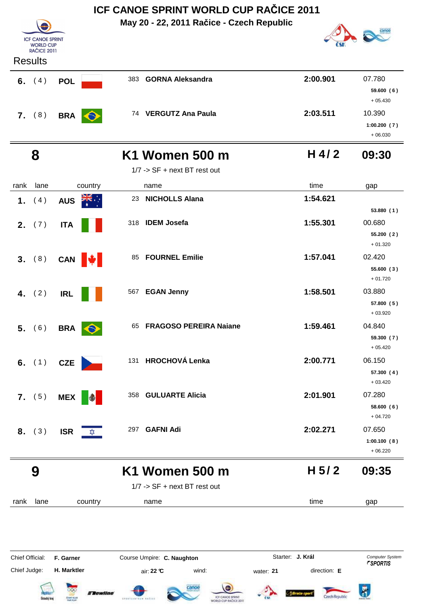|                 |                                             |                                                   | ICF CANOE SPRINT WORLD CUP RACICE 2011                                   |                           |                                           |  |  |  |
|-----------------|---------------------------------------------|---------------------------------------------------|--------------------------------------------------------------------------|---------------------------|-------------------------------------------|--|--|--|
|                 |                                             |                                                   | May 20 - 22, 2011 Račice - Czech Republic                                |                           |                                           |  |  |  |
|                 | <b>ICF CANOE SPRINT</b><br><b>WORLD CUP</b> |                                                   |                                                                          |                           |                                           |  |  |  |
|                 | <b>RAČICE 2011</b>                          |                                                   |                                                                          |                           |                                           |  |  |  |
|                 | <b>Results</b>                              |                                                   |                                                                          |                           |                                           |  |  |  |
|                 | 6. $(4)$                                    | <b>POL</b>                                        | 383 GORNA Aleksandra                                                     | 2:00.901                  | 07.780<br>59.600(6)<br>$+05.430$          |  |  |  |
|                 | 7. (8)                                      | <b>BRA</b>                                        | 74 VERGUTZ Ana Paula                                                     | 2:03.511                  | 10.390<br>1:00.200(7)<br>$+06.030$        |  |  |  |
|                 | 8                                           |                                                   | <b>K1 Women 500 m</b>                                                    | $H$ 4/2                   | 09:30                                     |  |  |  |
|                 |                                             |                                                   | $1/7$ -> SF + next BT rest out                                           |                           |                                           |  |  |  |
| rank            | lane                                        | country                                           | name                                                                     | time                      | gap                                       |  |  |  |
|                 | 1. $(4)$                                    | <b>AUS</b>                                        | <b>NICHOLLS Alana</b><br>23                                              | 1:54.621                  |                                           |  |  |  |
|                 |                                             |                                                   |                                                                          |                           | 53.880(1)                                 |  |  |  |
|                 | <b>2.</b> $(7)$                             | <b>ITA</b>                                        | 318 IDEM Josefa                                                          | 1:55.301                  | 00.680<br>55.200(2)<br>$+01.320$          |  |  |  |
| 3.              | (8)                                         | CAN <b>\</b>                                      | <b>FOURNEL Emilie</b><br>85                                              | 1:57.041                  | 02.420<br>55.600 (3)<br>$+01.720$         |  |  |  |
| 4.              | (2)                                         | <b>IRL</b>                                        | <b>EGAN Jenny</b><br>567                                                 | 1:58.501                  | 03.880<br>57.800 (5)<br>$+03.920$         |  |  |  |
|                 | 5. (6)                                      | BRA <b>O</b>                                      | 65 FRAGOSO PEREIRA Naiane                                                | 1:59.461                  | 04.840<br>59.300 (7)<br>$+05.420$         |  |  |  |
|                 | 6. $(1)$                                    | <b>CZE</b>                                        | 131 HROCHOVÁ Lenka                                                       | 2:00.771                  | 06.150<br>57.300 (4)<br>$+03.420$         |  |  |  |
|                 | 7. (5)                                      | <b>MEX</b><br>$\bullet$                           | 358 GULUARTE Alicia                                                      | 2:01.901                  | 07.280<br>58.600(6)<br>$+04.720$          |  |  |  |
| 8.              | (3)                                         | <b>ISR</b><br>⋩                                   | 297 GAFNI Adi                                                            | 2:02.271                  | 07.650<br>1:00.100(8)<br>$+06.220$        |  |  |  |
|                 | 9                                           |                                                   | K1 Women 500 m                                                           | H <sub>5/2</sub>          | 09:35                                     |  |  |  |
|                 |                                             |                                                   | 1/7 -> SF + next BT rest out                                             |                           |                                           |  |  |  |
| rank            | lane                                        | country                                           | name                                                                     | time                      | gap                                       |  |  |  |
|                 |                                             |                                                   |                                                                          |                           |                                           |  |  |  |
| Chief Official: |                                             | F. Garner                                         | Course Umpire: C. Naughton                                               | Starter: J. Král          | Computer System<br><b><i>FSPORTIS</i></b> |  |  |  |
| Chief Judge:    |                                             | H. Marktler                                       | air: 22 °C<br>wind:                                                      | direction: E<br>water: 21 |                                           |  |  |  |
|                 | Dstecký kra                                 | <b>Exewline</b><br><b>CESAT CUS</b><br>Mail: PLAY | tanoe<br>ICF CANCE SPRINT<br>drugtcharter safer<br>WORLD CUP RAČICE 2011 | Czech Republi             | ő.                                        |  |  |  |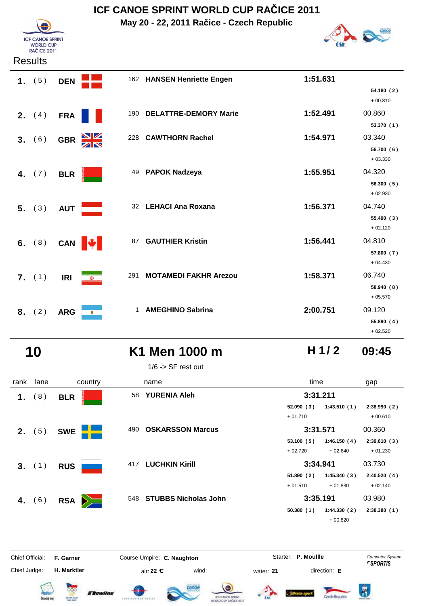**May 20 - 22, 2011 Račice - Czech Republic**



| <b>Results</b> |  |
|----------------|--|
|----------------|--|

**ICF CANOE SPRINT** WORLD CUP<br>RAČICE 2011

|    | 1. $(5)$        | <b>DEN</b> |                      |              | 162 HANSEN Henriette Engen   | 1:51.631 |                         |
|----|-----------------|------------|----------------------|--------------|------------------------------|----------|-------------------------|
|    |                 |            |                      |              |                              |          | 54.180 (2)<br>$+00.810$ |
|    | <b>2.</b> $(4)$ | <b>FRA</b> |                      | 190          | <b>DELATTRE-DEMORY Marie</b> | 1:52.491 | 00.860                  |
|    |                 |            |                      |              |                              |          | 53.370 (1)              |
|    | 3. (6)          | <b>GBR</b> | $\frac{N}{N}$<br>228 |              | <b>CAWTHORN Rachel</b>       | 1:54.971 | 03.340                  |
|    |                 |            |                      |              |                              |          | 56.700 (6)              |
|    |                 |            |                      |              |                              |          | $+03.330$               |
|    | 4. $(7)$        | <b>BLR</b> |                      |              | 49 PAPOK Nadzeya             | 1:55.951 | 04.320                  |
|    |                 |            |                      |              |                              |          | 56.300 (5)              |
|    |                 |            |                      |              |                              |          | $+02.930$               |
|    | 5. (3)          | <b>AUT</b> |                      |              | 32 LEHACI Ana Roxana         | 1:56.371 | 04.740                  |
|    |                 |            |                      |              |                              |          | 55.490 (3)              |
|    |                 |            |                      |              |                              |          | $+02.120$               |
|    | 6. $(8)$        |            | CAN W                | 87           | <b>GAUTHIER Kristin</b>      | 1:56.441 | 04.810                  |
|    |                 |            |                      |              |                              |          | 57.800 (7)              |
|    |                 |            |                      |              |                              |          | $+04.430$               |
|    | 7. (1)          | <b>IRI</b> | 291<br>$\omega$      |              | <b>MOTAMEDI FAKHR Arezou</b> | 1:58.371 | 06.740                  |
|    |                 |            |                      |              |                              |          | 58.940 (8)              |
|    |                 |            |                      |              |                              |          | $+05.570$               |
| 8. | (2)             | <b>ARG</b> | $\bullet$            | $\mathbf{1}$ | <b>AMEGHINO Sabrina</b>      | 2:00.751 | 09.120                  |
|    |                 |            |                      |              |                              |          | 55.890 (4)              |
|    |                 |            |                      |              |                              |          | $+02.520$               |

## **10 K1 Men 1000 m 09:45**

1/6 -> SF rest out

| rank | lane     | country         |     | name                     | time                   |                          | gap                      |
|------|----------|-----------------|-----|--------------------------|------------------------|--------------------------|--------------------------|
| 1.   | (8)      | <b>BLR</b>      | 58  | <b>YURENIA Aleh</b>      | 3:31.211               |                          |                          |
|      |          |                 |     |                          | 52.090(3)<br>$+01.710$ | 1:43.510(1)              | 2:38.990(2)<br>$+00.610$ |
|      | 2. (5)   | <b>SWE</b>      | 490 | <b>OSKARSSON Marcus</b>  | 3:31.571               |                          | 00.360                   |
|      |          |                 |     |                          | 53.100(5)<br>$+02.720$ | 1:46.150(4)<br>$+02.640$ | 2:39.610(3)<br>$+01.230$ |
|      | 3. (1)   | <b>RUS</b>      |     | 417 LUCHKIN Kirill       | 3:34.941               |                          | 03.730                   |
|      |          |                 |     |                          | 51.890(2)              | 1:45.340(3)              | 2:40.520(4)              |
|      |          |                 |     |                          | $+01.510$              | $+01.830$                | $+02.140$                |
|      | 4. $(6)$ | <b>RSA</b><br>Ň |     | 548 STUBBS Nicholas John | 3:35.191               |                          | 03.980                   |
|      |          |                 |     |                          | 50.380(1)              | 1:44.330(2)<br>$+00.820$ | 2:38.380(1)              |
|      |          |                 |     |                          |                        |                          |                          |

Chief Judge:

Chief Official: **F. Garner Course Umpire: C. Naughton Carrier: C. Starter: P. Moullle** *Computer System* 

**H. Marktler air: 22 °C** wind: water: **21** direction: **E** 

Starter: P. Moullle













**H 1/ 2**

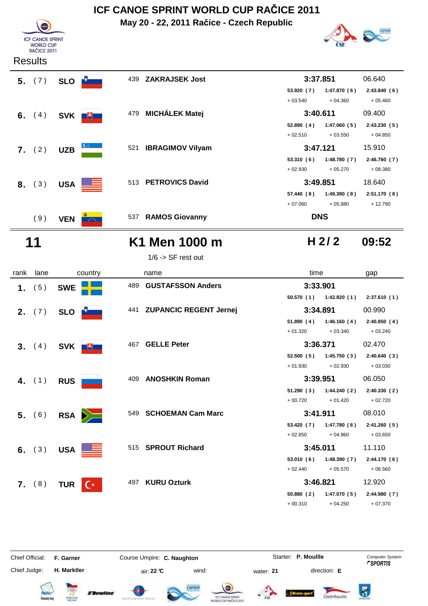**May 20 - 22, 2011 Račice - Czech Republic**





#### Results



| $1/6$ -> SF rest out |  |  |
|----------------------|--|--|
|                      |  |  |

| rank | lane            | country                      | name                                 | time                      | gap          |
|------|-----------------|------------------------------|--------------------------------------|---------------------------|--------------|
|      | 1. $(5)$        | <b>SWE</b>                   | <b>GUSTAFSSON Anders</b><br>489      | 3:33.901                  |              |
|      |                 |                              |                                      | 50.570 (1)<br>1:42.820(1) | 2:37.610(1)  |
|      | <b>2.</b> $(7)$ | <b>SLO</b>                   | <b>ZUPANCIC REGENT Jernej</b><br>441 | 3:34.891                  | 00.990       |
|      |                 |                              |                                      | 1:46.160(4)<br>51.890(4)  | 2:40.850(4)  |
|      |                 |                              |                                      | $+03.340$<br>$+01.320$    | $+03.240$    |
|      | 3. (4)          | SVK +                        | 467 GELLE Peter                      | 3:36.371                  | 02.470       |
|      |                 |                              |                                      | 52.500(5)<br>1:45.750(3)  | 2:40.640(3)  |
|      |                 |                              |                                      | $+01.930$<br>$+02.930$    | $+03.030$    |
|      | 4. $(1)$        | <b>RUS</b>                   | <b>ANOSHKIN Roman</b><br>409         | 3:39.951                  | 06.050       |
|      |                 |                              |                                      | 1:44.240(2)<br>51.290 (3) | 2:40.330(2)  |
|      |                 |                              |                                      | $+00.720$<br>$+01.420$    | $+02.720$    |
|      | 5. (6)          | $RSA$ $\geq$                 | <b>SCHOEMAN Cam Marc</b><br>549      | 3:41.911                  | 08.010       |
|      |                 |                              |                                      | 53.420 (7)<br>1:47.780(6) | 2:41.260(5)  |
|      |                 |                              |                                      | $+04.960$<br>$+02.850$    | $+03.650$    |
|      | 6. $(3)$        | USA <b>EXAMPLE</b>           | 515 SPROUT Richard                   | 3:45.011                  | 11.110       |
|      |                 |                              |                                      | 53.010(6)<br>1:48.390(7)  | 2:44.170(6)  |
|      |                 |                              |                                      | $+02.440$<br>$+05.570$    | $+06.560$    |
|      | 7. (8)          | <b>TUR</b><br>$\mathbb{C}^*$ | <b>KURU Ozturk</b><br>497            | 3:46.821                  | 12.920       |
|      |                 |                              |                                      | 50.880(2)<br>1:47.070(5)  | 2:44.980 (7) |
|      |                 |                              |                                      | $+00.310$<br>$+04.250$    | $+07.370$    |

Chief Official: **F. Garner Course Umpire: C. Naughton Carrier: C. Starter: P. Moullle** *Computer System* Chief Judge:

**H. Marktler air: 22 °C** wind: water: **21** direction: **E** 

Starter: P. Moullle













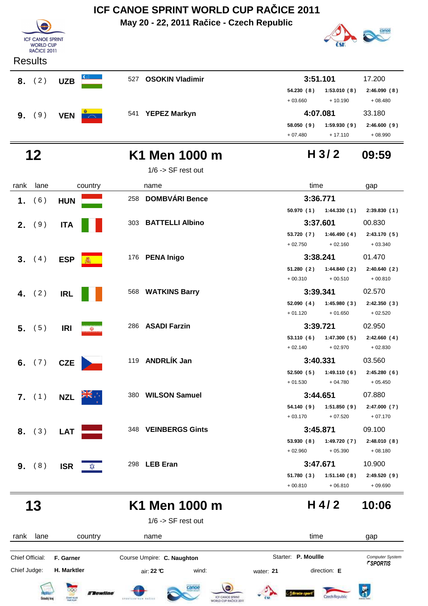



 **13 K1 Men 1000 m 10:06 H 4/ 2**



1/6 -> SF rest out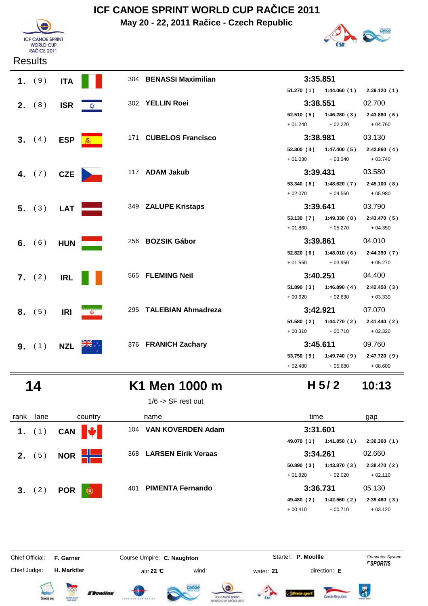**May 20 - 22, 2011 Račice - Czech Republic**



**Results** 



|    | 1. (9)          | <b>ITA</b> |    | 304 BENASSI Maximilian | 3:35.851            |                                      |             |
|----|-----------------|------------|----|------------------------|---------------------|--------------------------------------|-------------|
|    |                 |            |    |                        |                     | 51.270 (1) 1:44.060 (1) 2:39.120 (1) |             |
|    | <b>2.</b> $(8)$ | <b>ISR</b> | ≴≵ | 302 YELLIN Roei        | 3:38.551            |                                      | 02.700      |
|    |                 |            |    |                        |                     | $52.510(5)$ 1:46.280(3)              | 2:43.880(6) |
|    |                 |            |    |                        | $+01.240$           | $+02.220$                            | $+04.760$   |
|    | 3. (4)          | <b>ESP</b> |    | 171 CUBELOS Francisco  | 3:38.981            |                                      | 03.130      |
|    |                 |            |    |                        |                     | $52.300(4)$ 1:47.400 (5)             | 2:42.860(4) |
|    |                 |            |    |                        | $+01.030 + 03.340$  |                                      | $+03.740$   |
| 4. | (7)             | <b>CZE</b> |    | 117 ADAM Jakub         | 3:39.431            |                                      | 03.580      |
|    |                 |            |    |                        |                     | 53.340 (8) 1:48.620 (7) 2:45.100 (8) |             |
|    |                 |            |    |                        | $+02.070$ $+04.560$ |                                      | $+05.980$   |
|    | 5. (3)          | <b>LAT</b> |    | 349 ZALUPE Kristaps    | 3:39.641            |                                      | 03.790      |
|    |                 |            |    |                        |                     | $53.130(7)$ $1:49.330(8)$            | 2:43.470(5) |
|    |                 |            |    |                        | $+01.860$           | $+05.270$                            | $+04.350$   |
|    | 6. $(6)$        | <b>HUN</b> |    | 256 BOZSIK Gábor       | 3:39.861            |                                      | 04.010      |
|    |                 |            |    |                        |                     | 52.820 (6) 1:48.010 (6) 2:44.390 (7) |             |
|    |                 |            |    |                        | $+01.550$           | $+03.950$                            | $+05.270$   |
|    | <b>7.</b> $(2)$ | <b>IRL</b> |    | 565 FLEMING Neil       | 3:40.251            |                                      | 04.400      |
|    |                 |            |    |                        |                     | $51.890(3)$ $1:46.890(4)$            | 2:42.450(3) |
|    |                 |            |    |                        | $+00.620$ $+02.830$ |                                      | $+03.330$   |
|    | 8. (5)          | <b>IRI</b> | W) | 295 TALEBIAN Ahmadreza | 3:42.921            |                                      | 07.070      |
|    |                 |            |    |                        |                     | 51.580 (2) 1:44.770 (2)              | 2:41.440(2) |
|    |                 |            |    |                        | $+00.310 + 00.710$  |                                      | $+02.320$   |
|    | <b>9.</b> $(1)$ | <b>NZL</b> |    | 376 FRANICH Zachary    | 3:45.611            |                                      | 09.760      |
|    |                 |            |    |                        |                     | 53.750 (9) 1:49.740 (9)              | 2:47.720(9) |
|    |                 |            |    |                        | $+02.480$           | $+05.680$                            | $+08.600$   |

 **14 K1 Men 1000 m 10:13**

1/6 -> SF rest out

| rank | lane            | country                     | name                              | time                      | gap         |
|------|-----------------|-----------------------------|-----------------------------------|---------------------------|-------------|
|      | 1. $(1)$        | $\frac{1}{2}$<br><b>CAN</b> | <b>VAN KOVERDEN Adam</b><br>104   | 3:31.601                  |             |
|      |                 |                             |                                   | 1:41.850(1)<br>49.070 (1) | 2:36.360(1) |
|      | <b>2.</b> $(5)$ | NOR $H$                     | <b>LARSEN Eirik Veraas</b><br>368 | 3:34.261                  | 02.660      |
|      |                 |                             |                                   | 50.890(3)<br>1:43.870(3)  | 2:38.470(2) |
|      |                 |                             |                                   | $+01.820$<br>$+02.020$    | $+02.110$   |
|      | 3. (2)          | <b>POR</b><br>$\circledast$ | <b>PIMENTA Fernando</b><br>401    | 3:36.731                  | 05.130      |
|      |                 |                             |                                   | 49.480 (2)<br>1:42.560(2) | 2:39.480(3) |
|      |                 |                             |                                   | $+00.710$<br>$+00.410$    | $+03.120$   |

Chief Judge:

Flewline

Chief Official: **F. Garner Course Umpire: C. Naughton Carrier: C. Starter: P. Moullle** *Computer System* 

**H. Marktler air: 22 °C** wind: water: **21** direction: **E** 

Starter: **P. Moullle** 







**H 5/ 2**

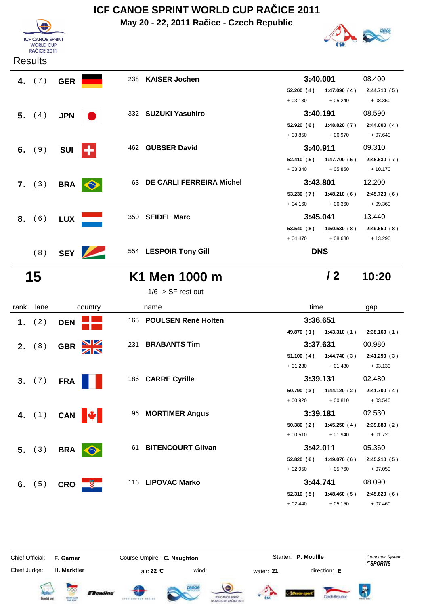**May 20 - 22, 2011 Račice - Czech Republic**





**/ 2**

#### **Results**

| 4. $(7)$ | <b>GER</b> |           | 238 KAISER Jochen           | 3:40.001   |             | 08.400      |
|----------|------------|-----------|-----------------------------|------------|-------------|-------------|
|          |            |           |                             | 52.200(4)  | 1:47.090(4) | 2:44.710(5) |
|          |            |           |                             | $+03.130$  | $+05.240$   | $+08.350$   |
| 5. $(4)$ | <b>JPN</b> |           | 332 SUZUKI Yasuhiro         | 3:40.191   |             | 08.590      |
|          |            |           |                             | 52.920(6)  | 1:48.820(7) | 2:44.000(4) |
|          |            |           |                             | $+03.850$  | $+06.970$   | $+07.640$   |
| 6. $(9)$ | <b>SUI</b> | ÷         | 462 GUBSER David            | 3:40.911   |             | 09.310      |
|          |            |           |                             | 52.410(5)  | 1:47.700(5) | 2:46.530(7) |
|          |            |           |                             | $+03.340$  | $+05.850$   | $+10.170$   |
| 7. (3)   | <b>BRA</b> | $\bullet$ | 63 DE CARLI FERREIRA Michel | 3:43.801   |             | 12.200      |
|          |            |           |                             | 53.230(7)  | 1:48.210(6) | 2:45.720(6) |
|          |            |           |                             | $+04.160$  | $+06.360$   | $+09.360$   |
| 8. (6)   | <b>LUX</b> | 350       | <b>SEIDEL Marc</b>          | 3:45.041   |             | 13.440      |
|          |            |           |                             | 53.540(8)  | 1:50.530(8) | 2:49.650(8) |
|          |            |           |                             | $+04.470$  | $+08.680$   | $+13.290$   |
| (8)      | <b>SEY</b> |           | 554 LESPOIR Tony Gill       | <b>DNS</b> |             |             |

## **15 K1 Men 1000 m 10:20**

1/6 -> SF rest out

### rank lane country thame country time gap  **1.** ( 2 ) **DEN**<sup>165</sup> **POULSEN René Holten 3:36.651 49.870 1:43.310 2:38.160 ( 1 ) ( 1 ) ( 1 ) 2.** (8) **GBR** 231 **BRABANTS Tim** 3:37.631 00.980 51.100 (4) 1:44.740 (3) 2:41.290 (3)  $+ 01.230 + 01.430 + 03.130$  **3.** ( 7 ) **FRA**<sup>186</sup> **CARRE Cyrille 3:39.131** 02.480 **50.790 1:44.120 2:41.700 ( 3 ) ( 2 ) ( 4 )**  $+ 00.920 + 00.810 + 03.540$  **4.** (1) **CAN 4 3:39.181** 02.530 **50.380 1:45.250 2:39.880 ( 2 ) ( 4 ) ( 2 )**  $+ 00.510 + 01.940 + 01.720$ **5.** (3) BRA**61 BITENCOURT Gilvan 3:42.011** 05.360 **52.820 1:49.070 2:45.210 ( 6 ) ( 6 ) ( 5 )** + 02.950 + 05.760 + 07.050 **6.** (5) CRO **116 LIPOVAC Marko 3:44.741** 08.090 **52.310 1:48.460 2:45.620 ( 5 ) ( 5 ) ( 6 )**  $+ 02.440 + 05.150 + 07.460$

Chief Official: **F. Garner Course Umpire: C. Naughton Carrier: C. Starter: P. Moullle** *Computer System* Chief Judge:

**H. Marktler air: 22 °C** wind: water: **21** direction: **E** 

Starter: P. Moullle















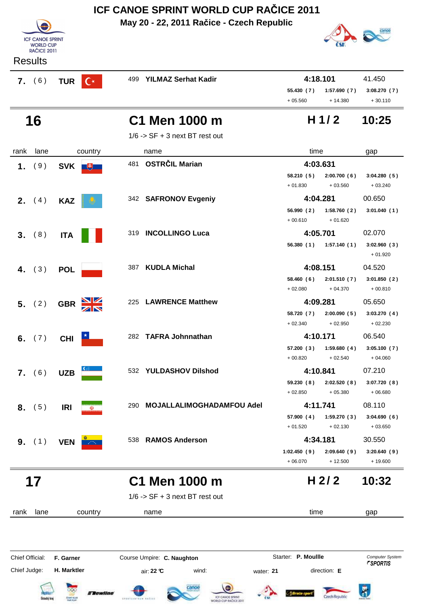|      | ICF CANOE SPRINT WORLD CUP RACICE 2011                            |                |                |     |                                           |                         |                                       |                                    |  |
|------|-------------------------------------------------------------------|----------------|----------------|-----|-------------------------------------------|-------------------------|---------------------------------------|------------------------------------|--|
|      | <b>ICF CANOE SPRINT</b><br><b>WORLD CUP</b><br><b>RAČICE 2011</b> |                |                |     | May 20 - 22, 2011 Račice - Czech Republic |                         |                                       |                                    |  |
|      | <b>Results</b>                                                    |                |                |     |                                           |                         |                                       |                                    |  |
|      | 7. (6)                                                            | <b>TUR</b>     | $\mathsf{C}^*$ | 499 | <b>YILMAZ Serhat Kadir</b>                | 55.430 (7)<br>$+05.560$ | 4:18.101<br>1:57.690(7)<br>$+ 14.380$ | 41.450<br>3:08.270(7)<br>$+30.110$ |  |
|      | 16                                                                |                |                |     | C1 Men 1000 m                             |                         | H <sub>1/2</sub>                      | 10:25                              |  |
|      |                                                                   |                |                |     | $1/6$ -> SF + 3 next BT rest out          |                         |                                       |                                    |  |
| rank | lane                                                              |                | country        |     | name                                      | time                    |                                       | gap                                |  |
| 1.   | (9)                                                               | SVK <b>FLE</b> |                | 481 | <b>OSTRČIL Marian</b>                     |                         | 4:03.631                              |                                    |  |
|      |                                                                   |                |                |     |                                           | 58.210 (5)<br>$+01.830$ | 2:00.700(6)<br>$+03.560$              | 3:04.280(5)<br>$+03.240$           |  |
|      | <b>2.</b> $(4)$                                                   | <b>KAZ</b>     |                |     | 342 SAFRONOV Evgeniy                      |                         | 4:04.281                              | 00.650                             |  |
|      |                                                                   |                |                |     |                                           | 56.990 (2)<br>$+00.610$ | 1:58.760(2)<br>$+01.620$              | 3:01.040(1)                        |  |
| 3.   | (8)                                                               | <b>ITA</b>     |                | 319 | <b>INCOLLINGO Luca</b>                    |                         | 4:05.701                              | 02.070                             |  |
|      |                                                                   |                |                |     |                                           | 56.380(1)               | 1:57.140(1)                           | 3:02.960(3)<br>$+01.920$           |  |
| 4.   | (3)                                                               | <b>POL</b>     |                | 387 | <b>KUDLA Michal</b>                       |                         | 4:08.151                              | 04.520                             |  |
|      |                                                                   |                |                |     |                                           | 58.460 (6)<br>$+02.080$ | 2:01.510(7)<br>$+04.370$              | 3:01.850(2)<br>$+00.810$           |  |
|      | 5. (2)                                                            | <b>GBR</b>     |                | 225 | <b>LAWRENCE Matthew</b>                   |                         | 4:09.281                              | 05.650                             |  |
|      |                                                                   |                |                |     |                                           | 58.720 (7)<br>$+02.340$ | 2:00.090(5)<br>$+02.950$              | 3:03.270(4)<br>$+02.230$           |  |
| 6.   | (7)                                                               | <b>CHI</b>     |                |     | 282 TAFRA Johnnathan                      |                         | 4:10.171                              | 06.540                             |  |

**57.200 1:59.680 3:05.100 ( 3 ) ( 4 ) ( 7 )**  $+ 00.820 + 02.540 + 04.060$ **7.** (6) UZB 532 YULDASHOV Dilshod 4:10.841 07.210 **59.230 2:02.520 3:07.720 ( 8 ) ( 8 ) ( 8 )**  $+ 02.850 + 05.380 + 06.680$ **8.** (5) **IRI WE BUDGE ALLALIMOGHADAMFOU Adel <b>4:11.741** 08.110 **57.900 1:59.270 3:04.690 ( 4 ) ( 3 ) ( 6 )**  $+ 01.520 + 02.130 + 03.650$ **9.** (1) **VEN**<sup>6</sup> 1:02.450 (9) 2:09.640 (9) 3:20.640 (9) + 06.070 + 12.500 + 19.600

 **17 C1 Men 1000 m 10:32**

 $1/6$  -> SF + 3 next BT rest out

rank lane name country time gap Chief Official: **F. Garner Course Umpire: C. Naughton** Course **Starter: P. Moullle** Computer System

Chief Judge: **H. Marktler air: 22 °C** wind: water: **21** direction: **E** 















**H 2/ 2**

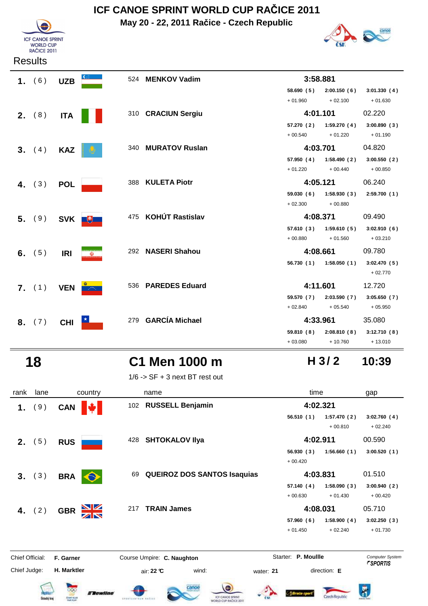**May 20 - 22, 2011 Račice - Czech Republic**





| Results |  |
|---------|--|
|         |  |

| 1. $(6)$ | <b>UZB</b>               |                 | 524 MENKOV Vadim    |           | 3:58.881                                                             |                    |
|----------|--------------------------|-----------------|---------------------|-----------|----------------------------------------------------------------------|--------------------|
|          |                          |                 |                     | $+01.960$ | 58.690 (5) 2:00.150 (6) 3:01.330 (4)                                 | $+02.100 + 01.630$ |
| 2. (8)   | <b>ITA</b>               |                 | 310 CRACIUN Sergiu  |           | 4:01.101                                                             | 02.220             |
|          |                          |                 |                     |           | 57.270 (2) 1:59.270 (4) 3:00.890 (3)<br>$+00.540 + 01.220$           | $+01.190$          |
| 3. (4)   | <b>KAZ</b>               |                 | 340 MURATOV Ruslan  |           | 4:03.701                                                             | 04.820             |
|          |                          |                 |                     |           | 57.950 (4) 1:58.490 (2) 3:00.550 (2)<br>$+ 01.220 + 00.440 + 00.850$ |                    |
| 4. $(3)$ | <b>POL</b>               |                 | 388 KULETA Piotr    |           | 4:05.121                                                             | 06.240             |
|          |                          |                 |                     |           | 59.030 (6) 1:58.930 (3) 2:59.700 (1)<br>$+02.300 + 00.880$           |                    |
| 5. (9)   |                          | SVK <b>U</b>    | 475 KOHÚT Rastislav |           | 4:08.371                                                             | 09.490             |
|          |                          |                 |                     |           | 57.610 (3) 1:59.610 (5) 3:02.910 (6)<br>$+00.880 + 01.560 + 03.210$  |                    |
| 6. $(5)$ | <b>IRI</b>               | $\omega$        | 292 NASERI Shahou   |           | 4:08.661                                                             | 09.780             |
|          |                          |                 |                     |           | 56.730 (1) 1:58.050 (1) 3:02.470 (5)                                 | $+02.770$          |
|          | <b>7.</b> (1) <b>VEN</b> | <b>Contract</b> | 536 PAREDES Eduard  |           | 4:11.601                                                             | 12.720             |
|          |                          |                 |                     | $+02.840$ | 59.570 (7) 2:03.590 (7) 3:05.650 (7)<br>$+05.540$                    | $+05.950$          |
| 8. (7)   | <b>CHI</b>               |                 | 279 GARCÍA Michael  |           | 4:33.961                                                             | 35.080             |
|          |                          |                 |                     | $+03.080$ | 59.810 (8) 2:08.810 (8) 3:12.710 (8)<br>+ 10.760                     | + 13.010           |

## **18 C1 Men 1000 m 10:39**

 $1/6$  -> SF + 3 next BT rest out

| rank            | lane            | country                               | name                                     | time                                                | gap                                              |
|-----------------|-----------------|---------------------------------------|------------------------------------------|-----------------------------------------------------|--------------------------------------------------|
| 1 <sub>1</sub>  | (9)             | <b>CAN</b>                            | 102 RUSSELL Benjamin                     | 4:02.321                                            |                                                  |
|                 |                 |                                       |                                          | 56.510(1)<br>1:57.470(2)<br>$+00.810$               | 3:02.760(4)<br>$+02.240$                         |
|                 | <b>2.</b> $(5)$ | <b>RUS</b>                            | 428 SHTOKALOV IIya                       | 4:02.911                                            | 00.590                                           |
|                 |                 |                                       |                                          | 56.930(3)<br>1:56.660(1)<br>$+00.420$               | 3:00.520(1)                                      |
|                 | 3. (3)          | <b>BRA</b>                            | <b>QUEIROZ DOS SANTOS Isaquias</b><br>69 | 4:03.831                                            | 01.510                                           |
|                 |                 |                                       |                                          | 1:58.090(3)<br>57.140(4)<br>$+00.630$<br>$+01.430$  | 3:00.940(2)<br>$+00.420$                         |
|                 | 4. $(2)$        | NK<br>AR<br><b>GBR</b>                | <b>TRAIN James</b><br>217                | 4:08.031                                            | 05.710                                           |
|                 |                 |                                       |                                          | 1:58.900(4)<br>57.960 (6)<br>$+02.240$<br>$+01.450$ | 3:02.250(3)<br>$+01.730$                         |
| Chief Official: |                 | F. Garner                             | Course Umpire: C. Naughton               | Starter: P. Moullle                                 | <b>Computer System</b><br><i><b>FSPORTIS</b></i> |
| Chief Judge:    |                 | H. Marktler<br><i><b>Elewline</b></i> | wind:<br>air: 22 ℃<br>canoe              | direction: E<br>water: 21                           |                                                  |













**H 3/ 2**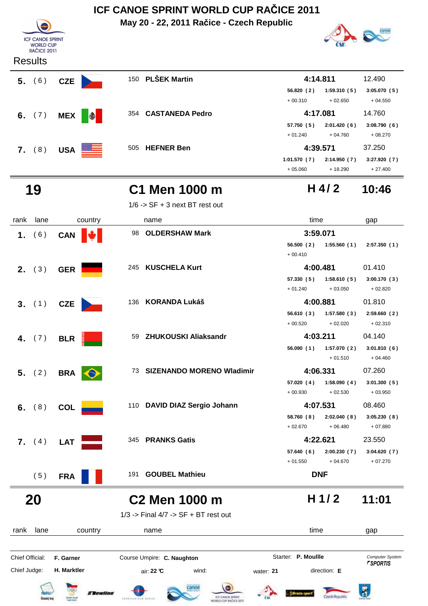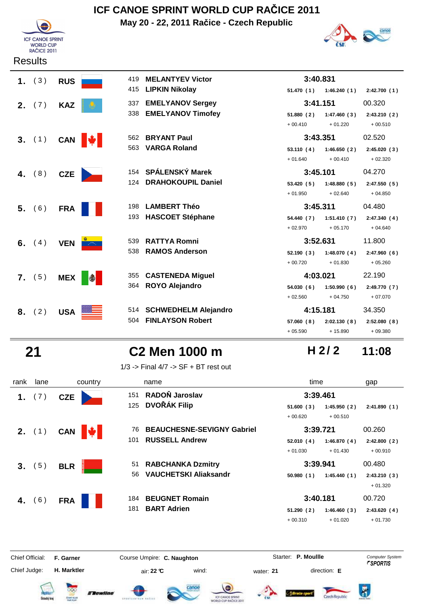

**Results** 

## **ICF CANOE SPRINT WORLD CUP RAČICE 2011**

**May 20 - 22, 2011 Račice - Czech Republic**



| 1. $(3)$        | <b>RUS</b> |                  | 419 | <b>MELANTYEV Victor</b>   | 3:40.831   |                           |              |
|-----------------|------------|------------------|-----|---------------------------|------------|---------------------------|--------------|
|                 |            |                  | 415 | <b>LIPKIN Nikolay</b>     |            | $51.470(1)$ $1:46.240(1)$ | 2:42.700(1)  |
| <b>2.</b> $(7)$ | <b>KAZ</b> |                  | 337 | <b>EMELYANOV Sergey</b>   | 3:41.151   |                           | 00.320       |
|                 |            |                  |     | 338 EMELYANOV Timofey     | 51.880(2)  | 1:47.460(3)               | 2:43.210(2)  |
|                 |            |                  |     |                           | $+00.410$  | $+01.220$                 | $+00.510$    |
| 3. (1)          |            | CAN <del>↓</del> | 562 | <b>BRYANT Paul</b>        | 3:43.351   |                           | 02.520       |
|                 |            |                  | 563 | <b>VARGA Roland</b>       | 53.110(4)  | 1:46.650(2)               | 2:45.020(3)  |
|                 |            |                  |     |                           | $+01.640$  | $+00.410$                 | $+02.320$    |
| 4. $(8)$        | CZE        |                  |     | 154 SPÁLENSKÝ Marek       | 3:45.101   |                           | 04.270       |
|                 |            |                  | 124 | <b>DRAHOKOUPIL Daniel</b> | 53.420(5)  | 1:48.880(5)               | 2:47.550(5)  |
|                 |            |                  |     |                           | $+01.950$  | $+02.640$                 | $+04.850$    |
| 5. (6)          | <b>FRA</b> |                  | 198 | <b>LAMBERT Théo</b>       | 3:45.311   |                           | 04.480       |
|                 |            |                  | 193 | <b>HASCOET Stéphane</b>   | 54.440 (7) | 1:51.410(7)               | 2:47.340(4)  |
|                 |            |                  |     |                           | $+02.970$  | $+05.170$                 | $+04.640$    |
| 6. $(4)$        | <b>VEN</b> | <b>Service</b>   | 539 | <b>RATTYA Romni</b>       | 3:52.631   |                           | 11.800       |
|                 |            |                  | 538 | <b>RAMOS Anderson</b>     | 52.190(3)  | 1:48.070(4)               | 2:47.960(6)  |
|                 |            |                  |     |                           | $+00.720$  | $+01.830$                 | $+05.260$    |
| 7. (5)          | <b>MEX</b> | $\bigcirc$       |     | 355 CASTENEDA Miguel      | 4:03.021   |                           | 22.190       |
|                 |            |                  |     | 364 ROYO Alejandro        | 54.030(6)  | 1:50.990(6)               | 2:49.770 (7) |
|                 |            |                  |     |                           | $+02.560$  | $+04.750$                 | $+07.070$    |
| 8. (2)          | <b>USA</b> |                  |     | 514 SCHWEDHELM Alejandro  | 4:15.181   |                           | 34.350       |
|                 |            |                  |     | 504 FINLAYSON Robert      | 57.060 (8) | 2:02.130(8)               | 2:52.080(8)  |
|                 |            |                  |     |                           | $+05.590$  | $+15.890$                 | $+09.380$    |

## **21 C2 Men 1000 m 11:08**

1/3 -> Final 4/7 -> SF + BT rest out

| rank | lane            | country      | name                                    | time                     | gap         |
|------|-----------------|--------------|-----------------------------------------|--------------------------|-------------|
| 1.   | (7)             | <b>CZE</b>   | RADOŇ Jaroslav<br>151                   | 3:39.461                 |             |
|      |                 |              | <b>DVOŘÁK Filip</b><br>125              | 51.600(3)<br>1:45.950(2) | 2:41.890(1) |
|      |                 |              |                                         | $+00.620$<br>$+00.510$   |             |
|      | <b>2.</b> $(1)$ | CAN <b>\</b> | <b>BEAUCHESNE-SEVIGNY Gabriel</b><br>76 | 3:39.721                 | 00.260      |
|      |                 |              | <b>RUSSELL Andrew</b><br>101            | 52.010(4)<br>1:46.870(4) | 2:42.800(2) |
|      |                 |              |                                         | $+01.030$<br>$+01.430$   | $+00.910$   |
| 3.   | (5)             | <b>BLR</b>   | 51 RABCHANKA Dzmitry                    | 3:39.941                 | 00.480      |
|      |                 |              | <b>VAUCHETSKI Aliaksandr</b><br>56      | 1:45.440(1)<br>50.980(1) | 2:43.210(3) |
|      |                 |              |                                         |                          | $+01.320$   |
| 4.   | (6)             | <b>FRA</b>   | <b>BEUGNET Romain</b><br>184            | 3:40.181                 | 00.720      |
|      |                 |              | <b>BART Adrien</b><br>181               | 51.290(2)<br>1:46.460(3) | 2:43.620(4) |
|      |                 |              |                                         | $+00.310$<br>$+01.020$   | $+01.730$   |
|      |                 |              |                                         |                          |             |

Chief Judge:

Chief Official: **F. Garner Course Umpire: C. Naughton** Course **Starter: P. Moullle** Computer System

**H. Marktler air: 22 °C** wind: water: **21** direction: **E** 













**H 2/ 2**

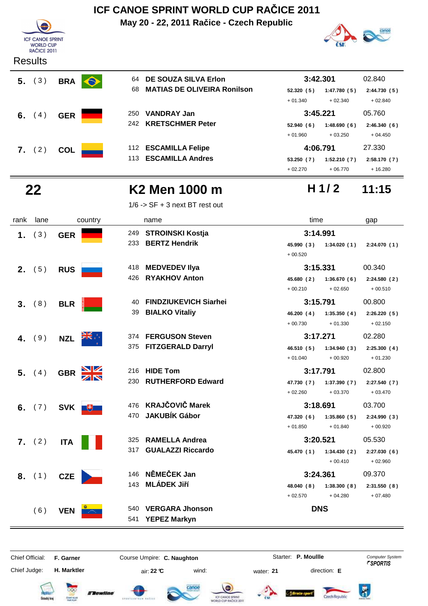**May 20 - 22, 2011 Račice - Czech Republic**



#### **Results**



| 64  | <b>DE SOUZA SILVA Erlon</b>        | 3:42.301  |             | 02.840       |
|-----|------------------------------------|-----------|-------------|--------------|
| 68  | <b>MATIAS DE OLIVEIRA Ronilson</b> | 52.320(5) | 1:47.780(5) | 2:44.730(5)  |
|     |                                    | $+01.340$ | $+02.340$   | $+02.840$    |
| 250 | <b>VANDRAY Jan</b>                 |           | 3:45.221    |              |
|     | 242 KRETSCHMER Peter               | 52.940(6) | 1:48.690(6) | 2:46.340(6)  |
|     |                                    | $+01.960$ | $+03.250$   | $+04.450$    |
| 112 | <b>ESCAMILLA Felipe</b>            | 4:06.791  |             | 27.330       |
| 113 | <b>ESCAMILLA Andres</b>            | 53.250(7) | 1:52.210(7) | 2:58.170 (7) |

## **22 K2 Men 1000 m 11:15**

1/6 -> SF + 3 next BT rest out

## **H 1/ 2**

canoe

+ 02.270 + 06.770 + 16.280

| rank | lane   | country      | name                               | time                      | gap         |
|------|--------|--------------|------------------------------------|---------------------------|-------------|
| 1.   | (3)    | <b>GER</b>   | 249<br><b>STROINSKI Kostja</b>     | 3:14.991                  |             |
|      |        |              | 233<br><b>BERTZ Hendrik</b>        | 45.990 (3)<br>1:34.020(1) | 2:24.070(1) |
|      |        |              |                                    | $+00.520$                 |             |
|      | 2. (5) | <b>RUS</b>   | 418 MEDVEDEV Ilya                  | 3:15.331                  | 00.340      |
|      |        |              | 426 RYAKHOV Anton                  | 45.680(2)<br>1:36.670(6)  | 2:24.580(2) |
|      |        |              |                                    | $+00.210$<br>$+02.650$    | $+00.510$   |
| 3.   | (8)    | <b>BLR</b>   | <b>FINDZIUKEVICH Siarhei</b><br>40 | 3:15.791                  | 00.800      |
|      |        |              | <b>BIALKO Vitaliy</b><br>39        | 46.200 (4)<br>1:35.350(4) | 2:26.220(5) |
|      |        |              |                                    | $+00.730$<br>$+01.330$    | $+02.150$   |
| 4.   | (9)    | <b>NZL</b>   | 374 FERGUSON Steven                | 3:17.271                  | 02.280      |
|      |        |              | 375 FITZGERALD Darryl              | 46.510 (5)<br>1:34.940(3) | 2:25.300(4) |
|      |        |              |                                    | $+00.920$<br>$+01.040$    | $+01.230$   |
|      | 5. (4) | <b>GBR</b>   | 216 HIDE Tom                       | 3:17.791                  | 02.800      |
|      |        |              | <b>RUTHERFORD Edward</b><br>230    | 47.730 (7)<br>1:37.390(7) | 2:27.540(7) |
|      |        |              |                                    | $+02.260$<br>$+03.370$    | $+03.470$   |
| 6.   | (7)    | SVK <b>B</b> | <b>KRAJČOVIČ Marek</b><br>476      | 3:18.691                  | 03.700      |
|      |        |              | <b>JAKUBÍK Gábor</b><br>470        | 47.320 (6)<br>1:35.860(5) | 2:24.990(3) |
|      |        |              |                                    | $+01.850$<br>$+01.840$    | $+00.920$   |
|      | 7. (2) | <b>ITA</b>   | <b>RAMELLA Andrea</b><br>325       | 3:20.521                  | 05.530      |
|      |        |              | <b>GUALAZZI Riccardo</b><br>317    | 45.470 (1)<br>1:34.430(2) | 2:27.030(6) |
|      |        |              |                                    | $+00.410$                 | $+02.960$   |
|      | 8. (1) | <b>CZE</b>   | NĚMEČEK Jan<br>146                 | 3:24.361                  | 09.370      |
|      |        |              | <b>MLÁDEK Jiří</b><br>143          | 48.040 (8)<br>1:38.300(8) | 2:31.550(8) |
|      |        |              |                                    | $+02.570$<br>$+04.280$    | $+07.480$   |
|      | (6)    | <b>VEN</b>   | <b>VERGARA Jhonson</b><br>540      | <b>DNS</b>                |             |
|      |        |              | <b>YEPEZ Markyn</b><br>541         |                           |             |

# Chief Official: **F. Garner Course Umpire: C. Naughton Carrier: C. Starter: P. Moullle** *Computer System*

Chief Judge:

**H. Marktler air: 22 °C** wind: water: **21** direction: **E** 

Starter: P. Moullle















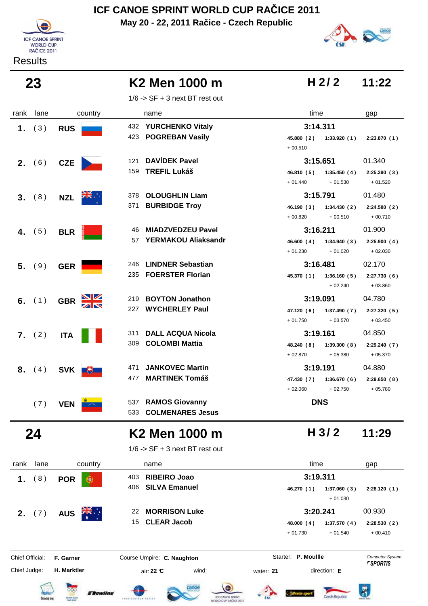**May 20 - 22, 2011 Račice - Czech Republic**



**Results** 

# canoe

**H 2/ 2**

**23 K2 Men 1000 m H 2/2 11:22** 

 $1/6$  -> SF + 3 next BT rest out

| 3:14.311<br>432<br><b>YURCHENKO Vitaly</b><br>(3)<br><b>RUS</b><br>1.<br>423 POGREBAN Vasily<br>45.880 (2) 1:33.920 (1)<br>2:23.870(1)<br>$+00.510$<br><b>DAVÍDEK Pavel</b><br>01.340<br>121<br>3:15.651<br>(6)<br><b>CZE</b><br>2.<br><b>TREFIL Lukáš</b><br>159<br>46.810 (5)<br>1:35.450 (4)<br>2:25.390(3)<br>$+01.530$<br>$+01.520$<br>$+01.440$<br>01.480<br><b>OLOUGHLIN Liam</b><br>3:15.791<br>378<br>(8)<br><b>NZL</b><br>3.<br><b>BURBIDGE Troy</b><br>371<br>46.190 (3)<br>1:34.430(2)<br>2:24.580(2)<br>$+00.710$<br>$+00.820$<br>$+00.510$<br>3:16.211<br>01.900<br><b>MIADZVEDZEU Pavel</b><br>46<br>(5)<br><b>BLR</b><br>4.<br>57 YERMAKOU Aliaksandr<br>46.600(4)<br>1:34.940(3)<br>2:25.900(4)<br>$+02.030$<br>$+01.230$<br>$+01.020$<br><b>LINDNER Sebastian</b><br>02.170<br>3:16.481<br>246<br>(9)<br><b>GER</b><br>5.<br><b>FOERSTER Florian</b><br>235<br>45.370 (1)<br>1:36.160(5)<br>2:27.730(6)<br>$+02.240$<br>$+03.860$<br><b>BOYTON Jonathon</b><br>3:19.091<br>04.780<br>219<br>(1)<br>6.<br><b>GBR</b><br><b>WYCHERLEY Paul</b><br>227<br>47.120(6)<br>1:37.490(7)<br>2:27.320(5)<br>$+01.750$<br>$+03.570$<br>$+03.450$<br><b>DALL ACQUA Nicola</b><br>04.850<br>3:19.161<br>311<br>7. (2)<br><b>ITA</b><br><b>COLOMBI Mattia</b><br>309<br>48.240(8)<br>1:39.300(8)<br>2:29.240(7)<br>$+02.870$<br>$+05.380$<br>$+05.370$<br>04.880<br><b>JANKOVEC Martin</b><br>3:19.191<br>471<br>(4)<br>8.<br>SVK  <br>飞<br><b>MARTINEK Tomáš</b><br>477<br>47.430 (7)<br>1:36.670(6)<br>2:29.650(8)<br>$+02.750$<br>$+02.060$<br>$+05.780$<br><b>DNS</b><br><b>RAMOS Giovanny</b><br>537<br>(7)<br><b>VEN</b><br><b>COLMENARES Jesus</b><br>533<br>H <sub>3/2</sub><br>24<br>11:29<br>K2 Men 1000 m<br>$1/6$ -> SF + 3 next BT rest out<br>lane<br>time<br>rank<br>country<br>name<br>gap<br><b>RIBEIRO Joao</b><br>3:19.311<br>403<br>(8)<br><b>POR</b><br>1.<br>C<br><b>SILVA Emanuel</b><br>406<br>46.270 (1)<br>1:37.060(3)<br>2:28.120(1)<br>$+01.030$<br>3:20.241<br>00.930<br><b>MORRISON Luke</b><br>22<br>2. $(7)$<br><b>AUS</b><br><b>CLEAR Jacob</b><br>15<br>48.000 (4)<br>1:37.570(4)<br>2:28.530(2)<br>$+01.730$<br>$+01.540$<br>$+00.410$ | rank | lane | country | name | time | gap |
|-------------------------------------------------------------------------------------------------------------------------------------------------------------------------------------------------------------------------------------------------------------------------------------------------------------------------------------------------------------------------------------------------------------------------------------------------------------------------------------------------------------------------------------------------------------------------------------------------------------------------------------------------------------------------------------------------------------------------------------------------------------------------------------------------------------------------------------------------------------------------------------------------------------------------------------------------------------------------------------------------------------------------------------------------------------------------------------------------------------------------------------------------------------------------------------------------------------------------------------------------------------------------------------------------------------------------------------------------------------------------------------------------------------------------------------------------------------------------------------------------------------------------------------------------------------------------------------------------------------------------------------------------------------------------------------------------------------------------------------------------------------------------------------------------------------------------------------------------------------------------------------------------------------------------------------------------------------------------------------------------------------------------------------------------------------------------------------------------------------------------------------------------------------------------------|------|------|---------|------|------|-----|
|                                                                                                                                                                                                                                                                                                                                                                                                                                                                                                                                                                                                                                                                                                                                                                                                                                                                                                                                                                                                                                                                                                                                                                                                                                                                                                                                                                                                                                                                                                                                                                                                                                                                                                                                                                                                                                                                                                                                                                                                                                                                                                                                                                               |      |      |         |      |      |     |
|                                                                                                                                                                                                                                                                                                                                                                                                                                                                                                                                                                                                                                                                                                                                                                                                                                                                                                                                                                                                                                                                                                                                                                                                                                                                                                                                                                                                                                                                                                                                                                                                                                                                                                                                                                                                                                                                                                                                                                                                                                                                                                                                                                               |      |      |         |      |      |     |
|                                                                                                                                                                                                                                                                                                                                                                                                                                                                                                                                                                                                                                                                                                                                                                                                                                                                                                                                                                                                                                                                                                                                                                                                                                                                                                                                                                                                                                                                                                                                                                                                                                                                                                                                                                                                                                                                                                                                                                                                                                                                                                                                                                               |      |      |         |      |      |     |
|                                                                                                                                                                                                                                                                                                                                                                                                                                                                                                                                                                                                                                                                                                                                                                                                                                                                                                                                                                                                                                                                                                                                                                                                                                                                                                                                                                                                                                                                                                                                                                                                                                                                                                                                                                                                                                                                                                                                                                                                                                                                                                                                                                               |      |      |         |      |      |     |
|                                                                                                                                                                                                                                                                                                                                                                                                                                                                                                                                                                                                                                                                                                                                                                                                                                                                                                                                                                                                                                                                                                                                                                                                                                                                                                                                                                                                                                                                                                                                                                                                                                                                                                                                                                                                                                                                                                                                                                                                                                                                                                                                                                               |      |      |         |      |      |     |
|                                                                                                                                                                                                                                                                                                                                                                                                                                                                                                                                                                                                                                                                                                                                                                                                                                                                                                                                                                                                                                                                                                                                                                                                                                                                                                                                                                                                                                                                                                                                                                                                                                                                                                                                                                                                                                                                                                                                                                                                                                                                                                                                                                               |      |      |         |      |      |     |
|                                                                                                                                                                                                                                                                                                                                                                                                                                                                                                                                                                                                                                                                                                                                                                                                                                                                                                                                                                                                                                                                                                                                                                                                                                                                                                                                                                                                                                                                                                                                                                                                                                                                                                                                                                                                                                                                                                                                                                                                                                                                                                                                                                               |      |      |         |      |      |     |
|                                                                                                                                                                                                                                                                                                                                                                                                                                                                                                                                                                                                                                                                                                                                                                                                                                                                                                                                                                                                                                                                                                                                                                                                                                                                                                                                                                                                                                                                                                                                                                                                                                                                                                                                                                                                                                                                                                                                                                                                                                                                                                                                                                               |      |      |         |      |      |     |
|                                                                                                                                                                                                                                                                                                                                                                                                                                                                                                                                                                                                                                                                                                                                                                                                                                                                                                                                                                                                                                                                                                                                                                                                                                                                                                                                                                                                                                                                                                                                                                                                                                                                                                                                                                                                                                                                                                                                                                                                                                                                                                                                                                               |      |      |         |      |      |     |
|                                                                                                                                                                                                                                                                                                                                                                                                                                                                                                                                                                                                                                                                                                                                                                                                                                                                                                                                                                                                                                                                                                                                                                                                                                                                                                                                                                                                                                                                                                                                                                                                                                                                                                                                                                                                                                                                                                                                                                                                                                                                                                                                                                               |      |      |         |      |      |     |
|                                                                                                                                                                                                                                                                                                                                                                                                                                                                                                                                                                                                                                                                                                                                                                                                                                                                                                                                                                                                                                                                                                                                                                                                                                                                                                                                                                                                                                                                                                                                                                                                                                                                                                                                                                                                                                                                                                                                                                                                                                                                                                                                                                               |      |      |         |      |      |     |
|                                                                                                                                                                                                                                                                                                                                                                                                                                                                                                                                                                                                                                                                                                                                                                                                                                                                                                                                                                                                                                                                                                                                                                                                                                                                                                                                                                                                                                                                                                                                                                                                                                                                                                                                                                                                                                                                                                                                                                                                                                                                                                                                                                               |      |      |         |      |      |     |
|                                                                                                                                                                                                                                                                                                                                                                                                                                                                                                                                                                                                                                                                                                                                                                                                                                                                                                                                                                                                                                                                                                                                                                                                                                                                                                                                                                                                                                                                                                                                                                                                                                                                                                                                                                                                                                                                                                                                                                                                                                                                                                                                                                               |      |      |         |      |      |     |
|                                                                                                                                                                                                                                                                                                                                                                                                                                                                                                                                                                                                                                                                                                                                                                                                                                                                                                                                                                                                                                                                                                                                                                                                                                                                                                                                                                                                                                                                                                                                                                                                                                                                                                                                                                                                                                                                                                                                                                                                                                                                                                                                                                               |      |      |         |      |      |     |
|                                                                                                                                                                                                                                                                                                                                                                                                                                                                                                                                                                                                                                                                                                                                                                                                                                                                                                                                                                                                                                                                                                                                                                                                                                                                                                                                                                                                                                                                                                                                                                                                                                                                                                                                                                                                                                                                                                                                                                                                                                                                                                                                                                               |      |      |         |      |      |     |
|                                                                                                                                                                                                                                                                                                                                                                                                                                                                                                                                                                                                                                                                                                                                                                                                                                                                                                                                                                                                                                                                                                                                                                                                                                                                                                                                                                                                                                                                                                                                                                                                                                                                                                                                                                                                                                                                                                                                                                                                                                                                                                                                                                               |      |      |         |      |      |     |
|                                                                                                                                                                                                                                                                                                                                                                                                                                                                                                                                                                                                                                                                                                                                                                                                                                                                                                                                                                                                                                                                                                                                                                                                                                                                                                                                                                                                                                                                                                                                                                                                                                                                                                                                                                                                                                                                                                                                                                                                                                                                                                                                                                               |      |      |         |      |      |     |
|                                                                                                                                                                                                                                                                                                                                                                                                                                                                                                                                                                                                                                                                                                                                                                                                                                                                                                                                                                                                                                                                                                                                                                                                                                                                                                                                                                                                                                                                                                                                                                                                                                                                                                                                                                                                                                                                                                                                                                                                                                                                                                                                                                               |      |      |         |      |      |     |
|                                                                                                                                                                                                                                                                                                                                                                                                                                                                                                                                                                                                                                                                                                                                                                                                                                                                                                                                                                                                                                                                                                                                                                                                                                                                                                                                                                                                                                                                                                                                                                                                                                                                                                                                                                                                                                                                                                                                                                                                                                                                                                                                                                               |      |      |         |      |      |     |
|                                                                                                                                                                                                                                                                                                                                                                                                                                                                                                                                                                                                                                                                                                                                                                                                                                                                                                                                                                                                                                                                                                                                                                                                                                                                                                                                                                                                                                                                                                                                                                                                                                                                                                                                                                                                                                                                                                                                                                                                                                                                                                                                                                               |      |      |         |      |      |     |
|                                                                                                                                                                                                                                                                                                                                                                                                                                                                                                                                                                                                                                                                                                                                                                                                                                                                                                                                                                                                                                                                                                                                                                                                                                                                                                                                                                                                                                                                                                                                                                                                                                                                                                                                                                                                                                                                                                                                                                                                                                                                                                                                                                               |      |      |         |      |      |     |
|                                                                                                                                                                                                                                                                                                                                                                                                                                                                                                                                                                                                                                                                                                                                                                                                                                                                                                                                                                                                                                                                                                                                                                                                                                                                                                                                                                                                                                                                                                                                                                                                                                                                                                                                                                                                                                                                                                                                                                                                                                                                                                                                                                               |      |      |         |      |      |     |
|                                                                                                                                                                                                                                                                                                                                                                                                                                                                                                                                                                                                                                                                                                                                                                                                                                                                                                                                                                                                                                                                                                                                                                                                                                                                                                                                                                                                                                                                                                                                                                                                                                                                                                                                                                                                                                                                                                                                                                                                                                                                                                                                                                               |      |      |         |      |      |     |
|                                                                                                                                                                                                                                                                                                                                                                                                                                                                                                                                                                                                                                                                                                                                                                                                                                                                                                                                                                                                                                                                                                                                                                                                                                                                                                                                                                                                                                                                                                                                                                                                                                                                                                                                                                                                                                                                                                                                                                                                                                                                                                                                                                               |      |      |         |      |      |     |
|                                                                                                                                                                                                                                                                                                                                                                                                                                                                                                                                                                                                                                                                                                                                                                                                                                                                                                                                                                                                                                                                                                                                                                                                                                                                                                                                                                                                                                                                                                                                                                                                                                                                                                                                                                                                                                                                                                                                                                                                                                                                                                                                                                               |      |      |         |      |      |     |
|                                                                                                                                                                                                                                                                                                                                                                                                                                                                                                                                                                                                                                                                                                                                                                                                                                                                                                                                                                                                                                                                                                                                                                                                                                                                                                                                                                                                                                                                                                                                                                                                                                                                                                                                                                                                                                                                                                                                                                                                                                                                                                                                                                               |      |      |         |      |      |     |
|                                                                                                                                                                                                                                                                                                                                                                                                                                                                                                                                                                                                                                                                                                                                                                                                                                                                                                                                                                                                                                                                                                                                                                                                                                                                                                                                                                                                                                                                                                                                                                                                                                                                                                                                                                                                                                                                                                                                                                                                                                                                                                                                                                               |      |      |         |      |      |     |
|                                                                                                                                                                                                                                                                                                                                                                                                                                                                                                                                                                                                                                                                                                                                                                                                                                                                                                                                                                                                                                                                                                                                                                                                                                                                                                                                                                                                                                                                                                                                                                                                                                                                                                                                                                                                                                                                                                                                                                                                                                                                                                                                                                               |      |      |         |      |      |     |
|                                                                                                                                                                                                                                                                                                                                                                                                                                                                                                                                                                                                                                                                                                                                                                                                                                                                                                                                                                                                                                                                                                                                                                                                                                                                                                                                                                                                                                                                                                                                                                                                                                                                                                                                                                                                                                                                                                                                                                                                                                                                                                                                                                               |      |      |         |      |      |     |
|                                                                                                                                                                                                                                                                                                                                                                                                                                                                                                                                                                                                                                                                                                                                                                                                                                                                                                                                                                                                                                                                                                                                                                                                                                                                                                                                                                                                                                                                                                                                                                                                                                                                                                                                                                                                                                                                                                                                                                                                                                                                                                                                                                               |      |      |         |      |      |     |
|                                                                                                                                                                                                                                                                                                                                                                                                                                                                                                                                                                                                                                                                                                                                                                                                                                                                                                                                                                                                                                                                                                                                                                                                                                                                                                                                                                                                                                                                                                                                                                                                                                                                                                                                                                                                                                                                                                                                                                                                                                                                                                                                                                               |      |      |         |      |      |     |
|                                                                                                                                                                                                                                                                                                                                                                                                                                                                                                                                                                                                                                                                                                                                                                                                                                                                                                                                                                                                                                                                                                                                                                                                                                                                                                                                                                                                                                                                                                                                                                                                                                                                                                                                                                                                                                                                                                                                                                                                                                                                                                                                                                               |      |      |         |      |      |     |
|                                                                                                                                                                                                                                                                                                                                                                                                                                                                                                                                                                                                                                                                                                                                                                                                                                                                                                                                                                                                                                                                                                                                                                                                                                                                                                                                                                                                                                                                                                                                                                                                                                                                                                                                                                                                                                                                                                                                                                                                                                                                                                                                                                               |      |      |         |      |      |     |
|                                                                                                                                                                                                                                                                                                                                                                                                                                                                                                                                                                                                                                                                                                                                                                                                                                                                                                                                                                                                                                                                                                                                                                                                                                                                                                                                                                                                                                                                                                                                                                                                                                                                                                                                                                                                                                                                                                                                                                                                                                                                                                                                                                               |      |      |         |      |      |     |
|                                                                                                                                                                                                                                                                                                                                                                                                                                                                                                                                                                                                                                                                                                                                                                                                                                                                                                                                                                                                                                                                                                                                                                                                                                                                                                                                                                                                                                                                                                                                                                                                                                                                                                                                                                                                                                                                                                                                                                                                                                                                                                                                                                               |      |      |         |      |      |     |



**H. Marktler air: 22 °C** wind: water: **21** direction: **E** 

Starter: P. Moullle













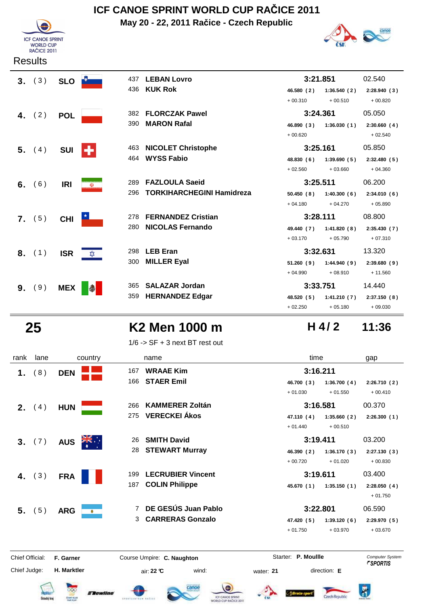

**Results** 

## **ICF CANOE SPRINT WORLD CUP RAČICE 2011**

**May 20 - 22, 2011 Račice - Czech Republic**



| 3. (3)   |            | SLO <b>D</b> | 437 | <b>LEBAN Lovro</b>               |            | 3:21.851     | 02.540                      |
|----------|------------|--------------|-----|----------------------------------|------------|--------------|-----------------------------|
|          |            |              |     | 436 KUK Rok                      | 46.580(2)  | 1:36.540(2)  | 2:28.940(3)                 |
|          |            |              |     |                                  | $+00.310$  | $+00.510$    | $+00.820$                   |
| 4. $(2)$ | <b>POL</b> |              |     | 382 FLORCZAK Pawel               |            | 3:24.361     | 05.050                      |
|          |            |              | 390 | <b>MARON Rafal</b>               | 46.890(3)  | 1:36.030(1)  | 2:30.660(4)                 |
|          |            |              |     |                                  | $+00.620$  |              | $+02.540$                   |
| 5. (4)   | <b>SUI</b> | ÷            | 463 | <b>NICOLET Christophe</b>        | 3:25.161   |              | 05.850                      |
|          |            |              | 464 | <b>WYSS Fabio</b>                | 48.830(6)  | 1:39.690(5)  | 2:32.480(5)                 |
|          |            |              |     |                                  | $+02.560$  | $+03.660$    | $+04.360$                   |
| 6. $(6)$ | <b>IRI</b> | $\mathbf{U}$ | 289 | <b>FAZLOULA Saeid</b>            |            | 3:25.511     | 06.200                      |
|          |            |              | 296 | <b>TORKIHARCHEGINI Hamidreza</b> | 50.450(8)  | 1:40.300(6)  | 2:34.010(6)                 |
|          |            |              |     |                                  | $+04.180$  | $+04.270$    | $+05.890$                   |
| 7. (5)   | <b>CHI</b> |              | 278 | <b>FERNANDEZ Cristian</b>        |            | 3:28.111     | 08.800                      |
|          |            |              | 280 | <b>NICOLAS Fernando</b>          | 49.440 (7) | 1:41.820 (8) | 2:35.430(7)                 |
|          |            |              |     |                                  | $+03.170$  | $+05.790$    | $+07.310$                   |
| 8. (1)   | <b>ISR</b> | ⋩            | 298 | <b>LEB Eran</b>                  | 3:32.631   |              | 13.320                      |
|          |            |              | 300 | <b>MILLER Eyal</b>               | 51.260(9)  |              | $1:44.940(9)$ $2:39.680(9)$ |
|          |            |              |     |                                  | $+04.990$  | $+08.910$    | $+11.560$                   |
| 9. (9)   | <b>MEX</b> | $\bullet$    | 365 | <b>SALAZAR Jordan</b>            |            | 3:33.751     | 14.440                      |
|          |            |              |     | 359 HERNANDEZ Edgar              | 48.520 (5) |              | $1:41.210(7)$ $2:37.150(8)$ |
|          |            |              |     |                                  | $+02.250$  | $+05.180$    | $+09.030$                   |

## **25 K2 Men 1000 m H** 4/2 **11:36**

 $1/6$  -> SF + 3 next BT rest out

| rank            | lane            | country                 | name                                  | time                      | gap                                       |
|-----------------|-----------------|-------------------------|---------------------------------------|---------------------------|-------------------------------------------|
| 1.              | (8)             | <b>DEN</b>              | <b>WRAAE Kim</b><br>167               | 3:16.211                  |                                           |
|                 |                 |                         | <b>STAER Emil</b><br>166              | 1:36.700(4)<br>46.700 (3) | 2:26.710(2)                               |
|                 |                 |                         |                                       | $+01.030$<br>$+01.550$    | $+00.410$                                 |
|                 | <b>2.</b> $(4)$ | <b>HUN</b>              | <b>KAMMERER Zoltán</b><br>266         | 3:16.581                  | 00.370                                    |
|                 |                 |                         | <b>VERECKEI Ákos</b><br>275           | 47.110 (4)<br>1:35.660(2) | 2:26.300(1)                               |
|                 |                 |                         |                                       | $+01.440$<br>$+00.510$    |                                           |
| 3 <sub>1</sub>  | (7)             | <b>AUS</b>              | <b>SMITH David</b><br>26              | 3:19.411                  | 03.200                                    |
|                 |                 |                         | <b>STEWART Murray</b><br>28           | 46.390 (2)<br>1:36.170(3) | 2:27.130(3)                               |
|                 |                 |                         |                                       | $+00.720$<br>$+01.020$    | $+00.830$                                 |
| 4.              | (3)             | <b>FRA</b>              | <b>LECRUBIER Vincent</b><br>199       | 3:19.611                  | 03.400                                    |
|                 |                 |                         | <b>COLIN Philippe</b><br>187          | 45.670 (1)<br>1:35.150(1) | 2:28.050(4)<br>$+01.750$                  |
|                 | $5.$ (5)        | <b>ARG</b><br>$\bullet$ | DE GESÚS Juan Pablo                   | 3:22.801                  | 06.590                                    |
|                 |                 |                         | <b>CARRERAS Gonzalo</b><br>3          | 47.420 (5)<br>1:39.120(6) | 2:29.970(5)                               |
|                 |                 |                         |                                       | $+01.750$<br>$+03.970$    | $+03.670$                                 |
| Chief Official: |                 | F. Garner               | Course Umpire: C. Naughton            | Starter: P. Moullle       | Computer System<br><i><b>FSPORTIS</b></i> |
| Chief Judge:    |                 | H. Marktler             | air: $22 \text{ }^{\circ}$ C<br>wind: | direction: E<br>water: 21 |                                           |





**H. Marktler air: 22 °C** wind: water: **21** direction: **E** 







**H 4/ 2**

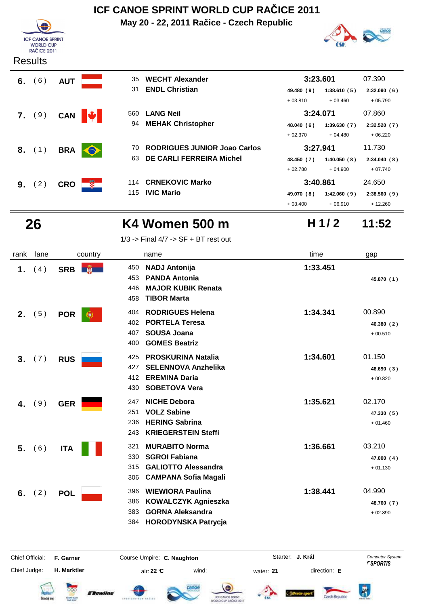

**6.** (6) **AUT** 

 **7.** ( 9 ) **CAN LANG Neil**

**8.** (1) **BRA** 

**9.** (2) CRO

### **Results**

## **ICF CANOE SPRINT WORLD CUP RAČICE 2011**

**May 20 - 22, 2011 Račice - Czech Republic**



|                | 35  | <b>WECHT Alexander</b>              |            | 3:23.601    | 07.390      |
|----------------|-----|-------------------------------------|------------|-------------|-------------|
|                | 31  | <b>ENDL Christian</b>               | 49.480 (9) | 1:38.610(5) | 2:32.090(6) |
|                |     |                                     | $+03.810$  | $+03.460$   | $+05.790$   |
|                | 560 | <b>LANG Neil</b>                    | 3:24.071   |             | 07.860      |
|                | 94  | <b>MEHAK Christopher</b>            | 48.040 (6) | 1:39.630(7) | 2:32.520(7) |
|                |     |                                     | $+02.370$  | $+04.480$   | $+06.220$   |
|                | 70. | <b>RODRIGUES JUNIOR Joao Carlos</b> |            | 3:27.941    | 11.730      |
|                | 63  | <b>DE CARLI FERREIRA Michel</b>     | 48.450 (7) | 1:40.050(8) | 2:34.040(8) |
|                |     |                                     | $+02.780$  | $+04.900$   | $+07.740$   |
| $\mathbb{R}^2$ | 114 | <b>CRNEKOVIC Marko</b>              | 3:40.861   |             | 24.650      |
|                | 115 | <b>IVIC Mario</b>                   | 49.070 (8) | 1:42.060(9) | 2:38.560(9) |
|                |     |                                     | $+03.400$  | $+06.910$   | $+12.260$   |

## **26 K4 Women 500 m 11:52**

**H 1/ 2**

| $1/3$ -> Final $4/7$ -> SF + BT rest out |  |  |  |
|------------------------------------------|--|--|--|
|                                          |  |  |  |

| rank | lane | country          | name                                                                                                                                       | time     | gap                               |
|------|------|------------------|--------------------------------------------------------------------------------------------------------------------------------------------|----------|-----------------------------------|
| 1.   | (4)  | SRB <b>N</b>     | <b>NADJ Antonija</b><br>450<br><b>PANDA Antonia</b><br>453<br><b>MAJOR KUBIK Renata</b><br>446<br><b>TIBOR Marta</b><br>458                | 1:33.451 | 45.870 (1)                        |
| 2.   | (5)  | <b>POR</b><br>æ. | <b>RODRIGUES Helena</b><br>404<br><b>PORTELA Teresa</b><br>402<br><b>SOUSA Joana</b><br>407<br><b>GOMES Beatriz</b><br>400                 | 1:34.341 | 00.890<br>46.380 (2)<br>$+00.510$ |
| 3.   | (7)  | <b>RUS</b>       | <b>PROSKURINA Natalia</b><br>425<br><b>SELENNOVA Anzhelika</b><br>427<br><b>EREMINA Daria</b><br>412<br><b>SOBETOVA Vera</b><br>430        | 1:34.601 | 01.150<br>46.690 (3)<br>$+00.820$ |
| 4.   | (9)  | <b>GER</b>       | <b>NICHE Debora</b><br>247<br><b>VOLZ Sabine</b><br>251<br><b>HERING Sabrina</b><br>236<br><b>KRIEGERSTEIN Steffi</b><br>243               | 1:35.621 | 02.170<br>47.330 (5)<br>$+01.460$ |
| 5.   | (6)  | <b>ITA</b>       | <b>MURABITO Norma</b><br>321<br><b>SGROI Fabiana</b><br>330<br><b>GALIOTTO Alessandra</b><br>315<br><b>CAMPANA Sofia Magali</b><br>306     | 1:36.661 | 03.210<br>47.000 (4)<br>$+01.130$ |
| 6.   | (2)  | <b>POL</b>       | <b>WIEWIORA Paulina</b><br>396<br><b>KOWALCZYK Agnieszka</b><br>386<br><b>GORNA Aleksandra</b><br>383<br><b>HORODYNSKA Patrycja</b><br>384 | 1:38.441 | 04.990<br>48.760 (7)<br>$+02.890$ |

Chief Official: **F. Garner Course Umpire: C. Naughton** Course Conputer System **Computer System** Chief Judge: **H. Marktler air: 22 °C** wind: water: **21** direction: **E** 

**J. Král**















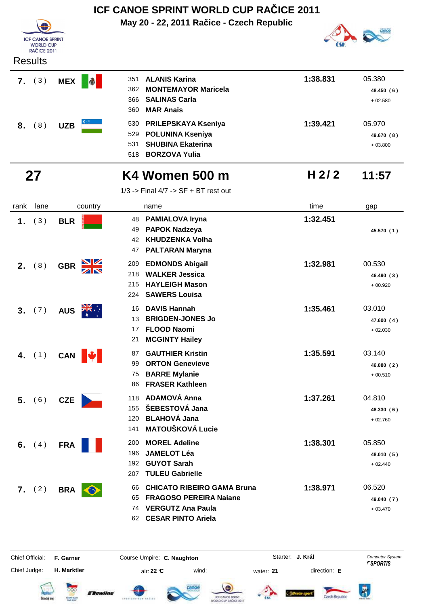|      |                                                                   |            |              |                          | ICF CANOE SPRINT WORLD CUP RACICE 2011                                                                                      |          |                                   |
|------|-------------------------------------------------------------------|------------|--------------|--------------------------|-----------------------------------------------------------------------------------------------------------------------------|----------|-----------------------------------|
|      | <b>ICF CANOE SPRINT</b><br><b>WORLD CUP</b><br><b>RAČICE 2011</b> |            |              |                          | May 20 - 22, 2011 Račice - Czech Republic                                                                                   |          |                                   |
|      | <b>Results</b>                                                    |            |              |                          |                                                                                                                             |          |                                   |
|      | 7. (3)                                                            | <b>MEX</b> | $\bigcirc$   | 351<br>362<br>366<br>360 | <b>ALANIS Karina</b><br><b>MONTEMAYOR Maricela</b><br><b>SALINAS Carla</b><br><b>MAR Anais</b>                              | 1:38.831 | 05.380<br>48.450 (6)<br>$+02.580$ |
| 8.   | (8)                                                               | <b>UZB</b> |              | 530<br>529<br>531<br>518 | PRILEPSKAYA Kseniya<br><b>POLUNINA Kseniya</b><br><b>SHUBINA Ekaterina</b><br><b>BORZOVA Yulia</b>                          | 1:39.421 | 05.970<br>49.670 (8)<br>$+03.800$ |
|      | 27                                                                |            |              |                          | K4 Women 500 m                                                                                                              | H 2/2    | 11:57                             |
|      |                                                                   |            |              |                          | $1/3$ -> Final $4/7$ -> SF + BT rest out                                                                                    |          |                                   |
| rank | lane                                                              |            | country      |                          | name                                                                                                                        | time     | gap                               |
| 1.   | (3)                                                               | <b>BLR</b> |              | 48<br>49<br>42<br>47     | <b>PAMIALOVA Iryna</b><br><b>PAPOK Nadzeya</b><br><b>KHUDZENKA Volha</b><br><b>PALTARAN Maryna</b>                          | 1:32.451 | 45.570 (1)                        |
| 2.   | (8)                                                               | <b>GBR</b> | ZN           | 209<br>218<br>215<br>224 | <b>EDMONDS Abigail</b><br><b>WALKER Jessica</b><br><b>HAYLEIGH Mason</b><br><b>SAWERS Louisa</b>                            | 1:32.981 | 00.530<br>46.490 (3)<br>$+00.920$ |
| 3.   | (7)                                                               | <b>AUS</b> |              | 16<br>13<br>21           | <b>DAVIS Hannah</b><br><b>BRIGDEN-JONES Jo</b><br><b>FLOOD Naomi</b><br><b>MCGINTY Hailey</b>                               | 1:35.461 | 03.010<br>47.600 (4)<br>$+02.030$ |
|      | 4. $(1)$                                                          |            | CAN <b>\</b> | 87<br>99<br>75<br>86     | <b>GAUTHIER Kristin</b><br><b>ORTON Genevieve</b><br><b>BARRE Mylanie</b><br><b>FRASER Kathleen</b>                         | 1:35.591 | 03.140<br>46.080 (2)<br>$+00.510$ |
|      | 5. (6)                                                            | <b>CZE</b> |              | 118<br>155<br>120<br>141 | <b>ADAMOVÁ Anna</b><br>ŠEBESTOVÁ Jana<br><b>BLAHOVÁ Jana</b><br><b>MATOUŠKOVÁ Lucie</b>                                     | 1:37.261 | 04.810<br>48.330 (6)<br>$+02.760$ |
|      | 6. $(4)$                                                          | <b>FRA</b> |              | 200<br>196<br>192<br>207 | <b>MOREL Adeline</b><br><b>JAMELOT Léa</b><br><b>GUYOT Sarah</b><br><b>TULEU Gabrielle</b>                                  | 1:38.301 | 05.850<br>48.010 (5)<br>$+02.440$ |
|      | 7. (2)                                                            | <b>BRA</b> |              | 66<br>65<br>74<br>62     | <b>CHICATO RIBEIRO GAMA Bruna</b><br><b>FRAGOSO PEREIRA Naiane</b><br><b>VERGUTZ Ana Paula</b><br><b>CESAR PINTO Ariela</b> | 1:38.971 | 06.520<br>49.040 (7)<br>$+03.470$ |

Chief Judge: **H. Marktler** air: **22 °C** wind: water: **21** direction: **E**

Chief Official: **F. Garner Course Umpire: C. Naughton** Course Conputer System **Computer System** 

**J. Král**

 $\bigtriangledown$ 













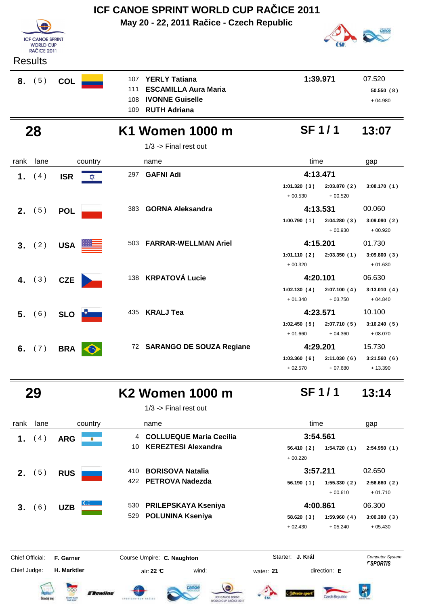|      | ICF CANOE SPRINT WORLD CUP RACICE 2011                                              |            |         |                          |                                                                                                      |                          |                          |                                  |  |  |
|------|-------------------------------------------------------------------------------------|------------|---------|--------------------------|------------------------------------------------------------------------------------------------------|--------------------------|--------------------------|----------------------------------|--|--|
|      | <b>ICF CANOE SPRINT</b><br><b>WORLD CUP</b><br><b>RAČICE 2011</b><br><b>Results</b> |            |         |                          | May 20 - 22, 2011 Račice - Czech Republic                                                            |                          |                          |                                  |  |  |
|      | $8.$ (5)                                                                            | <b>COL</b> |         | 107<br>111<br>108<br>109 | <b>YERLY Tatiana</b><br><b>ESCAMILLA Aura Maria</b><br><b>IVONNE Guiselle</b><br><b>RUTH Adriana</b> |                          | 1:39.971                 | 07.520<br>50.550(8)<br>$+04.980$ |  |  |
|      | 28                                                                                  |            |         |                          | K1 Women 1000 m<br>$1/3$ -> Final rest out                                                           |                          | <b>SF1/1</b>             | 13:07                            |  |  |
| rank | lane                                                                                |            | country |                          | name                                                                                                 | time                     |                          | gap                              |  |  |
| 1.   | (4)                                                                                 | <b>ISR</b> | ΣζΣ     | 297                      | <b>GAFNI Adi</b>                                                                                     |                          | 4:13.471                 |                                  |  |  |
|      |                                                                                     |            |         |                          |                                                                                                      | 1:01.320(3)<br>$+00.530$ | 2:03.870(2)<br>$+00.520$ | 3:08.170(1)                      |  |  |
|      | 2. $(5)$                                                                            | <b>POL</b> |         | 383                      | <b>GORNA Aleksandra</b>                                                                              |                          | 4:13.531                 | 00.060                           |  |  |
|      |                                                                                     |            |         |                          |                                                                                                      | 1:00.790(1)              | 2:04.280(3)<br>$+00.930$ | 3:09.090(2)<br>$+00.920$         |  |  |
| 3.   | (2)                                                                                 | <b>USA</b> |         | 503                      | <b>FARRAR-WELLMAN Ariel</b>                                                                          |                          | 4:15.201                 | 01.730                           |  |  |
|      |                                                                                     |            |         |                          |                                                                                                      | 1:01.110(2)<br>$+00.320$ | 2:03.350(1)              | 3:09.800(3)<br>$+01.630$         |  |  |
|      | 4. $(3)$                                                                            | <b>CZE</b> |         | 138                      | <b>KRPATOVÁ Lucie</b>                                                                                |                          | 4:20.101                 | 06.630                           |  |  |
|      |                                                                                     |            |         |                          |                                                                                                      | 1:02.130(4)<br>$+01.340$ | 2:07.100(4)<br>$+03.750$ | 3:13.010(4)<br>$+04.840$         |  |  |
| 5.   | (6)                                                                                 | <b>SLO</b> |         | 435                      | <b>KRALJ Tea</b>                                                                                     |                          | 4:23.571                 | 10.100                           |  |  |
|      |                                                                                     |            |         |                          |                                                                                                      | 1:02.450(5)              | 2:07.710(5)              | 3:16.240(5)                      |  |  |
|      |                                                                                     |            |         |                          |                                                                                                      | $+01.660$                | $+04.360$                | $+08.070$                        |  |  |
| 6.   | (7)                                                                                 | <b>BRA</b> |         |                          | 72 SARANGO DE SOUZA Regiane                                                                          |                          | 4:29.201                 | 15.730                           |  |  |
|      |                                                                                     |            |         |                          |                                                                                                      | 1:03.360(6)<br>$+02.570$ | 2:11.030(6)<br>$+07.680$ | 3:21.560(6)<br>$+13.390$         |  |  |
|      |                                                                                     |            |         |                          |                                                                                                      |                          |                          |                                  |  |  |

 **29 K2 Women 1000 m 13:14**

1/3 -> Final rest out

| rank | lane                   |            | country                 | name                    |                            |            | time        | gap         |
|------|------------------------|------------|-------------------------|-------------------------|----------------------------|------------|-------------|-------------|
| 1.   | $\left 4\right\rangle$ | <b>ARG</b> | ۰                       |                         | 4 COLLUEQUE María Cecilia  |            | 3:54.561    |             |
|      |                        |            | 10                      |                         | <b>KEREZTESI Alexandra</b> | 56.410(2)  | 1:54.720(1) | 2:54.950(1) |
|      |                        |            |                         |                         |                            | $+00.220$  |             |             |
| 2.   | 5)                     | <b>RUS</b> | 410                     | <b>BORISOVA Natalia</b> |                            |            | 3:57.211    | 02.650      |
|      |                        |            |                         | 422 PETROVA Nadezda     |                            | 56.190(1)  | 1:55.330(2) | 2:56.660(2) |
|      |                        |            |                         |                         |                            |            | $+00.610$   | $+01.710$   |
| 3.   | 6 <sup>2</sup>         | <b>UZB</b> | $C_{\text{min}}$<br>530 |                         | <b>PRILEPSKAYA Kseniya</b> |            | 4:00.861    | 06.300      |
|      |                        |            | 529                     | <b>POLUNINA Kseniya</b> |                            | 58.620 (3) | 1:59.960(4) | 3:00.380(3) |
|      |                        |            |                         |                         |                            | $+02.430$  | $+05.240$   | $+05.430$   |
|      |                        |            |                         |                         |                            |            |             |             |

Chief Judge:

Chief Official: **F. Garner Course Umpire: C. Naughton** Course Conputer System **Computer System** 

**H. Marktler air: 22 °C** wind: water: **21** direction: **E** 

**J. Král**

**SF 1 / 1**













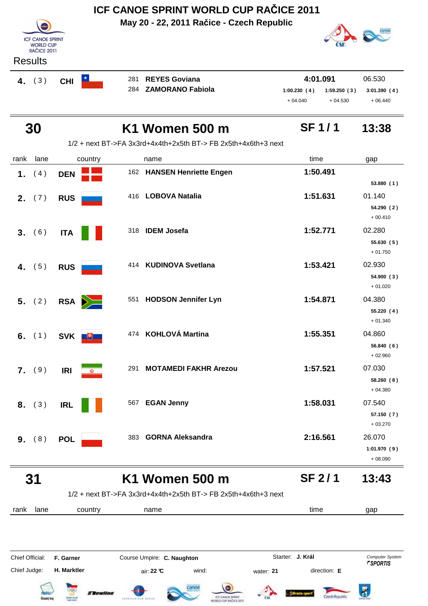| <b>ICF CANOE SPRINT</b><br><b>WORLD CUP</b><br>RAČICE 2011 |  |
|------------------------------------------------------------|--|
| Results                                                    |  |
|                                                            |  |

**May 20 - 22, 2011 Račice - Czech Republic**



|           | ngsulls    |                   |  |                      |             |             |             |
|-----------|------------|-------------------|--|----------------------|-------------|-------------|-------------|
| (3)<br>4. | <b>CHI</b> | 281 REYES Goviana |  | 4:01.091<br>06.530   |             |             |             |
|           |            |                   |  | 284 ZAMORANO Fabiola | 1:00.230(4) | 1:59.250(3) | 3:01.390(4) |
|           |            |                   |  |                      | $+04.040$   | $+04.530$   | $+06.440$   |

|      | 30       |                  |     | K1 Women 500 m                                                 | <b>SF1/1</b> | 13:38                    |
|------|----------|------------------|-----|----------------------------------------------------------------|--------------|--------------------------|
|      |          |                  |     | 1/2 + next BT->FA 3x3rd+4x4th+2x5th BT-> FB 2x5th+4x6th+3 next |              |                          |
| rank | lane     | country          |     | name                                                           | time         | gap                      |
| 1.   | (4)      | <b>DEN</b>       |     | 162 HANSEN Henriette Engen                                     | 1:50.491     |                          |
|      |          |                  |     |                                                                |              | 53.880(1)                |
|      | 2. $(7)$ | <b>RUS</b>       |     | 416 LOBOVA Natalia                                             | 1:51.631     | 01.140                   |
|      |          |                  |     |                                                                |              | 54.290 (2)<br>$+00.410$  |
|      | 3. (6)   | <b>ITA</b>       |     | 318 IDEM Josefa                                                | 1:52.771     | 02.280                   |
|      |          |                  |     |                                                                |              | 55.630 (5)<br>$+01.750$  |
|      | 4. $(5)$ | <b>RUS</b>       | 414 | <b>KUDINOVA Svetlana</b>                                       | 1:53.421     | 02.930                   |
|      |          |                  |     |                                                                |              | 54.900(3)                |
|      |          |                  |     |                                                                |              | $+01.020$                |
|      | 5. (2)   | RSA              | 551 | <b>HODSON Jennifer Lyn</b>                                     | 1:54.871     | 04.380                   |
|      |          |                  |     |                                                                |              | 55.220 (4)<br>$+01.340$  |
|      | 6. $(1)$ | SVK <b>Fig.</b>  |     | 474 KOHLOVÁ Martina                                            | 1:55.351     | 04.860                   |
|      |          |                  |     |                                                                |              | 56.840(6)                |
|      |          |                  |     |                                                                |              | $+02.960$                |
|      | 7. (9)   | <b>IRI</b><br>W) | 291 | <b>MOTAMEDI FAKHR Arezou</b>                                   | 1:57.521     | 07.030                   |
|      |          |                  |     |                                                                |              | 58.260(8)<br>$+04.380$   |
|      | 8. (3)   | <b>IRL</b>       | 567 | <b>EGAN Jenny</b>                                              | 1:58.031     | 07.540                   |
|      |          |                  |     |                                                                |              | 57.150 (7)               |
|      |          |                  |     |                                                                |              | $+03.270$                |
| 9.   | (8)      | <b>POL</b>       |     | 383 GORNA Aleksandra                                           | 2:16.561     | 26.070                   |
|      |          |                  |     |                                                                |              | 1:01.970(9)<br>$+08.090$ |
|      |          |                  |     |                                                                |              |                          |

#### **31 K1 Women 500 m 13:43 SF 2 / 1**

1/2 + next BT->FA 3x3rd+4x4th+2x5th BT-> FB 2x5th+4x6th+3 next

rank lane country thame the name time time gap

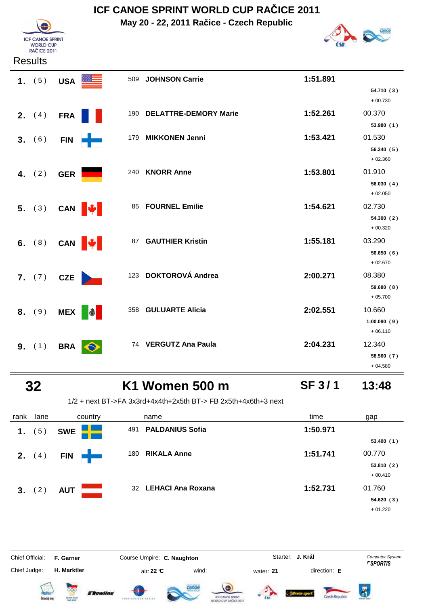**May 20 - 22, 2011 Račice - Czech Republic**



**SF 3 / 1**



#### **Results**

| 1. $(5)$        | USA <b>E</b> |             | 509 | <b>JOHNSON Carrie</b>     | 1:51.891 |                                    |
|-----------------|--------------|-------------|-----|---------------------------|----------|------------------------------------|
|                 |              |             |     |                           |          | 54.710 (3)<br>$+00.730$            |
| <b>2.</b> $(4)$ | <b>FRA</b>   |             |     | 190 DELATTRE-DEMORY Marie | 1:52.261 | 00.370<br>53.980(1)                |
| 3. (6)          | <b>FIN</b>   | <u>e a</u>  | 179 | <b>MIKKONEN Jenni</b>     | 1:53.421 | 01.530<br>56.340(5)<br>$+02.360$   |
| 4. $(2)$        | <b>GER</b>   |             | 240 | <b>KNORR Anne</b>         | 1:53.801 | 01.910<br>56.030(4)<br>$+02.050$   |
| 5. (3)          |              | CAN W       | 85  | <b>FOURNEL Emilie</b>     | 1:54.621 | 02.730<br>54.300(2)<br>$+00.320$   |
| 6. $(8)$        |              | CAN $\big $ |     | 87 GAUTHIER Kristin       | 1:55.181 | 03.290<br>56.650(6)<br>$+02.670$   |
| 7. (7)          | <b>CZE</b>   |             | 123 | <b>DOKTOROVÁ Andrea</b>   | 2:00.271 | 08.380<br>59.680 (8)<br>$+05.700$  |
| 8. (9)          | <b>MEX</b>   | $\bigcirc$  | 358 | <b>GULUARTE Alicia</b>    | 2:02.551 | 10.660<br>1:00.090(9)<br>$+06.110$ |
| 9. (1)          | <b>BRA</b>   |             |     | 74 VERGUTZ Ana Paula      | 2:04.231 | 12.340<br>58.560 (7)<br>$+04.580$  |

## **32 K1 Women 500 m 13:48**

## 1/2 + next BT->FA 3x3rd+4x4th+2x5th BT-> FB 2x5th+4x6th+3 next

| rank   | lane             | country    | name                          | time     | gap       |
|--------|------------------|------------|-------------------------------|----------|-----------|
| 1.     | $\left(5\right)$ | <b>SWE</b> | <b>PALDANIUS Sofia</b><br>491 | 1:50.971 |           |
|        |                  |            |                               |          | 53.400(1) |
| 2.     | (4)              | <b>FIN</b> | <b>RIKALA Anne</b><br>180     | 1:51.741 | 00.770    |
|        |                  |            |                               |          | 53.810(2) |
|        |                  |            |                               |          | $+00.410$ |
| 3. (2) |                  | <b>AUT</b> | 32 LEHACI Ana Roxana          | 1:52.731 | 01.760    |
|        |                  |            |                               |          | 54.620(3) |
|        |                  |            |                               |          | $+01.220$ |

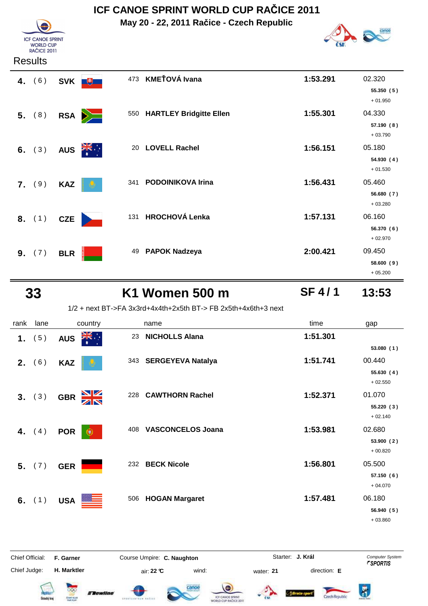**May 20 - 22, 2011 Račice - Czech Republic**



#### **Results**

**ICF CANOE SPRINT F CANCE SPRI**<br>WORLD CUP<br>RAČICE 2011

| 4. $(6)$ | SVK <b>FULL</b> | 473                        | <b>KMEŤOVÁ Ivana</b>        | 1:53.291 | 02.320<br>55.350(5)<br>$+01.950$  |
|----------|-----------------|----------------------------|-----------------------------|----------|-----------------------------------|
| 5. (8)   | RSA             |                            | 550 HARTLEY Bridgitte Ellen | 1:55.301 | 04.330<br>57.190 (8)<br>$+03.790$ |
| 6. $(3)$ | <b>AUS</b>      | $\frac{1}{\sqrt{K}}$<br>20 | <b>LOVELL Rachel</b>        | 1:56.151 | 05.180<br>54.930 (4)<br>$+01.530$ |
| 7. (9)   | <b>KAZ</b>      | 341                        | <b>PODOINIKOVA Irina</b>    | 1:56.431 | 05.460<br>56.680(7)<br>$+03.280$  |
| 8. (1)   | CZE             |                            | 131 HROCHOVÁ Lenka          | 1:57.131 | 06.160<br>56.370 (6)<br>$+02.970$ |
| 9. (7)   | <b>BLR</b>      | 49                         | <b>PAPOK Nadzeya</b>        | 2:00.421 | 09.450<br>58.600 (9)<br>$+05.200$ |

## **33 K1 Women 500 m 13:53**

**SF 4 / 1**

1/2 + next BT->FA 3x3rd+4x4th+2x5th BT-> FB 2x5th+4x6th+3 next

| rank           | lane     | country                         |     | name                     | time     | gap        |
|----------------|----------|---------------------------------|-----|--------------------------|----------|------------|
| 1.             | (5)      | ∵, <mark>≫</mark><br><b>AUS</b> | 23  | <b>NICHOLLS Alana</b>    | 1:51.301 |            |
|                |          |                                 |     |                          |          | 53.080 (1) |
| 2.             | (6)      | <b>KAZ</b>                      |     | 343 SERGEYEVA Natalya    | 1:51.741 | 00.440     |
|                |          |                                 |     |                          |          | 55.630 (4) |
|                |          |                                 |     |                          |          | $+02.550$  |
| 3 <sub>1</sub> | (3)      | $\frac{N}{N}$<br><b>GBR</b>     | 228 | <b>CAWTHORN Rachel</b>   | 1:52.371 | 01.070     |
|                |          |                                 |     |                          |          | 55.220(3)  |
|                |          |                                 |     |                          |          | $+02.140$  |
| 4.             | (4)      | <b>POR</b><br>$\bullet$         | 408 | <b>VASCONCELOS Joana</b> | 1:53.981 | 02.680     |
|                |          |                                 |     |                          |          | 53.900 (2) |
|                |          |                                 |     |                          |          | $+00.820$  |
|                | 5. (7)   | <b>GER</b>                      | 232 | <b>BECK Nicole</b>       | 1:56.801 | 05.500     |
|                |          |                                 |     |                          |          | 57.150 (6) |
|                |          |                                 |     |                          |          | $+04.070$  |
|                | 6. $(1)$ | <b>USA</b>                      | 506 | <b>HOGAN Margaret</b>    | 1:57.481 | 06.180     |
|                |          |                                 |     |                          |          | 56.940 (5) |
|                |          |                                 |     |                          |          | $+03.860$  |

















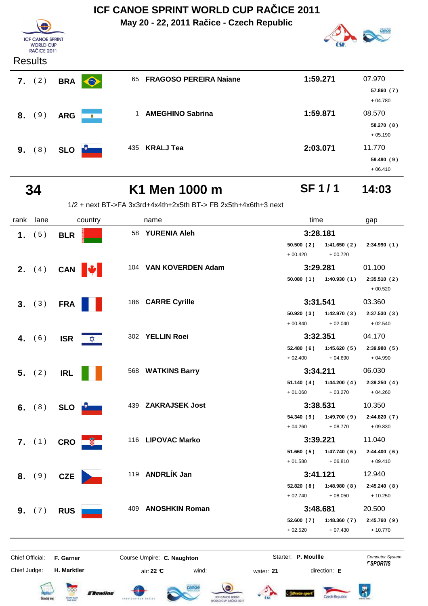| <b>ICF CANOE SPRINT</b><br><b>WORLD CUP</b><br><b>RAČICE 2011</b><br><b>Results</b> |            |           |     | ICF CANOE SPRINT WORLD CUP RAČICE 2011<br>May 20 - 22, 2011 Račice - Czech Republic |          |                                   |
|-------------------------------------------------------------------------------------|------------|-----------|-----|-------------------------------------------------------------------------------------|----------|-----------------------------------|
| 7. (2)                                                                              | <b>BRA</b> | $\bullet$ | 65  | <b>FRAGOSO PEREIRA Naiane</b>                                                       | 1:59.271 | 07.970<br>57.860 (7)<br>$+04.780$ |
| 8. (9)                                                                              | <b>ARG</b> | $\bullet$ | 1   | <b>AMEGHINO Sabrina</b>                                                             | 1:59.871 | 08.570<br>58.270 (8)<br>$+05.190$ |
| 9. (8)                                                                              | <b>SLO</b> |           | 435 | KRALJ Tea                                                                           | 2:03.071 | 11.770<br>59.490(9)<br>$+06.410$  |

## **34 K1 Men 1000 m 14:03**

1/2 + next BT->FA 3x3rd+4x4th+2x5th BT-> FB 2x5th+4x6th+3 next

| rank | lane     |                                 | country                 | name                  | time               |                                      | gap                      |
|------|----------|---------------------------------|-------------------------|-----------------------|--------------------|--------------------------------------|--------------------------|
|      | 1. $(5)$ | <b>BLR</b>                      |                         | 58 YURENIA Aleh       |                    | 3:28.181                             |                          |
|      |          |                                 |                         |                       |                    | $50.500(2)$ 1:41.650(2)              | 2:34.990(1)              |
|      |          |                                 |                         |                       | $+00.420$          | $+00.720$                            |                          |
|      |          | 2. $(4)$ CAN $\Vert \psi \Vert$ |                         | 104 VAN KOVERDEN Adam |                    | 3:29.281                             | 01.100                   |
|      |          |                                 |                         |                       |                    | $50.080(1)$ 1:40.930(1)              | 2:35.510(2)<br>$+00.520$ |
|      |          | $3. (3)$ FRA                    |                         | 186 CARRE Cyrille     |                    | 3:31.541                             | 03.360                   |
|      |          |                                 |                         |                       |                    | 50.920 (3) 1:42.970 (3)              | 2:37.530(3)              |
|      |          |                                 |                         |                       | $+00.840 + 02.040$ |                                      | $+02.540$                |
|      | 4. $(6)$ | <b>ISR</b>                      | $\overline{\mathbf{x}}$ | 302 YELLIN Roei       |                    | 3:32.351                             | 04.170                   |
|      |          |                                 |                         |                       |                    | 52.480 (6) 1:45.620 (5) 2:39.980 (5) |                          |
|      |          |                                 |                         |                       | $+02.400$          | $+04.690$                            | $+04.990$                |
|      | 5. (2)   | <b>IRL</b>                      |                         | 568 WATKINS Barry     |                    | 3:34.211                             | 06.030                   |
|      |          |                                 |                         |                       |                    | 51.140 (4) 1:44.200 (4)              | 2:39.250(4)              |
|      |          |                                 |                         |                       |                    | $+01.060 + 03.270$                   | + 04.260                 |
|      | 6. $(8)$ | SLO <b>D</b>                    |                         | 439 ZAKRAJSEK Jost    |                    | 3:38.531                             | 10.350                   |
|      |          |                                 |                         |                       |                    | 54.340 (9) 1:49.700 (9) 2:44.820 (7) |                          |
|      |          |                                 |                         |                       | $+04.260$          | $+08.770$                            | $+09.830$                |
|      |          | 7. $(1)$ CRO $\frac{1}{2}$      |                         | 116 LIPOVAC Marko     |                    | 3:39.221                             | 11.040                   |
|      |          |                                 |                         |                       |                    | 51.660 (5) 1:47.740 (6) 2:44.400 (6) |                          |
|      |          |                                 |                         |                       | $+01.580$          | $+06.810$                            | $+09.410$                |
|      |          | 8. (9) CZE                      |                         | 119 ANDRLÍK Jan       |                    | 3:41.121                             | 12.940                   |
|      |          |                                 |                         |                       |                    | 52.820 (8) 1:48.980 (8) 2:45.240 (8) |                          |
|      |          |                                 |                         |                       | $+02.740$          | $+08.050$                            | $+10.250$                |
|      | 9. (7)   | <b>RUS</b>                      |                         | 409 ANOSHKIN Roman    |                    | 3:48.681                             | 20.500                   |
|      |          |                                 |                         |                       | 52.600 (7)         | 1:48.360 (7)                         | 2:45.760 (9)             |
|      |          |                                 |                         |                       | $+02.520$          | $+07.430$                            | $+10.770$                |
|      |          |                                 |                         |                       |                    |                                      |                          |

Chief Judge:

Chief Official: **F. Garner Course Umpire: C. Naughton Carrier: C. Starter: P. Moullle** *Computer System* 

**H. Marktler air: 22 °C** wind: water: **21** direction: **E** 

Starter: **P. Moullle** 

















**SF 1 / 1**

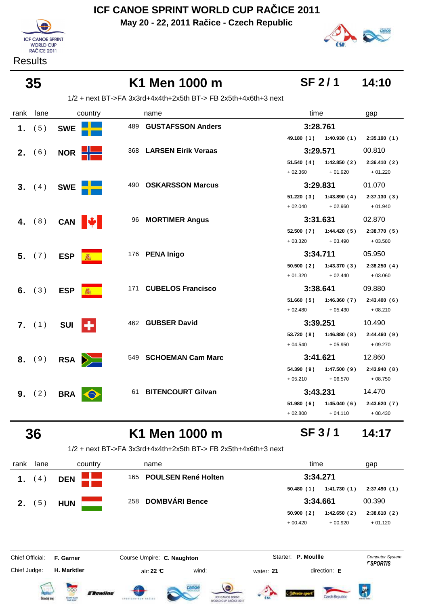**May 20 - 22, 2011 Račice - Czech Republic**



**Results** 



**SF 2 / 1**

**SF 3 / 1**

 **35 K1 Men 1000 m 14:10**

1/2 + next BT->FA 3x3rd+4x4th+2x5th BT-> FB 2x5th+4x6th+3 next

| rank | lane          | country                    | name                    | time                       | gap         |
|------|---------------|----------------------------|-------------------------|----------------------------|-------------|
| 1.   | (5)           | <b>SWE</b>                 | 489 GUSTAFSSON Anders   | 3:28.761                   |             |
|      |               |                            |                         | 49.180 (1) 1:40.930 (1)    | 2:35.190(1) |
|      | <b>2.</b> (6) | NOR <b>H</b>               | 368 LARSEN Eirik Veraas | 3:29.571                   | 00.810      |
|      |               |                            |                         | 51.540(4)<br>1:42.850(2)   | 2:36.410(2) |
|      |               |                            |                         | $+02.360$<br>$+01.920$     | $+01.220$   |
|      | 3. (4)        | <b>SWE</b>                 | 490 OSKARSSON Marcus    | 3:29.831                   | 01.070      |
|      |               |                            |                         | 1:43.890(4)<br>51.220 (3)  | 2:37.130(3) |
|      |               |                            |                         | $+02.040$<br>$+02.960$     | $+01.940$   |
|      |               | 4. (8) CAN $\mathbf{\Psi}$ | 96 MORTIMER Angus       | 3:31.631                   | 02.870      |
|      |               |                            |                         | 52.500 (7) 1:44.420 (5)    | 2:38.770(5) |
|      |               |                            |                         | $+03.320$<br>$+03.490$     | $+03.580$   |
|      | 5. (7)        | <b>ESP</b>                 | 176 PENA Inigo          | 3:34.711                   | 05.950      |
|      |               |                            |                         | 1:43.370(3)<br>50.500 (2)  | 2:38.250(4) |
|      |               |                            |                         | $+01.320$<br>$+02.440$     | $+03.060$   |
|      | 6. $(3)$      | <b>ESP</b>                 | 171 CUBELOS Francisco   | 3:38.641                   | 09.880      |
|      |               |                            |                         | 51.660 (5) 1:46.360 (7)    | 2:43.400(6) |
|      |               |                            |                         | $+02.480$<br>$+05.430$     | $+08.210$   |
|      | 7. (1)        | ÷<br><b>SUI</b>            | 462 GUBSER David        | 3:39.251                   | 10.490      |
|      |               |                            |                         | 53.720 (8) 1:46.880 (8)    | 2:44.460(9) |
|      |               |                            |                         | $+05.950$<br>$+04.540$     | $+09.270$   |
|      | 8. (9)        | $RSA$ $\sum$               | 549 SCHOEMAN Cam Marc   | 3:41.621                   | 12.860      |
|      |               |                            |                         | 54.390 (9)<br>1:47.500 (9) | 2:43.940(8) |
|      |               |                            |                         | $+05.210$<br>$+06.570$     | $+08.750$   |
|      | 9. (2)        | <b>BRA</b>                 | 61 BITENCOURT Gilvan    | 3:43.231                   | 14.470      |
|      |               |                            |                         | 51.980 (6)<br>1:45.040(6)  | 2:43.620(7) |
|      |               |                            |                         | $+02.800$<br>$+04.110$     | $+08.430$   |

## **36 K1 Men 1000 m 14:17**

1/2 + next BT->FA 3x3rd+4x4th+2x5th BT-> FB 2x5th+4x6th+3 next

| rank            | lane                | country                            | name                                                    | time                      | gap                    |
|-----------------|---------------------|------------------------------------|---------------------------------------------------------|---------------------------|------------------------|
| 4)<br>1.        |                     | <b>DEN</b>                         | <b>POULSEN René Holten</b><br>165                       | 3:34.271                  |                        |
|                 |                     |                                    |                                                         | 1:41.730(1)<br>50.480(1)  | 2:37.490(1)            |
| 2.              | 5)                  | <b>HUN</b>                         | <b>DOMBVÁRI Bence</b><br>258                            | 3:34.661                  | 00.390                 |
|                 |                     |                                    |                                                         | 50.900(2)<br>1:42.650(2)  | 2:38.610(2)            |
|                 |                     |                                    |                                                         | $+00.420$<br>$+00.920$    | $+01.120$              |
| Chief Official: |                     | F. Garner                          | Course Umpire: C. Naughton                              | Starter: P. Moullle       | <b>Computer System</b> |
| Chief Judge:    |                     | H. Marktler                        | wind:<br>air: 22 ℃                                      | direction: E<br>water: 21 | <i><b>FSPORTIS</b></i> |
|                 | <b>Detecký</b> kraj | OOC<br><b>Flewline</b><br>CEME KUA | canoe<br>drestick-time and the<br>WORLD CUP RAČICE 2011 |                           | Ř                      |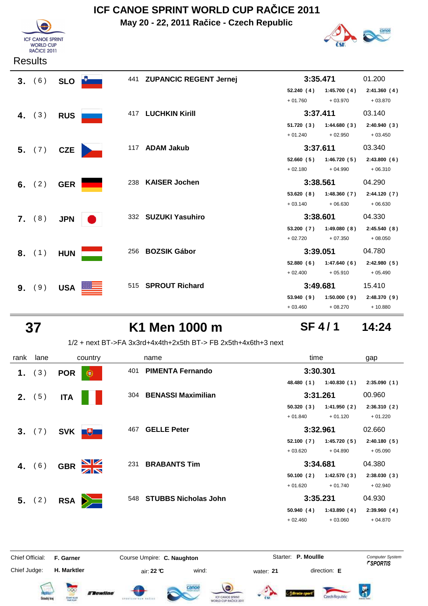**May 20 - 22, 2011 Račice - Czech Republic**





| <b>Results</b> |  |
|----------------|--|
|----------------|--|

| 3. (6)   | <b>SLO</b> |     | 441 ZUPANCIC REGENT Jernej | 3:35.471   |                           | 01.200      |
|----------|------------|-----|----------------------------|------------|---------------------------|-------------|
|          |            |     |                            | 52.240(4)  | 1:45.700(4)               | 2:41.360(4) |
|          |            |     |                            | $+01.760$  | $+03.970$                 | $+03.870$   |
| 4. $(3)$ | <b>RUS</b> |     | 417 LUCHKIN Kirill         | 3:37.411   |                           | 03.140      |
|          |            |     |                            |            | $51.720(3)$ $1:44.680(3)$ | 2:40.940(3) |
|          |            |     |                            | $+01.240$  | $+02.950$                 | $+03.450$   |
| 5. (7)   | <b>CZE</b> |     | 117 ADAM Jakub             | 3:37.611   |                           | 03.340      |
|          |            |     |                            | 52.660(5)  | 1:46.720(5)               | 2:43.800(6) |
|          |            |     |                            | $+02.180$  | $+04.990$                 | $+06.310$   |
| 6. $(2)$ | <b>GER</b> | 238 | <b>KAISER Jochen</b>       | 3:38.561   |                           | 04.290      |
|          |            |     |                            | 53.620(8)  | 1:48.360(7)               | 2:44.120(7) |
|          |            |     |                            | $+03.140$  | $+06.630$                 | $+06.630$   |
| 7. (8)   | <b>JPN</b> |     | 332 SUZUKI Yasuhiro        | 3:38.601   |                           | 04.330      |
|          |            |     |                            | 53.200 (7) | 1:49.080(8)               | 2:45.540(8) |
|          |            |     |                            | $+02.720$  | $+07.350$                 | $+08.050$   |
| 8. (1)   | <b>HUN</b> | 256 | <b>BOZSIK Gábor</b>        | 3:39.051   |                           | 04.780      |
|          |            |     |                            | 52.880(6)  | 1:47.640(6)               | 2:42.980(5) |
|          |            |     |                            | $+02.400$  | $+05.910$                 | $+05.490$   |
| 9. (9)   | <b>USA</b> |     | 515 SPROUT Richard         | 3:49.681   |                           | 15.410      |
|          |            |     |                            | 53.940 (9) | 1:50.000(9)               | 2:48.370(9) |
|          |            |     |                            | $+03.460$  | $+08.270$                 | $+10.880$   |

## **37 K1 Men 1000 m 14:24**

## **SF 4 / 1**

1/2 + next BT->FA 3x3rd+4x4th+2x5th BT-> FB 2x5th+4x6th+3 next

| rank | lane            |            | country         | name                        | time       |             | gap         |
|------|-----------------|------------|-----------------|-----------------------------|------------|-------------|-------------|
| 1.   | (3)             | <b>POR</b> | 401<br>€        | <b>PIMENTA Fernando</b>     | 3:30.301   |             |             |
|      |                 |            |                 |                             | 48.480 (1) | 1:40.830(1) | 2:35.090(1) |
|      | <b>2.</b> $(5)$ | <b>ITA</b> |                 | 304 BENASSI Maximilian      | 3:31.261   |             | 00.960      |
|      |                 |            |                 |                             | 50.320(3)  | 1:41.950(2) | 2:36.310(2) |
|      |                 |            |                 |                             | $+01.840$  | $+01.120$   | $+01.220$   |
|      | 3. (7)          | SVK +      | 467             | <b>GELLE Peter</b>          | 3:32.961   |             | 02.660      |
|      |                 |            |                 |                             | 52.100(7)  | 1:45.720(5) | 2:40.180(5) |
|      |                 |            |                 |                             | $+03.620$  | $+04.890$   | $+05.090$   |
|      | 4. $(6)$        | <b>GBR</b> | NK<br>AR<br>231 | <b>BRABANTS Tim</b>         | 3:34.681   |             | 04.380      |
|      |                 |            |                 |                             | 50.100(2)  | 1:42.570(3) | 2:38.030(3) |
|      |                 |            |                 |                             | $+01.620$  | $+01.740$   | $+02.940$   |
|      | 5. (2)          | <b>RSA</b> | 548<br>$\geq$   | <b>STUBBS Nicholas John</b> | 3:35.231   |             | 04.930      |
|      |                 |            |                 |                             | 50.940(4)  | 1:43.890(4) | 2:39.960(4) |
|      |                 |            |                 |                             | $+02.460$  | $+03.060$   | $+04.870$   |
|      |                 |            |                 |                             |            |             |             |

Chief Judge:

Chief Official: **F. Garner Course Umpire: C. Naughton Carrier: C. Starter: P. Moullle** *Computer System* 

**H. Marktler air: 22 °C** wind: water: **21** direction: **E** 

Starter: P. Moullle













 $\overline{\mathbf{R}}$ Czech Republic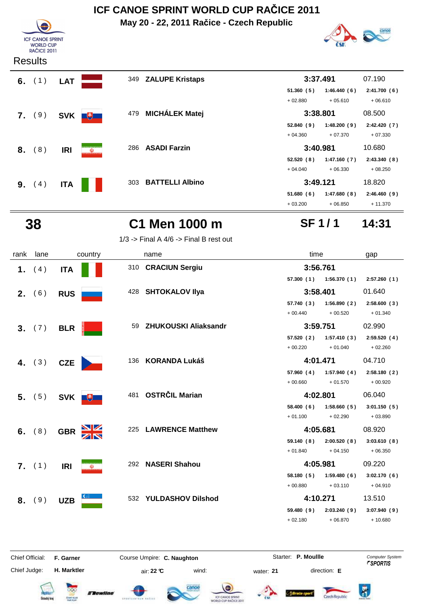**May 20 - 22, 2011 Račice - Czech Republic**



**SF 1 / 1**

| <b>ICF CANOE SPRINT</b><br><b>WORLD CUP</b><br><b>RAČICE 2011</b> |  |
|-------------------------------------------------------------------|--|
|                                                                   |  |

### **Results**





1/3 -> Final A  $4/6$  -> Final B rest out

| rank | lane     |            | country  |     | name                    | time       |                           | gap         |
|------|----------|------------|----------|-----|-------------------------|------------|---------------------------|-------------|
|      | 1. $(4)$ | <b>ITA</b> |          |     | 310 CRACIUN Sergiu      | 3:56.761   |                           |             |
|      |          |            |          |     |                         |            | $57.300(1)$ $1:56.370(1)$ | 2:57.260(1) |
|      | 2. (6)   | <b>RUS</b> |          |     | 428 SHTOKALOV IIya      | 3:58.401   |                           | 01.640      |
|      |          |            |          |     |                         | 57.740 (3) | 1:56.890(2)               | 2:58.600(3) |
|      |          |            |          |     |                         | $+00.440$  | $+00.520$                 | $+01.340$   |
|      | 3. (7)   | <b>BLR</b> |          |     | 59 ZHUKOUSKI Aliaksandr | 3:59.751   |                           | 02.990      |
|      |          |            |          |     |                         | 57.520(2)  | 1:57.410(3)               | 2:59.520(4) |
|      |          |            |          |     |                         | $+00.220$  | $+01.040$                 | $+02.260$   |
|      | 4. $(3)$ | <b>CZE</b> |          | 136 | <b>KORANDA Lukáš</b>    | 4:01.471   |                           | 04.710      |
|      |          |            |          |     |                         | 57.960 (4) | 1:57.940 (4)              | 2:58.180(2) |
|      |          |            |          |     |                         | $+00.660$  | $+01.570$                 | $+00.920$   |
|      | 5. (5)   |            | SVK +    |     | 481 OSTRČIL Marian      | 4:02.801   |                           | 06.040      |
|      |          |            |          |     |                         | 58.400(6)  | 1:58.660(5)               | 3:01.150(5) |
|      |          |            |          |     |                         | $+01.100$  | $+02.290$                 | $+03.890$   |
| 6.   | (8)      | <b>GBR</b> |          |     | 225 LAWRENCE Matthew    | 4:05.681   |                           | 08.920      |
|      |          |            |          |     |                         | 59.140 (8) | 2:00.520(8)               | 3:03.610(8) |
|      |          |            |          |     |                         | $+01.840$  | $+04.150$                 | $+06.350$   |
|      | 7. (1)   | <b>IRI</b> | $\omega$ |     | 292 NASERI Shahou       | 4:05.981   |                           | 09.220      |
|      |          |            |          |     |                         | 58.180(5)  | 1:59.480(6)               | 3:02.170(6) |
|      |          |            |          |     |                         | $+00.880$  | $+03.110$                 | $+04.910$   |
|      |          |            |          |     | 532 YULDASHOV Dilshod   | 4:10.271   |                           | 13.510      |
| 8.   |          |            |          |     |                         |            |                           |             |
|      | (9)      | <b>UZB</b> |          |     |                         | 59.480 (9) | 2:03.240(9)               | 3:07.940(9) |
|      |          |            |          |     |                         | $+02.180$  | $+06.870$                 | $+10.680$   |

Chief Judge:

Chief Official: **F. Garner Course Umpire: C. Naughton** Course **Starter: P. Moullle** Computer System

**H. Marktler air: 22 °C** wind: water: **21** direction: **E** 

















Czech Renubli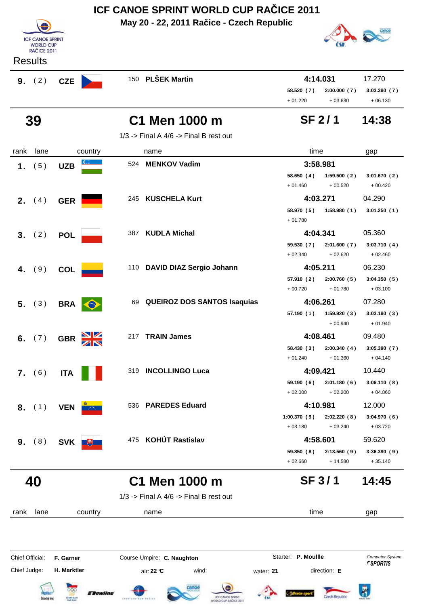|                | ICF CANOE SPRINT WORLD CUP RAČICE 2011<br>May 20 - 22, 2011 Račice - Czech Republic |            |         |                                            |                         |                          |                          |  |
|----------------|-------------------------------------------------------------------------------------|------------|---------|--------------------------------------------|-------------------------|--------------------------|--------------------------|--|
|                | <b>ICF CANOE SPRINT</b><br><b>WORLD CUP</b><br><b>RAČICE 2011</b>                   |            |         |                                            |                         |                          |                          |  |
| <b>Results</b> |                                                                                     |            |         |                                            |                         |                          |                          |  |
| 9. (2)         |                                                                                     | <b>CZE</b> |         | 150 PLŠEK Martin                           | 4:14.031                |                          | 17.270                   |  |
|                |                                                                                     |            |         |                                            | 58.520 (7)<br>$+01.220$ | 2:00.000(7)<br>$+03.630$ | 3:03.390(7)<br>$+06.130$ |  |
| 39             |                                                                                     |            |         | C1 Men 1000 m                              | <b>SF 2/1</b>           |                          | 14:38                    |  |
|                |                                                                                     |            |         | $1/3$ -> Final A $4/6$ -> Final B rest out |                         |                          |                          |  |
| rank           | lane                                                                                |            | country | name                                       | time                    |                          | gap                      |  |
| $\mathbf 1$ .  | (5)                                                                                 | <b>UZB</b> | 524     | <b>MENKOV Vadim</b>                        | 3:58.981                |                          |                          |  |
|                |                                                                                     |            |         |                                            | 58.650(4)<br>$+01.460$  | 1:59.500(2)<br>$+00.520$ | 3:01.670(2)<br>$+00.420$ |  |
| 2. (4)         |                                                                                     | <b>GER</b> | 245     | <b>KUSCHELA Kurt</b>                       | 4:03.271                |                          | 04.290                   |  |
|                |                                                                                     |            |         |                                            | 58.970 (5)<br>$+01.780$ | 1:58.980(1)              | 3:01.250(1)              |  |
| 3 <sub>1</sub> | (2)                                                                                 | <b>POL</b> | 387     | <b>KUDLA Michal</b>                        | 4:04.341                |                          | 05.360                   |  |
|                |                                                                                     |            |         |                                            | 59.530 (7)              | 2:01.600(7)              | 3:03.710(4)              |  |
|                |                                                                                     |            |         |                                            | $+02.340$               | $+02.620$                | $+02.460$                |  |
| 4.             | (9)                                                                                 | <b>COL</b> |         | 110 DAVID DIAZ Sergio Johann               | 4:05.211                |                          | 06.230                   |  |
|                |                                                                                     |            |         |                                            | 57.910 (2)              | 2:00.760(5)              | 3:04.350(5)              |  |
|                |                                                                                     |            |         |                                            | $+00.720$               | $+01.780$                | $+03.100$                |  |
| 5.             | (3)                                                                                 | <b>BRA</b> | 69      | <b>QUEIROZ DOS SANTOS Isaquias</b>         | 4:06.261                |                          | 07.280                   |  |
|                |                                                                                     |            |         |                                            | 57.190 (1)              | 1:59.920(3)              | 3:03.190(3)              |  |
|                |                                                                                     |            |         |                                            |                         | $+00.940$                | $+01.940$                |  |

**6.** (7) **GBR** 217 **TRAIN James 4:08.461** 09.480 **58.430 2:00.340 3:05.390 ( 3 ) ( 4 ) ( 7 )**  $+ 01.240 + 01.360 + 04.140$ **7.** (6) **ITA ITA** 319 **INCOLLINGO Luca 1:09.421** 10.440<br>59.190 (6) 2:01.180 (6) 3:06.110 (8) **59.190 2:01.180 3:06.110 ( 6 ) ( 6 ) ( 8 )**  $+ 02.000 + 02.200 + 04.860$ 

|             | 4:10.981    |             |  |  |  |  |
|-------------|-------------|-------------|--|--|--|--|
| 1:00.370(9) | 2:02.220(8) | 3:04.970(6) |  |  |  |  |
| $+03.180$   | $+03.240$   | $+03.720$   |  |  |  |  |
|             | 4:58.601    |             |  |  |  |  |
| 59.850 (8)  | 2:13.560(9) | 3:36.390(9) |  |  |  |  |
| $+02.660$   | $+14.580$   | $+35.140$   |  |  |  |  |

**SF 3 / 1**





 **8.** ( 1 ) **VEN**<sup>536</sup> **PAREDES Eduard 4:10.981** 12.000

**9.** (8) SVK + 375 KOHÚT Rastislav

 $1/3$  -> Final A  $4/6$  -> Final B rest out

rank lane name country time gap Chief Official: **F. Garner Course Umpire: C. Naughton** Course **Starter: P. Moullle** Computer System Chief Judge: **H. Marktler air: 22 °C** wind: water: **21** direction: **E**  $\bar{R}$ **TRewline** Czech Republic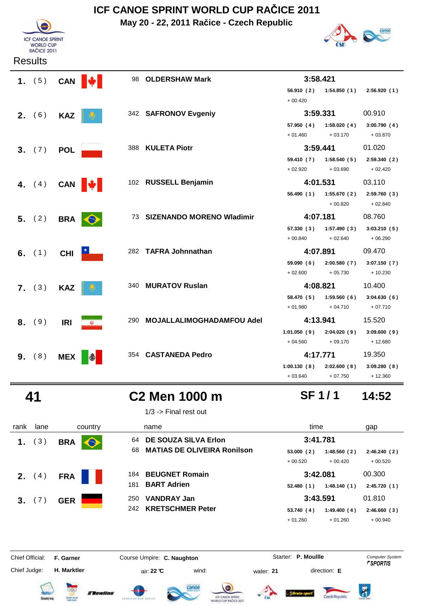**May 20 - 22, 2011 Račice - Czech Republic**





| 1. $(5)$ CAN $\mathbf{\psi}$ |            |            | 98 OLDERSHAW Mark             | 3:58.421    |                             |             |
|------------------------------|------------|------------|-------------------------------|-------------|-----------------------------|-------------|
|                              |            |            |                               |             | 56.910 (2) 1:54.850 (1)     | 2:56.920(1) |
|                              |            |            |                               | $+00.420$   |                             |             |
| <b>2.</b> (6)                | <b>KAZ</b> |            | 342 SAFRONOV Evgeniy          | 3:59.331    |                             | 00.910      |
|                              |            |            |                               | 57.950 (4)  | 1:58.020(4)                 | 3:00.790(4) |
|                              |            |            |                               | $+01.460$   | $+03.170$                   | $+03.870$   |
| 3. (7)                       | <b>POL</b> |            | 388 KULETA Piotr              | 3:59.441    |                             | 01.020      |
|                              |            |            |                               | 59.410 (7)  | 1:58.540(5)                 | 2:59.340(2) |
|                              |            |            |                               | $+02.920$   | $+03.690$                   | $+02.420$   |
| 4. $(4)$ CAN $\mathbf{\psi}$ |            |            | 102 RUSSELL Benjamin          | 4:01.531    |                             | 03.110      |
|                              |            |            |                               |             | 56.490 (1) 1:55.670 (2)     | 2:59.760(3) |
|                              |            |            |                               |             | $+00.820$                   | $+02.840$   |
| 5. (2)                       | <b>BRA</b> | $\bigodot$ | 73 SIZENANDO MORENO Wladimir  | 4:07.181    |                             | 08.760      |
|                              |            |            |                               |             | $57.330(3)$ $1:57.490(3)$   | 3:03.210(5) |
|                              |            |            |                               | $+00.840$   | $+02.640$                   | $+06.290$   |
| 6. $(1)$                     | <b>CHI</b> |            | 282 TAFRA Johnnathan          | 4:07.891    |                             | 09.470      |
|                              |            |            |                               |             | 59.090 (6) 2:00.580 (7)     | 3:07.150(7) |
|                              |            |            |                               | $+02.600$   | $+05.730$                   | $+10.230$   |
| 7. (3)                       | <b>KAZ</b> |            | 340 MURATOV Ruslan            | 4:08.821    |                             | 10.400      |
|                              |            |            |                               | 58.470 (5)  | 1:59.560(6)                 | 3:04.630(6) |
|                              |            |            |                               | $+01.980$   | $+04.710$                   | $+07.710$   |
| 8. (9)                       | <b>IRI</b> | $\omega$   | 290 MOJALLALIMOGHADAMFOU Adel | 4:13.941    |                             | 15.520      |
|                              |            |            |                               | 1:01.050(9) | 2:04.020 (9)                | 3:09.600(9) |
|                              |            |            |                               | $+04.560$   | $+09.170$                   | $+12.680$   |
| 9. (8)                       | <b>MEX</b> |            | 354 CASTANEDA Pedro           | 4:17.771    |                             | 19.350      |
|                              |            |            |                               |             | $1:00.130(8)$ $2:02.600(8)$ | 3:09.280(8) |
|                              |            |            |                               | $+03.640$   | $+07.750$                   | $+12.360$   |

 **41 C2 Men 1000 m 14:52**

1/3 -> Final rest out

| rank            | lane | country                 | name                                                                   | time                                 | gap                    |
|-----------------|------|-------------------------|------------------------------------------------------------------------|--------------------------------------|------------------------|
| 1.              | (3)  | <b>BRA</b><br>$\bullet$ | DE SOUZA SILVA Erlon<br>64<br><b>MATIAS DE OLIVEIRA Ronilson</b><br>68 | 3:41.781<br>53.000(2)<br>1:48.560(2) | 2:46.240(2)            |
|                 |      |                         |                                                                        | $+00.520$<br>$+00.420$               | $+00.520$              |
| 2.              | (4)  | <b>FRA</b>              | <b>BEUGNET Romain</b><br>184                                           | 3:42.081                             | 00.300                 |
|                 |      |                         | 181<br><b>BART Adrien</b>                                              | 52.480(1)<br>1:48.140(1)             | 2:45.720(1)            |
| 3.              | (7)  | <b>GER</b>              | <b>VANDRAY Jan</b><br>250                                              | 3:43.591                             | 01.810                 |
|                 |      |                         | <b>KRETSCHMER Peter</b><br>242                                         | 53.740 (4)<br>1:49.400(4)            | 2:46.660(3)            |
|                 |      |                         |                                                                        | $+01.260$<br>$+01.260$               | $+00.940$              |
| Chief Official: |      | F. Garner               | Course Umpire: C. Naughton                                             | Starter: P. Moullle                  | <b>Computer System</b> |
| Chief Judge:    |      | H. Marktler             | wind:<br>air: 22 ℃                                                     | direction: E<br>water: 21            | <i><b>FSPORTIS</b></i> |















**SF 1 / 1**

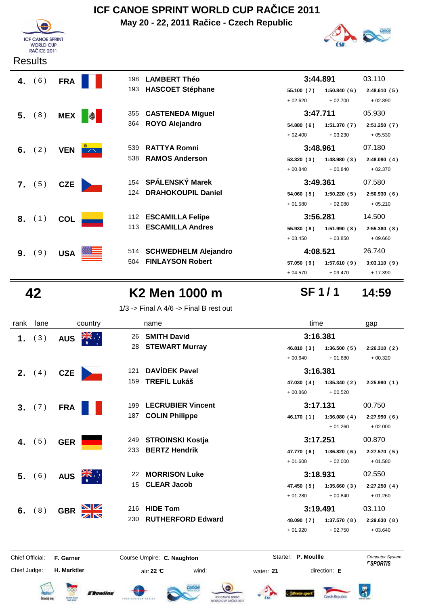**May 20 - 22, 2011 Račice - Czech Republic**



|    | <b>Results</b> |            |            |     |                             |            |             |             |
|----|----------------|------------|------------|-----|-----------------------------|------------|-------------|-------------|
|    | 4. $(6)$       | <b>FRA</b> |            | 198 | <b>LAMBERT Théo</b>         | 3:44.891   |             | 03.110      |
|    |                |            |            | 193 | <b>HASCOET Stéphane</b>     | 55.100 (7) | 1:50.840(6) | 2:48.610(5) |
|    |                |            |            |     |                             | $+02.620$  | $+02.700$   | $+02.890$   |
|    | 5. (8)         | <b>MEX</b> | $\bigcirc$ | 355 | <b>CASTENEDA Miguel</b>     | 3:47.711   |             | 05.930      |
|    |                |            |            | 364 | <b>ROYO Alejandro</b>       | 54.880(6)  | 1:51.370(7) | 2:51.250(7) |
|    |                |            |            |     |                             | $+02.400$  | $+03.230$   | $+05.530$   |
|    | 6. $(2)$       | <b>VEN</b> | $\sim 100$ | 539 | <b>RATTYA Romni</b>         | 3:48.961   |             | 07.180      |
|    |                |            |            | 538 | <b>RAMOS Anderson</b>       | 53.320(3)  | 1:48.980(3) | 2:48.090(4) |
|    |                |            |            |     |                             | $+00.840$  | $+00.840$   | $+02.370$   |
|    | 7. (5)         | <b>CZE</b> |            |     | 154 SPÁLENSKÝ Marek         | 3:49.361   |             | 07.580      |
|    |                |            |            | 124 | <b>DRAHOKOUPIL Daniel</b>   | 54.060(5)  | 1:50.220(5) | 2:50.930(6) |
|    |                |            |            |     |                             | $+01.580$  | $+02.080$   | $+05.210$   |
|    | 8. (1)         | <b>COL</b> |            | 112 | <b>ESCAMILLA Felipe</b>     | 3:56.281   |             | 14.500      |
|    |                |            |            | 113 | <b>ESCAMILLA Andres</b>     | 55.930(8)  | 1:51.990(8) | 2:55.380(8) |
|    |                |            |            |     |                             | $+03.450$  | $+03.850$   | $+09.660$   |
| 9. | (9)            | <b>USA</b> |            | 514 | <b>SCHWEDHELM Alejandro</b> | 4:08.521   |             | 26.740      |
|    |                |            |            | 504 | <b>FINLAYSON Robert</b>     | 57.050(9)  | 1:57.610(9) | 3:03.110(9) |
|    |                |            |            |     |                             | $+04.570$  | $+09.470$   | $+17.390$   |

**ICF CANOE SPRINT** WORLD CUP<br>RAČICE 2011

## **42 K2 Men 1000 m 14:59**

1/3 -> Final A  $4/6$  -> Final B rest out

| Chief Official: |          | F. Garner  |         |     | Course Umpire: C. Naughton | Starter: P. Moullle |             | <b>Computer System</b> |
|-----------------|----------|------------|---------|-----|----------------------------|---------------------|-------------|------------------------|
|                 |          |            |         |     |                            |                     |             |                        |
|                 |          |            |         |     |                            | $+01.920$           | $+02.750$   | $+03.640$              |
|                 |          |            |         | 230 | <b>RUTHERFORD Edward</b>   | 48.090 (7)          | 1:37.570(8) | 2:29.630(8)            |
|                 | 6. $(8)$ | <b>GBR</b> |         | 216 | <b>HIDE Tom</b>            | 3:19.491            |             | 03.110                 |
|                 |          |            |         |     |                            | $+01.280$           | $+00.840$   | $+01.260$              |
|                 |          |            |         | 15  | <b>CLEAR Jacob</b>         | 47.450 (5)          | 1:35.660(3) | 2:27.250(4)            |
| 5.              | (6)      | <b>AUS</b> |         | 22  | <b>MORRISON Luke</b>       | 3:18.931            |             | 02.550                 |
|                 |          |            |         |     |                            | $+01.600$           | $+02.000$   | $+01.580$              |
|                 |          |            |         | 233 | <b>BERTZ Hendrik</b>       | 47.770 (6)          | 1:36.820(6) | 2:27.570(5)            |
| 4.              | (5)      | <b>GER</b> |         | 249 | <b>STROINSKI Kostja</b>    | 3:17.251            |             | 00.870                 |
|                 |          |            |         |     |                            |                     | $+01.260$   | $+02.000$              |
|                 |          |            |         | 187 | <b>COLIN Philippe</b>      | 46.170 (1)          | 1:36.080(4) | 2:27.990(6)            |
|                 | 3. (7)   | <b>FRA</b> |         |     |                            |                     |             |                        |
|                 |          |            |         | 199 | <b>LECRUBIER Vincent</b>   | 3:17.131            |             | 00.750                 |
|                 |          |            |         |     |                            | $+00.860$           | $+00.520$   |                        |
|                 |          |            |         | 159 | <b>TREFIL Lukáš</b>        | 47.030 (4)          | 1:35.340(2) | 2:25.990(1)            |
| 2.              | (4)      | <b>CZE</b> |         | 121 | <b>DAVÍDEK Pavel</b>       | 3:16.381            |             |                        |
|                 |          |            |         |     |                            | $+00.640$           | $+01.680$   | $+00.320$              |
|                 |          |            |         | 28  | <b>STEWART Murray</b>      | 46.810 (3)          | 1:36.500(5) | 2:26.310(2)            |
| 1.              | (3)      | <b>AUS</b> |         | 26  | <b>SMITH David</b>         | 3:16.381            |             |                        |
| rank            | lane     |            | country |     | name                       |                     |             | gap                    |
|                 |          |            |         |     |                            |                     |             | time                   |

Chief Judge:

















**SF 1 / 1**

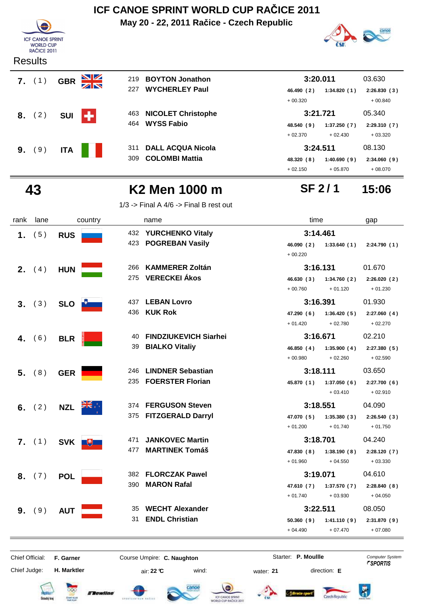**May 20 - 22, 2011 Račice - Czech Republic**



#### **Results**



|     |                           | $+00.320$  |             | $+00.840$   |
|-----|---------------------------|------------|-------------|-------------|
| 463 | <b>NICOLET Christophe</b> | 3:21.721   |             | 05.340      |
| 464 | WYSS Fabio                | 48.540 (9) | 1:37.250(7) | 2:29.310(7) |
|     |                           | $+02.370$  | $+02.430$   | $+03.320$   |
| 311 | <b>DALL ACQUA Nicola</b>  | 3:24.511   |             | 08.130      |



|    | $7.$ (1) | <b>GBR</b> | $\frac{\Delta}{\Delta}$ | 219 | <b>BOYTON Jonathon</b>    |            | 3:20.011    | 03.630      |
|----|----------|------------|-------------------------|-----|---------------------------|------------|-------------|-------------|
|    |          |            |                         | 227 | <b>WYCHERLEY Paul</b>     | 46.490 (2) | 1:34.820(1) | 2:26.830(3) |
|    |          |            |                         |     |                           | $+00.320$  |             | $+00.840$   |
|    | 8. (2)   | <b>SUI</b> | ٠                       | 463 | <b>NICOLET Christophe</b> |            | 3:21.721    | 05.340      |
|    |          |            |                         | 464 | <b>WYSS Fabio</b>         | 48.540 (9) | 1:37.250(7) | 2:29.310(7) |
|    |          |            |                         |     |                           | $+02.370$  | $+02.430$   | $+03.320$   |
| 9. | (9)      | <b>ITA</b> |                         | 311 | <b>DALL ACQUA Nicola</b>  |            | 3:24.511    | 08.130      |
|    |          |            |                         | 309 | <b>COLOMBI Mattia</b>     | 48.320 (8) | 1:40.690(9) | 2:34.060(9) |
|    |          |            |                         |     |                           | $+02.150$  | $+05.870$   | $+08.070$   |

## **SF 2 / 1**

## **43 K2 Men 1000 m 15:06**

1/3 -> Final A  $4/6$  -> Final B rest out

| rank           | lane     | country           |     | name                                        | time       |                         | gap         |
|----------------|----------|-------------------|-----|---------------------------------------------|------------|-------------------------|-------------|
| 1.             | (5)      | <b>RUS</b>        |     | 432 YURCHENKO Vitaly<br>423 POGREBAN Vasily | 3:14.461   |                         |             |
|                |          |                   |     |                                             | $+00.220$  | 46.090 (2) 1:33.640 (1) | 2:24.790(1) |
| 2 <sub>1</sub> | (4)      | <b>HUN</b>        | 266 | <b>KAMMERER Zoltán</b>                      | 3:16.131   |                         | 01.670      |
|                |          |                   |     | 275 VERECKEI Ákos                           |            | 46.630 (3) 1:34.760 (2) | 2:26.020(2) |
|                |          |                   |     |                                             | $+00.760$  | $+01.120$               | $+01.230$   |
| 3.             | (3)      | <b>SLO</b>        |     | 437 LEBAN Lovro                             | 3:16.391   |                         | 01.930      |
|                |          |                   |     | 436 KUK Rok                                 | 47.290 (6) | 1:36.420(5)             | 2:27.060(4) |
|                |          |                   |     |                                             | $+01.420$  | $+02.780$               | $+02.270$   |
| 4.             | (6)      | <b>BLR</b>        | 40  | <b>FINDZIUKEVICH Siarhei</b>                | 3:16.671   |                         | 02.210      |
|                |          |                   | 39  | <b>BIALKO Vitaliy</b>                       | 46.850 (4) | 1:35.900(4)             | 2:27.380(5) |
|                |          |                   |     |                                             | $+00.980$  | $+02.260$               | $+02.590$   |
| 5.             | (8)      | <b>GER</b>        | 246 | <b>LINDNER Sebastian</b>                    | 3:18.111   |                         | 03.650      |
|                |          |                   |     | 235 FOERSTER Florian                        |            | 45.870 (1) 1:37.050 (6) | 2:27.700(6) |
|                |          |                   |     |                                             |            | $+03.410$               | $+02.910$   |
|                | 6. $(2)$ | <b>NZL</b>        |     | 374 FERGUSON Steven                         | 3:18.551   |                         | 04.090      |
|                |          |                   |     | 375 FITZGERALD Darryl                       |            | 47.070 (5) 1:35.380 (3) | 2:26.540(3) |
|                |          |                   |     |                                             | $+01.200$  | $+01.740$               | $+01.750$   |
|                | 7. (1)   | <b>SVK</b><br>$+$ | 471 | <b>JANKOVEC Martin</b>                      | 3:18.701   |                         | 04.240      |
|                |          |                   | 477 | <b>MARTINEK Tomáš</b>                       | 47.830 (8) | 1:38.190(8)             | 2:28.120(7) |
|                |          |                   |     |                                             | $+01.960$  | $+04.550$               | $+03.330$   |
| 8.             | (7)      | <b>POL</b>        |     | 382 FLORCZAK Pawel                          | 3:19.071   |                         | 04.610      |
|                |          |                   |     | 390 MARON Rafal                             | 47.610 (7) | 1:37.570(7)             | 2:28.840(8) |
|                |          |                   |     |                                             | $+01.740$  | $+03.930$               | $+04.050$   |
| 9.             | (9)      | <b>AUT</b>        | 35  | <b>WECHT Alexander</b>                      | 3:22.511   |                         | 08.050      |
|                |          |                   | 31  | <b>ENDL Christian</b>                       | 50.360(9)  | 1:41.110(9)             | 2:31.870(9) |
|                |          |                   |     |                                             | $+04.490$  | $+07.470$               | $+07.080$   |

Chief Official: **F. Garner Course Umpire: C. Naughton Carrier: C. Starter: P. Moullle** *Computer System* 

Chief Judge:

**H. Marktler air: 22 °C** wind: water: **21** direction: **E** 

Starter: P. Moullle

















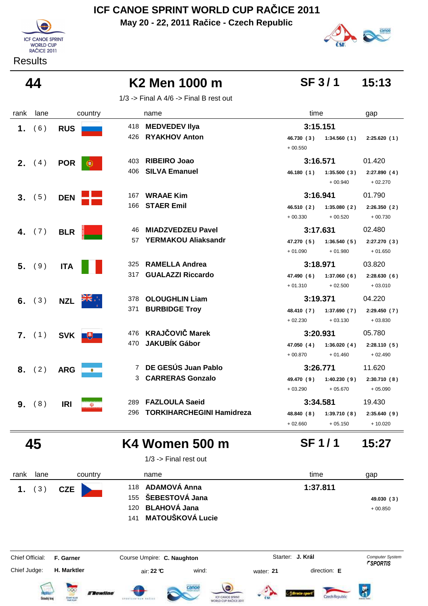**May 20 - 22, 2011 Račice - Czech Republic**



**Results** 

**SF 3 / 1**

**SF 1 / 1**

## **44 K2 Men 1000 m 15:13**

1/3 -> Final A  $4/6$  -> Final B rest out

| 3:15.151<br>418<br><b>MEDVEDEV IIya</b><br>(6)<br>1.<br><b>RUS</b><br>426<br><b>RYAKHOV Anton</b><br>46.730 (3) 1:34.560 (1) | 2:25.620(1) |
|------------------------------------------------------------------------------------------------------------------------------|-------------|
|                                                                                                                              |             |
|                                                                                                                              |             |
| $+00.550$                                                                                                                    |             |
| <b>RIBEIRO Joao</b><br>3:16.571<br>403<br><b>2.</b> $(4)$<br><b>POR</b><br>œ.                                                | 01.420      |
| <b>SILVA Emanuel</b><br>406<br>1:35.500(3)<br>46.180 (1)                                                                     | 2:27.890(4) |
| $+00.940$                                                                                                                    | $+02.270$   |
| 3:16.941<br><b>WRAAE Kim</b><br>167<br>3. (5)<br><b>DEN</b>                                                                  | 01.790      |
| <b>STAER Emil</b><br>166<br>46.510 (2)<br>1:35.080(2)                                                                        | 2:26.350(2) |
| $+00.520$<br>$+00.330$                                                                                                       | $+00.730$   |
| <b>MIADZVEDZEU Pavel</b><br>3:17.631<br>46<br>4. $(7)$<br><b>BLR</b>                                                         | 02.480      |
| <b>YERMAKOU Aliaksandr</b><br>57<br>47.270 (5)<br>1:36.540(5)                                                                | 2:27.270(3) |
| $+01.090$<br>$+01.980$                                                                                                       | $+01.650$   |
| <b>RAMELLA Andrea</b><br>325<br>3:18.971<br>$5.$ (9)<br><b>ITA</b>                                                           | 03.820      |
| <b>GUALAZZI Riccardo</b><br>317<br>1:37.060(6)<br>47.490 (6)                                                                 | 2:28.630(6) |
| $+02.500$<br>$+01.310$                                                                                                       | $+03.010$   |
| 3:19.371<br>378<br><b>OLOUGHLIN Liam</b><br>6. $(3)$<br><b>NZL</b>                                                           | 04.220      |
| <b>BURBIDGE Troy</b><br>371<br>48.410 (7)<br>1:37.690(7)                                                                     | 2:29.450(7) |
| $+02.230$<br>$+03.130$                                                                                                       | $+03.830$   |
| 476 KRAJČOVIČ Marek<br>3:20.931<br>7. (1)<br>SVK ■                                                                           | 05.780      |
| <b>JAKUBÍK Gábor</b><br>470<br>1:36.020(4)<br>47.050 (4)                                                                     | 2:28.110(5) |
| $+00.870$<br>$+01.460$                                                                                                       | $+02.490$   |
| 7 DE GESÚS Juan Pablo<br>3:26.771<br>8. (2)<br><b>ARG</b>                                                                    | 11.620      |
| <b>CARRERAS Gonzalo</b><br>3<br>49.470 (9)<br>1:40.230(9)                                                                    | 2:30.710(8) |
| $+05.670$<br>$+03.290$                                                                                                       | $+05.090$   |
| 3:34.581<br><b>FAZLOULA Saeid</b><br>289<br>9. (8)<br><b>IRI</b><br>W)                                                       | 19.430      |
| <b>TORKIHARCHEGINI Hamidreza</b><br>296<br>48.840 (8)<br>1:39.710(8)                                                         | 2:35.640(9) |
| $+02.660$<br>$+05.150$                                                                                                       | $+10.020$   |

## **45 K4 Women 500 m 15:27**

1/3 -> Final rest out

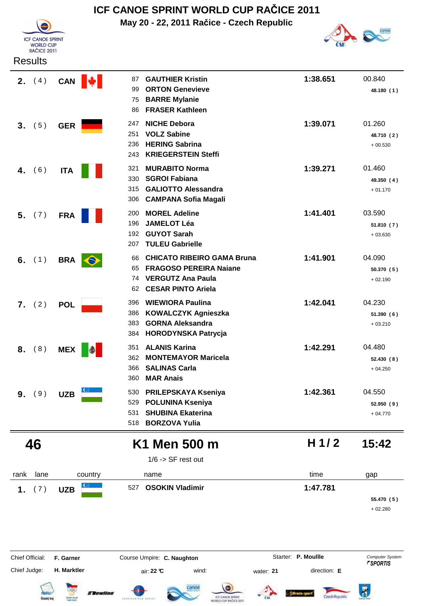



| <b>Results</b>  |               |                                                                                                                                                     |          |                                   |
|-----------------|---------------|-----------------------------------------------------------------------------------------------------------------------------------------------------|----------|-----------------------------------|
| <b>2.</b> $(4)$ | CAN  <br>IW I | <b>GAUTHIER Kristin</b><br>87<br><b>ORTON Genevieve</b><br>99<br><b>BARRE Mylanie</b><br>75<br><b>FRASER Kathleen</b><br>86                         | 1:38.651 | 00.840<br>48.180 (1)              |
| (5)<br>3.       | <b>GER</b>    | <b>NICHE Debora</b><br>247<br><b>VOLZ Sabine</b><br>251<br><b>HERING Sabrina</b><br>236<br><b>KRIEGERSTEIN Steffi</b><br>243                        | 1:39.071 | 01.260<br>48.710 (2)<br>$+00.530$ |
| (6)<br>4.       | <b>ITA</b>    | <b>MURABITO Norma</b><br>321<br><b>SGROI Fabiana</b><br>330<br><b>GALIOTTO Alessandra</b><br>315<br><b>CAMPANA Sofia Magali</b><br>306              | 1:39.271 | 01.460<br>49.350 (4)<br>$+01.170$ |
| (7)<br>5.       | <b>FRA</b>    | <b>MOREL Adeline</b><br>200<br><b>JAMELOT Léa</b><br>196<br><b>GUYOT Sarah</b><br>192<br><b>TULEU Gabrielle</b><br>207                              | 1:41.401 | 03.590<br>51.810(7)<br>$+03.630$  |
| 6. $(1)$        | BRA <b>O</b>  | <b>CHICATO RIBEIRO GAMA Bruna</b><br>66<br><b>FRAGOSO PEREIRA Naiane</b><br>65<br><b>VERGUTZ Ana Paula</b><br>74<br><b>CESAR PINTO Ariela</b><br>62 | 1:41.901 | 04.090<br>50.370 (5)<br>$+02.190$ |
| (2)<br>7.       | <b>POL</b>    | <b>WIEWIORA Paulina</b><br>396<br>386<br><b>KOWALCZYK Agnieszka</b><br><b>GORNA Aleksandra</b><br>383<br><b>HORODYNSKA Patrycja</b><br>384          | 1:42.041 | 04.230<br>51.390(6)<br>$+03.210$  |
| (8)<br>8.       | <b>MEX</b>    | <b>ALANIS Karina</b><br>351<br><b>MONTEMAYOR Maricela</b><br>362<br><b>SALINAS Carla</b><br>366<br>360<br><b>MAR Anais</b>                          | 1:42.291 | 04.480<br>52.430 (8)<br>$+04.250$ |
| 9. (9)          | <b>UZB</b>    | <b>PRILEPSKAYA Kseniya</b><br>530<br><b>POLUNINA Kseniya</b><br>529<br><b>SHUBINA Ekaterina</b><br>531<br><b>BORZOVA Yulia</b><br>518               | 1:42.361 | 04.550<br>52.950 (9)<br>$+04.770$ |
| 46              |               | K1 Men 500 m<br>$1/6$ -> SF rest out                                                                                                                | H $1/2$  | 15:42                             |
| lane<br>rank    | country       | name                                                                                                                                                | time     | gap                               |
| (7)<br>1.       | <b>UZB</b>    | <b>OSOKIN Vladimir</b><br>527                                                                                                                       | 1:47.781 | 55.470 (5)<br>$+02.280$           |



Czech Republic

**Flewline**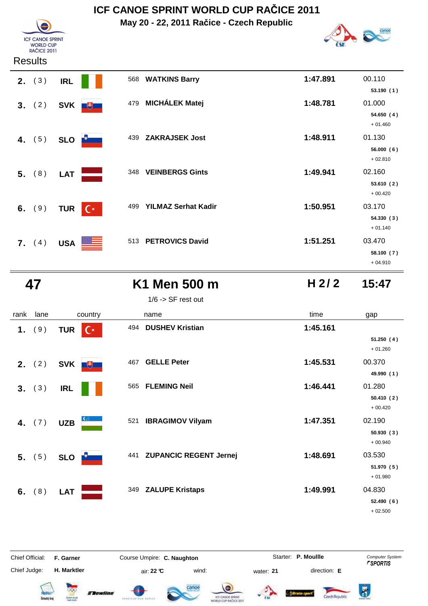**May 20 - 22, 2011 Račice - Czech Republic**



**ICF CANOE SPRINT** WORLD CUP<br>RAČICE 2011

| 2. (3)   | <b>IRL</b> |                |     | 568 WATKINS Barry          | 1:47.891 | 00.110<br>53.190(1)                           |
|----------|------------|----------------|-----|----------------------------|----------|-----------------------------------------------|
| 3. (2)   | <b>SVK</b> | $+$            |     | 479 MICHÁLEK Matej         | 1:48.781 | 01.000<br>54.650 (4)                          |
| 4. $(5)$ | <b>SLO</b> |                | 439 | <b>ZAKRAJSEK Jost</b>      | 1:48.911 | $+01.460$<br>01.130<br>56.000(6)<br>$+02.810$ |
| $5.$ (8) | <b>LAT</b> |                | 348 | <b>VEINBERGS Gints</b>     | 1:49.941 | 02.160<br>53.610(2)                           |
| 6. $(9)$ | <b>TUR</b> | $C^*$          | 499 | <b>YILMAZ Serhat Kadir</b> | 1:50.951 | $+00.420$<br>03.170<br>54.330(3)              |
| 7. (4)   | <b>USA</b> | <u> 22 – J</u> |     | 513 PETROVICS David        | 1:51.251 | $+01.140$<br>03.470<br>58.100(7)<br>$+04.910$ |

**K1 Men 500 m H 2/2** 15:47

| $1/6$ -> SF rest out |  |
|----------------------|--|
|----------------------|--|

| rank | lane            |            | country |     | name                       | time     | gap                    |
|------|-----------------|------------|---------|-----|----------------------------|----------|------------------------|
|      | 1. (9)          | <b>TUR</b> | $C^*$   | 494 | <b>DUSHEV Kristian</b>     | 1:45.161 |                        |
|      |                 |            |         |     |                            |          | 51.250(4)<br>$+01.260$ |
|      | <b>2.</b> $(2)$ | <b>SVK</b> | $+$     | 467 | <b>GELLE Peter</b>         | 1:45.531 | 00.370                 |
|      |                 |            |         |     |                            |          | 49.990 (1)             |
|      | 3. (3)          | <b>IRL</b> |         | 565 | <b>FLEMING Neil</b>        | 1:46.441 | 01.280                 |
|      |                 |            |         |     |                            |          | 50.410(2)              |
|      |                 |            |         |     |                            |          | $+00.420$              |
|      | 4. $(7)$        | <b>UZB</b> |         | 521 | <b>IBRAGIMOV Vilyam</b>    | 1:47.351 | 02.190                 |
|      |                 |            |         |     |                            |          | 50.930(3)              |
|      |                 |            |         |     |                            |          | $+00.940$              |
|      | 5. (5)          | <b>SLO</b> |         |     | 441 ZUPANCIC REGENT Jernej | 1:48.691 | 03.530                 |
|      |                 |            |         |     |                            |          | 51.970 (5)             |
|      |                 |            |         |     |                            |          | $+01.980$              |
| 6.   | (8)             | <b>LAT</b> |         |     | 349 ZALUPE Kristaps        | 1:49.991 | 04.830                 |
|      |                 |            |         |     |                            |          | 52.490 (6)             |
|      |                 |            |         |     |                            |          | $+02.500$              |

Chief Official: **F. Garner Course Umpire: C. Naughton Carrier: C. Starter: P. Moullle** *Computer System* Chief Judge: **H. Marktler air: 22 °C** wind: water: **21** direction: **E** Starter: **P. Moullle** 

**E** Bewline







**H 2/ 2**

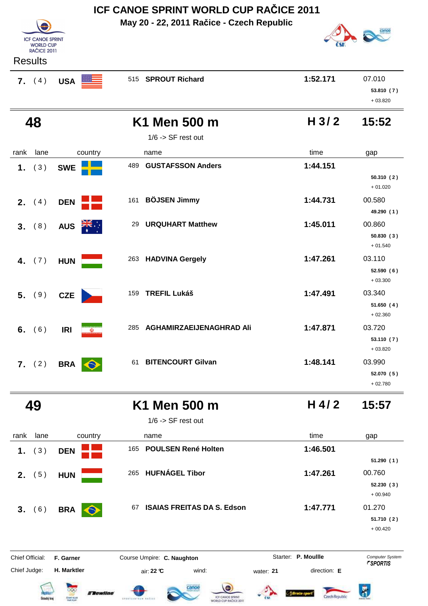|                                 |                                     | ICF CANOE SPRINT WORLD CUP RACICE 2011                       |                           |                         |
|---------------------------------|-------------------------------------|--------------------------------------------------------------|---------------------------|-------------------------|
|                                 |                                     | May 20 - 22, 2011 Račice - Czech Republic                    |                           |                         |
| <b>ICF CANOE SPRINT</b>         |                                     |                                                              |                           |                         |
| <b>WORLD CUP</b><br>RAČICE 2011 |                                     |                                                              |                           |                         |
| <b>Results</b>                  |                                     |                                                              |                           |                         |
| 7. (4)                          | <b>USA</b>                          | 515 SPROUT Richard                                           | 1:52.171                  | 07.010                  |
|                                 |                                     |                                                              |                           | 53.810 (7)              |
|                                 |                                     |                                                              |                           | $+03.820$               |
| 48                              |                                     | K1 Men 500 m                                                 | H <sub>3/2</sub>          | 15:52                   |
|                                 |                                     | $1/6$ -> SF rest out                                         |                           |                         |
| lane<br>rank                    | country                             | name                                                         | time                      | gap                     |
| (3)<br>1.                       | <b>SWE</b>                          | <b>GUSTAFSSON Anders</b><br>489                              | 1:44.151                  |                         |
|                                 |                                     |                                                              |                           | 50.310(2)               |
|                                 |                                     |                                                              |                           | $+01.020$               |
| (4)<br>2.                       | <b>DEN</b>                          | 161 BÖJSEN Jimmy                                             | 1:44.731                  | 00.580                  |
|                                 |                                     |                                                              |                           | 49.290 (1)<br>00.860    |
| (8)<br>3.                       | AUS <b>ZIE</b>                      | <b>URQUHART Matthew</b><br>29                                | 1:45.011                  | 50.830(3)               |
|                                 |                                     |                                                              |                           | $+01.540$               |
| (7)<br>4.                       | <b>HUN</b><br>a and a               | 263 HADVINA Gergely                                          | 1:47.261                  | 03.110                  |
|                                 |                                     |                                                              |                           | 52.590(6)               |
|                                 |                                     |                                                              |                           | $+03.300$               |
| (9)<br>5.                       | <b>CZE</b>                          | 159<br><b>TREFIL Lukáš</b>                                   | 1:47.491                  | 03.340                  |
|                                 |                                     |                                                              |                           | 51.650(4)<br>$+02.360$  |
| 6. $(6)$                        | <b>IRI</b><br>$\omega$              | 285<br>AGHAMIRZAEIJENAGHRAD Ali                              | 1:47.871                  | 03.720                  |
|                                 |                                     |                                                              |                           | 53.110(7)               |
|                                 |                                     |                                                              |                           | $+03.820$               |
| 7. (2)                          | <b>BRA</b>                          | 61 BITENCOURT Gilvan                                         | 1:48.141                  | 03.990                  |
|                                 |                                     |                                                              |                           | 52.070 (5)              |
|                                 |                                     |                                                              |                           | $+02.780$               |
| 49                              |                                     | K1 Men 500 m                                                 | $H$ 4/2                   | 15:57                   |
|                                 |                                     | $1/6$ -> SF rest out                                         |                           |                         |
| lane<br>rank                    | country                             | name                                                         | time                      | gap                     |
| (3)<br>1.                       | <b>DEN</b>                          | 165 POULSEN René Holten                                      | 1:46.501                  |                         |
|                                 |                                     |                                                              |                           | 51.290(1)               |
| <b>2.</b> $(5)$                 | <b>HUN</b>                          | 265 HUFNÁGEL Tibor                                           | 1:47.261                  | 00.760                  |
|                                 |                                     |                                                              |                           | 52.230 (3)              |
|                                 |                                     |                                                              |                           | $+00.940$               |
| (6)<br>3 <sub>1</sub>           | <b>BRA</b><br>$\bigodot$            | <b>ISAIAS FREITAS DA S. Edson</b><br>67                      | 1:47.771                  | 01.270                  |
|                                 |                                     |                                                              |                           | 51.710 (2)<br>$+00.420$ |
|                                 |                                     |                                                              |                           |                         |
| Chief Official:                 | F. Garner                           | Course Umpire: C. Naughton                                   | Starter: P. Moullle       | Computer System         |
| Chief Judge:                    | H. Marktler                         | air: 22 °C<br>wind:                                          | direction: E<br>water: 21 | <i><b>FSPORTIS</b></i>  |
|                                 |                                     |                                                              |                           |                         |
| ktecký k                        | <b>Exewline</b><br><b>CEBRY CUI</b> | ICF CANCE SPRINT<br>EPORTLEBISHE AR<br>VORLD CUP RACICE 2011 | Czech Republic            | ö                       |
|                                 |                                     |                                                              |                           |                         |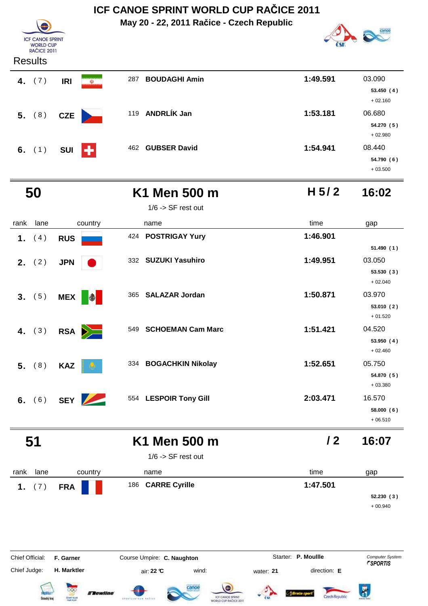|                                                                   |                                             | ICF CANOE SPRINT WORLD CUP RAČICE 2011                                  |                                                  |                                                             |
|-------------------------------------------------------------------|---------------------------------------------|-------------------------------------------------------------------------|--------------------------------------------------|-------------------------------------------------------------|
|                                                                   |                                             | May 20 - 22, 2011 Račice - Czech Republic                               |                                                  |                                                             |
| <b>ICF CANOE SPRINT</b><br><b>WORLD CUP</b><br><b>RAČICE 2011</b> |                                             |                                                                         |                                                  |                                                             |
| <b>Results</b>                                                    |                                             |                                                                         |                                                  |                                                             |
| 4. $(7)$                                                          | $\ddot{\textbf{v}}$<br><b>IRI</b>           | <b>BOUDAGHI Amin</b><br>287                                             | 1:49.591                                         | 03.090<br>53.450(4)<br>$+02.160$                            |
| 5. (8)                                                            | <b>CZE</b>                                  | 119 ANDRLÍK Jan                                                         | 1:53.181                                         | 06.680<br>54.270 (5)<br>$+02.980$                           |
| 6. $(1)$                                                          | ÷<br><b>SUI</b>                             | 462 GUBSER David                                                        | 1:54.941                                         | 08.440<br>54.790 (6)<br>$+03.500$                           |
| 50                                                                |                                             | K1 Men 500 m                                                            | H $5/2$                                          | 16:02                                                       |
|                                                                   |                                             | $1/6$ -> SF rest out                                                    |                                                  |                                                             |
| lane<br>rank                                                      | country                                     | name                                                                    | time                                             | gap                                                         |
| 1.<br>(4)                                                         | <b>RUS</b>                                  | 424 POSTRIGAY Yury                                                      | 1:46.901                                         |                                                             |
| 2. $(2)$                                                          | <b>JPN</b>                                  | 332 SUZUKI Yasuhiro                                                     | 1:49.951                                         | 51.490(1)<br>03.050<br>53.530(3)                            |
| (5)<br>3.                                                         | <b>MEX</b>                                  | <b>SALAZAR Jordan</b><br>365                                            | 1:50.871                                         | $+02.040$<br>03.970<br>53.010(2)<br>$+01.520$               |
| 4. $(3)$                                                          | RSA <b>D</b>                                | <b>SCHOEMAN Cam Marc</b><br>549                                         | 1:51.421                                         | 04.520<br>53.950 (4)<br>$+02.460$                           |
| (8)<br>5.                                                         | <b>KAZ</b>                                  | 334 BOGACHKIN Nikolay                                                   | 1:52.651                                         | 05.750<br>54.870 (5)<br>$+03.380$                           |
| (6)<br>6.                                                         | <b>SEY</b><br>$\overline{\phantom{0}}$      | 554 LESPOIR Tony Gill                                                   | 2:03.471                                         | 16.570<br>58.000 (6)<br>$+06.510$                           |
| 51                                                                |                                             | K1 Men 500 m                                                            | 12                                               | 16:07                                                       |
|                                                                   |                                             | $1/6$ -> SF rest out                                                    |                                                  |                                                             |
| lane<br>rank                                                      | country                                     | name                                                                    | time                                             | gap                                                         |
| (7)<br>1.                                                         | <b>FRA</b>                                  | <b>CARRE Cyrille</b><br>186                                             | 1:47.501                                         | 52.230(3)<br>$+00.940$                                      |
| Chief Official:<br>Chief Judge:                                   | F. Garner<br>H. Marktler<br><b>Flewline</b> | Course Umpire: C. Naughton<br>air: 22 °C<br>wind:                       | Starter: P. Moullle<br>direction: E<br>water: 21 | Computer System<br><b><i>FSPORTIS</i></b><br>$\overline{B}$ |
| <b>Datecký</b> kraj                                               | CENT CUR                                    | ICF CANCE SPRINT<br>SPEATLEBTAN' RAZILY<br><b>WORLD CUP RACICE 2011</b> | Czech Republic                                   |                                                             |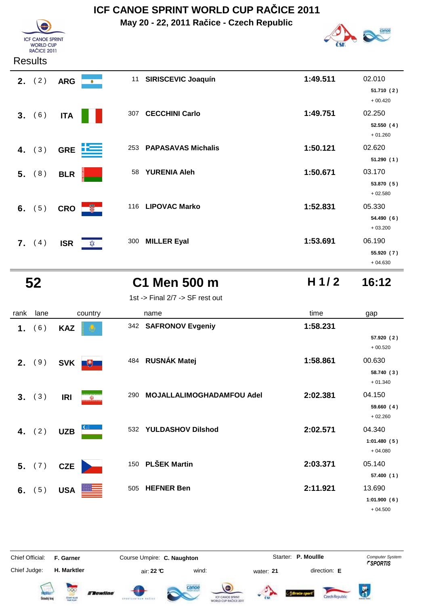**May 20 - 22, 2011 Račice - Czech Republic**



#### **Results**

**ICF CANOE SPRINT F CANCE SPRI**<br>WORLD CUP<br>RAČICE 2011

| <b>2.</b> $(2)$ | <b>ARG</b><br>$\bullet$ | 11 SIRISCEVIC Joaquín        | 1:49.511 | 02.010<br>51.710 (2)<br>$+00.420$ |
|-----------------|-------------------------|------------------------------|----------|-----------------------------------|
| 3. (6)          | <b>ITA</b>              | <b>CECCHINI Carlo</b><br>307 | 1:49.751 | 02.250<br>52.550(4)<br>$+01.260$  |
| 4. $(3)$        | 上手<br><b>GRE</b>        | 253 PAPASAVAS Michalis       | 1:50.121 | 02.620<br>51.290(1)               |
| 5. (8)          | <b>BLR</b>              | <b>YURENIA Aleh</b><br>58    | 1:50.671 | 03.170<br>53.870 (5)<br>$+02.580$ |
| 6. $(5)$        | <b>像一</b><br><b>CRO</b> | 116 LIPOVAC Marko            | 1:52.831 | 05.330<br>54.490 (6)<br>$+03.200$ |
| <b>7.</b> $(4)$ | <b>ISR</b><br>‡≵        | <b>MILLER Eyal</b><br>300    | 1:53.691 | 06.190<br>55.920 (7)<br>$+04.630$ |

### **52 C1 Men 500 m 16:12**

1st -> Final 2/7 -> SF rest out

| rank | lane                 | country                  | name                             | time     | gap                      |
|------|----------------------|--------------------------|----------------------------------|----------|--------------------------|
| 1.   | 6)<br>$\overline{ }$ | <b>KAZ</b>               | 342 SAFRONOV Evgeniy             | 1:58.231 |                          |
|      |                      |                          |                                  |          | 57.920 (2)<br>$+00.520$  |
| 2.   | (9)                  | <b>SVK</b><br>$+$        | 484 RUSNÁK Matej                 | 1:58.861 | 00.630                   |
|      |                      |                          |                                  |          | 58.740 (3)<br>$+01.340$  |
|      | 3. (3)               | <b>IRI</b><br>$\bigcirc$ | MOJALLALIMOGHADAMFOU Adel<br>290 | 2:02.381 | 04.150                   |
|      |                      |                          |                                  |          | 59.660(4)<br>$+02.260$   |
|      | 4. $(2)$             | <b>UZB</b>               | <b>YULDASHOV Dilshod</b><br>532  | 2:02.571 | 04.340                   |
|      |                      |                          |                                  |          | 1:01.480(5)<br>$+04.080$ |
|      | 5. (7)               | <b>CZE</b>               | 150 PLŠEK Martin                 | 2:03.371 | 05.140                   |
|      |                      |                          |                                  |          | 57.400 (1)               |
| 6.   | (5)                  | <b>USA</b>               | <b>HEFNER Ben</b><br>505         | 2:11.921 | 13.690                   |
|      |                      |                          |                                  |          | 1:01.900(6)              |
|      |                      |                          |                                  |          | $+04.500$                |



















**H 1/ 2**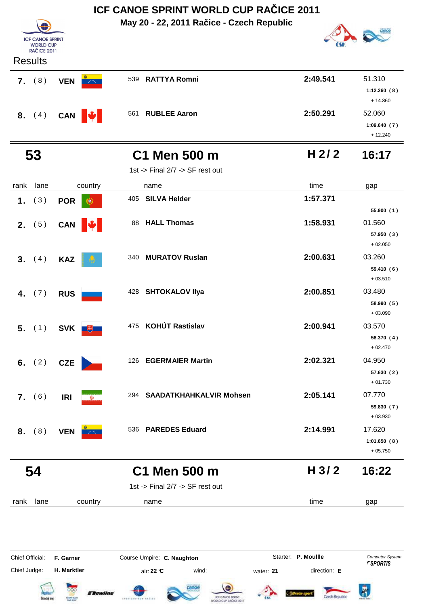|                 | ICF CANOE SPRINT WORLD CUP RACICE 2011 |                                                                                              |                           |                                    |  |  |  |
|-----------------|----------------------------------------|----------------------------------------------------------------------------------------------|---------------------------|------------------------------------|--|--|--|
|                 |                                        | May 20 - 22, 2011 Račice - Czech Republic                                                    |                           |                                    |  |  |  |
|                 | <b>ICF CANOE SPRINT</b>                |                                                                                              |                           |                                    |  |  |  |
|                 | <b>WORLD CUP</b><br>RAČICE 2011        |                                                                                              |                           |                                    |  |  |  |
| <b>Results</b>  |                                        |                                                                                              |                           |                                    |  |  |  |
| 7. (8)          | <b>VEN</b><br>$\sim 100$               | 539 RATTYA Romni                                                                             | 2:49.541                  | 51.310                             |  |  |  |
|                 |                                        |                                                                                              |                           | 1:12.260(8)                        |  |  |  |
|                 |                                        |                                                                                              |                           | $+14.860$                          |  |  |  |
| 8. (4)          | CAN W                                  | 561 RUBLEE Aaron                                                                             | 2:50.291                  | 52.060                             |  |  |  |
|                 |                                        |                                                                                              |                           | 1:09.640(7)<br>$+12.240$           |  |  |  |
| 53              |                                        | C1 Men 500 m                                                                                 | H $2/2$                   | 16:17                              |  |  |  |
|                 |                                        | 1st -> Final 2/7 -> SF rest out                                                              |                           |                                    |  |  |  |
|                 |                                        |                                                                                              |                           |                                    |  |  |  |
| rank<br>lane    | country                                | name                                                                                         | time<br>1:57.371          | gap                                |  |  |  |
| (3)<br>1.       | <b>POR</b><br>۷                        | <b>SILVA Helder</b><br>405                                                                   |                           | 55.900(1)                          |  |  |  |
| <b>2.</b> $(5)$ |                                        | <b>HALL Thomas</b><br>88                                                                     | 1:58.931                  | 01.560                             |  |  |  |
|                 | CAN W                                  |                                                                                              |                           | 57.950 (3)                         |  |  |  |
|                 |                                        |                                                                                              |                           | $+02.050$                          |  |  |  |
| 3. (4)          | <b>KAZ</b>                             | 340 MURATOV Ruslan                                                                           | 2:00.631                  | 03.260                             |  |  |  |
|                 |                                        |                                                                                              |                           | 59.410 (6)<br>$+03.510$            |  |  |  |
|                 |                                        | 428 SHTOKALOV IIya                                                                           | 2:00.851                  | 03.480                             |  |  |  |
| 4. $(7)$        | <b>RUS</b>                             |                                                                                              |                           | 58.990 (5)                         |  |  |  |
|                 |                                        |                                                                                              |                           | $+03.090$                          |  |  |  |
|                 | 5. (1) SVK +                           | 475 KOHÚT Rastislav                                                                          | 2:00.941                  | 03.570                             |  |  |  |
|                 |                                        |                                                                                              |                           | 58.370 (4)                         |  |  |  |
|                 |                                        |                                                                                              |                           | $+02.470$                          |  |  |  |
| 6. $(2)$        | <b>CZE</b>                             | 126 EGERMAIER Martin                                                                         | 2:02.321                  | 04.950                             |  |  |  |
|                 |                                        |                                                                                              |                           | 57.630 (2)<br>$+01.730$            |  |  |  |
| 7. (6)          | <b>IRI</b>                             | 294 SAADATKHAHKALVIR Mohsen                                                                  | 2:05.141                  | 07.770                             |  |  |  |
|                 | $\omega$                               |                                                                                              |                           | 59.830 (7)                         |  |  |  |
|                 |                                        |                                                                                              |                           | $+03.930$                          |  |  |  |
| 8. (8)          | <b>VEN</b>                             | 536 PAREDES Eduard                                                                           | 2:14.991                  | 17.620                             |  |  |  |
|                 |                                        |                                                                                              |                           | 1:01.650(8)<br>$+05.750$           |  |  |  |
|                 |                                        |                                                                                              |                           |                                    |  |  |  |
| 54              |                                        | C1 Men 500 m                                                                                 | H <sub>3/2</sub>          | 16:22                              |  |  |  |
|                 |                                        | 1st -> Final 2/7 -> SF rest out                                                              |                           |                                    |  |  |  |
| lane<br>rank    | country                                | name                                                                                         | time                      | gap                                |  |  |  |
|                 |                                        |                                                                                              |                           |                                    |  |  |  |
| Chief Official: | F. Garner                              | Course Umpire: C. Naughton                                                                   | Starter: P. Moullle       | Computer System<br><b>FSPORTIS</b> |  |  |  |
| Chief Judge:    | H. Marktler                            | air: 22 °C<br>wind:                                                                          | direction: E<br>water: 21 |                                    |  |  |  |
|                 | <b>CERNY CLU</b><br>stecký l           | <b>Tewline</b><br>ICF CANCE SPRINT<br><b>EPOXICATEUR 665</b><br><b>IDRLD CUP RAČICE 2011</b> | Czech Republic            | ő                                  |  |  |  |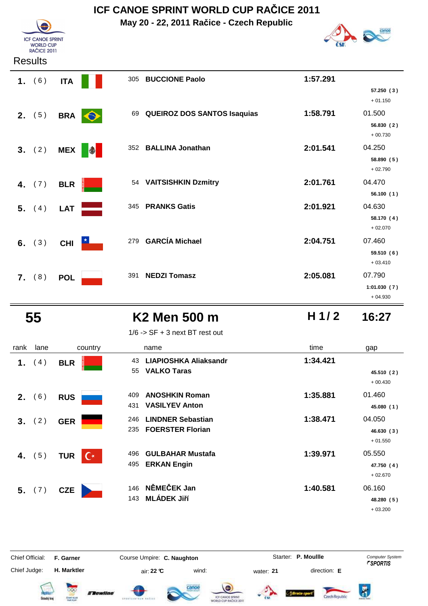**May 20 - 22, 2011 Račice - Czech Republic**



**ICF CANOE SPRINT** WORLD CUP<br>RAČICE 2011

|    | 1. (6)          | <b>ITA</b> |            | 305 | <b>BUCCIONE Paolo</b>              | 1:57.291 |                         |
|----|-----------------|------------|------------|-----|------------------------------------|----------|-------------------------|
|    |                 |            |            |     |                                    |          | 57.250(3)<br>$+01.150$  |
|    | <b>2.</b> $(5)$ | <b>BRA</b> |            | 69  | <b>QUEIROZ DOS SANTOS Isaquias</b> | 1:58.791 | 01.500                  |
|    |                 |            |            |     |                                    |          | 56.830(2)<br>$+00.730$  |
|    | 3. (2)          | <b>MEX</b> | $\bigcirc$ |     | 352 BALLINA Jonathan               | 2:01.541 | 04.250                  |
|    |                 |            |            |     |                                    |          | 58.890 (5)<br>$+02.790$ |
|    | 4. $(7)$        | <b>BLR</b> |            |     | 54 VAITSISHKIN Dzmitry             | 2:01.761 | 04.470                  |
|    |                 |            |            |     |                                    |          | 56.100(1)               |
|    | 5. (4)          | <b>LAT</b> |            | 345 | <b>PRANKS Gatis</b>                | 2:01.921 | 04.630                  |
|    |                 |            |            |     |                                    |          | 58.170 (4)<br>$+02.070$ |
|    | 6. $(3)$        | <b>CHI</b> |            | 279 | <b>GARCÍA Michael</b>              | 2:04.751 | 07.460                  |
|    |                 |            |            |     |                                    |          | 59.510 (6)              |
|    |                 |            |            |     |                                    |          | $+03.410$               |
| 7. | (8)             | <b>POL</b> |            | 391 | <b>NEDZI Tomasz</b>                | 2:05.081 | 07.790                  |
|    |                 |            |            |     |                                    |          | 1:01.030(7)             |
|    |                 |            |            |     |                                    |          | $+04.930$               |

## **55 K2 Men 500 m 16:27**

| 00 m |  |  |
|------|--|--|
|      |  |  |

**H 1/ 2**

| rank | lane              | country        | name                                                           |
|------|-------------------|----------------|----------------------------------------------------------------|
|      | 1. $(4)$          | <b>BLR</b>     | <b>LIAPIOSHKA Aliaksandr</b><br>43<br><b>VALKO Taras</b><br>55 |
|      |                   |                |                                                                |
|      | 2. (6)            | <b>RUS</b>     | <b>ANOSHKIN Roman</b><br>409.                                  |
|      |                   |                | <b>VASILYEV Anton</b><br>431                                   |
|      | 3. (2)            | <b>GER</b>     | <b>LINDNER Sebastian</b><br>246                                |
|      |                   |                | <b>FOERSTER Florian</b><br>235                                 |
|      | <b>4.</b> (5) TUR | $\mathsf{C}^*$ | <b>GULBAHAR Mustafa</b><br>496                                 |
|      |                   |                | <b>ERKAN Engin</b><br>495                                      |
|      |                   |                | 146 NĚMEČEK Jan                                                |
|      | 5. (7)            | <b>CZE</b>     | <b>MLÁDEK Jiří</b><br>143                                      |
|      |                   |                |                                                                |

|      |        |                     | $1/6$ -> SF + 3 next BT rest out                                  |          |                                   |
|------|--------|---------------------|-------------------------------------------------------------------|----------|-----------------------------------|
| rank | lane   | country             | name                                                              | time     | gap                               |
| 1.   | (4)    | <b>BLR</b>          | <b>LIAPIOSHKA Aliaksandr</b><br>43<br><b>VALKO Taras</b><br>55    | 1:34.421 | 45.510 (2)<br>$+00.430$           |
| 2.   | (6)    | <b>RUS</b>          | <b>ANOSHKIN Roman</b><br>409<br><b>VASILYEV Anton</b><br>431      | 1:35.881 | 01.460<br>45.080(1)               |
| 3.   | (2)    | <b>GER</b>          | <b>LINDNER Sebastian</b><br>246<br><b>FOERSTER Florian</b><br>235 | 1:38.471 | 04.050<br>46.630(3)<br>$+01.550$  |
| 4.   | (5)    | $C^*$<br><b>TUR</b> | <b>GULBAHAR Mustafa</b><br>496<br><b>ERKAN Engin</b><br>495       | 1:39.971 | 05.550<br>47.750 (4)<br>$+02.670$ |
|      | 5. (7) | <b>CZE</b>          | NĚMEČEK Jan<br>146<br><b>MLÁDEK Jiří</b><br>143                   | 1:40.581 | 06.160<br>48.280 (5)<br>$+03.200$ |

Chief Official: **F. Garner Course Umpire: C. Naughton Carrier: C. Starter: P. Moullle** *Computer System* Chief Judge: **H. Marktler air: 22 °C** wind: water: **21** direction: **E** 

Starter: P. Moullle















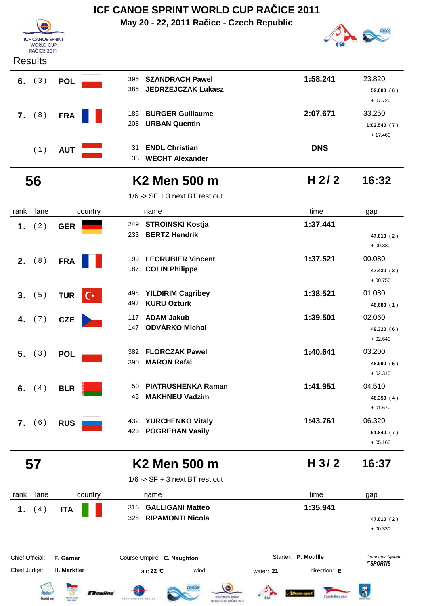|                                             |                     | May 20 - 22, 2011 Račice - Czech Republic                      |                  |                          |  |  |
|---------------------------------------------|---------------------|----------------------------------------------------------------|------------------|--------------------------|--|--|
| <b>ICF CANOE SPRINT</b><br><b>WORLD CUP</b> |                     |                                                                |                  |                          |  |  |
| <b>RAČICE 2011</b><br><b>Results</b>        |                     |                                                                |                  |                          |  |  |
| 6. $(3)$                                    | <b>POL</b>          | <b>SZANDRACH Pawel</b><br>395                                  | 1:58.241         | 23.820                   |  |  |
|                                             |                     | <b>JEDRZEJCZAK Lukasz</b><br>385                               |                  | 52.800(6)<br>$+07.720$   |  |  |
| (8)<br>7.                                   | <b>FRA</b>          | <b>BURGER Guillaume</b><br>185                                 | 2:07.671         | 33.250                   |  |  |
|                                             |                     | <b>URBAN Quentin</b><br>208                                    |                  | 1:02.540(7)<br>$+17.460$ |  |  |
| (1)                                         | <b>AUT</b>          | <b>ENDL Christian</b><br>31                                    | <b>DNS</b>       |                          |  |  |
|                                             |                     | <b>WECHT Alexander</b><br>35                                   |                  |                          |  |  |
| 56                                          |                     | <b>K2 Men 500 m</b>                                            | H $2/2$          | 16:32                    |  |  |
|                                             |                     | $1/6$ -> SF + 3 next BT rest out                               |                  |                          |  |  |
| rank<br>lane                                | country             | name                                                           | time             | gap                      |  |  |
| 1.<br>(2)                                   | <b>GER</b>          | <b>STROINSKI Kostja</b><br>249                                 | 1:37.441         |                          |  |  |
|                                             |                     | <b>BERTZ Hendrik</b><br>233                                    |                  | 47.010 (2)<br>$+00.330$  |  |  |
| 2. $(8)$                                    | <b>FRA</b>          | <b>LECRUBIER Vincent</b><br>199                                | 1:37.521         | 00.080                   |  |  |
|                                             |                     | <b>COLIN Philippe</b><br>187                                   |                  | 47.430 (3)<br>$+00.750$  |  |  |
| 3. (5)                                      | <b>TUR</b><br>$C^*$ | <b>YILDIRIM Cagribey</b><br>498                                | 1:38.521         | 01.080                   |  |  |
|                                             |                     | <b>KURU Ozturk</b><br>497                                      |                  | 46.680 (1)               |  |  |
| 4. $(7)$                                    | <b>CZE</b>          | <b>ADAM Jakub</b><br>117<br>ODVÁRKO Michal<br>147              | 1:39.501         | 02.060                   |  |  |
|                                             |                     |                                                                |                  | 49.320 (6)<br>$+02.640$  |  |  |
| 5. (3)                                      | <b>POL</b>          | <b>FLORCZAK Pawel</b><br>382                                   | 1:40.641         | 03.200                   |  |  |
|                                             |                     | <b>MARON Rafal</b><br>390                                      |                  | 48.990 (5)               |  |  |
|                                             |                     |                                                                |                  | $+02.310$                |  |  |
| 6. $(4)$                                    | <b>BLR</b>          | <b>PIATRUSHENKA Raman</b><br>50<br><b>MAKHNEU Vadzim</b><br>45 | 1:41.951         | 04.510                   |  |  |
|                                             |                     |                                                                |                  | 48.350 (4)<br>$+01.670$  |  |  |
| 7. (6)                                      | <b>RUS</b>          | 432 YURCHENKO Vitaly                                           | 1:43.761         | 06.320                   |  |  |
|                                             |                     | 423 POGREBAN Vasily                                            |                  | 51.840 (7)               |  |  |
|                                             |                     |                                                                |                  | $+05.160$                |  |  |
| 57                                          |                     | <b>K2 Men 500 m</b>                                            | H <sub>3/2</sub> | 16:37                    |  |  |
|                                             |                     | $1/6$ -> SF + 3 next BT rest out                               |                  |                          |  |  |
| lane<br>rank                                | country             | name                                                           | time             | gap                      |  |  |
| 1.<br>(4)                                   | <b>ITA</b>          | <b>GALLIGANI Matteo</b><br>316                                 | 1:35.941         |                          |  |  |
|                                             |                     | <b>RIPAMONTI Nicola</b><br>328                                 |                  | 47.010 (2)               |  |  |

+ 00.330

Chief Official: **F. Garner Course Umpire: C. Naughton Carrier: C. Starter: P. Moullle** *Computer System* Chief Judge: **H. Marktler** air: **22 °C** wind: water: **21** direction: **E** Starter: **P. Moullle** 













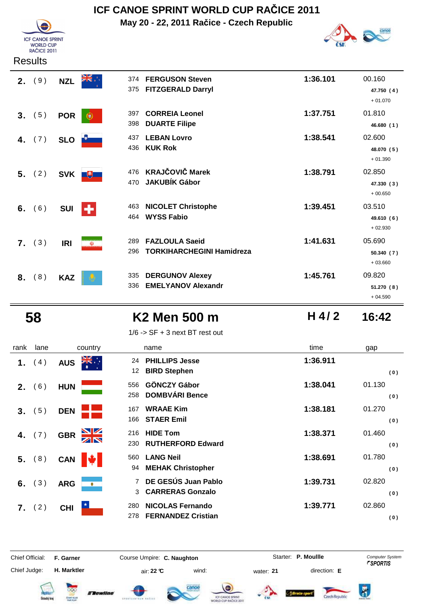

## **ICF CANOE SPRINT WORLD CUP RAČICE 2011**

**May 20 - 22, 2011 Račice - Czech Republic**



|    | 2. (9) | <b>NZL</b> | 374<br>375                    | <b>FERGUSON Steven</b><br><b>FITZGERALD Darryl</b>        | 1:36.101 | 00.160<br>47.750 (4)<br>$+01.070$ |
|----|--------|------------|-------------------------------|-----------------------------------------------------------|----------|-----------------------------------|
| 3. | (5)    | <b>POR</b> | 397<br>€<br>398               | <b>CORREIA Leonel</b><br><b>DUARTE Filipe</b>             | 1:37.751 | 01.810<br>46.680 (1)              |
| 4. | (7)    | <b>SLO</b> | 437<br>436                    | <b>LEBAN Lovro</b><br><b>KUK Rok</b>                      | 1:38.541 | 02.600<br>48.070 (5)<br>$+01.390$ |
|    | 5. (2) |            | 476<br>SVK <b>U</b><br>470    | <b>KRAJČOVIČ Marek</b><br><b>JAKUBÍK Gábor</b>            | 1:38.791 | 02.850<br>47.330 (3)<br>$+00.650$ |
| 6. | (6)    | <b>SUI</b> | 463<br>÷<br>464               | <b>NICOLET Christophe</b><br><b>WYSS Fabio</b>            | 1:39.451 | 03.510<br>49.610 (6)<br>$+02.930$ |
| 7. | (3)    | <b>IRI</b> | 289<br>$\mathbf{\Phi}$<br>296 | <b>FAZLOULA Saeid</b><br><b>TORKIHARCHEGINI Hamidreza</b> | 1:41.631 | 05.690<br>50.340(7)<br>$+03.660$  |
| 8. | (8)    | <b>KAZ</b> | 335<br>336                    | <b>DERGUNOV Alexey</b><br><b>EMELYANOV Alexandr</b>       | 1:45.761 | 09.820<br>51.270 (8)              |

### **58 K2 Men 500 m 16:42**

1/6 -> SF + 3 next BT rest out

**H 4/ 2**

+ 04.590

| rank | lane   | country                               | name                                                       | time             | gap |
|------|--------|---------------------------------------|------------------------------------------------------------|------------------|-----|
| 1.   | (4)    | $\frac{1}{\sqrt{K}}$<br><b>AUS</b>    | 24 PHILLIPS Jesse<br>12 BIRD Stephen                       | 1:36.911         |     |
| 2.   | (6)    | <b>HUN</b>                            | <b>GÖNCZY Gábor</b><br>556<br><b>DOMBVÁRI Bence</b><br>258 | 01.1<br>1:38.041 |     |
|      | 3. (5) | <b>DEN</b>                            | <b>WRAAE Kim</b><br>167<br><b>STAER Emil</b><br>166        | 01.2<br>1:38.181 |     |
|      |        | $\frac{\sum x}{\sum x}$<br><b>GBR</b> | <b>HIDE Tom</b><br>216                                     | 01.4<br>1:38.371 |     |

| 1. | (4)    | <b>AUS</b> | ∴, <del>≫</del><br>24<br>12 <sup>°</sup> | <b>PHILLIPS Jesse</b><br><b>BIRD Stephen</b>         | 1:36.911 | (0)           |
|----|--------|------------|------------------------------------------|------------------------------------------------------|----------|---------------|
| 2. | (6)    | <b>HUN</b> | 556<br>258                               | <b>GÖNCZY Gábor</b><br><b>DOMBVÁRI Bence</b>         | 1:38.041 | 01.130<br>(0) |
| 3. | (5)    | <b>DEN</b> | 167<br>166                               | <b>WRAAE Kim</b><br><b>STAER Emil</b>                | 1:38.181 | 01.270<br>(0) |
| 4. | (7)    | <b>GBR</b> | 216<br>230                               | <b>HIDE Tom</b><br><b>RUTHERFORD Edward</b>          | 1:38.371 | 01.460<br>(0) |
|    | 5. (8) | <b>CAN</b> | 560<br>94                                | <b>LANG Neil</b><br><b>MEHAK Christopher</b>         | 1:38.691 | 01.780<br>(0) |
| 6. | (3)    | <b>ARG</b> | ۰                                        | DE GESÚS Juan Pablo<br><b>CARRERAS Gonzalo</b><br>3  | 1:39.731 | 02.820<br>(0) |
| 7. | (2)    | <b>CHI</b> | 280<br>278                               | <b>NICOLAS Fernando</b><br><b>FERNANDEZ Cristian</b> | 1:39.771 | 02.860<br>(0) |

Chief Judge:

**H. Marktler air: 22 °C** wind: water: **21** direction: **E** 

Chief Official: **F. Garner Course Umpire: C. Naughton Carrier: C. Starter: P. Moullle** *Computer System* Starter: P. Moullle















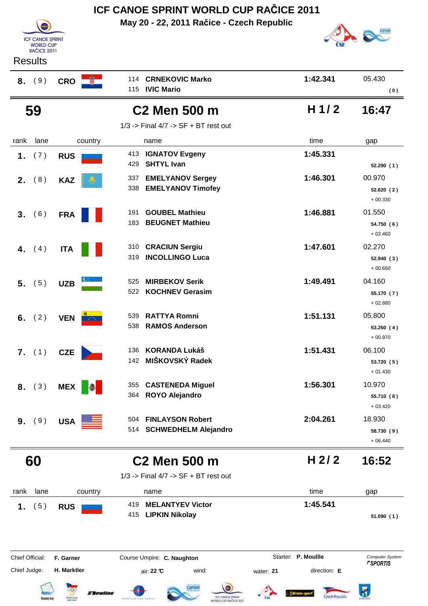|                                             |                          | May 20 - 22, 2011 Račice - Czech Republic                            |                           |                                                  |
|---------------------------------------------|--------------------------|----------------------------------------------------------------------|---------------------------|--------------------------------------------------|
| <b>ICF CANOE SPRINT</b><br><b>WORLD CUP</b> |                          |                                                                      |                           |                                                  |
| <b>RAČICE 2011</b><br><b>Results</b>        |                          |                                                                      |                           |                                                  |
|                                             |                          | <b>CRNEKOVIC Marko</b><br>114                                        | 1:42.341                  | 05.430                                           |
| (9)<br>8.                                   | $CRO$ $\frac{1}{2}$      | <b>IVIC Mario</b><br>115                                             |                           | (0)                                              |
| 59                                          |                          | <b>C2 Men 500 m</b>                                                  | H $1/2$                   | 16:47                                            |
|                                             |                          | $1/3$ -> Final $4/7$ -> SF + BT rest out                             |                           |                                                  |
| lane<br>rank                                | country                  | name                                                                 | time                      | gap                                              |
| 1.<br>(7)                                   | <b>RUS</b>               | <b>IGNATOV Evgeny</b><br>413<br><b>SHTYL Ivan</b><br>429             | 1:45.331                  | 52.290 (1)                                       |
| (8)<br>2.                                   | <b>KAZ</b>               | <b>EMELYANOV Sergey</b><br>337<br>338<br><b>EMELYANOV Timofey</b>    | 1:46.301                  | 00.970<br>52.620 (2)<br>$+00.330$                |
| 3. (6)                                      | <b>FRA</b>               | <b>GOUBEL Mathieu</b><br>191<br><b>BEUGNET Mathieu</b><br>183        | 1:46.881                  | 01.550<br>54.750 (6)<br>$+02.460$                |
| 4.<br>(4)                                   | <b>ITA</b>               | <b>CRACIUN Sergiu</b><br>310<br><b>INCOLLINGO Luca</b><br>319        | 1:47.601                  | 02.270<br>52.940(3)<br>$+00.650$                 |
| $5.$ (5)                                    | <b>UZB</b>               | <b>MIRBEKOV Serik</b><br>525<br><b>KOCHNEV Gerasim</b><br>522        | 1:49.491                  | 04.160<br>55.170 (7)<br>$+02.880$                |
| (2)<br>6.                                   | <b>VEN</b>               | <b>RATTYA Romni</b><br>539<br><b>RAMOS Anderson</b><br>538           | 1:51.131                  | 05.800<br>53.260(4)<br>$+00.970$                 |
| 7. (1)                                      | <b>CZE</b>               | <b>KORANDA Lukáš</b><br>136<br>MIŠKOVSKÝ Radek<br>142                | 1:51.431                  | 06.100<br>53.720 (5)<br>$+01.430$                |
| 8. (3)                                      | <b>MEX</b><br>$\bigcirc$ | <b>CASTENEDA Miguel</b><br>355<br><b>ROYO Alejandro</b><br>364       | 1:56.301                  | 10.970<br>55.710 (8)<br>$+03.420$                |
| (9)<br>9 <sub>1</sub>                       | <b>USA</b>               | <b>FINLAYSON Robert</b><br>504<br><b>SCHWEDHELM Alejandro</b><br>514 | 2:04.261                  | 18.930<br>58.730 (9)<br>$+06.440$                |
| 60                                          |                          | <b>C2 Men 500 m</b>                                                  | H <sub>2/2</sub>          | 16:52                                            |
|                                             |                          | $1/3$ -> Final $4/7$ -> SF + BT rest out                             |                           |                                                  |
| lane<br>rank                                | country                  | name                                                                 | time                      | gap                                              |
| (5)<br>1.                                   | <b>RUS</b>               | <b>MELANTYEV Victor</b><br>419<br><b>LIPKIN Nikolay</b><br>415       | 1:45.541                  | 51.090(1)                                        |
| Chief Official:                             | F. Garner                | Course Umpire: C. Naughton                                           | Starter: P. Moullle       | <b>Computer System</b><br><i><b>"SPORTIS</b></i> |
| Chief Judge:                                | H. Marktler              | air: 22 °C<br>wind:                                                  | direction: E<br>water: 21 |                                                  |

Dentis Power of Cancer

**ICF CANOE SPRINT WORLD CUP RAČICE 2011**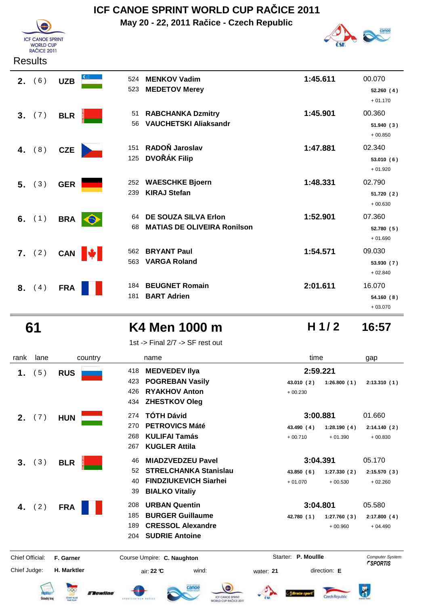# **ICF CANOE SPRINT**

## **ICF CANOE SPRINT WORLD CUP RAČICE 2011**

**May 20 - 22, 2011 Račice - Czech Republic**



**H 1/ 2**

#### Results

**WORLD CUP RAČICE 2011** 

| 2. (6)   | <b>UZB</b> | 524<br>523             | <b>MENKOV Vadim</b><br><b>MEDETOV Merey</b>                       | 1:45.611 | 00.070<br>52.260(4)<br>$+01.170$  |
|----------|------------|------------------------|-------------------------------------------------------------------|----------|-----------------------------------|
| 3. (7)   | <b>BLR</b> | 51<br>56               | <b>RABCHANKA Dzmitry</b><br><b>VAUCHETSKI Aliaksandr</b>          | 1:45.901 | 00.360<br>51.940(3)<br>$+00.850$  |
| 4. $(8)$ | <b>CZE</b> | 151<br>125             | RADOŇ Jaroslav<br><b>DVOŘÁK Filip</b>                             | 1:47.881 | 02.340<br>53.010(6)<br>$+01.920$  |
| $5.$ (3) | <b>GER</b> | 252<br>239             | <b>WAESCHKE Bjoern</b><br><b>KIRAJ Stefan</b>                     | 1:48.331 | 02.790<br>51.720(2)<br>$+00.630$  |
| 6. $(1)$ | <b>BRA</b> | 64<br>$\bullet$<br>68  | <b>DE SOUZA SILVA Erlon</b><br><b>MATIAS DE OLIVEIRA Ronilson</b> | 1:52.901 | 07.360<br>52.780 (5)<br>$+01.690$ |
| 7. (2)   | <b>CAN</b> | 562<br><b>A</b><br>563 | <b>BRYANT Paul</b><br><b>VARGA Roland</b>                         | 1:54.571 | 09.030<br>53.930(7)<br>$+02.840$  |
| 8. (4)   | <b>FRA</b> | 184<br>181             | <b>BEUGNET Romain</b><br><b>BART Adrien</b>                       | 2:01.611 | 16.070<br>54.160(8)<br>$+03.070$  |

#### **61 K4 Men 1000 m 16:57**

1st -> Final 2/7 -> SF rest out

#### rank lane country thame the name time time gap  **1.** (5) RUS 418 MEDVEDEV IIya 2:59.221 **POGREBAN Vasily** 423 **43.010 1:26.800 2:13.310 ( 2 ) ( 1 ) ( 1 )** + 00.230 **RYAKHOV Anton** 426 **ZHESTKOV Oleg** 434 **2.** (7) **HUN TÓTH Dávid 274 <b>101 Dávid 2. 1.660 PETROVICS Máté** 270 **43.490 1:28.190 2:14.140 ( 4 ) ( 4 ) ( 2 )** 268 **KULIFAI Tamás**  $+ 00.710 + 01.390 + 00.830$ **KUGLER Attila** 267 **3.** (3) BLR 46 MIADZVEDZEU Pavel 3:04.391 05.170 **STRELCHANKA Stanislau** 52 **43.850 1:27.330 2:15.570 ( 6 ) ( 2 ) ( 3 )** 40 **FINDZIUKEVICH Siarhei** + 01.070 + 00.530 + 02.260 **BIALKO Vitaliy** 39  **4.** ( 2 ) **FRA URBAN Quentin** 208 **3:04.801** 05.580 **BURGER Guillaume** 185 **42.780 1:27.760 2:17.800 ( 1 ) ( 3 ) ( 4 ) CRESSOL Alexandre** 189  $+00.960 + 04.490$ **SUDRIE Antoine** 204 Starter: P. Moullle Chief Official: **F. Garner Course Umpire: C. Naughton Carrier: C. Starter: P. Moullle** *Computer System* Chief Judge: **H. Marktler air: 22 °C** wind: water: **21** direction: **E** Bewline Czech Renubli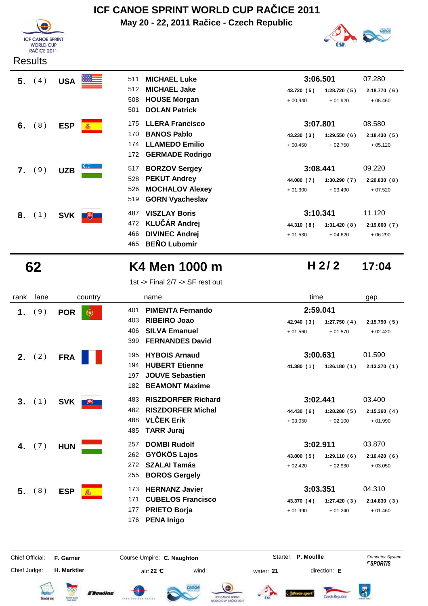

## **ICF CANOE SPRINT WORLD CUP RAČICE 2011**

**May 20 - 22, 2011 Račice - Czech Republic**



| 5. | (4) | <b>USA</b> | 511                   | <b>MICHAEL Luke</b>    | 3:06.501   |             | 07.280      |
|----|-----|------------|-----------------------|------------------------|------------|-------------|-------------|
|    |     |            | 512                   | <b>MICHAEL Jake</b>    | 43.720 (5) | 1:28.720(5) | 2:18.770(6) |
|    |     |            | 508                   | <b>HOUSE Morgan</b>    | $+00.940$  | $+01.920$   | $+05.460$   |
|    |     |            | 501                   | <b>DOLAN Patrick</b>   |            |             |             |
| 6. | (8) | <b>ESP</b> | 175<br>蠢              | <b>LLERA Francisco</b> | 3:07.801   |             | 08.580      |
|    |     |            | 170                   | <b>BANOS Pablo</b>     | 43.230 (3) | 1:29.550(6) | 2:18.430(5) |
|    |     |            | 174                   | <b>LLAMEDO Emilio</b>  | $+00.450$  | $+02.750$   | $+05.120$   |
|    |     |            | 172                   | <b>GERMADE Rodrigo</b> |            |             |             |
|    | (9) | <b>UZB</b> | 517                   | <b>BORZOV Sergey</b>   | 3:08.441   |             | 09.220      |
|    |     |            | 528                   | <b>PEKUT Andrey</b>    | 44.080 (7) | 1:30.290(7) | 2:20.830(8) |
|    |     |            | 526                   | <b>MOCHALOV Alexey</b> | $+01.300$  | $+03.490$   | $+07.520$   |
|    |     |            | 519                   | <b>GORN Vyacheslav</b> |            |             |             |
| 8. | (1) | <b>SVK</b> | 487<br>$\overline{H}$ | <b>VISZLAY Boris</b>   | 3:10.341   |             | 11.120      |
|    |     |            | 472                   | <b>KLUČÁR Andrej</b>   | 44.310 (8) | 1:31.420(8) | 2:19.600(7) |
|    |     |            | 466                   | <b>DIVINEC Andrej</b>  | $+01.530$  | $+04.620$   | $+06.290$   |
|    |     |            | 465                   | <b>BENO Lubomír</b>    |            |             |             |

### **62 K4 Men 1000 m 17:04**

1st -> Final 2/7 -> SF rest out

| rank            | lane     | country          | name                                                                                          | time                                  | gap                    |
|-----------------|----------|------------------|-----------------------------------------------------------------------------------------------|---------------------------------------|------------------------|
| 1.              | (9)      | <b>POR</b><br>æ. | <b>PIMENTA Fernando</b><br>401<br><b>RIBEIRO Joao</b><br>403                                  | 2:59.041<br>42.940 (3)<br>1:27.750(4) | 2:15.790(5)            |
|                 |          |                  | <b>SILVA Emanuel</b><br>406<br><b>FERNANDES David</b><br>399                                  | $+01.560$<br>$+01.570$                | $+02.420$              |
|                 | 2. $(2)$ | <b>FRA</b>       | <b>HYBOIS Arnaud</b><br>195                                                                   | 3:00.631                              | 01.590                 |
|                 |          |                  | <b>HUBERT Etienne</b><br>194<br><b>JOUVE Sebastien</b><br>197<br><b>BEAMONT Maxime</b><br>182 | 41.380(1)<br>1:26.180(1)              | 2:13.370(1)            |
| 3.              | (1)      | <b>SVK</b><br>飞  | <b>RISZDORFER Richard</b><br>483                                                              | 3:02.441                              | 03.400                 |
|                 |          |                  | <b>RISZDORFER Michal</b><br>482                                                               | 44.430 (6)<br>1:28.280(5)             | 2:15.360(4)            |
|                 |          |                  | <b>VLČEK Erik</b><br>488<br><b>TARR Juraj</b><br>485                                          | $+02.100$<br>$+03.050$                | $+01.990$              |
| 4.              | (7)      | <b>HUN</b>       | <b>DOMBI Rudolf</b><br>257                                                                    | 3:02.911                              | 03.870                 |
|                 |          |                  | <b>GYÖKÖS Lajos</b><br>262                                                                    | 43.800 (5)<br>1:29.110(6)             | 2:16.420(6)            |
|                 |          |                  | <b>SZALAI Tamás</b><br>272<br><b>BOROS Gergely</b><br>255                                     | $+02.420$<br>$+02.930$                | $+03.050$              |
| 5.              | (8)      | <b>ESP</b>       | <b>HERNANZ Javier</b><br>173                                                                  | 3:03.351                              | 04.310                 |
|                 |          |                  | <b>CUBELOS Francisco</b><br>171                                                               | 43.370 (4)<br>1:27.420(3)             | 2:14.830(3)            |
|                 |          |                  | <b>PRIETO Borja</b><br>177<br><b>PENA Inigo</b><br>176                                        | $+01.990$<br>$+01.240$                | $+01.460$              |
| Chief Official: |          | F. Garner        | Course Umpire: C. Naughton                                                                    | Starter: P. Moullle                   | <b>Computer System</b> |

Chief Judge:

**H. Marktler air: 22 °C** wind: water: **21** direction: **E** 













**H 2/ 2**



 $\overline{\mathbf{R}}$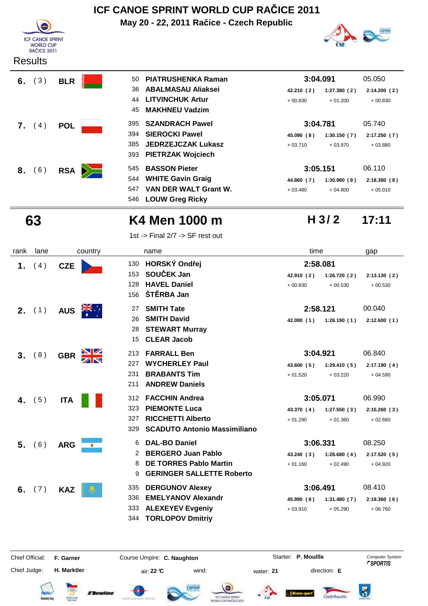



|  | 6. $(3)$ BLR $\blacksquare$ |
|--|-----------------------------|
|  | 7. $(4)$ POL                |
|  | 8. (6) RSA $\geq$           |

| 6.               | (3)    | <b>BLR</b> |     | 50 PIATRUSHENKA Raman   | 3:04.091   |             | 05.050     |
|------------------|--------|------------|-----|-------------------------|------------|-------------|------------|
|                  |        |            |     | 36 ABALMASAU Aliaksei   | 42.210 (2) | 1:27.380(2) | 2:14.200 ( |
|                  |        |            | 44  | <b>LITVINCHUK Artur</b> | $+00.830$  | $+01.200$   | $+00.830$  |
|                  |        |            |     | 45 MAKHNEU Vadzim       |            |             |            |
| $\mathbf{7}_{1}$ | (4)    | <b>POL</b> |     | 395 SZANDRACH Pawel     | 3:04.781   |             | 05.740     |
|                  |        |            |     | 394 SIEROCKI Pawel      | 45.090 (8) | 1:30.150(7) | 2:17.250 ( |
|                  |        |            |     | 385 JEDRZEJCZAK Lukasz  | $+03.710$  | $+03.970$   | $+03.880$  |
|                  |        |            |     | 393 PIETRZAK Wojciech   |            |             |            |
|                  | 8. (6) | <b>RSA</b> |     | 545 BASSON Pieter       | 3:05.151   |             | 06.110     |
|                  |        |            |     | 544 WHITE Gavin Graig   | 44.860 (7) | 1:30.980(8) | 2:18.380 ( |
|                  |        |            | 547 | VAN DER WALT Grant W.   | $+03.480$  | $+04.800$   | $+05.010$  |



**H 3/ 2**

#### **63 K4 Men 1000 m 17:11**

**LOUW Greg Ricky** 546

1st -> Final 2/7 -> SF rest out

| rank | lane     | country         | name                                                                                                                                         | time                                                            | gap                                |
|------|----------|-----------------|----------------------------------------------------------------------------------------------------------------------------------------------|-----------------------------------------------------------------|------------------------------------|
| 1.   | (4)      | <b>CZE</b>      | HORSKÝ Ondřej<br>130<br>SOUČEK Jan<br>153<br><b>HAVEL Daniel</b><br>128<br>ŠTĚRBA Jan<br>156                                                 | 2:58.081<br>42.910 (2)<br>1:26.720(2)<br>$+00.830$<br>$+00.530$ | 2:13.130(2)<br>$+00.530$           |
|      | 2. (1)   | <b>AUS</b>      | <b>SMITH Tate</b><br>27<br><b>SMITH David</b><br>26<br><b>STEWART Murray</b><br>28<br><b>CLEAR Jacob</b><br>15                               | 2:58.121<br>42.080(1)<br>1:26.190(1)                            | 00.040<br>2:12.600(1)              |
| 3.   | (8)      | <b>GBR</b>      | <b>FARRALL Ben</b><br>213<br><b>WYCHERLEY Paul</b><br>227<br>231<br><b>BRABANTS Tim</b><br><b>ANDREW Daniels</b><br>211                      | 3:04.921<br>43.600(5)<br>1:29.410(5)<br>$+01.520$<br>$+03.220$  | 06.840<br>2:17.190(4)<br>$+04.590$ |
| 4.   | (5)      | <b>ITA</b>      | <b>FACCHIN Andrea</b><br>312<br><b>PIEMONTE Luca</b><br>323<br><b>RICCHETTI Alberto</b><br>327<br><b>SCADUTO Antonio Massimiliano</b><br>329 | 3:05.071<br>43.370 (4)<br>1:27.550(3)<br>$+01.290$<br>$+01.360$ | 06.990<br>2:15.260(3)<br>$+02.660$ |
| 5.   | (6)      | <b>ARG</b><br>۰ | <b>DAL-BO Daniel</b><br>6<br><b>BERGERO Juan Pablo</b><br>2<br><b>DE TORRES Pablo Martin</b><br>8<br><b>GERINGER SALLETTE Roberto</b><br>9   | 3:06.331<br>43.240 (3)<br>1:28.680(4)<br>$+01.160$<br>$+02.490$ | 08.250<br>2:17.520(5)<br>$+04.920$ |
|      | 6. $(7)$ | <b>KAZ</b>      | <b>DERGUNOV Alexey</b><br>335<br><b>EMELYANOV Alexandr</b><br>336<br><b>ALEXEYEV Evgeniy</b><br>333<br>344 TORLOPOV Dmitriy                  | 3:06.491<br>45.990 (8)<br>1:31.480(7)<br>$+03.910$<br>$+05.290$ | 08.410<br>2:19.360(6)<br>$+06.760$ |

Chief Official: **F. Garner Course Umpire: C. Naughton Carrier: C. Starter: P. Moullle** *Computer System* Chief Judge:

**H. Marktler air: 22 °C** wind: water: **21** direction: **E** 

Starter: P. Moullle

















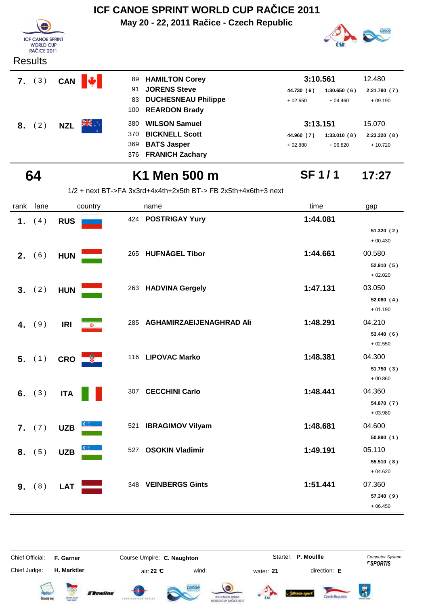| ICF CANOE SPRINT WORLD CUP RACICE 2011                            |            |          |                                                                  |              |             |              |  |  |
|-------------------------------------------------------------------|------------|----------|------------------------------------------------------------------|--------------|-------------|--------------|--|--|
| <b>ICF CANOE SPRINT</b><br><b>WORLD CUP</b><br><b>RAČICE 2011</b> |            |          | May 20 - 22, 2011 Račice - Czech Republic                        |              |             |              |  |  |
| <b>Results</b>                                                    |            |          |                                                                  |              |             |              |  |  |
| (3)<br>7.                                                         | <b>CAN</b> | 89<br>W. | <b>HAMILTON Corey</b>                                            | 3:10.561     |             | 12.480       |  |  |
|                                                                   |            | 91       | <b>JORENS Steve</b>                                              | 44.730 (6)   | 1:30.650(6) | 2:21.790 (7) |  |  |
|                                                                   |            | 83       | <b>DUCHESNEAU Philippe</b>                                       | $+02.650$    | $+04.460$   | $+09.190$    |  |  |
|                                                                   |            | 100      | <b>REARDON Brady</b>                                             |              |             |              |  |  |
| (2)<br>8.                                                         | <b>NZL</b> | 380      | <b>WILSON Samuel</b>                                             | 3:13.151     |             | 15.070       |  |  |
|                                                                   |            | 370      | <b>BICKNELL Scott</b>                                            | 44.960 (7)   | 1:33.010(8) | 2:23.320(8)  |  |  |
|                                                                   |            | 369      | <b>BATS Jasper</b>                                               | $+02.880$    | $+06.820$   | $+10.720$    |  |  |
|                                                                   |            | 376      | <b>FRANICH Zachary</b>                                           |              |             |              |  |  |
| 64                                                                |            |          | K1 Men 500 m                                                     | <b>SF1/1</b> |             | 17:27        |  |  |
|                                                                   |            |          | $1/2$ + next BT->FA 3x3rd+4x4th+2x5th BT-> FB 2x5th+4x6th+3 next |              |             |              |  |  |
| lane<br>rank                                                      |            | country  | name                                                             | time         |             | gap          |  |  |
| (4)<br>1.                                                         | <b>RUS</b> |          | 424 POSTRIGAY Yury                                               | 1:44.081     |             |              |  |  |

**2.** (6) HUN 265 HUFNÁGEL Tibor 1:44.661 00.580

 **3.** ( 2 ) **HUN 1:47.131** 03.050

 **4.** (9) **IRI 8 1:48.291 1:48.291 1:48.291 1:48.291 1:48.291** 

**5.** (1) CRO **116 LIPOVAC Marko 1:48.381** 04.300

**6.** (3) ITA 307 CECCHINI Carlo **1:48.441** 04.360

**7.** (7) UZB 521 **IBRAGIMOV Vilyam 1:48.681** 04.600

**8.** (5) UZB 527 OSOKIN Vladimir 1:49.191 05.110

**9.** (8) LAT 348 VEINBERGS Gints **1:51.441** 07.360

**51.320 ( 2 )** + 00.430

**52.910 ( 5 )** + 02.020

**52.080 ( 4 )**  $+01.190$ 

**53.440 ( 6 )** + 02.550

**51.750 ( 3 )** + 00.860

**54.870 ( 7 )** + 03.980

**50.890 ( 1 )**

**55.510 ( 8 )** + 04.620

**57.340 ( 9 )** + 06.450

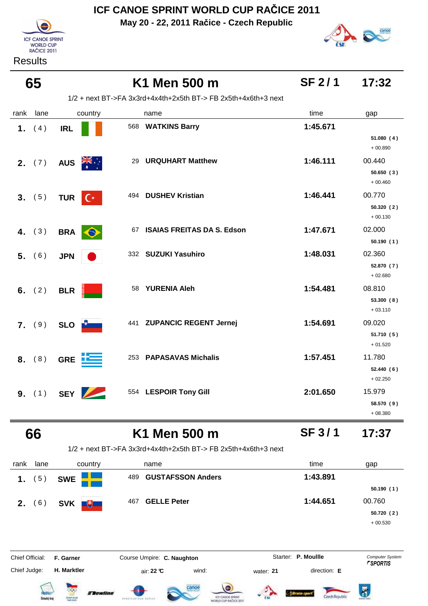**May 20 - 22, 2011 Račice - Czech Republic**



**Results** 



| 65                       |                          | K1 Men 500 m                                                   | <b>SF 2/1</b> | 17:32                             |
|--------------------------|--------------------------|----------------------------------------------------------------|---------------|-----------------------------------|
|                          |                          | 1/2 + next BT->FA 3x3rd+4x4th+2x5th BT-> FB 2x5th+4x6th+3 next |               |                                   |
| rank<br>lane             | country                  | name                                                           | time          | gap                               |
| (4)<br>1.                | <b>IRL</b>               | 568<br><b>WATKINS Barry</b>                                    | 1:45.671      | 51.080(4)<br>$+00.890$            |
| 2. (7)                   | <b>AUS</b>               | <b>URQUHART Matthew</b><br>29                                  | 1:46.111      | 00.440<br>50.650(3)<br>$+00.460$  |
| 3. (5)                   | $C^*$<br><b>TUR</b>      | <b>DUSHEV Kristian</b><br>494                                  | 1:46.441      | 00.770<br>50.320 (2)<br>$+00.130$ |
| 4. $(3)$                 | <b>BRA</b><br>$\Theta$   | <b>ISAIAS FREITAS DA S. Edson</b><br>67                        | 1:47.671      | 02.000<br>50.190(1)               |
| 5. (6)                   | <b>JPN</b>               | 332 SUZUKI Yasuhiro                                            | 1:48.031      | 02.360<br>52.870 (7)<br>$+02.680$ |
| 6. $(2)$                 | <b>BLR</b>               | <b>YURENIA Aleh</b><br>58                                      | 1:54.481      | 08.810<br>53.300(8)<br>$+03.110$  |
| 7. (9)                   | SLO <b>P</b>             | 441 ZUPANCIC REGENT Jernej                                     | 1:54.691      | 09.020<br>51.710 (5)<br>$+01.520$ |
| 8. (8)                   | <b>GRE</b>               | 253 PAPASAVAS Michalis                                         | 1:57.451      | 11.780<br>52.440(6)<br>$+02.250$  |
| <b>9.</b> (1) <b>SEY</b> | $\overline{\phantom{a}}$ | 554 LESPOIR Tony Gill                                          | 2:01.650      | 15.979<br>58.570 (9)<br>$+08.380$ |
| 66                       |                          | K1 Men 500 m                                                   | <b>SF 3/1</b> | 17:37                             |

1/2 + next BT->FA 3x3rd+4x4th+2x5th BT-> FB 2x5th+4x6th+3 next

| rank                   | lane | country                                                                                    | name                            | time                | gap                    |
|------------------------|------|--------------------------------------------------------------------------------------------|---------------------------------|---------------------|------------------------|
| 1.                     | 5)   | <b>SWE</b>                                                                                 | <b>GUSTAFSSON Anders</b><br>489 | 1:43.891            |                        |
|                        |      |                                                                                            |                                 |                     | 50.190(1)              |
| 2.                     | (6)  | SVK  <br>$\begin{array}{ c c } \hline \text{+} & \text{+} & \text{+} \ \hline \end{array}$ | <b>GELLE Peter</b><br>467       | 1:44.651            | 00.760                 |
|                        |      |                                                                                            |                                 |                     | 50.720(2)              |
|                        |      |                                                                                            |                                 |                     | $+00.530$              |
|                        |      |                                                                                            |                                 |                     |                        |
|                        |      |                                                                                            |                                 |                     |                        |
| <b>Chief Official:</b> |      | F. Garner                                                                                  | Course Umpire: C. Naughton      | Starter: P. Moullle | <b>Computer System</b> |

Chief Judge:

**H. Marktler** air: **22 °C** wind: water: **21** direction: **E**













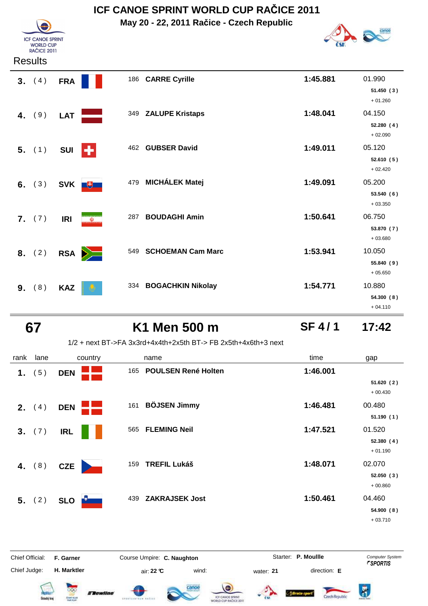**May 20 - 22, 2011 Račice - Czech Republic**



#### **Results**

**ICF CANOE SPRINT F CANCE SPRI**<br>WORLD CUP<br>RAČICE 2011

| 3. (4)    | <b>FRA</b> |          |     | 186 CARRE Cyrille        | 1:45.881 | 01.990<br>51.450(3)<br>$+01.260$  |
|-----------|------------|----------|-----|--------------------------|----------|-----------------------------------|
| 4. $(9)$  | <b>LAT</b> |          |     | 349 ZALUPE Kristaps      | 1:48.041 | 04.150<br>52.280(4)<br>$+02.090$  |
| 5. (1)    | <b>SUI</b> | н        |     | 462 GUBSER David         | 1:49.011 | 05.120<br>52.610(5)<br>$+02.420$  |
| 6. $(3)$  | <b>SVK</b> | $+$      | 479 | <b>MICHÁLEK Matej</b>    | 1:49.091 | 05.200<br>53.540(6)<br>$+03.350$  |
| 7. (7)    | <b>IRI</b> | $\omega$ | 287 | <b>BOUDAGHI Amin</b>     | 1:50.641 | 06.750<br>53.870 (7)<br>$+03.680$ |
| 8. $(2)$  | <b>RSA</b> | $\geq$   | 549 | <b>SCHOEMAN Cam Marc</b> | 1:53.941 | 10.050<br>55.840 (9)<br>$+05.650$ |
| (8)<br>9. | <b>KAZ</b> |          |     | 334 BOGACHKIN Nikolay    | 1:54.771 | 10.880<br>54.300 (8)<br>$+04.110$ |

#### **67 K1 Men 500 m 17:42**

#### **SF 4 / 1**

#### 1/2 + next BT->FA 3x3rd+4x4th+2x5th BT-> FB 2x5th+4x6th+3 next

| rank | lane            |            | country |     | name                    | time     | gap                     |
|------|-----------------|------------|---------|-----|-------------------------|----------|-------------------------|
| 1.   | 5)              | <b>DEN</b> |         |     | 165 POULSEN René Holten | 1:46.001 |                         |
|      |                 |            |         |     |                         |          | 51.620 (2)<br>$+00.430$ |
|      | <b>2.</b> $(4)$ | <b>DEN</b> |         |     | 161 BÖJSEN Jimmy        | 1:46.481 | 00.480                  |
|      |                 |            |         |     |                         |          | 51.190(1)               |
|      | 3. (7)          | <b>IRL</b> |         | 565 | <b>FLEMING Neil</b>     | 1:47.521 | 01.520                  |
|      |                 |            |         |     |                         |          | 52.380(4)<br>$+01.190$  |
|      | 4. $(8)$        | CZE        |         | 159 | <b>TREFIL Lukáš</b>     | 1:48.071 | 02.070                  |
|      |                 |            |         |     |                         |          | 52.050(3)<br>$+00.860$  |
|      | 5. (2)          | <b>SLO</b> |         | 439 | <b>ZAKRAJSEK Jost</b>   | 1:50.461 | 04.460                  |
|      |                 |            |         |     |                         |          | 54.900(8)               |
|      |                 |            |         |     |                         |          | 0.02740                 |

+ 03.710

Czech Republic



Flewline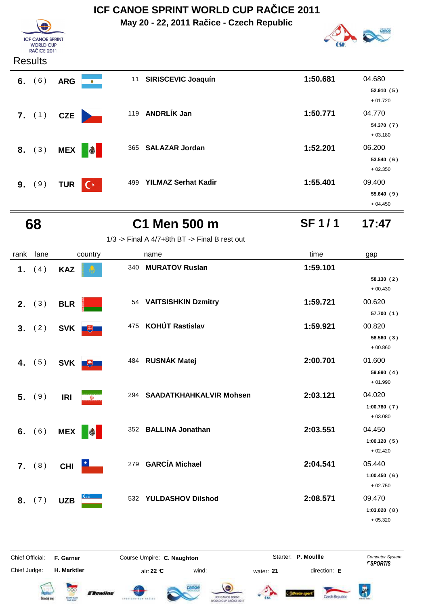**May 20 - 22, 2011 Račice - Czech Republic**



| <b>ICF CANOE SPRINT</b><br><b>WORLD CUP</b><br><b>RAČICE 2011</b> |  |
|-------------------------------------------------------------------|--|
|                                                                   |  |

#### **Results**

| 6. | (6)             | <b>ARG</b> | $\bullet$ | 11  | <b>SIRISCEVIC Joaquín</b>  | 1:50.681 | 04.680<br>52.910(5) |
|----|-----------------|------------|-----------|-----|----------------------------|----------|---------------------|
|    |                 |            |           |     |                            |          | $+01.720$           |
|    | <b>7.</b> $(1)$ | <b>CZE</b> |           |     | 119 ANDRLIK Jan            | 1:50.771 | 04.770              |
|    |                 |            |           |     |                            |          | 54.370 (7)          |
|    |                 |            |           |     |                            |          | $+03.180$           |
|    | 8. (3)          | <b>MEX</b> |           | 365 | <b>SALAZAR Jordan</b>      | 1:52.201 | 06.200              |
|    |                 |            |           |     |                            |          | 53.540(6)           |
|    |                 |            |           |     |                            |          | $+02.350$           |
|    | 9. (9)          | <b>TUR</b> | $C^*$     | 499 | <b>YILMAZ Serhat Kadir</b> | 1:55.401 | 09.400              |
|    |                 |            |           |     |                            |          | 55.640(9)           |
|    |                 |            |           |     |                            |          | $+04.450$           |

#### **68 C1 Men 500 m 17:47 SF 1 / 1**

|  |  | $1/3$ -> Final A $4/7+8$ th BT -> Final B rest out |
|--|--|----------------------------------------------------|

| rank           | lane   |                  | country                 |     | name                           | time     | gap                      |
|----------------|--------|------------------|-------------------------|-----|--------------------------------|----------|--------------------------|
| 1 <sub>1</sub> | (4)    | <b>KAZ</b>       |                         | 340 | <b>MURATOV Ruslan</b>          | 1:59.101 | 58.130(2)                |
|                |        |                  |                         |     |                                |          | $+00.430$                |
|                | 2. (3) | <b>BLR</b>       |                         |     | 54 VAITSISHKIN Dzmitry         | 1:59.721 | 00.620                   |
|                |        |                  |                         |     |                                |          | 57.700 (1)               |
| 3.             | (2)    | SVK <sup>#</sup> |                         | 475 | <b>KOHÚT Rastislav</b>         | 1:59.921 | 00.820                   |
|                |        |                  |                         |     |                                |          | 58.560 (3)<br>$+00.860$  |
| 4.             | (5)    | SVK <sup>#</sup> |                         |     | 484 RUSNÁK Matej               | 2:00.701 | 01.600                   |
|                |        |                  |                         |     |                                |          | 59.690(4)<br>$+01.990$   |
| 5.             | (9)    | <b>IRI</b>       | $\overline{\mathbf{w}}$ | 294 | <b>SAADATKHAHKALVIR Mohsen</b> | 2:03.121 | 04.020                   |
|                |        |                  |                         |     |                                |          | 1:00.780(7)<br>$+03.080$ |
| 6.             | (6)    | <b>MEX</b>       | $\bigcirc$              | 352 | <b>BALLINA Jonathan</b>        | 2:03.551 | 04.450                   |
|                |        |                  |                         |     |                                |          | 1:00.120(5)<br>$+02.420$ |
|                | 7. (8) | <b>CHI</b>       |                         |     | 279 GARCÍA Michael             | 2:04.541 | 05.440                   |
|                |        |                  |                         |     |                                |          | 1:00.450(6)              |
|                |        |                  |                         |     |                                |          | $+02.750$                |
| 8.             | (7)    | <b>UZB</b>       |                         | 532 | <b>YULDASHOV Dilshod</b>       | 2:08.571 | 09.470                   |
|                |        |                  |                         |     |                                |          | 1:03.020(8)              |
|                |        |                  |                         |     |                                |          | $+05.320$                |

Chief Official: **F. Garner Course Umpire: C. Naughton** Course **Starter: P. Moullle** Computer System Chief Judge: **H. Marktler** air: **22 °C** wind: water: **21** direction: **E**















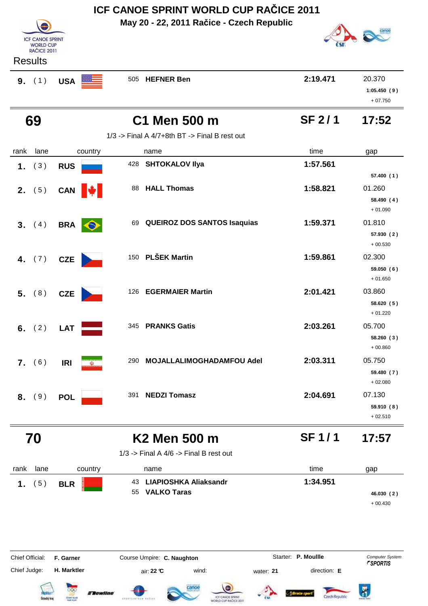**ICF CANOE SPRINT WORLD CUP RAČICE 2011 May 20 - 22, 2011 Račice - Czech Republic ICF CANOE SPRINT WORLD CUP RAČICE 2011 Results 9.** (1) USA 505 HEFNER Ben 2:19.471 20.370 **1:05.450 ( 9 )** + 07.750  **69 C1 Men 500 m 17:52 SF 2 / 1**  $1/3$  -> Final A  $4/7+8$ th BT -> Final B rest out rank lane country thame the name time time gap  **1.** ( 3 ) **RUS**<sup>428</sup> **SHTOKALOV Ilya 1:57.561 57.400 ( 1 ) 2.** (5) **CAN**  $\frac{1}{2}$  88 **HALL Thomas 1:58.821** 01.260 **58.490 ( 4 )** + 01.090 **3.** (4) **BRA** 69 **QUEIROZ DOS SANTOS Isaquias 1:59.371** 01.810 **57.930 ( 2 )** + 00.530  **4.** (7) **CZE** 150 **PLŠEK Martin 1:59.861** 02.300 **59.050 ( 6 )** + 01.650 **5.** (8) **CZE** 126 **EGERMAIER Martin 126 <b>2:01.421** 03.860 **58.620 ( 5 )** + 01.220  **6.** ( 2 ) **LAT**<sup>345</sup> **PRANKS Gatis 2:03.261** 05.700 **58.260 ( 3 )** + 00.860 **7.** (6) **IRI 18. 18. 18. 18. 18. 19. 290 MOJALLALIMOGHADAMFOU Adel <b>2:03.311** 05.750 **59.480 ( 7 )** + 02.080  **8.** ( 9 ) **POL**<sup>391</sup> **NEDZI Tomasz 2:04.691** 07.130 **59.910 ( 8 )**  $+02.510$  **70 K2 Men 500 m 17:57 SF 1 / 1** 1/3 -> Final A 4/6 -> Final B rest out rank lane country thame the name time time gap  **1.** ( 5 ) **BLR LIAPIOSHKA Aliaksandr** 43 **1:34.951 VALKO Taras** 55 **46.030 ( 2 )** + 00.430 Starter: P. Moullle Chief Official: **F. Garner Course Umpire: C. Naughton Carrier: C. Starter: P. Moullle** *Computer System* Chief Judge: **H. Marktler air: 22 °C** wind: water: **21** direction: **E** 

Czech Renublic

**Tewline**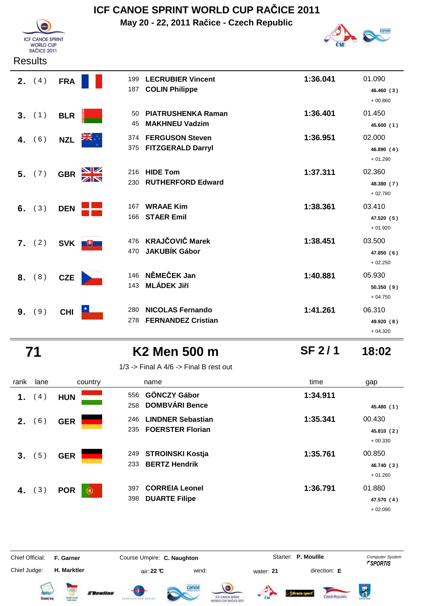**May 20 - 22, 2011 Račice - Czech Republic**



| <b>Results</b> |            |                         |                                                      |          |                                   |
|----------------|------------|-------------------------|------------------------------------------------------|----------|-----------------------------------|
| (4)<br>2.      | <b>FRA</b> | 199<br>187              | <b>LECRUBIER Vincent</b><br><b>COLIN Philippe</b>    | 1:36.041 | 01.090<br>46.460 (3)<br>$+00.860$ |
| 3. (1)         | <b>BLR</b> | 50<br>45                | <b>PIATRUSHENKA Raman</b><br><b>MAKHNEU Vadzim</b>   | 1:36.401 | 01.450<br>45.600 (1)              |
| (6)<br>4.      | <b>NZL</b> | 374<br>375              | <b>FERGUSON Steven</b><br><b>FITZGERALD Darryl</b>   | 1:36.951 | 02.000<br>46.890 (4)<br>$+01.290$ |
| 5. (7)         | <b>GBR</b> | <u>NZ</u><br>216<br>230 | <b>HIDE Tom</b><br><b>RUTHERFORD Edward</b>          | 1:37.311 | 02.360<br>48.380 (7)<br>$+02.780$ |
| (3)<br>6.      | <b>DEN</b> | 167<br>166              | <b>WRAAE Kim</b><br><b>STAER Emil</b>                | 1:38.361 | 03.410<br>47.520 (5)<br>$+01.920$ |
| (2)<br>7.      |            | 476<br>SVK +<br>470     | <b>KRAJČOVIČ Marek</b><br><b>JAKUBÍK Gábor</b>       | 1:38.451 | 03.500<br>47.850 (6)<br>$+02.250$ |
| 8. (8)         | <b>CZE</b> | 146<br>143              | NĚMEČEK Jan<br><b>MLÁDEK Jiří</b>                    | 1:40.881 | 05.930<br>50.350(9)<br>$+04.750$  |
| (9)<br>9.      | <b>CHI</b> | 280<br>278              | <b>NICOLAS Fernando</b><br><b>FERNANDEZ Cristian</b> | 1:41.261 | 06.310<br>49.920 (8)<br>$+04.320$ |

**ICF CANOE SPRINT** WORLD CUP<br>RAČICE 2011

 **71 K2 Men 500 m 18:02**

**SF 2 / 1**

1/3 -> Final A  $4/6$  -> Final B rest out

| rank | lane | country                         | name                                                              | time     | gap                               |
|------|------|---------------------------------|-------------------------------------------------------------------|----------|-----------------------------------|
| 1.   | 4)   | <b>HUN</b>                      | <b>GÖNCZY Gábor</b><br>556<br><b>DOMBVÁRI Bence</b><br>258        | 1:34.911 | 45.480 (1)                        |
| 2.   | (6)  | <b>GER</b>                      | <b>LINDNER Sebastian</b><br>246<br><b>FOERSTER Florian</b><br>235 | 1:35.341 | 00.430<br>45.810 (2)<br>$+00.330$ |
| 3.   | 5)   | <b>GER</b>                      | <b>STROINSKI Kostja</b><br>249<br><b>BERTZ Hendrik</b><br>233     | 1:35.761 | 00.850<br>46.740 (3)<br>$+01.260$ |
| 4.   | (3)  | <b>POR</b><br>$_{\circledcirc}$ | <b>CORREIA Leonel</b><br>397<br><b>DUARTE Filipe</b><br>398       | 1:36.791 | 01.880<br>47.570 (4)<br>$+02.090$ |

Chief Judge: **H. Marktler air: 22 °C** wind: water: **21** direction: **E** 

Chief Official: **F. Garner Course Umpire: C. Naughton Carrier: C. Starter: P. Moullle** *Computer System* 

Starter: P. Moullle













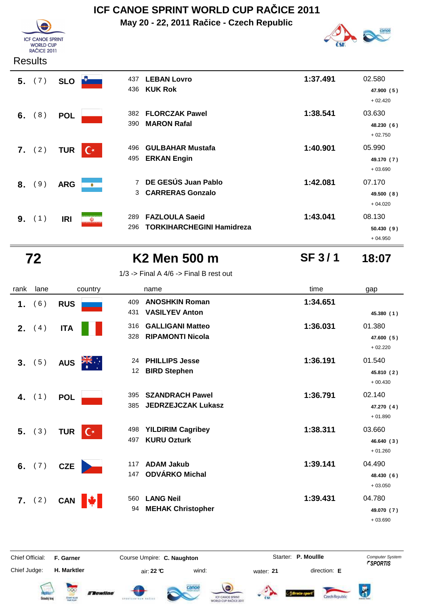

## **ICF CANOE SPRINT WORLD CUP RAČICE 2011**

**May 20 - 22, 2011 Račice - Czech Republic**



| 5. (7)          | <b>SLO</b>        |                | <b>LEBAN Lovro</b><br>437<br><b>KUK Rok</b><br>436                      | 1:37.491 | 02.580<br>47.900 (5)<br>$+02.420$ |
|-----------------|-------------------|----------------|-------------------------------------------------------------------------|----------|-----------------------------------|
| 6. $(8)$        | <b>POL</b>        |                | <b>FLORCZAK Pawel</b><br>382<br><b>MARON Rafal</b><br>390               | 1:38.541 | 03.630<br>48.230(6)<br>$+02.750$  |
| <b>7.</b> $(2)$ | <b>TUR</b>        | $\mathsf{C}^*$ | <b>GULBAHAR Mustafa</b><br>496<br><b>ERKAN Engin</b><br>495             | 1:40.901 | 05.990<br>49.170 (7)<br>$+03.690$ |
| 8. (9)          | <b>ARG</b>        | ۰              | DE GESÚS Juan Pablo<br>$\overline{7}$<br><b>CARRERAS Gonzalo</b><br>3   | 1:42.081 | 07.170<br>49.500 (8)<br>$+04.020$ |
| 9.              | (1)<br><b>IRI</b> | $\mathbb{Q}$   | <b>FAZLOULA Saeid</b><br>289<br><b>TORKIHARCHEGINI Hamidreza</b><br>296 | 1:43.041 | 08.130<br>50.430(9)<br>$+04.950$  |

 **72 K2 Men 500 m 18:07**

#### 1/3 -> Final A  $4/6$  -> Final B rest out

| rank | lane     | country                      | name                                                                  | time     | gap                               |
|------|----------|------------------------------|-----------------------------------------------------------------------|----------|-----------------------------------|
| 1.   | (6)      | <b>RUS</b>                   | <b>ANOSHKIN Roman</b><br>409<br><b>VASILYEV Anton</b><br>431          | 1:34.651 | 45.380 (1)                        |
| 2.   | (4)      | <b>ITA</b>                   | <b>GALLIGANI Matteo</b><br>316<br>328<br><b>RIPAMONTI Nicola</b>      | 1:36.031 | 01.380<br>47.600 (5)<br>$+02.220$ |
|      | 3. (5)   | <b>AUS</b>                   | <b>PHILLIPS Jesse</b><br>24<br><b>BIRD Stephen</b><br>12 <sup>2</sup> | 1:36.191 | 01.540<br>45.810 (2)<br>$+00.430$ |
|      | 4. $(1)$ | <b>POL</b>                   | <b>SZANDRACH Pawel</b><br>395<br><b>JEDRZEJCZAK Lukasz</b><br>385     | 1:36.791 | 02.140<br>47.270 (4)<br>$+01.890$ |
|      | $5.$ (3) | <b>TUR</b><br>$\mathbb{C}^*$ | <b>YILDIRIM Cagribey</b><br>498<br><b>KURU Ozturk</b><br>497          | 1:38.311 | 03.660<br>46.640 (3)<br>$+01.260$ |
|      | 6. $(7)$ | <b>CZE</b>                   | <b>ADAM Jakub</b><br>117<br>ODVÁRKO Michal<br>147                     | 1:39.141 | 04.490<br>48.430 (6)<br>$+03.050$ |
|      | 7. (2)   | <b>CAN</b>                   | <b>LANG Neil</b><br>560<br><b>MEHAK Christopher</b><br>94             | 1:39.431 | 04.780<br>49.070 (7)<br>$+03.690$ |

Chief Official: **F. Garner Course Umpire: C. Naughton Carrier: C. Starter: P. Moullle** *Computer System* Chief Judge: **H. Marktler air: 22 °C** wind: water: **21** direction: **E** 

Starter: P. Moullle

**SF 3 / 1**

















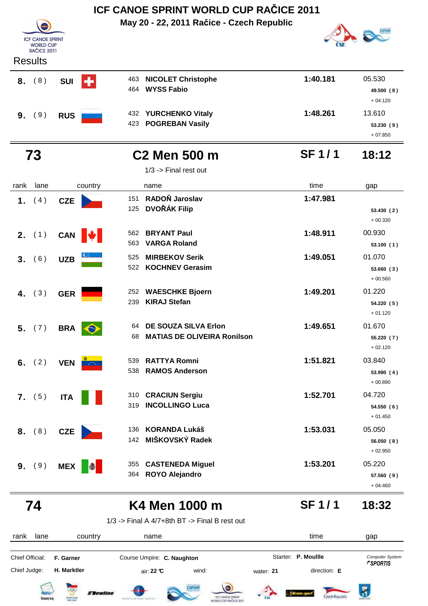|                |                                        |            |           |            | ICF CANOE SPRINT WORLD CUP RACICE 2011          |              |                         |
|----------------|----------------------------------------|------------|-----------|------------|-------------------------------------------------|--------------|-------------------------|
|                |                                        |            |           |            | May 20 - 22, 2011 Račice - Czech Republic       |              |                         |
|                | <b>ICF CANOE SPRINT</b>                |            |           |            |                                                 |              |                         |
|                | <b>WORLD CUP</b><br><b>RAČICE 2011</b> |            |           |            |                                                 |              |                         |
| <b>Results</b> |                                        |            |           |            |                                                 |              |                         |
| 8.             | (8)                                    | <b>SUI</b> | ٠         | 463        | <b>NICOLET Christophe</b>                       | 1:40.181     | 05.530                  |
|                |                                        |            |           | 464        | <b>WYSS Fabio</b>                               |              | 49.500 (8)              |
|                |                                        |            |           |            |                                                 |              | $+04.120$               |
| 9. (9)         |                                        | <b>RUS</b> |           | 432        | <b>YURCHENKO Vitaly</b>                         | 1:48.261     | 13.610                  |
|                |                                        |            |           | 423        | <b>POGREBAN Vasily</b>                          |              | 53.230 (9)<br>$+07.850$ |
|                |                                        |            |           |            |                                                 |              |                         |
| 73             |                                        |            |           |            | <b>C<sub>2</sub></b> Men 500 m                  | <b>SF1/1</b> | 18:12                   |
|                |                                        |            |           |            | $1/3$ -> Final rest out                         |              |                         |
| rank           | lane                                   |            | country   |            | name                                            | time         | gap                     |
| 1.             | (4)                                    | <b>CZE</b> |           | 151        | RADOŇ Jaroslav                                  | 1:47.981     |                         |
|                |                                        |            |           | 125        | <b>DVOŘÁK Filip</b>                             |              | 53.430(2)               |
|                |                                        |            |           |            |                                                 |              | $+00.330$               |
| 2.             | (1)                                    | CAN        | N.        | 562<br>563 | <b>BRYANT Paul</b><br><b>VARGA Roland</b>       | 1:48.911     | 00.930                  |
|                |                                        |            |           |            |                                                 |              | 53.100(1)               |
| 3.             | (6)                                    | <b>UZB</b> |           | 525<br>522 | <b>MIRBEKOV Serik</b><br><b>KOCHNEV Gerasim</b> | 1:49.051     | 01.070<br>53.660 (3)    |
|                |                                        |            |           |            |                                                 |              | $+00.560$               |
| 4.             | (3)                                    | <b>GER</b> |           | 252        | <b>WAESCHKE Bjoern</b>                          | 1:49.201     | 01.220                  |
|                |                                        |            |           | 239        | <b>KIRAJ Stefan</b>                             |              | 54.220 (5)              |
|                |                                        |            |           |            |                                                 |              | $+01.120$               |
| 5. (7)         |                                        | <b>BRA</b> | $\bullet$ |            | 64 DE SOUZA SILVA Erlon                         | 1:49.651     | 01.670                  |
|                |                                        |            |           | 68         | <b>MATIAS DE OLIVEIRA Ronilson</b>              |              | 55.220 (7)              |
|                |                                        |            |           |            |                                                 |              | $+02.120$               |
| 6.             | (2)                                    | <b>VEN</b> |           | 539<br>538 | <b>RATTYA Romni</b><br><b>RAMOS Anderson</b>    | 1:51.821     | 03.840<br>53.990 (4)    |
|                |                                        |            |           |            |                                                 |              | $+00.890$               |
| 7. (5)         |                                        | <b>ITA</b> |           |            | 310 CRACIUN Sergiu                              | 1:52.701     | 04.720                  |
|                |                                        |            |           | 319        | <b>INCOLLINGO Luca</b>                          |              | 54.550(6)               |
|                |                                        |            |           |            |                                                 |              | $+01.450$               |
| 8.             | (8)                                    | <b>CZE</b> |           | 136        | <b>KORANDA Lukáš</b>                            | 1:53.031     | 05.050                  |
|                |                                        |            |           | 142        | MIŠKOVSKÝ Radek                                 |              | 56.050(8)<br>$+02.950$  |
|                |                                        |            |           |            | 355 CASTENEDA Miguel                            | 1:53.201     | 05.220                  |
| 9. (9)         |                                        | <b>MEX</b> | $\bullet$ |            | 364 ROYO Alejandro                              |              | 57.560 (9)              |
|                |                                        |            |           |            |                                                 |              | $+04.460$               |
|                |                                        |            |           |            |                                                 | <b>SF1/1</b> | 18:32                   |
| 74             |                                        |            |           |            | K4 Men 1000 m                                   |              |                         |
|                |                                        |            |           |            | $1/3$ -> Final A 4/7+8th BT -> Final B rest out |              |                         |
| rank           | lane                                   |            | country   |            | name                                            | time         | gap                     |

Chief Official: **F. Garner Course Umpire: C. Naughton** Course **Starter: P. Moullle** Computer System Chief Judge:

**H. Marktler** air: **22 °C** wind: water: **21** direction: **E**













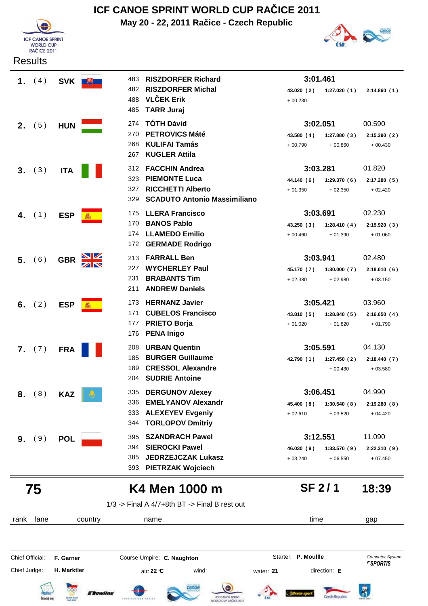

**May 20 - 22, 2011 Račice - Czech Republic**



**SF 2 / 1**

|    | 1. $(4)$ | SVK ■      | 483 | <b>RISZDORFER Richard</b>                         | 3:01.461   |             |              |
|----|----------|------------|-----|---------------------------------------------------|------------|-------------|--------------|
|    |          |            | 482 | <b>RISZDORFER Michal</b>                          | 43.020 (2) | 1:27.020(1) | 2:14.860(1)  |
|    |          |            | 488 | <b>VLČEK Erik</b>                                 | $+00.230$  |             |              |
|    |          |            | 485 | <b>TARR Juraj</b>                                 |            |             |              |
|    | 2. (5)   | <b>HUN</b> | 274 | <b>TÓTH Dávid</b>                                 | 3:02.051   |             | 00.590       |
|    |          |            | 270 | <b>PETROVICS Máté</b>                             | 43.580 (4) | 1:27.880(3) | 2:15.290(2)  |
|    |          |            | 268 | <b>KULIFAI Tamás</b>                              | $+00.790$  | $+00.860$   | $+00.430$    |
|    |          |            | 267 | <b>KUGLER Attila</b>                              |            |             |              |
| 3. | (3)      | <b>ITA</b> | 312 | <b>FACCHIN Andrea</b>                             | 3:03.281   |             | 01.820       |
|    |          |            | 323 | <b>PIEMONTE Luca</b>                              | 44.140 (6) | 1:29.370(6) | 2:17.280 (5) |
|    |          |            | 327 | <b>RICCHETTI Alberto</b>                          | $+01.350$  | $+02.350$   | $+02.420$    |
|    |          |            | 329 | <b>SCADUTO Antonio Massimiliano</b>               |            |             |              |
| 4. | (1)      | <b>ESP</b> | 175 | <b>LLERA Francisco</b>                            | 3:03.691   |             | 02.230       |
|    |          |            | 170 | <b>BANOS Pablo</b>                                | 43.250 (3) | 1:28.410(4) | 2:15.920 (3) |
|    |          |            | 174 | <b>LLAMEDO Emilio</b>                             | $+00.460$  | $+01.390$   | $+01.060$    |
|    |          |            | 172 | <b>GERMADE Rodrigo</b>                            |            |             |              |
| 5. | (6)      | <b>GBR</b> | 213 | <b>FARRALL Ben</b>                                | 3:03.941   |             | 02.480       |
|    |          |            | 227 | <b>WYCHERLEY Paul</b>                             | 45.170 (7) | 1:30.000(7) | 2:18.010(6)  |
|    |          |            | 231 | <b>BRABANTS Tim</b>                               | $+02.380$  | $+02.980$   | $+03.150$    |
|    |          |            | 211 | <b>ANDREW Daniels</b>                             |            |             |              |
| 6. | (2)      | <b>ESP</b> | 173 | <b>HERNANZ Javier</b>                             | 3:05.421   |             | 03.960       |
|    |          |            | 171 | <b>CUBELOS Francisco</b>                          | 43.810 (5) | 1:28.840(5) | 2:16.650(4)  |
|    |          |            | 177 | <b>PRIETO Borja</b>                               | $+01.020$  | $+01.820$   | $+01.790$    |
|    |          |            | 176 | <b>PENA Inigo</b>                                 |            |             |              |
|    | 7. (7)   | <b>FRA</b> | 208 | <b>URBAN Quentin</b>                              | 3:05.591   |             | 04.130       |
|    |          |            | 185 | <b>BURGER Guillaume</b>                           | 42.790 (1) | 1:27.450(2) | 2:18.440 (7) |
|    |          |            | 189 | <b>CRESSOL Alexandre</b><br><b>SUDRIE Antoine</b> |            | $+00.430$   | $+03.580$    |
|    |          |            | 204 |                                                   |            |             |              |
| 8. | (8)      | <b>KAZ</b> | 335 | <b>DERGUNOV Alexey</b>                            | 3:06.451   |             | 04.990       |
|    |          |            | 336 | <b>EMELYANOV Alexandr</b>                         | 45.400 (8) | 1:30.540(8) | 2:19.280(8)  |
|    |          |            | 333 | <b>ALEXEYEV Evgeniy</b>                           | $+02.610$  | $+03.520$   | $+04.420$    |
|    |          |            | 344 | <b>TORLOPOV Dmitriy</b>                           |            |             |              |
| 9. | (9)      | <b>POL</b> | 395 | <b>SZANDRACH Pawel</b>                            | 3:12.551   |             | 11.090       |
|    |          |            | 394 | <b>SIEROCKI Pawel</b>                             | 46.030 (9) | 1:33.570(9) | 2:22.310(9)  |
|    |          |            | 385 | <b>JEDRZEJCZAK Lukasz</b>                         | $+03.240$  | $+06.550$   | $+07.450$    |
|    |          |            | 393 | <b>PIETRZAK Wojciech</b>                          |            |             |              |

 **75 K4 Men 1000 m 18:39**

1/3 -> Final A 4/7+8th BT -> Final B rest out

| lane<br>rank        | country                                      | name                                        | time                                            | gap                                              |
|---------------------|----------------------------------------------|---------------------------------------------|-------------------------------------------------|--------------------------------------------------|
| Chief Official:     | F. Garner                                    | Course Umpire: C. Naughton                  | Starter: P. Moullle                             | <b>Computer System</b><br><i><b>FSPORTIS</b></i> |
| Chief Judge:        | H. Marktler                                  | wind:<br>air: $22 \text{ }^{\circ}\text{C}$ | direction: E<br>water: 21                       |                                                  |
| <b>Dstecký</b> kraj | 000<br><b>Flewline</b><br><b>CETARY KLUB</b> | canoe<br>drestickthuw extity                | <b>ICE CANCE SPOIN</b><br>WORLD CUP RACICE 2011 | Ř.                                               |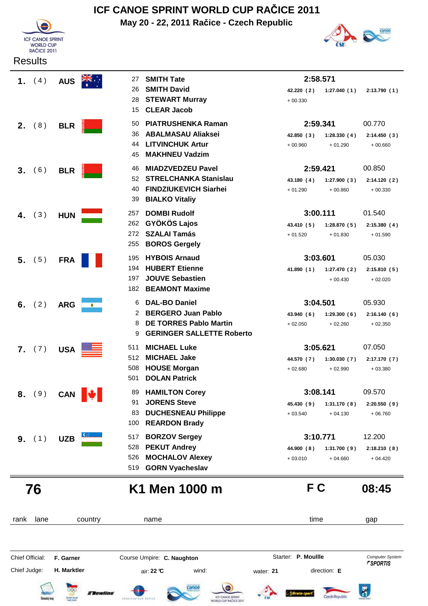

## **ICF CANOE SPRINT WORLD CUP RAČICE 2011**

**May 20 - 22, 2011 Račice - Czech Republic**



| 1. $(4)$        |     | <b>AUS</b>       | 27                     | <b>SMITH Tate</b>                | 2:58.571   |             |              |
|-----------------|-----|------------------|------------------------|----------------------------------|------------|-------------|--------------|
|                 |     |                  | 26                     | <b>SMITH David</b>               | 42.220 (2) | 1:27.040(1) | 2:13.790(1)  |
|                 |     |                  | 28                     | <b>STEWART Murray</b>            | $+00.330$  |             |              |
|                 |     |                  | 15                     | <b>CLEAR Jacob</b>               |            |             |              |
| 2.              | (8) | <b>BLR</b>       | 50                     | <b>PIATRUSHENKA Raman</b>        | 2:59.341   |             | 00.770       |
|                 |     |                  | 36                     | <b>ABALMASAU Aliaksei</b>        | 42.850 (3) | 1:28.330(4) | 2:14.450 (3) |
|                 |     |                  | 44                     | <b>LITVINCHUK Artur</b>          | $+00.960$  | $+01.290$   | $+00.660$    |
|                 |     |                  | 45                     | <b>MAKHNEU Vadzim</b>            |            |             |              |
| 3.              | (6) | <b>BLR</b>       | 46                     | <b>MIADZVEDZEU Pavel</b>         | 2:59.421   |             | 00.850       |
|                 |     |                  | 52                     | <b>STRELCHANKA Stanislau</b>     | 43.180 (4) | 1:27.900(3) | 2:14.120(2)  |
|                 |     |                  | 40                     | <b>FINDZIUKEVICH Siarhei</b>     | $+01.290$  | $+00.860$   | $+00.330$    |
|                 |     |                  | 39                     | <b>BIALKO Vitaliy</b>            |            |             |              |
| 4.              | (3) | <b>HUN</b>       | 257                    | <b>DOMBI Rudolf</b>              | 3:00.111   |             | 01.540       |
|                 |     |                  | 262                    | <b>GYÖKÖS Lajos</b>              | 43.410 (5) | 1:28.870(5) | 2:15.380(4)  |
|                 |     |                  | 272                    | <b>SZALAI Tamás</b>              | $+01.520$  | $+01.830$   | $+01.590$    |
|                 |     |                  | 255                    | <b>BOROS Gergely</b>             |            |             |              |
| 5.              | (5) | <b>FRA</b>       | 195                    | <b>HYBOIS Arnaud</b>             | 3:03.601   |             | 05.030       |
|                 |     |                  | 194                    | <b>HUBERT Etienne</b>            | 41.890 (1) | 1:27.470(2) | 2:15.810(5)  |
|                 |     |                  | 197                    | <b>JOUVE Sebastien</b>           |            | $+00.430$   | $+02.020$    |
|                 |     |                  | 182                    | <b>BEAMONT Maxime</b>            |            |             |              |
| 6.              | (2) | <b>ARG</b>       | 6<br>۰                 | <b>DAL-BO Daniel</b>             | 3:04.501   |             | 05.930       |
|                 |     |                  | 2                      | <b>BERGERO Juan Pablo</b>        | 43.940(6)  | 1:29.300(6) | 2:16.140(6)  |
|                 |     |                  | 8                      | <b>DE TORRES Pablo Martin</b>    | $+02.050$  | $+02.260$   | $+02.350$    |
|                 |     |                  | 9                      | <b>GERINGER SALLETTE Roberto</b> |            |             |              |
| <b>7.</b> $(7)$ |     | USA <sup>E</sup> | 511                    | <b>MICHAEL Luke</b>              | 3:05.621   |             | 07.050       |
|                 |     |                  | 512                    | <b>MICHAEL Jake</b>              | 44.570 (7) | 1:30.030(7) | 2:17.170 (7) |
|                 |     |                  | 508                    | <b>HOUSE Morgan</b>              | $+02.680$  | $+02.990$   | $+03.380$    |
|                 |     |                  | 501                    | <b>DOLAN Patrick</b>             |            |             |              |
| 8.              | (9) |                  | CAN $\Vert \psi \Vert$ | 89 HAMILTON Corey                | 3:08.141   |             | 09.570       |
|                 |     |                  | 91                     | <b>JORENS Steve</b>              | 45.430 (9) | 1:31.170(8) | 2:20.550(9)  |
|                 |     |                  | 83                     | <b>DUCHESNEAU Philippe</b>       | $+03.540$  | $+04.130$   | $+06.760$    |
|                 |     |                  | 100                    | <b>REARDON Brady</b>             |            |             |              |
| <b>9.</b> $(1)$ |     | <b>UZB</b>       | 517                    | <b>BORZOV Sergey</b>             | 3:10.771   |             | 12.200       |
|                 |     |                  | 528                    | <b>PEKUT Andrey</b>              | 44.900 (8) | 1:31.700(9) | 2:18.210(8)  |
|                 |     |                  | 526                    | <b>MOCHALOV Alexey</b>           | $+03.010$  | $+04.660$   | $+04.420$    |
|                 |     |                  | 519                    | <b>GORN Vyacheslav</b>           |            |             |              |

### **76 K1 Men 1000 m F C 08:45**

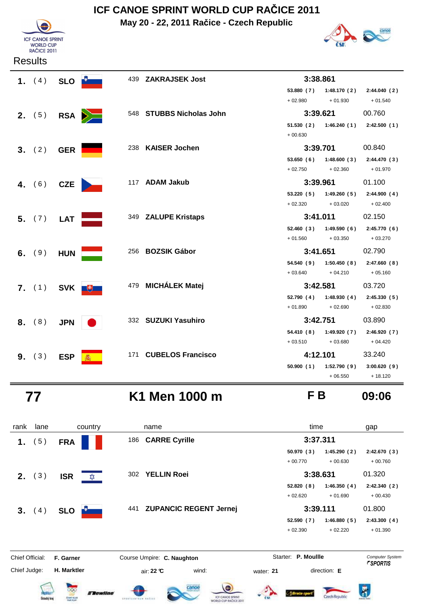**May 20 - 22, 2011 Račice - Czech Republic**





| 1. $(4)$                   | SLO <b>D</b> |              | 439 ZAKRAJSEK Jost       | 3:38.861            |                           |                                      |
|----------------------------|--------------|--------------|--------------------------|---------------------|---------------------------|--------------------------------------|
|                            |              |              |                          |                     | 53.880 (7) 1:48.170 (2)   | 2:44.040(2)                          |
|                            |              |              |                          | $+02.980$           | $+01.930$                 | $+01.540$                            |
| <b>2.</b> $(5)$            |              | RSA <b>D</b> | 548 STUBBS Nicholas John | 3:39.621            |                           | 00.760                               |
|                            |              |              |                          |                     |                           | 51.530 (2) 1:46.240 (1) 2:42.500 (1) |
|                            |              |              |                          | $+00.630$           |                           |                                      |
| 3. (2)                     | <b>GER</b>   |              | 238 KAISER Jochen        | 3:39.701            |                           | 00.840                               |
|                            |              |              |                          |                     |                           | 53.650 (6) 1:48.600 (3) 2:44.470 (3) |
|                            |              |              |                          | $+02.750$           | $+02.360$                 | $+01.970$                            |
| 4. $(6)$                   | CZE          |              | 117 ADAM Jakub           | 3:39.961            |                           | 01.100                               |
|                            |              |              |                          |                     | $53.220(5)$ $1:49.260(5)$ | 2:44.900(4)                          |
|                            |              |              |                          | $+02.320$           | $+03.020$                 | $+02.400$                            |
| 5. (7)                     | <b>LAT</b>   |              | 349 ZALUPE Kristaps      | 3:41.011            |                           | 02.150                               |
|                            |              |              |                          |                     | $52.460(3)$ $1:49.590(6)$ | 2:45.770(6)                          |
|                            |              |              |                          | $+01.560$ $+03.350$ |                           | $+03.270$                            |
| 6. $(9)$                   | <b>HUN</b>   |              | 256 BOZSIK Gábor         | 3:41.651            |                           | 02.790                               |
|                            |              |              |                          |                     |                           | 54.540 (9) 1:50.450 (8) 2:47.660 (8) |
|                            |              |              |                          | $+03.640$           | $+04.210$                 | $+05.160$                            |
| 7. $(1)$ SVK $\frac{4}{5}$ |              |              | 479 MICHÁLEK Matej       | 3:42.581            |                           | 03.720                               |
|                            |              |              |                          |                     |                           | 52.790 (4) 1:48.930 (4) 2:45.330 (5) |
|                            |              |              |                          | $+01.890$           | $+02.690$                 | $+02.830$                            |
| 8. (8)                     | <b>JPN</b>   |              | 332 SUZUKI Yasuhiro      | 3:42.751            |                           | 03.890                               |
|                            |              |              |                          |                     | 54.410 (8) 1:49.920 (7)   | 2:46.920(7)                          |
|                            |              |              |                          | $+03.510$           | $+03.680$                 | + 04.420                             |
| 9. (3)                     | <b>ESP</b>   |              | 171 CUBELOS Francisco    | 4:12.101            |                           | 33.240                               |
|                            |              |              |                          | 50.900(1)           | 1:52.790 (9)              | 3:00.620(9)                          |
|                            |              |              |                          |                     | $+06.550$                 | $+18.120$                            |

## **77 K1 Men 1000 m F B 09:06**

| rank            | lane               | country                                                                | name                                                                     | time                                               | gap                                              |
|-----------------|--------------------|------------------------------------------------------------------------|--------------------------------------------------------------------------|----------------------------------------------------|--------------------------------------------------|
| 1.              | (5)                | <b>FRA</b>                                                             | 186 CARRE Cyrille                                                        | 3:37.311                                           |                                                  |
|                 |                    |                                                                        |                                                                          | 50.970(3)<br>1:45.290(2)<br>$+00.770$<br>$+00.630$ | 2:42.670(3)<br>$+00.760$                         |
| <b>2.</b> $(3)$ |                    | <b>ISR</b><br>✿                                                        | 302 YELLIN Roei                                                          | 3:38.631                                           | 01.320                                           |
|                 |                    |                                                                        |                                                                          | 52.820(8)<br>1:46.350(4)<br>$+02.620$<br>$+01.690$ | 2:42.340(2)<br>$+00.430$                         |
| 3. (4)          |                    | <b>SLO</b>                                                             | 441 ZUPANCIC REGENT Jernej                                               | 3:39.111                                           | 01.800                                           |
|                 |                    |                                                                        |                                                                          | 52.590(7)<br>1:46.880(5)<br>$+02.390$<br>$+02.220$ | 2:43.300(4)<br>$+01.390$                         |
| Chief Official: |                    | F. Garner                                                              | Course Umpire: C. Naughton                                               | Starter: P. Moullle                                | <b>Computer System</b><br><i><b>FSPORTIS</b></i> |
| Chief Judge:    |                    | H. Marktler                                                            | wind:<br>air: 22 ℃                                                       | direction: E<br>water: 21                          |                                                  |
|                 | <b>Detecký</b> kra | <b><i><u>Elewline</u></i></b><br><b>CENT GUIA</b><br><b>Abilt PCAY</b> | canoe<br>ICF CANCE SPRINT<br>EPERTENTEEW RAZIEV<br>WORLD CUP RAČICE 2011 | zech Henubi                                        |                                                  |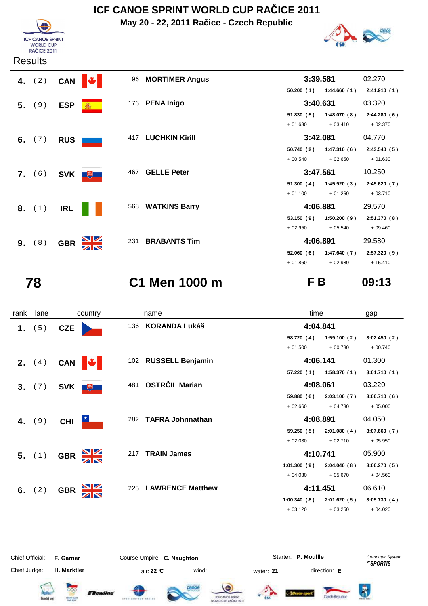**May 20 - 22, 2011 Račice - Czech Republic**





#### **Results**

| 4. $(2)$               | <b>CAN</b> |     | 96  | <b>MORTIMER Angus</b> | 3:39.581  |             | 02.270      |
|------------------------|------------|-----|-----|-----------------------|-----------|-------------|-------------|
|                        |            |     |     |                       | 50.200(1) | 1:44.660(1) | 2:41.910(1) |
| 5. (9)                 | <b>ESP</b> | 蠢   | 176 | <b>PENA Inigo</b>     | 3:40.631  |             | 03.320      |
|                        |            |     |     |                       | 51.830(5) | 1:48.070(8) | 2:44.280(6) |
|                        |            |     |     |                       | $+01.630$ | $+03.410$   | $+02.370$   |
| 6. $(7)$<br><b>RUS</b> |            |     | 417 | <b>LUCHKIN Kirill</b> | 3:42.081  |             | 04.770      |
|                        |            |     |     |                       | 50.740(2) | 1:47.310(6) | 2:43.540(5) |
|                        |            |     |     |                       | $+00.540$ | $+02.650$   | $+01.630$   |
| 7. (6)                 | <b>SVK</b> | $+$ | 467 | <b>GELLE Peter</b>    | 3:47.561  |             | 10.250      |
|                        |            |     |     |                       | 51.300(4) | 1:45.920(3) | 2:45.620(7) |
|                        |            |     |     |                       | $+01.100$ | $+01.260$   | $+03.710$   |
| 8. (1)                 | <b>IRL</b> |     |     | 568 WATKINS Barry     | 4:06.881  |             | 29.570      |
|                        |            |     |     |                       | 53.150(9) | 1:50.200(9) | 2:51.370(8) |
|                        |            |     |     |                       | $+02.950$ | $+05.540$   | $+09.460$   |
| 9. (8)                 | <b>GBR</b> |     | 231 | <b>BRABANTS Tim</b>   | 4:06.891  |             | 29.580      |
|                        |            |     |     |                       | 52.060(6) | 1:47.640(7) | 2:57.320(9) |
|                        |            |     |     |                       | $+01.860$ | $+02.980$   | $+15.410$   |

 **78 C1 Men 1000 m F B 09:13**

| rank           | lane            |            | country                 |     | name                    | time        |             | gap         |
|----------------|-----------------|------------|-------------------------|-----|-------------------------|-------------|-------------|-------------|
| 1.             | (5)             | <b>CZE</b> |                         | 136 | <b>KORANDA Lukáš</b>    | 4:04.841    |             |             |
|                |                 |            |                         |     |                         | 58.720 (4)  | 1:59.100(2) | 3:02.450(2) |
|                |                 |            |                         |     |                         | $+01.500$   | $+00.730$   | $+00.740$   |
|                | <b>2.</b> $(4)$ | <b>CAN</b> | <b>IN</b>               |     | 102 RUSSELL Benjamin    |             | 4:06.141    |             |
|                |                 |            |                         |     |                         | 57.220(1)   | 1:58.370(1) | 3:01.710(1) |
| 3 <sub>1</sub> | (7)             | <b>SVK</b> | $+$                     | 481 | <b>OSTRČIL Marian</b>   | 4:08.061    |             | 03.220      |
|                |                 |            |                         |     |                         | 59.880(6)   | 2:03.100(7) | 3:06.710(6) |
|                |                 |            |                         |     |                         | $+02.660$   | $+04.730$   | $+05.000$   |
|                | 4. $(9)$        | <b>CHI</b> | $\star$                 | 282 | <b>TAFRA Johnnathan</b> | 4:08.891    |             | 04.050      |
|                |                 |            |                         |     |                         | 59.250(5)   | 2:01.080(4) | 3:07.660(7) |
|                |                 |            |                         |     |                         | $+02.030$   | $+02.710$   | $+05.950$   |
|                | 5. (1)          | <b>GBR</b> | $\frac{\Delta}{\Delta}$ | 217 | <b>TRAIN James</b>      | 4:10.741    |             | 05.900      |
|                |                 |            |                         |     |                         | 1:01.300(9) | 2:04.040(8) | 3:06.270(5) |
|                |                 |            |                         |     |                         | $+04.080$   | $+05.670$   | $+04.560$   |
|                | 6. $(2)$        | <b>GBR</b> |                         | 225 | <b>LAWRENCE Matthew</b> | 4:11.451    |             | 06.610      |
|                |                 |            |                         |     |                         | 1:00.340(8) | 2:01.620(5) | 3:05.730(4) |
|                |                 |            |                         |     |                         | $+03.120$   | $+03.250$   | $+04.020$   |

Chief Official: **F. Garner Course Umpire: C. Naughton** Course **Starter: P. Moullle** Computer System Chief Judge: **H. Marktler air: 22 °C** wind: water: **21** direction: **E** 























Czech Republic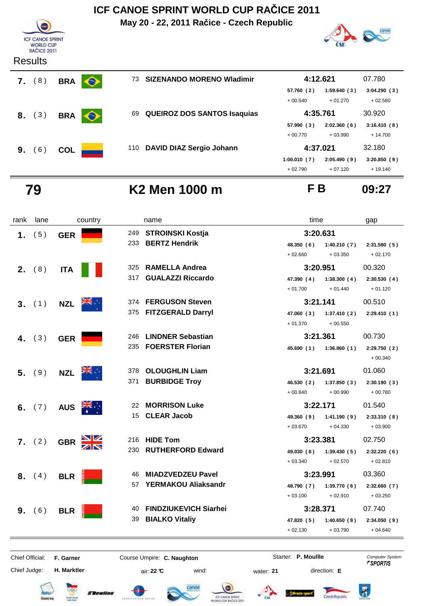**May 20 - 22, 2011 Račice - Czech Republic**





| (8)<br>7. | <b>BRA</b> | $\bullet$ | 73. | <b>SIZENANDO MORENO Wladimir</b>   | 4:12.621    |             | 07.780      |
|-----------|------------|-----------|-----|------------------------------------|-------------|-------------|-------------|
|           |            |           |     |                                    | 57.760 (2)  | 1:59.640(3) | 3:04.290(3) |
|           |            |           |     |                                    | $+00.540$   | $+01.270$   | $+02.580$   |
| 8. (3)    | <b>BRA</b> | $\bullet$ | 69  | <b>QUEIROZ DOS SANTOS Isaquias</b> |             | 4:35.761    |             |
|           |            |           |     |                                    | 57.990(3)   | 2:02.360(6) | 3:16.410(8) |
|           |            |           |     |                                    | $+00.770$   | $+03.990$   | $+14.700$   |
| (6)<br>9. | <b>COL</b> |           |     | 110 DAVID DIAZ Sergio Johann       | 4:37.021    |             | 32.180      |
|           |            |           |     |                                    | 1:00.010(7) | 2:05.490(9) | 3:20.850(9) |
|           |            |           |     |                                    | $+02.790$   | $+07.120$   | $+19.140$   |

 **79 K2 Men 1000 m F B 09:27**

| rank | lane     |            | country |     | name                         | time       |             | gap          |
|------|----------|------------|---------|-----|------------------------------|------------|-------------|--------------|
| 1.   | (5)      | <b>GER</b> |         | 249 | <b>STROINSKI Kostja</b>      | 3:20.631   |             |              |
|      |          |            |         | 233 | <b>BERTZ Hendrik</b>         | 48.350 (6) | 1:40.210(7) | 2:31.580(5)  |
|      |          |            |         |     |                              | $+02.660$  | $+03.350$   | $+02.170$    |
|      | 2. (8)   | <b>ITA</b> |         | 325 | <b>RAMELLA Andrea</b>        | 3:20.951   |             | 00.320       |
|      |          |            |         | 317 | <b>GUALAZZI Riccardo</b>     | 47.390 (4) | 1:38.300(4) | 2:30.530(4)  |
|      |          |            |         |     |                              | $+01.700$  | $+01.440$   | $+01.120$    |
|      | 3. (1)   | <b>NZL</b> |         |     | 374 FERGUSON Steven          |            | 3:21.141    |              |
|      |          |            |         | 375 | <b>FITZGERALD Darryl</b>     | 47.060 (3) | 1:37.410(2) | 2:29.410(1)  |
|      |          |            |         |     |                              | $+01.370$  | $+00.550$   |              |
|      | 4. $(3)$ | <b>GER</b> |         | 246 | <b>LINDNER Sebastian</b>     | 3:21.361   |             | 00.730       |
|      |          |            |         | 235 | <b>FOERSTER Florian</b>      | 45.690(1)  | 1:36.860(1) | 2:29.750(2)  |
|      |          |            |         |     |                              |            |             | $+00.340$    |
|      | $5.$ (9) | <b>NZL</b> |         | 378 | <b>OLOUGHLIN Liam</b>        | 3:21.691   |             | 01.060       |
|      |          |            |         | 371 | <b>BURBIDGE Troy</b>         | 46.530(2)  | 1:37.850(3) | 2:30.190(3)  |
|      |          |            |         |     |                              | $+00.840$  | $+00.990$   | $+00.780$    |
|      | 6. $(7)$ | <b>AUS</b> |         | 22  | <b>MORRISON Luke</b>         | 3:22.171   |             | 01.540       |
|      |          |            |         | 15  | <b>CLEAR Jacob</b>           | 49.360 (9) | 1:41.190(9) | 2:33.310(8)  |
|      |          |            |         |     |                              | $+03.670$  | $+04.330$   | $+03.900$    |
|      | 7. (2)   | <b>GBR</b> |         | 216 | <b>HIDE Tom</b>              | 3:23.381   |             | 02.750       |
|      |          |            |         | 230 | <b>RUTHERFORD Edward</b>     | 49.030 (8) | 1:39.430(5) | 2:32.220(6)  |
|      |          |            |         |     |                              | $+03.340$  | $+02.570$   | $+02.810$    |
|      | 8. (4)   | <b>BLR</b> |         | 46  | <b>MIADZVEDZEU Pavel</b>     | 3:23.991   |             | 03.360       |
|      |          |            |         | 57  | <b>YERMAKOU Aliaksandr</b>   | 48.790 (7) | 1:39.770(6) | 2:32.660(7)  |
|      |          |            |         |     |                              | $+03.100$  | $+02.910$   | $+03.250$    |
| 9.   | (6)      | <b>BLR</b> |         | 40  | <b>FINDZIUKEVICH Siarhei</b> | 3:28.371   |             | 07.740       |
|      |          |            |         | 39  | <b>BIALKO Vitaliy</b>        | 47.820 (5) | 1:40.650(8) | 2:34.050 (9) |
|      |          |            |         |     |                              | $+02.130$  | $+03.790$   | $+04.640$    |
|      |          |            |         |     |                              |            |             |              |

Chief Official: **F. Garner Course Umpire: C. Naughton Carrier: C. Starter: P. Moullle** *Computer System* 

Chief Judge:

**H. Marktler** air: **22 °C** wind: water: **21** direction: **E**

Starter: P. Moullle

















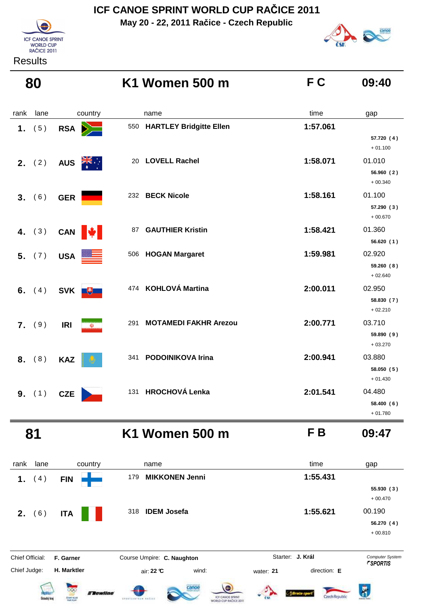**May 20 - 22, 2011 Račice - Czech Republic**





#### **Results**

| 80           |                                         | K1 Women 500 m                      | FC       | 09:40                             |
|--------------|-----------------------------------------|-------------------------------------|----------|-----------------------------------|
| lane<br>rank | country                                 | name                                | time     | gap                               |
| (5)<br>1.    | RSA <b>D</b>                            | 550 HARTLEY Bridgitte Ellen         | 1:57.061 | 57.720 (4)<br>$+01.100$           |
| 2. (2)       | <b>AUS</b><br>$\mathbb{Z}^{\mathbb{N}}$ | <b>LOVELL Rachel</b><br>20          | 1:58.071 | 01.010<br>56.960(2)<br>$+00.340$  |
| 3. (6)       | <b>GER</b>                              | 232 BECK Nicole                     | 1:58.161 | 01.100<br>57.290 (3)<br>$+00.670$ |
| 4. $(3)$     | CAN <b> </b>                            | <b>GAUTHIER Kristin</b><br>87       | 1:58.421 | 01.360<br>56.620(1)               |
| 5. (7)       | <b>USA</b>                              | 506 HOGAN Margaret                  | 1:59.981 | 02.920<br>59.260(8)<br>$+02.640$  |
| 6. $(4)$     | SVK +                                   | 474 KOHLOVÁ Martina                 | 2:00.011 | 02.950<br>58.830 (7)<br>$+02.210$ |
| 7. (9)       | <b>IRI</b><br>$\omega$                  | 291<br><b>MOTAMEDI FAKHR Arezou</b> | 2:00.771 | 03.710<br>59.890 (9)<br>$+03.270$ |
| 8. (8)       | <b>KAZ</b>                              | 341 PODOINIKOVA Irina               | 2:00.941 | 03.880<br>58.050 (5)<br>$+01.430$ |
| 9. (1)       | <b>CZE</b>                              | 131 HROCHOVÁ Lenka                  | 2:01.541 | 04.480<br>58.400 (6)<br>$+01.780$ |

 **81 K1 Women 500 m F B 09:47**

rank lane country thame country time gap  **1.** ( 4 ) **FIN**<sup>179</sup> **MIKKONEN Jenni 1:55.431 55.930 ( 3 )** + 00.470 **2.** (6) **ITA IDEM Josefa IDEM 1:55.621** 00.190 **56.270 ( 4 )** + 00.810 **J. Král**Chief Official: **F. Garner Course Umpire: C. Naughton** Course Conputer System **Computer System** Chief Judge: **H. Marktler air: 22 °C** wind: water: **21** direction: **E**  $\bar{R}$ **EXewtine** Czech Republic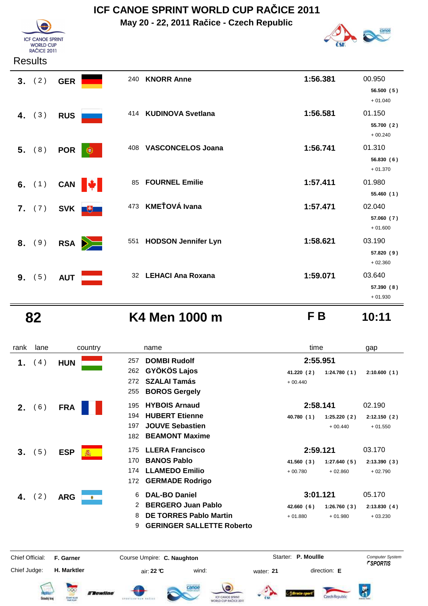**May 20 - 22, 2011 Račice - Czech Republic**



#### **Results**

**ICF CANOE SPRINT** WORLD CUP<br>RAČICE 2011

|        | 3. (2)   | <b>GER</b>        | 240                   | <b>KNORR Anne</b>          | 1:56.381 | 00.950                  |
|--------|----------|-------------------|-----------------------|----------------------------|----------|-------------------------|
|        |          |                   |                       |                            |          | 56.500(5)<br>$+01.040$  |
|        | 4. $(3)$ | <b>RUS</b>        | 414                   | <b>KUDINOVA Svetlana</b>   | 1:56.581 | 01.150                  |
|        |          |                   |                       |                            |          | 55.700 (2)<br>$+00.240$ |
|        | 5. (8)   | <b>POR</b>        | 408<br>€              | <b>VASCONCELOS Joana</b>   | 1:56.741 | 01.310                  |
|        |          |                   |                       |                            |          | 56.830 (6)<br>$+01.370$ |
|        | 6. $(1)$ | CAN $\big  \big $ | 85                    | <b>FOURNEL Emilie</b>      | 1:57.411 | 01.980                  |
|        |          |                   |                       |                            |          | 55.460(1)               |
| 7.     | (7)      | <b>SVK</b>        | 473<br>$\overline{u}$ | <b>KMEŤOVÁ Ivana</b>       | 1:57.471 | 02.040                  |
|        |          |                   |                       |                            |          | 57.060 (7)<br>$+01.600$ |
| 8. (9) |          | <b>RSA</b>        | 551<br>$\geq$         | <b>HODSON Jennifer Lyn</b> | 1:58.621 | 03.190                  |
|        |          |                   |                       |                            |          | 57.820(9)               |
|        |          |                   |                       |                            |          | $+02.360$               |
| 9.     | (5)      | <b>AUT</b>        |                       | 32 LEHACI Ana Roxana       | 1:59.071 | 03.640                  |
|        |          |                   |                       |                            |          | 57.390 (8)<br>$+01.930$ |
|        |          |                   |                       |                            |          |                         |

## **82 K4 Men 1000 m F B 10:11**

 $\overline{\bm{R}}$ 

A Brade sport

| rank            | lane | country                 | name                                                                                                          | time                                                | gap                                              |
|-----------------|------|-------------------------|---------------------------------------------------------------------------------------------------------------|-----------------------------------------------------|--------------------------------------------------|
| 1.              | (4)  | <b>HUN</b>              | <b>DOMBI Rudolf</b><br>257<br><b>GYÖKÖS Lajos</b><br>262                                                      | 2:55.951<br>41.220 (2)<br>1:24.780(1)               | 2:10.600(1)                                      |
|                 |      |                         | <b>SZALAI Tamás</b><br>272<br><b>BOROS Gergely</b><br>255                                                     | $+00.440$                                           |                                                  |
| $2_{-}$         | (6)  | <b>FRA</b>              | <b>HYBOIS Arnaud</b><br>195                                                                                   | 2:58.141                                            | 02.190                                           |
|                 |      |                         | <b>HUBERT Etienne</b><br>194<br><b>JOUVE Sebastien</b><br>197<br><b>BEAMONT Maxime</b><br>182                 | 40.780 (1)<br>1:25.220(2)<br>$+00.440$              | 2:12.150(2)<br>$+01.550$                         |
| 3.              | (5)  | <b>ESP</b>              | <b>LLERA Francisco</b><br>175                                                                                 | 2:59.121                                            | 03.170                                           |
|                 |      |                         | <b>BANOS Pablo</b><br>170<br><b>LLAMEDO Emilio</b><br>174<br><b>GERMADE Rodrigo</b><br>172                    | 41.560 (3)<br>1:27.640(5)<br>$+00.780$<br>$+02.860$ | 2:13.390(3)<br>$+02.790$                         |
| 4.              | (2)  | <b>ARG</b><br>$\bullet$ | <b>DAL-BO Daniel</b><br>6                                                                                     | 3:01.121                                            | 05.170                                           |
|                 |      |                         | <b>BERGERO Juan Pablo</b><br>2<br><b>DE TORRES Pablo Martin</b><br>8<br><b>GERINGER SALLETTE Roberto</b><br>9 | 42.660(6)<br>1:26.760(3)<br>$+01.880$<br>$+01.980$  | 2:13.830(4)<br>$+03.230$                         |
| Chief Official: |      | F. Garner               | Course Umpire: C. Naughton                                                                                    | Starter: P. Moullle                                 | <b>Computer System</b><br><i><b>FSPORTIS</b></i> |
| Chief Judge:    |      | H. Marktler             | air: 22 °C<br>wind:                                                                                           | direction: E<br>water: 21                           |                                                  |







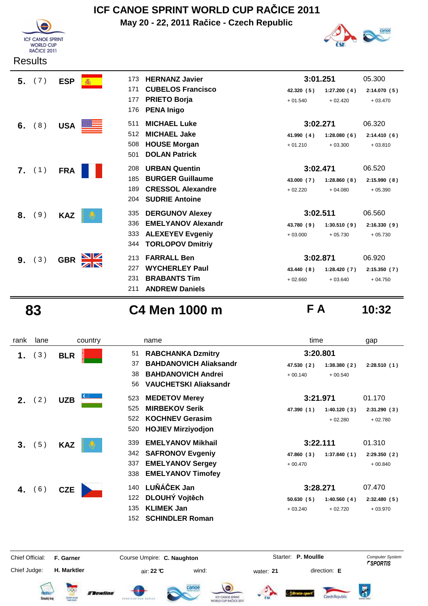

**May 20 - 22, 2011 Račice - Czech Republic**



|    | <b>Results</b> |            |                           |                           |            |             |             |  |
|----|----------------|------------|---------------------------|---------------------------|------------|-------------|-------------|--|
| 5. | (7)            | <b>ESP</b> | 173                       | <b>HERNANZ Javier</b>     | 3:01.251   |             | 05.300      |  |
|    |                |            | 171                       | <b>CUBELOS Francisco</b>  | 42.320(5)  | 1:27.200(4) | 2:14.070(5) |  |
|    |                |            | 177                       | <b>PRIETO Borja</b>       | $+01.540$  | $+02.420$   | $+03.470$   |  |
|    |                |            | 176                       | <b>PENA Inigo</b>         |            |             |             |  |
| 6. | (8)            |            | 511<br>USA <b>Example</b> | <b>MICHAEL Luke</b>       | 3:02.271   |             | 06.320      |  |
|    |                |            | 512                       | <b>MICHAEL Jake</b>       | 41.990 (4) | 1:28.080(6) | 2:14.410(6) |  |
|    |                |            | 508                       | <b>HOUSE Morgan</b>       | $+01.210$  | $+03.300$   | $+03.810$   |  |
|    |                |            | 501                       | <b>DOLAN Patrick</b>      |            |             |             |  |
|    | 7. (1)         | <b>FRA</b> | 208                       | <b>URBAN Quentin</b>      | 3:02.471   |             | 06.520      |  |
|    |                |            | 185                       | <b>BURGER Guillaume</b>   | 43.000 (7) | 1:28.860(8) | 2:15.990(8) |  |
|    |                |            | 189                       | <b>CRESSOL Alexandre</b>  | $+02.220$  | $+04.080$   | $+05.390$   |  |
|    |                |            | 204                       | <b>SUDRIE Antoine</b>     |            |             |             |  |
| 8. | 9)             | <b>KAZ</b> | 335                       | <b>DERGUNOV Alexey</b>    | 3:02.511   |             | 06.560      |  |
|    |                |            | 336                       | <b>EMELYANOV Alexandr</b> | 43.780 (9) | 1:30.510(9) | 2:16.330(9) |  |
|    |                |            | 333                       | <b>ALEXEYEV Evgeniy</b>   | $+03.000$  | $+05.730$   | $+05.730$   |  |
|    |                |            | 344                       | <b>TORLOPOV Dmitriy</b>   |            |             |             |  |
| 9. | 3)             | <b>GBR</b> | 213                       | <b>FARRALL Ben</b>        | 3:02.871   |             | 06.920      |  |
|    |                |            | 227                       | <b>WYCHERLEY Paul</b>     | 43.440 (8) | 1:28.420(7) | 2:15.350(7) |  |
|    |                |            | 231                       | <b>BRABANTS Tim</b>       | $+02.660$  | $+03.640$   | $+04.750$   |  |
|    |                |            | 211                       | <b>ANDREW Daniels</b>     |            |             |             |  |

**ICF CANOE SPRINT** WORLD CUP<br>RAČICE 2011

 **83 C4 Men 1000 m F A 10:32**

| rank                                   | lane | country                           | name                                                                                                                                           | time                                                            | gap                                              |
|----------------------------------------|------|-----------------------------------|------------------------------------------------------------------------------------------------------------------------------------------------|-----------------------------------------------------------------|--------------------------------------------------|
| 1.                                     | (3)  | <b>BLR</b>                        | <b>RABCHANKA Dzmitry</b><br>51<br><b>BAHDANOVICH Aliaksandr</b><br>37<br><b>BAHDANOVICH Andrei</b><br>38<br><b>VAUCHETSKI Aliaksandr</b><br>56 | 3:20.801<br>47.530 (2)<br>1:38.380(2)<br>$+00.140$<br>$+00.540$ | 2:28.510(1)                                      |
| 2.                                     | (2)  | <b>UZB</b>                        | <b>MEDETOV Merey</b><br>523<br><b>MIRBEKOV Serik</b><br>525<br><b>KOCHNEV Gerasim</b><br>522<br><b>HOJIEV Mirziyodjon</b><br>520               | 3:21.971<br>1:40.120(3)<br>47.390 (1)<br>$+02.280$              | 01.170<br>2:31.290(3)<br>$+02.780$               |
| 3.                                     | (5)  | <b>KAZ</b>                        | <b>EMELYANOV Mikhail</b><br>339<br><b>SAFRONOV Evgeniy</b><br>342<br><b>EMELYANOV Sergey</b><br>337<br><b>EMELYANOV Timofey</b><br>338         | 3:22.111<br>47.860 (3)<br>1:37.840(1)<br>$+00.470$              | 01.310<br>2:29.350(2)<br>$+00.840$               |
| 4.                                     | (6)  | <b>CZE</b>                        | LUŇÁČEK Jan<br>140<br>DLOUHÝ Vojtěch<br>122<br><b>KLIMEK Jan</b><br>135<br><b>SCHINDLER Roman</b><br>152                                       | 3:28.271<br>50.630(5)<br>1:40.560(4)<br>$+03.240$<br>$+02.720$  | 07.470<br>2:32.480(5)<br>$+03.970$               |
| <b>Chief Official:</b><br>Chief Judge: |      | F. Garner<br>H. Marktler          | Course Umpire: C. Naughton<br>air: 22 ℃<br>wind:                                                                                               | Starter: P. Moullle<br>direction: E<br>water: 21                | <b>Computer System</b><br><i><b>FSPORTIS</b></i> |
|                                        |      | <b>Tewline</b><br><b>CENT GUN</b> | canoe<br><b>ICF CANCE SPRINT</b>                                                                                                               | Czech Republic                                                  |                                                  |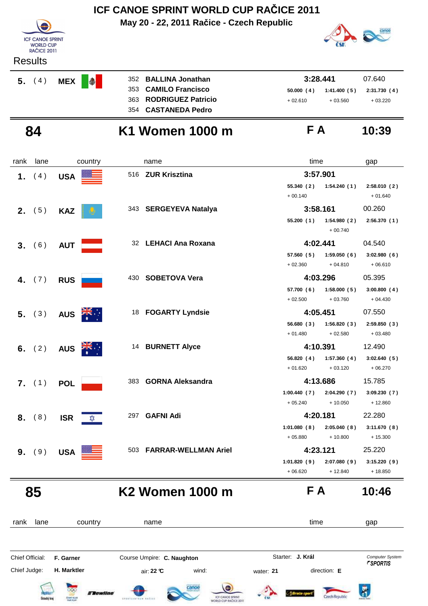

## **84 K1 Women 1000 m F A 10:39**

#### rank lane country thame the name time time gap  **1.** (4) USA **Section** 516 **ZUR Krisztina 1.** (4) USA **55.340 1:54.240 2:58.010 ( 2 ) ( 1 ) ( 2 )** + 00.140 + 01.640 **2.** (5) **KAZ 343 SERGEYEVA Natalya 3:58.161** 00.260 **55.200 1:54.980 2:56.370 ( 1 ) ( 2 ) ( 1 )** + 00.740  **3.** (6) **AUT 32 LEHACI Ana Roxana 4:02.441** 04.540 **57.560 1:59.050 3:02.980 ( 5 ) ( 6 ) ( 6 )**  $+ 02.360 + 04.810 + 06.610$ **4.** (7) RUS 430 SOBETOVA Vera 4:03.296 05.395 **57.700 1:58.000 3:00.800 ( 6 ) ( 5 ) ( 4 )**  $+ 02.500 + 03.760 + 04.430$ **5.** ( 3 ) **AUS FOGARTY Lyndsie 4:05.451** 07.550 **56.680 1:56.820 2:59.850 ( 3 ) ( 3 ) ( 3 )**  $+ 01.480 + 02.580 + 03.480$ **6.** (2) **AUS 14 BURNETT Alyce 4:10.391** 12.490 **56.820 1:57.360 3:02.640 ( 4 ) ( 4 ) ( 5 )**  $+ 01.620 + 03.120 + 06.270$ **7.** (1) **POL** 383 **GORNA Aleksandra 4:13.686** 15.785 **1:00.440 2:04.290 3:09.230 ( 7 ) ( 7 ) ( 7 )** + 05.240 + 10.050 + 12.860 **8.** (8) **ISR**  $\frac{\triangle}{2}$  297 **GAFNI Adi ISBN** 22.280 1:01.080 (8) 2:05.040 (8) 3:11.670 (8)  $+ 05.880 + 10.800 + 15.300$ **9.** (9) USA 503 FARRAR-WELLMAN Ariel 4:23.121 25.220 1:01.820 (9) 2:07.080 (9) 3:15.220 (9)  $+ 06.620 + 12.840 + 18.850$

 **85 K2 Women 1000 m F A 10:46**

rank lane country thame country time gap **J. Král**Chief Official: **F. Garner Course Umpire: C. Naughton** Course Conputer System **Computer System** Chief Judge: **H. Marktler air: 22 °C** wind: water: **21** direction: **E** A **Tewline** Czech Renublic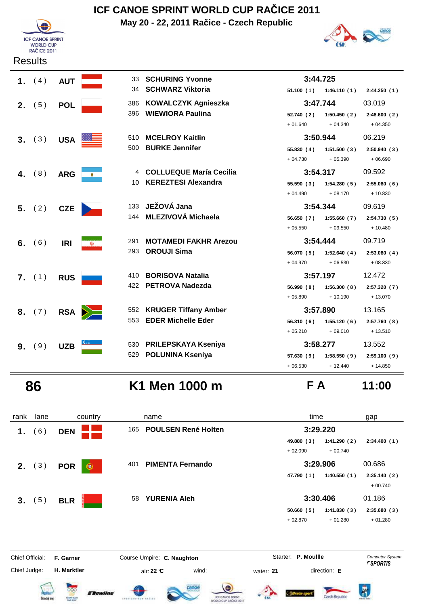

## **ICF CANOE SPRINT WORLD CUP RAČICE 2011**

**May 20 - 22, 2011 Račice - Czech Republic**



|    | 1. $(4)$        | <b>AUT</b>       |                 | 33 SCHURING Yvonne           | 3:44.725   |                           |              |
|----|-----------------|------------------|-----------------|------------------------------|------------|---------------------------|--------------|
|    |                 |                  |                 | 34 SCHWARZ Viktoria          |            | $51.100(1)$ $1:46.110(1)$ | 2:44.250(1)  |
|    | <b>2.</b> $(5)$ | <b>POL</b>       | 386             | <b>KOWALCZYK Agnieszka</b>   | 3:47.744   |                           | 03.019       |
|    |                 |                  |                 | 396 WIEWIORA Paulina         | 52.740 (2) | 1:50.450(2)               | 2:48.600(2)  |
|    |                 |                  |                 |                              | $+01.640$  | $+04.340$                 | $+04.350$    |
|    | 3. (3)          | USA <sup>E</sup> |                 | 510 MCELROY Kaitlin          | 3:50.944   |                           | 06.219       |
|    |                 |                  | 500             | <b>BURKE Jennifer</b>        | 55.830(4)  | 1:51.500(3)               | 2:50.940(3)  |
|    |                 |                  |                 |                              | $+04.730$  | $+05.390$                 | $+06.690$    |
|    | 4. $(8)$        | <b>ARG</b>       | $\bullet$       | 4 COLLUEQUE María Cecilia    | 3:54.317   |                           | 09.592       |
|    |                 |                  | 10              | <b>KEREZTESI Alexandra</b>   | 55.590(3)  | 1:54.280(5)               | 2:55.080(6)  |
|    |                 |                  |                 |                              | $+04.490$  | $+08.170$                 | $+10.830$    |
|    | 5. (2)          | <b>CZE</b>       | 133             | JEŽOVÁ Jana                  | 3:54.344   |                           | 09.619       |
|    |                 |                  |                 | 144 MLEZIVOVÁ Michaela       | 56.650 (7) | 1:55.660(7)               | 2:54.730(5)  |
|    |                 |                  |                 |                              | $+05.550$  | $+09.550$                 | $+10.480$    |
|    | 6. $(6)$        | <b>IRI</b>       | 291<br>$\omega$ | <b>MOTAMEDI FAKHR Arezou</b> | 3:54.444   |                           | 09.719       |
|    |                 |                  | 293             | <b>OROUJI Sima</b>           | 56.070 (5) | 1:52.640(4)               | 2:53.080(4)  |
|    |                 |                  |                 |                              | $+04.970$  | $+06.530$                 | $+08.830$    |
|    | 7. (1)          | <b>RUS</b>       | 410             | <b>BORISOVA Natalia</b>      | 3:57.197   |                           | 12.472       |
|    |                 |                  | 422             | <b>PETROVA Nadezda</b>       | 56.990(8)  | 1:56.300(8)               | 2:57.320 (7) |
|    |                 |                  |                 |                              | $+05.890$  | $+10.190$                 | $+13.070$    |
|    | 8. (7)          |                  | RSA <b>D</b>    | 552 KRUGER Tiffany Amber     | 3:57.890   |                           | 13.165       |
|    |                 |                  | 553             | <b>EDER Michelle Eder</b>    | 56.310(6)  | 1:55.120(6)               | 2:57.760(8)  |
|    |                 |                  |                 |                              | $+05.210$  | $+09.010$                 | $+13.510$    |
| 9. | (9)             | <b>UZB</b>       |                 | 530 PRILEPSKAYA Kseniya      | 3:58.277   |                           | 13.552       |
|    |                 |                  | 529             | <b>POLUNINA Kseniya</b>      | 57.630(9)  | 1:58.550(9)               | 2:59.100(9)  |
|    |                 |                  |                 |                              | $+06.530$  | $+12.440$                 | $+14.850$    |

 **86 K1 Men 1000 m F A 11:00**

| rank            | lane               | country                                                 | name                                                                      | time                                                | gap                                              |
|-----------------|--------------------|---------------------------------------------------------|---------------------------------------------------------------------------|-----------------------------------------------------|--------------------------------------------------|
| 1.              | (6)                | <b>DEN</b>                                              | <b>POULSEN René Holten</b><br>165                                         | 3:29.220                                            |                                                  |
|                 |                    |                                                         |                                                                           | 49.880 (3)<br>1:41.290(2)<br>$+02.090$<br>$+00.740$ | 2:34.400(1)                                      |
|                 | <b>2.</b> $(3)$    | <b>POR</b><br>Œ                                         | <b>PIMENTA Fernando</b><br>401                                            | 3:29.906                                            | 00.686                                           |
|                 |                    |                                                         |                                                                           | 1:40.550(1)<br>47.790 (1)                           | 2:35.140(2)<br>$+00.740$                         |
| 3.              | (5)                | <b>BLR</b>                                              | <b>YURENIA Aleh</b><br>58                                                 | 3:30.406                                            | 01.186                                           |
|                 |                    |                                                         |                                                                           | 50.660(5)<br>1:41.830(3)                            | 2:35.680(3)                                      |
|                 |                    |                                                         |                                                                           | $+02.870$<br>$+01.280$                              | $+01.280$                                        |
| Chief Official: |                    | F. Garner                                               | Course Umpire: C. Naughton                                                | Starter: P. Moullle                                 | <b>Computer System</b><br><i><b>FSPORTIS</b></i> |
| Chief Judge:    |                    | H. Marktler                                             | air: 22 °C<br>wind:                                                       | direction: E<br>water: 21                           |                                                  |
|                 | <b>Ústecký kra</b> | <b><i>Elewline</i></b><br>CENT GUN<br><b>Mail: PCAY</b> | canoe<br>ICF CANCE SPRINT<br>drustinateur setter<br>WORLD CUP RAČICE 2011 | Czech Republi                                       | Ä                                                |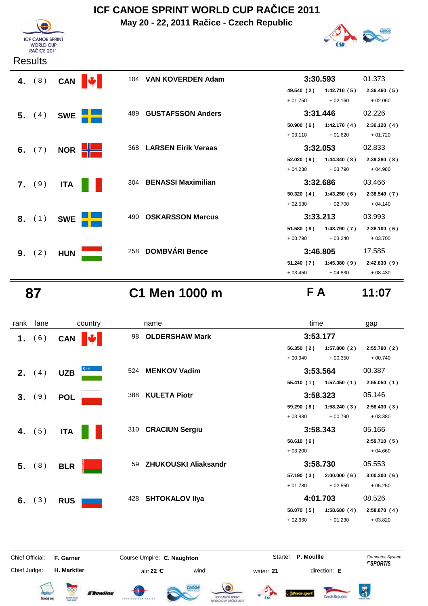**May 20 - 22, 2011 Račice - Czech Republic**





| .               |            |                |     |                            |            |              |             |
|-----------------|------------|----------------|-----|----------------------------|------------|--------------|-------------|
| 4. $(8)$        | <b>CAN</b> |                |     | 104 VAN KOVERDEN Adam      |            | 3:30.593     | 01.373      |
|                 |            |                |     |                            | 49.540 (2) | 1:42.710(5)  | 2:36.460(5) |
|                 |            |                |     |                            | $+01.750$  | $+02.160$    | $+02.060$   |
| 5. (4)          | <b>SWE</b> |                | 489 | <b>GUSTAFSSON Anders</b>   | 3:31.446   |              | 02.226      |
|                 |            |                |     |                            | 50.900(6)  | 1:42.170(4)  | 2:36.120(4) |
|                 |            |                |     |                            | $+03.110$  | $+01.620$    | $+01.720$   |
| 6. $(7)$        |            | NOR <b>HIM</b> | 368 | <b>LARSEN Eirik Veraas</b> | 3:32.053   |              | 02.833      |
|                 |            |                |     |                            | 52.020 (9) | 1:44.340 (8) | 2:39.380(8) |
|                 |            |                |     |                            | $+04.230$  | $+03.790$    | $+04.980$   |
| 7. (9)          | <b>ITA</b> |                |     | 304 BENASSI Maximilian     | 3:32.686   |              | 03.466      |
|                 |            |                |     |                            | 50.320 (4) | 1:43.250 (6) | 2:38.540(7) |
|                 |            |                |     |                            | $+02.530$  | $+02.700$    | $+04.140$   |
| 8. (1)          | <b>SWE</b> |                | 490 | <b>OSKARSSON Marcus</b>    | 3:33.213   |              | 03.993      |
|                 |            |                |     |                            | 51.580 (8) | 1:43.790 (7) | 2:38.100(6) |
|                 |            |                |     |                            | $+03.790$  | $+03.240$    | $+03.700$   |
| <b>9.</b> $(2)$ | <b>HUN</b> |                | 258 | <b>DOMBVÁRI Bence</b>      | 3:46.805   |              | 17.585      |
|                 |            |                |     |                            | 51.240 (7) | 1:45.380(9)  | 2:42.830(9) |
|                 |            |                |     |                            | $+03.450$  | $+04.830$    | $+08.430$   |

 **87 C1 Men 1000 m F A 11:07**

| rank           | lane     | country    |     | name                  | time                      | gap          |
|----------------|----------|------------|-----|-----------------------|---------------------------|--------------|
| 1.             | (6)      | CAN        | 98  | <b>OLDERSHAW Mark</b> | 3:53.177                  |              |
|                |          |            |     |                       | 56.350(2)<br>1:57.800(2)  | 2:55.790 (2) |
|                |          |            |     |                       | $+00.940$<br>$+00.350$    | $+00.740$    |
| 2.             | (4)      | <b>UZB</b> |     | 524 MENKOV Vadim      | 3:53.564                  | 00.387       |
|                |          |            |     |                       | $55.410(1)$ $1:57.450(1)$ | 2:55.050(1)  |
| 3 <sub>1</sub> | (9)      | <b>POL</b> |     | 388 KULETA Piotr      | 3:58.323                  | 05.146       |
|                |          |            |     |                       | 59.290(8)<br>1:58.240(3)  | 2:58.430(3)  |
|                |          |            |     |                       | $+03.880$<br>$+00.790$    | $+03.380$    |
| 4.             | (5)      | <b>ITA</b> |     | 310 CRACIUN Sergiu    | 3:58.343                  | 05.166       |
|                |          |            |     |                       | 58.610(6)                 | 2:59.710(5)  |
|                |          |            |     |                       | $+03.200$                 | $+04.660$    |
|                | 5. (8)   | <b>BLR</b> | 59  | ZHUKOUSKI Aliaksandr  | 3:58.730                  | 05.553       |
|                |          |            |     |                       | 57.190(3)<br>2:00.000(6)  | 3:00.300(6)  |
|                |          |            |     |                       | $+02.550$<br>$+01.780$    | $+05.250$    |
|                | 6. $(3)$ | <b>RUS</b> | 428 | <b>SHTOKALOV IIya</b> | 4:01.703                  | 08.526       |
|                |          |            |     |                       | 58.070 (5)<br>1:58.680(4) | 2:58.870(4)  |
|                |          |            |     |                       | $+02.660$<br>$+01.230$    | $+03.820$    |
|                |          |            |     |                       |                           |              |
|                |          |            |     |                       |                           |              |

Chief Judge:

Chief Official: **F. Garner Course Umpire: C. Naughton** Course **Starter: P. Moullle** Computer System

**H. Marktler air: 22 °C** wind: water: **21** direction: **E** 

















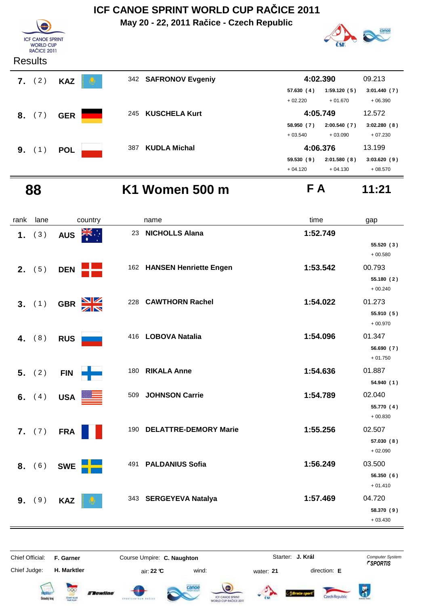

#### **88 K1 Women 500 m F A 11:21**

| rank | lane     | country                       |     | name                         | time     | gap                     |
|------|----------|-------------------------------|-----|------------------------------|----------|-------------------------|
| 1.   | (3)      | ्रेड्ड<br><b>AUS</b>          | 23  | <b>NICHOLLS Alana</b>        | 1:52.749 |                         |
|      |          |                               |     |                              |          | 55.520 (3)<br>$+00.580$ |
|      | 2. (5)   | <b>DEN</b>                    |     | 162 HANSEN Henriette Engen   | 1:53.542 | 00.793                  |
|      |          |                               |     |                              |          | 55.180 (2)<br>$+00.240$ |
|      | 3. (1)   | GBR XX                        | 228 | <b>CAWTHORN Rachel</b>       | 1:54.022 | 01.273                  |
|      |          |                               |     |                              |          | 55.910 (5)<br>$+00.970$ |
|      | 4. $(8)$ | <b>RUS</b>                    |     | 416 LOBOVA Natalia           | 1:54.096 | 01.347                  |
|      |          |                               |     |                              |          | 56.690 (7)<br>$+01.750$ |
|      | 5. (2)   | -1<br><b>FIN</b>              |     | 180 RIKALA Anne              | 1:54.636 | 01.887                  |
|      |          |                               |     |                              |          | 54.940 (1)              |
|      | 6. $(4)$ | <b>USA</b><br>$\frac{222}{1}$ | 509 | <b>JOHNSON Carrie</b>        | 1:54.789 | 02.040                  |
|      |          |                               |     |                              |          | 55.770 (4)<br>$+00.830$ |
|      | 7. (7)   | <b>FRA</b>                    | 190 | <b>DELATTRE-DEMORY Marie</b> | 1:55.256 | 02.507                  |
|      |          |                               |     |                              |          | 57.030 (8)<br>$+02.090$ |
|      | 8. (6)   | <b>SWE</b>                    |     | 491 PALDANIUS Sofia          | 1:56.249 | 03.500                  |
|      |          |                               |     |                              |          | 56.350(6)               |
|      |          |                               |     |                              |          | $+01.410$<br>04.720     |
| 9.   | (9)      | <b>KAZ</b>                    |     | 343 SERGEYEVA Natalya        | 1:57.469 | 58.370 (9)              |
|      |          |                               |     |                              |          | $+03.430$               |

**J. Král**Chief Official: **F. Garner Course Umpire: C. Naughton** Course Conputer System **Computer System** Chief Judge: **H. Marktler air: 22 °C** wind: water: **21** direction: **E**  $\bar{R}$ **Tewline** Czech Republic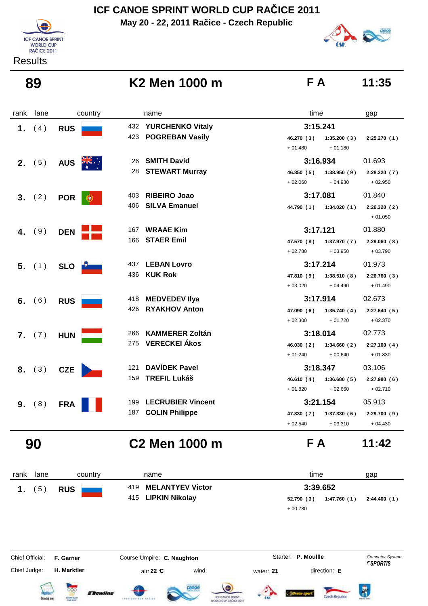**May 20 - 22, 2011 Račice - Czech Republic**



#### **Results**

#### **89 K2 Men 1000 m F A 11:35**

| rank | lane            |              | country              | name                     | time       | gap                         |
|------|-----------------|--------------|----------------------|--------------------------|------------|-----------------------------|
| 1.   | (4)             | <b>RUS</b>   | 432                  | <b>YURCHENKO Vitaly</b>  | 3:15.241   |                             |
|      |                 |              | 423                  | <b>POGREBAN Vasily</b>   | 46.270 (3) | 1:35.200(3)<br>2:25.270(1)  |
|      |                 |              |                      |                          | $+01.480$  | $+01.180$                   |
|      | 2. (5)          | <b>AUS</b>   | 26                   | <b>SMITH David</b>       | 3:16.934   | 01.693                      |
|      |                 |              | 28                   | <b>STEWART Murray</b>    | 46.850(5)  | 1:38.950(9)<br>2:28.220(7)  |
|      |                 |              |                      |                          | $+02.060$  | $+02.950$<br>$+04.930$      |
|      | 3. (2)          | <b>POR</b>   | 403<br>$\circledast$ | <b>RIBEIRO Joao</b>      | 3:17.081   | 01.840                      |
|      |                 |              | 406                  | <b>SILVA Emanuel</b>     | 44.790 (1) | 1:34.020(1)<br>2:26.320(2)  |
|      |                 |              |                      |                          |            | $+01.050$                   |
| 4.   | (9)             | <b>DEN</b>   | 167                  | <b>WRAAE Kim</b>         | 3:17.121   | 01.880                      |
|      |                 |              | 166                  | <b>STAER Emil</b>        | 47.570 (8) | 1:37.970(7)<br>2:29.060(8)  |
|      |                 |              |                      |                          | $+02.780$  | $+03.950$<br>$+03.790$      |
|      | $5.$ (1)        | SLO <b>P</b> | 437                  | <b>LEBAN Lovro</b>       | 3:17.214   | 01.973                      |
|      |                 |              | 436                  | <b>KUK Rok</b>           | 47.810 (9) | 1:38.510(8)<br>2:26.760(3)  |
|      |                 |              |                      |                          | $+03.020$  | $+04.490$<br>$+01.490$      |
|      | 6. $(6)$        | <b>RUS</b>   | 418                  | <b>MEDVEDEV IIya</b>     | 3:17.914   | 02.673                      |
|      |                 |              | 426                  | <b>RYAKHOV Anton</b>     | 47.090 (6) | 1:35.740(4)<br>2:27.640 (5) |
|      |                 |              |                      |                          | $+02.300$  | $+01.720$<br>$+02.370$      |
|      | <b>7.</b> $(7)$ | <b>HUN</b>   | 266                  | <b>KAMMERER Zoltán</b>   | 3:18.014   | 02.773                      |
|      |                 |              | 275                  | <b>VERECKEI Ákos</b>     | 46.030 (2) | 1:34.660(2)<br>2:27.100(4)  |
|      |                 |              |                      |                          | $+01.240$  | $+00.640$<br>$+01.830$      |
|      | 8. (3)          | <b>CZE</b>   | 121                  | <b>DAVÍDEK Pavel</b>     | 3:18.347   | 03.106                      |
|      |                 |              | 159                  | <b>TREFIL Lukáš</b>      | 46.610(4)  | 1:36.680(5)<br>2:27.980(6)  |
|      |                 |              |                      |                          | $+01.820$  | $+02.660$<br>$+02.710$      |
|      | 9. (8)          | <b>FRA</b>   | 199                  | <b>LECRUBIER Vincent</b> | 3:21.154   | 05.913                      |
|      |                 |              | 187                  | <b>COLIN Philippe</b>    | 47.330 (7) | 2:29.700 (9)<br>1:37.330(6) |
|      |                 |              |                      |                          | $+02.540$  | $+03.310$<br>$+04.430$      |

### **90 C2 Men 1000 m F A 11:42**



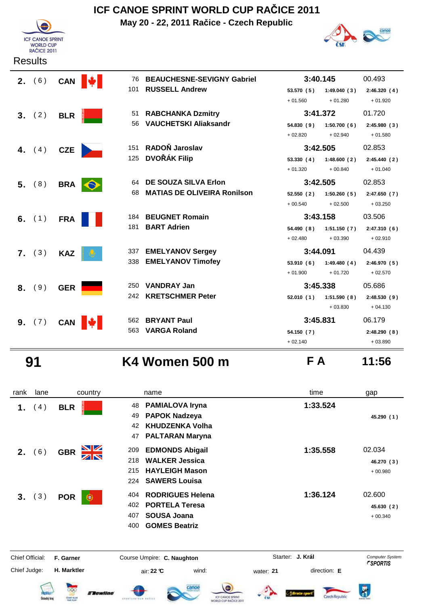

## **ICF CANOE SPRINT WORLD CUP RAČICE 2011**

**May 20 - 22, 2011 Račice - Czech Republic**



| 2. (6)   | CAN        | 76              | <b>BEAUCHESNE-SEVIGNY Gabriel</b>  | 3:40.145   |             | 00.493      |
|----------|------------|-----------------|------------------------------------|------------|-------------|-------------|
|          |            | 101             | <b>RUSSELL Andrew</b>              | 53.570(5)  | 1:49.040(3) | 2:46.320(4) |
|          |            |                 |                                    | $+01.560$  | $+01.280$   | $+01.920$   |
| 3. (2)   | <b>BLR</b> | 51              | <b>RABCHANKA Dzmitry</b>           | 3:41.372   |             | 01.720      |
|          |            | 56              | <b>VAUCHETSKI Aliaksandr</b>       | 54.830(9)  | 1:50.700(6) | 2:45.980(3) |
|          |            |                 |                                    | $+02.820$  | $+02.940$   | $+01.580$   |
| 4. $(4)$ | CZE        | 151             | RADOŇ Jaroslav                     | 3:42.505   |             | 02.853      |
|          |            | 125             | <b>DVOŘÁK Filip</b>                | 53.330(4)  | 1:48.600(2) | 2:45.440(2) |
|          |            |                 |                                    | $+01.320$  | $+00.840$   | $+01.040$   |
| 5. (8)   | BRA        | 64<br>$\bullet$ | DE SOUZA SILVA Erlon               | 3:42.505   |             | 02.853      |
|          |            | 68              | <b>MATIAS DE OLIVEIRA Ronilson</b> | 52.550(2)  | 1:50.260(5) | 2:47.650(7) |
|          |            |                 |                                    | $+00.540$  | $+02.500$   | $+03.250$   |
| 6. $(1)$ | <b>FRA</b> |                 | 184 BEUGNET Romain                 | 3:43.158   |             | 03.506      |
|          |            | 181             | <b>BART Adrien</b>                 | 54.490 (8) | 1:51.150(7) | 2:47.310(6) |
|          |            |                 |                                    | $+02.480$  | $+03.390$   | $+02.910$   |
| 7. (3)   | <b>KAZ</b> |                 | 337 EMELYANOV Sergey               | 3:44.091   |             | 04.439      |
|          |            | 338             | <b>EMELYANOV Timofey</b>           | 53.910(6)  | 1:49.480(4) | 2:46.970(5) |
|          |            |                 |                                    | $+01.900$  | $+01.720$   | $+02.570$   |
| 8. (9)   | <b>GER</b> |                 | 250 VANDRAY Jan                    | 3:45.338   |             | 05.686      |
|          |            |                 | 242 KRETSCHMER Peter               | 52.010(1)  | 1:51.590(8) | 2:48.530(9) |
|          |            |                 |                                    |            | $+03.830$   | $+04.130$   |
| 9. (7)   | <b>CAN</b> |                 | 562 BRYANT Paul                    | 3:45.831   |             | 06.179      |
|          |            | 563             | <b>VARGA Roland</b>                | 54.150 (7) |             | 2:48.290(8) |
|          |            |                 |                                    | $+02.140$  |             | $+03.890$   |

 **91 K4 Women 500 m F A 11:56**

| rank            | lane               | country                                                                                | name                                                                                                                         | time                                         | gap                                              |
|-----------------|--------------------|----------------------------------------------------------------------------------------|------------------------------------------------------------------------------------------------------------------------------|----------------------------------------------|--------------------------------------------------|
| 1.              | 4)                 | <b>BLR</b>                                                                             | <b>PAMIALOVA Iryna</b><br>48<br><b>PAPOK Nadzeya</b><br>49<br><b>KHUDZENKA Volha</b><br>42<br><b>PALTARAN Maryna</b><br>47   | 1:33.524                                     | 45.290 (1)                                       |
| 2.              | (6)                | NK<br>AR<br><b>GBR</b>                                                                 | <b>EDMONDS Abigail</b><br>209<br><b>WALKER Jessica</b><br>218<br><b>HAYLEIGH Mason</b><br>215<br><b>SAWERS Louisa</b><br>224 | 1:35.558                                     | 02.034<br>46.270 (3)<br>$+00.980$                |
| 3.              | (3)                | <b>POR</b><br>$\left( 0\right)$                                                        | <b>RODRIGUES Helena</b><br>404<br><b>PORTELA Teresa</b><br>402<br><b>SOUSA Joana</b><br>407<br><b>GOMES Beatriz</b><br>400   | 1:36.124                                     | 02.600<br>45.630 (2)<br>$+00.340$                |
| Chief Official: |                    | F. Garner                                                                              | Course Umpire: C. Naughton                                                                                                   | Starter: J. Král                             | <b>Computer System</b><br><i><b>FSPORTIS</b></i> |
| Chief Judge:    | <b>Detecký</b> kra | H. Marktler<br>oос<br><i><b>E Bewline</b></i><br><b>CEWE GUIR</b><br><b>Mail: PCAY</b> | wind:<br>air: 22 ℃<br>canoe<br>ICF CANCE SPRINT<br>EPORTLANTAUM RATION<br>WORLD CUP RACICE 2011                              | direction: E<br>water: 21<br>Czech flepublic | K<br><b>Hidrobin State</b>                       |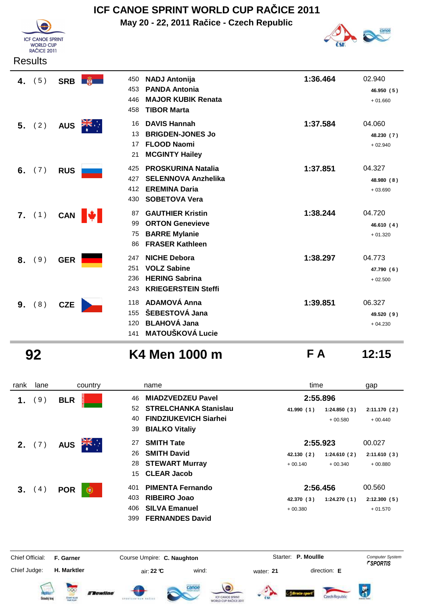

**May 20 - 22, 2011 Račice - Czech Republic**



| <b>Results</b> |  |
|----------------|--|
|----------------|--|

| (5)<br>4. | SRB <b>Fig.</b>  | <b>NADJ Antonija</b><br>450<br><b>PANDA Antonia</b><br>453<br><b>MAJOR KUBIK Renata</b><br>446<br><b>TIBOR Marta</b><br>458         | 1:36.464 | 02.940<br>46.950 (5)<br>$+01.660$ |
|-----------|------------------|-------------------------------------------------------------------------------------------------------------------------------------|----------|-----------------------------------|
| 5. (2)    | <b>AUS</b>       | <b>DAVIS Hannah</b><br>16<br><b>BRIGDEN-JONES Jo</b><br>13<br><b>FLOOD Naomi</b><br>17<br><b>MCGINTY Hailey</b><br>21               | 1:37.584 | 04.060<br>48.230 (7)<br>$+02.940$ |
| (7)<br>6. | <b>RUS</b>       | <b>PROSKURINA Natalia</b><br>425<br><b>SELENNOVA Anzhelika</b><br>427<br><b>EREMINA Daria</b><br>412<br><b>SOBETOVA Vera</b><br>430 | 1:37.851 | 04.327<br>48.980 (8)<br>$+03.690$ |
| 7. (1)    | M.<br><b>CAN</b> | <b>GAUTHIER Kristin</b><br>87<br><b>ORTON Genevieve</b><br>99<br><b>BARRE Mylanie</b><br>75<br><b>FRASER Kathleen</b><br>86         | 1:38.244 | 04.720<br>46.610 (4)<br>$+01.320$ |
| (9)<br>8. | <b>GER</b>       | <b>NICHE Debora</b><br>247<br><b>VOLZ Sabine</b><br>251<br><b>HERING Sabrina</b><br>236<br><b>KRIEGERSTEIN Steffi</b><br>243        | 1:38.297 | 04.773<br>47.790 (6)<br>$+02.500$ |
| (8)<br>9. | <b>CZE</b>       | <b>ADAMOVÁ Anna</b><br>118<br>ŠEBESTOVÁ Jana<br>155<br><b>BLAHOVÁ Jana</b><br>120<br><b>MATOUŠKOVÁ Lucie</b><br>141                 | 1:39.851 | 06.327<br>49.520 (9)<br>$+04.230$ |

 **92 K4 Men 1000 m F A 12:15**

Czech Republic

| rank                   | lane   | country          | name                               | time                      | gap                                              |
|------------------------|--------|------------------|------------------------------------|---------------------------|--------------------------------------------------|
| 1.                     | 9)     | <b>BLR</b>       | <b>MIADZVEDZEU Pavel</b><br>46     | 2:55.896                  |                                                  |
|                        |        |                  | <b>STRELCHANKA Stanislau</b><br>52 | 41.990 (1)<br>1:24.850(3) | 2:11.170(2)                                      |
|                        |        |                  | <b>FINDZIUKEVICH Siarhei</b><br>40 | $+00.580$                 | $+00.440$                                        |
|                        |        |                  | <b>BIALKO Vitaliy</b><br>39        |                           |                                                  |
|                        | 2. (7) | <b>AUS</b>       | <b>SMITH Tate</b><br>27            | 2:55.923                  | 00.027                                           |
|                        |        |                  | <b>SMITH David</b><br>26           | 42.130 (2)<br>1:24.610(2) | 2:11.610(3)                                      |
|                        |        |                  | <b>STEWART Murray</b><br>28        | $+00.140$<br>$+00.340$    | $+00.880$                                        |
|                        |        |                  | <b>CLEAR Jacob</b><br>15           |                           |                                                  |
|                        | 3. (4) | <b>POR</b>       | <b>PIMENTA Fernando</b><br>401     | 2:56.456                  | 00.560                                           |
|                        |        |                  | <b>RIBEIRO Joao</b><br>403         | 1:24.270(1)<br>42.370 (3) | 2:12.300(5)                                      |
|                        |        |                  | <b>SILVA Emanuel</b><br>406        | $+00.380$                 | $+01.570$                                        |
|                        |        |                  | <b>FERNANDES David</b><br>399      |                           |                                                  |
| <b>Chief Official:</b> |        | F. Garner        | Course Umpire: C. Naughton         | Starter: P. Moullle       | <b>Computer System</b><br><i><b>FSPORTIS</b></i> |
| Chief Judge:           |        | H. Marktler      | air: 22 °C<br>wind:                | direction: E<br>water: 21 |                                                  |
|                        |        | <b>E Bewline</b> | canoe<br>ICF CANCE SPRIN           | Czech Republi             | Ä                                                |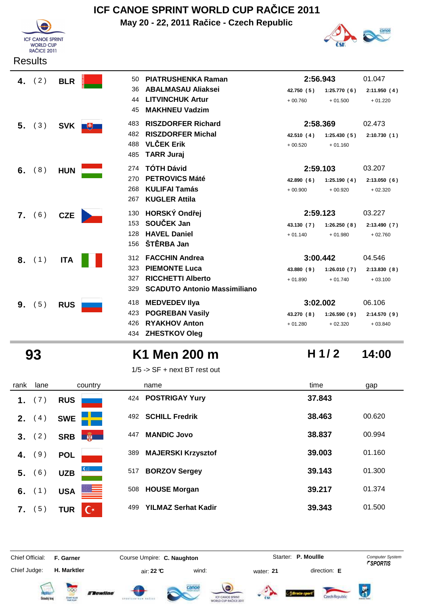

## **ICF CANOE SPRINT WORLD CUP RAČICE 2011**

**May 20 - 22, 2011 Račice - Czech Republic**



| 4. $(2)$ |     | <b>BLR</b>   | 50  | <b>PIATRUSHENKA Raman</b>           | 2:56.943   |             | 01.047      |
|----------|-----|--------------|-----|-------------------------------------|------------|-------------|-------------|
|          |     |              | 36  | <b>ABALMASAU Aliaksei</b>           | 42.750 (5) | 1:25.770(6) | 2:11.950(4) |
|          |     |              | 44  | <b>LITVINCHUK Artur</b>             | $+00.760$  | $+01.500$   | $+01.220$   |
|          |     |              | 45  | <b>MAKHNEU Vadzim</b>               |            |             |             |
| 5.       | (3) | SVK <b>F</b> | 483 | <b>RISZDORFER Richard</b>           | 2:58.369   |             | 02.473      |
|          |     |              | 482 | <b>RISZDORFER Michal</b>            | 42.510 (4) | 1:25.430(5) | 2:10.730(1) |
|          |     |              | 488 | <b>VLČEK Erik</b>                   | $+00.520$  | $+01.160$   |             |
|          |     |              | 485 | <b>TARR Juraj</b>                   |            |             |             |
| 6.       | (8) | <b>HUN</b>   | 274 | <b>TÓTH Dávid</b>                   | 2:59.103   |             | 03.207      |
|          |     |              | 270 | <b>PETROVICS Máté</b>               | 42.890(6)  | 1:25.190(4) | 2:13.050(6) |
|          |     |              | 268 | <b>KULIFAI Tamás</b>                | $+00.900$  | $+00.920$   | $+02.320$   |
|          |     |              | 267 | <b>KUGLER Attila</b>                |            |             |             |
| 7. (6)   |     | <b>CZE</b>   | 130 | HORSKÝ Ondřej                       | 2:59.123   |             | 03.227      |
|          |     |              | 153 | SOUČEK Jan                          | 43.130 (7) | 1:26.250(8) | 2:13.490(7) |
|          |     |              | 128 | <b>HAVEL Daniel</b>                 | $+01.140$  | $+01.980$   | $+02.760$   |
|          |     |              | 156 | ŠTĚRBA Jan                          |            |             |             |
| 8. (1)   |     |              | 312 | <b>FACCHIN Andrea</b>               | 3:00.442   |             | 04.546      |
|          |     | <b>ITA</b>   | 323 | <b>PIEMONTE Luca</b>                | 43.880(9)  | 1:26.010(7) | 2:13.830(8) |
|          |     |              | 327 | <b>RICCHETTI Alberto</b>            | $+01.890$  | $+01.740$   | $+03.100$   |
|          |     |              | 329 | <b>SCADUTO Antonio Massimiliano</b> |            |             |             |
|          |     |              |     |                                     |            |             |             |
| 9.       | (5) | <b>RUS</b>   | 418 | <b>MEDVEDEV IIya</b>                | 3:02.002   |             | 06.106      |
|          |     |              | 423 | <b>POGREBAN Vasily</b>              | 43.270 (8) | 1:26.590(9) | 2:14.570(9) |
|          |     |              | 426 | <b>RYAKHOV Anton</b>                | $+01.280$  | $+02.320$   | $+03.840$   |
|          |     |              | 434 | <b>ZHESTKOV Oleg</b>                |            |             |             |

## **93 K1 Men 200 m 14:00**

1/5 -> SF + next BT rest out

| rank | lane              | country                      | name                              | time<br>gap      |
|------|-------------------|------------------------------|-----------------------------------|------------------|
| 1.   | (7)               | <b>RUS</b>                   | <b>POSTRIGAY Yury</b><br>424      | 37.843           |
| 2.   | 4)                | <b>SWE</b>                   | <b>SCHILL Fredrik</b><br>492      | 38.463<br>00.620 |
| 3.   | $\left( 2\right)$ | 第一<br><b>SRB</b>             | <b>MANDIC Jovo</b><br>447         | 38.837<br>00.994 |
| 4.   | 9)                | <b>POL</b>                   | <b>MAJERSKI Krzysztof</b><br>389  | 39.003<br>01.160 |
| 5.   | 6)                | <b>UZB</b>                   | <b>BORZOV Sergey</b><br>517       | 39.143<br>01.300 |
| 6.   | (1)               | <u> 20 – </u><br><b>USA</b>  | <b>HOUSE Morgan</b><br>508        | 39.217<br>01.374 |
| 7.   | 5)                | <b>TUR</b><br>$\mathbb{C}^*$ | <b>YILMAZ Serhat Kadir</b><br>499 | 39.343<br>01.500 |

Chief Judge:

**H. Marktler air: 22 °C** wind: water: **21** direction: **E** 

Chief Official: **F. Garner Course Umpire: C. Naughton Carrier: C. Starter: P. Moullle** *Computer System* Starter: P. Moullle















**H 1/ 2**

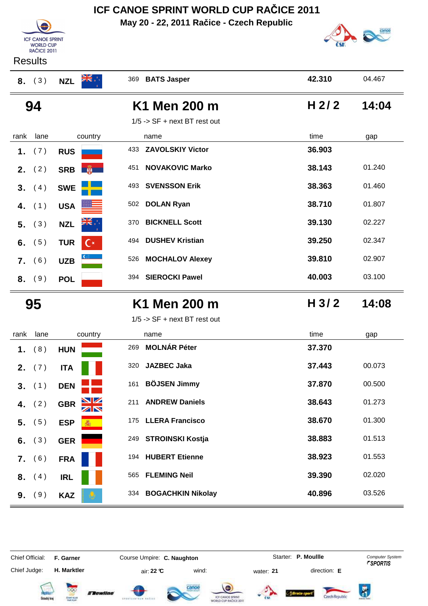**Results** 

**ICF CANOE SPRINT** WORLD CUP<br>RAČICE 2011

**May 20 - 22, 2011 Račice - Czech Republic**



| (3)<br>8.    | <b>NZL</b>                       | 369 BATS Jasper                | 42.310 | 04.467 |
|--------------|----------------------------------|--------------------------------|--------|--------|
| 94           |                                  | K1 Men 200 m                   | H 2/2  | 14:04  |
|              |                                  | $1/5$ -> SF + next BT rest out |        |        |
| lane<br>rank | country                          | name                           | time   | gap    |
| (7)<br>1.    | <b>RUS</b>                       | 433 ZAVOLSKIY Victor           | 36.903 |        |
| (2)<br>2.    | <b>DESCRIPTION</b><br><b>SRB</b> | <b>NOVAKOVIC Marko</b><br>451  | 38.143 | 01.240 |
| (4)<br>3.    | <b>SWE</b>                       | <b>SVENSSON Erik</b><br>493    | 38.363 | 01.460 |
| (1)<br>4.    | <b>USA</b>                       | <b>DOLAN Ryan</b><br>502       | 38.710 | 01.807 |
| (3)<br>5.    | <b>NZL</b>                       | <b>BICKNELL Scott</b><br>370   | 39.130 | 02.227 |
| (5)<br>6.    | <b>TUR</b><br>(∗                 | <b>DUSHEV Kristian</b><br>494  | 39.250 | 02.347 |
| (6)<br>7.    | <b>UZB</b>                       | <b>MOCHALOV Alexey</b><br>526  | 39.810 | 02.907 |
| 8. (9)       | <b>POL</b>                       | 394 SIEROCKI Pawel             | 40.003 | 03.100 |
|              |                                  |                                |        |        |
| 95           |                                  | K1 Men 200 m                   | H 3/2  | 14:08  |
|              |                                  | $1/5$ -> SF + next BT rest out |        |        |
| lane<br>rank | country                          | name                           | time   | gap    |
| (8)<br>1.    | <b>HUN</b>                       | <b>MOLNÁR Péter</b><br>269     | 37.370 |        |
| (7)<br>2.    | <b>ITA</b>                       | <b>JAZBEC Jaka</b><br>320      | 37.443 | 00.073 |
| (1)<br>3.    | <b>DEN</b>                       | <b>BÖJSEN Jimmy</b><br>161     | 37.870 | 00.500 |
| (2)<br>4.    | NZ<br><b>GBR</b>                 | <b>ANDREW Daniels</b><br>211   | 38.643 | 01.273 |
| (5)<br>5.    | <b>ESP</b>                       | 175 LLERA Francisco            | 38.670 | 01.300 |
| (3)<br>6.    | <b>GER</b>                       | 249 STROINSKI Kostja           | 38.883 | 01.513 |
| (6)<br>7.    | <b>FRA</b>                       | 194 HUBERT Etienne             | 38.923 | 01.553 |
| (4)<br>8.    | <b>IRL</b>                       | 565 FLEMING Neil               | 39.390 | 02.020 |

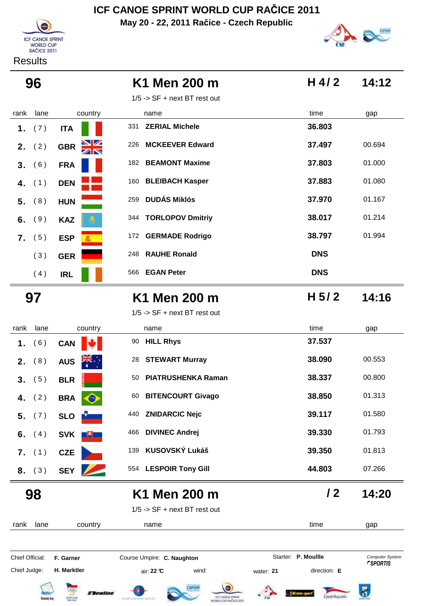**May 20 - 22, 2011 Račice - Czech Republic**





| 96              |                      | K1 Men 200 m                    | H 4/2               | 14:12                              |
|-----------------|----------------------|---------------------------------|---------------------|------------------------------------|
|                 |                      | $1/5$ -> SF + next BT rest out  |                     |                                    |
| lane<br>rank    | country              | name                            | time                | gap                                |
| 1.<br>(7)       | <b>ITA</b>           | 331<br><b>ZERIAL Michele</b>    | 36.803              |                                    |
| (2)<br>2.       | <b>GBR</b>           | <b>MCKEEVER Edward</b><br>226   | 37.497              | 00.694                             |
| (6)<br>3.       | <b>FRA</b>           | 182 BEAMONT Maxime              | 37.803              | 01.000                             |
| (1)<br>4.       | <b>DEN</b>           | 160 BLEIBACH Kasper             | 37.883              | 01.080                             |
| (8)<br>5.       | <b>HUN</b>           | <b>DUDÁS Miklós</b><br>259      | 37.970              | 01.167                             |
| (9)<br>6.       | <b>KAZ</b>           | 344 TORLOPOV Dmitriy            | 38.017              | 01.214                             |
| (5)<br>7.       | <b>ESP</b>           | 172 GERMADE Rodrigo             | 38.797              | 01.994                             |
| (3)             | <b>GER</b>           | <b>RAUHE Ronald</b><br>248      | <b>DNS</b>          |                                    |
| (4)             | <b>IRL</b>           | <b>EGAN Peter</b><br>566        | <b>DNS</b>          |                                    |
| 97              |                      | K1 Men 200 m                    | H $5/2$             | 14:16                              |
|                 |                      | $1/5$ -> SF + next BT rest out  |                     |                                    |
| lane<br>rank    | country              | name                            | time                | gap                                |
| (6)<br>1.       | <b>CAN</b>           | 90 HILL Rhys                    | 37.537              |                                    |
| (8)<br>2.       | <b>AUS</b>           | <b>STEWART Murray</b><br>28     | 38.090              | 00.553                             |
| (5)<br>3.       | <b>BLR</b>           | <b>PIATRUSHENKA Raman</b><br>50 | 38.337              | 00.800                             |
| (2)<br>4.       | <b>BRA</b>           | <b>BITENCOURT Givago</b><br>60  | 38.850              | 01.313                             |
| (7)<br>5.       | <b>SLO</b>           | <b>ZNIDARCIC Nejc</b><br>440    | 39.117              | 01.580                             |
| (4)<br>6.       | <b>SVK</b><br>$\Box$ | <b>DIVINEC Andrej</b><br>466    | 39.330              | 01.793                             |
| (1)<br>7.       | <b>CZE</b>           | KUSOVSKÝ Lukáš<br>139           | 39.350              | 01.813                             |
| 8. (3)          | <b>SEY</b>           | 554 LESPOIR Tony Gill           | 44.803              | 07.266                             |
| 98              |                      | K1 Men 200 m                    | $\sqrt{2}$          | 14:20                              |
|                 |                      | $1/5$ -> SF + next BT rest out  |                     |                                    |
| lane<br>rank    | country              | name                            | time                | gap                                |
|                 | F. Garner            | Course Umpire: C. Naughton      | Starter: P. Moullle | Computer System<br><b>FSPORTIS</b> |
| Chief Official: |                      |                                 |                     |                                    |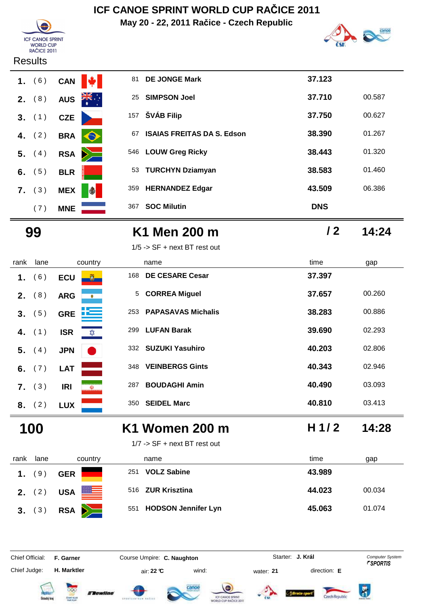**May 20 - 22, 2011 Račice - Czech Republic**





#### **Results**

|    | $1.$ (6) | <b>CAN</b> |
|----|----------|------------|
|    | $2.$ (8) | <b>AUS</b> |
|    | $3.$ (1) | <b>CZE</b> |
| 4. | (2)      | <b>BRA</b> |
|    | $5.$ (4) | <b>RSA</b> |
|    | 6. $(5)$ | <b>BLR</b> |
|    | 7. (3)   | <b>MEX</b> |
|    | (7)      | <b>MNE</b> |

| 1. $(6)$ | <b>CAN</b> |                      | 81                   |                    | 37.123                                                                                                                                                                     |        |
|----------|------------|----------------------|----------------------|--------------------|----------------------------------------------------------------------------------------------------------------------------------------------------------------------------|--------|
| 2. $(8)$ | <b>AUS</b> | $\frac{1}{\sqrt{2}}$ | 25                   |                    | 37.710                                                                                                                                                                     | 00.587 |
| 3. (1)   | <b>CZE</b> |                      |                      |                    | 37.750                                                                                                                                                                     | 00.627 |
| 4. $(2)$ | <b>BRA</b> | $\bullet$            | 67                   |                    | 38.390                                                                                                                                                                     | 01.267 |
| 5. $(4)$ |            |                      |                      |                    | 38.443                                                                                                                                                                     | 01.320 |
| 6. $(5)$ | <b>BLR</b> |                      | 53                   |                    | 38.583                                                                                                                                                                     | 01.460 |
| (3)      | <b>MEX</b> | I                    |                      |                    | 43.509                                                                                                                                                                     | 06.386 |
| (7)      | <b>MNE</b> |                      |                      | <b>SOC Milutin</b> | <b>DNS</b>                                                                                                                                                                 |        |
|          |            |                      | $\sum$<br><b>RSA</b> | 157<br>359<br>367  | <b>DE JONGE Mark</b><br><b>SIMPSON Joel</b><br>ŠVÁB Filip<br><b>ISAIAS FREITAS DA S. Edson</b><br>546 LOUW Greg Ricky<br><b>TURCHYN Dziamyan</b><br><b>HERNANDEZ Edgar</b> |        |

| 99 | K1 Men 200 m | 14:24 |
|----|--------------|-------|
|    |              |       |

| rank           | lane     | country                     | name |                           | time    | gap    |
|----------------|----------|-----------------------------|------|---------------------------|---------|--------|
| 1.             | (6)      | <b>ECU</b><br>$\mathbf{0}$  | 168  | <b>DE CESARE Cesar</b>    | 37.397  |        |
| $2_{-}$        | (8)      | <b>ARG</b><br>٠             |      | 5 CORREA Miguel           | 37.657  | 00.260 |
| 3 <sub>1</sub> | (5)      | يريضة<br><b>GRE</b>         | 253  | <b>PAPASAVAS Michalis</b> | 38.283  | 00.886 |
|                | 4. $(1)$ | <b>ISR</b><br>$\frac{1}{2}$ | 299  | <b>LUFAN Barak</b>        | 39.690  | 02.293 |
|                | 5. (4)   | <b>JPN</b>                  |      | 332 SUZUKI Yasuhiro       | 40.203  | 02.806 |
|                | 6. $(7)$ | <b>LAT</b>                  | 348  | <b>VEINBERGS Gints</b>    | 40.343  | 02.946 |
|                | 7. (3)   | <b>IRI</b><br><b>W</b>      | 287  | <b>BOUDAGHI Amin</b>      | 40.490  | 03.093 |
|                | 8. (2)   | <b>LUX</b>                  | 350  | <b>SEIDEL Marc</b>        | 40.810  | 03.413 |
|                | 100      |                             |      | K1 Women 200 m            | H $1/2$ | 14:28  |

#### **100 K1 Women 200 m 14:28**

1/7 -> SF + next BT rest out

| rank | lane            | country                 | name                      | time<br>gap      |
|------|-----------------|-------------------------|---------------------------|------------------|
| 1.   | 9)              | <b>GER</b>              | <b>VOLZ Sabine</b><br>251 | 43.989           |
|      | <b>2.</b> $(2)$ | <u>es</u><br><b>USA</b> | 516 ZUR Krisztina         | 44.023<br>00.034 |
|      | 3. (3)          | RSA <b>A</b>            | 551 HODSON Jennifer Lyn   | 45.063<br>01.074 |

**H. Marktler air: 22 °C** wind: water: **21** direction: **E** 

Chief Official: **F. Garner Course Umpire: C. Naughton** Course Conputer System **Computer System** 

Chief Judge:

**J. Král**













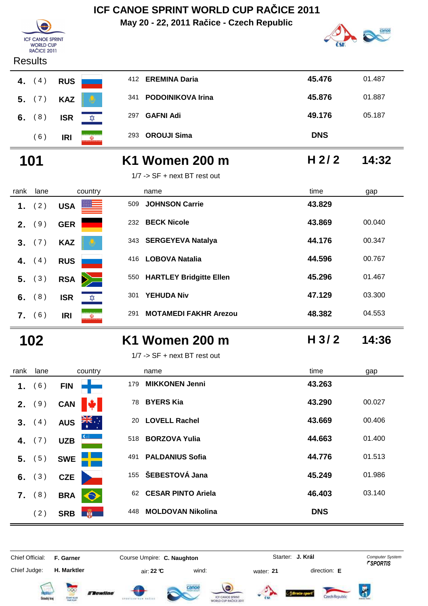**May 20 - 22, 2011 Račice - Czech Republic**



| <b>Results</b> |          |            |  |  |  |  |  |
|----------------|----------|------------|--|--|--|--|--|
|                | 4. $(4)$ | <b>RUS</b> |  |  |  |  |  |
|                | $5.$ (7) | <b>KAZ</b> |  |  |  |  |  |
|                | $6.$ (8) | <b>ISR</b> |  |  |  |  |  |
|                | (6)      | IRI        |  |  |  |  |  |

**ICF CANOE SPRINT F CANCE SPRI**<br>WORLD CUP<br>RAČICE 2011

|      | Results |                                        |                 |                              |                  |        |
|------|---------|----------------------------------------|-----------------|------------------------------|------------------|--------|
| 4.   | (4)     | <b>RUS</b>                             |                 | 412 EREMINA Daria            | 45.476           | 01.487 |
| 5.   | (7)     | <b>KAZ</b>                             | 341             | <b>PODOINIKOVA Irina</b>     | 45.876           | 01.887 |
| 6.   | (8)     | <b>ISR</b>                             | 297<br>ΣΩΣ      | <b>GAFNI Adi</b>             | 49.176           | 05.187 |
|      | (6)     | <b>IRI</b><br>$\omega$                 | 293             | <b>OROUJI Sima</b>           | <b>DNS</b>       |        |
|      | 101     |                                        |                 | K1 Women 200 m               | H $2/2$          | 14:32  |
|      |         |                                        |                 | 1/7 -> SF + next BT rest out |                  |        |
| rank | lane    | country                                |                 | name                         | time             | gap    |
| 1.   | (2)     | <b>USA</b>                             | 509             | <b>JOHNSON Carrie</b>        | 43.829           |        |
| 2.   | (9)     | <b>GER</b>                             | 232             | <b>BECK Nicole</b>           | 43.869           | 00.040 |
| 3.   | (7)     | <b>KAZ</b>                             |                 | 343 SERGEYEVA Natalya        | 44.176           | 00.347 |
| 4.   | (4)     | <b>RUS</b>                             | 416             | <b>LOBOVA Natalia</b>        | 44.596           | 00.767 |
| 5.   | (3)     | <b>RSA</b>                             |                 | 550 HARTLEY Bridgitte Ellen  | 45.296           | 01.467 |
| 6.   | (8)     | <b>ISR</b>                             | 301<br>⋩        | <b>YEHUDA Niv</b>            | 47.129           | 03.300 |
|      | 7. (6)  | <b>IRI</b>                             | 291<br>$\omega$ | <b>MOTAMEDI FAKHR Arezou</b> | 48.382           | 04.553 |
|      | 102     |                                        |                 | <b>K1 Women 200 m</b>        | H <sub>3/2</sub> | 14:36  |
|      |         |                                        |                 | 1/7 -> SF + next BT rest out |                  |        |
| rank | lane    | country                                |                 | name                         | time             | gap    |
|      | 1. (6)  | <b>Contract Contract</b><br><b>FIN</b> |                 | 179 MIKKONEN Jenni           | 43.263           |        |
| 2.   | (9)     | <b>CAN</b>                             |                 | 78 BYERS Kia                 | 43.290           | 00.027 |
| 3.   | (4)     | <b>AUS</b>                             | 20              | <b>LOVELL Rachel</b>         | 43.669           | 00.406 |
| 4.   | (7)     | <b>UZB</b>                             | 518             | <b>BORZOVA Yulia</b>         | 44.663           | 01.400 |
| 5.   | (5)     | <b>SWE</b>                             | 491             | <b>PALDANIUS Sofia</b>       | 44.776           | 01.513 |
| 6.   | (3)     | <b>CZE</b>                             | 155             | ŠEBESTOVÁ Jana               | 45.249           | 01.986 |
| 7.   | (8)     | <b>BRA</b>                             |                 | 62 CESAR PINTO Ariela        | 46.403           | 03.140 |

Chief Judge: **H. Marktler air: 22 °C** wind: water: **21** direction: **E** 

Chief Official: **F. Garner Course Umpire: C. Naughton** Course Conputer System **Computer System** 

(2) **SRB**  $\frac{1}{2}$  448 **MOLDOVAN Nikolina DNS** 

**J. Král**













Ä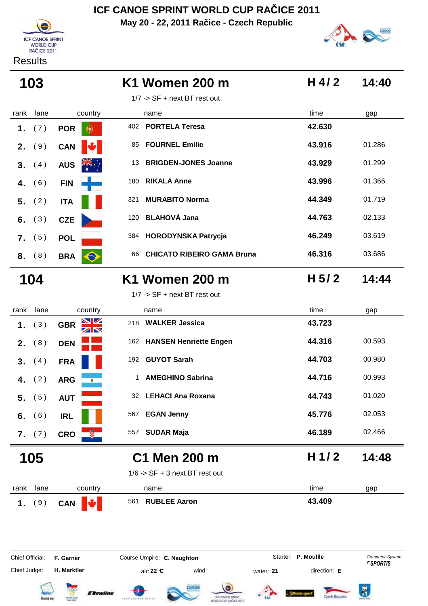**May 20 - 22, 2011 Račice - Czech Republic**



Results



| 103                   |                                                        | K1 Women 200 m                                                                  | H 4/2               | 14:40                                            |
|-----------------------|--------------------------------------------------------|---------------------------------------------------------------------------------|---------------------|--------------------------------------------------|
|                       |                                                        | $1/7$ -> SF + next BT rest out                                                  |                     |                                                  |
| rank<br>lane          | country                                                | name                                                                            | time                | gap                                              |
| (7)<br>1.             | <b>POR</b><br>Ð                                        | <b>PORTELA Teresa</b><br>402                                                    | 42.630              |                                                  |
| (9)<br>2.             | <b>CAN</b>                                             | <b>FOURNEL Emilie</b><br>85                                                     | 43.916              | 01.286                                           |
| (4)<br>3 <sub>1</sub> | <b>AUS</b>                                             | <b>BRIGDEN-JONES Joanne</b><br>13                                               | 43.929              | 01.299                                           |
| (6)<br>4.             | <b>FIN</b>                                             | <b>RIKALA Anne</b><br>180                                                       | 43.996              | 01.366                                           |
| (2)<br>5.             | <b>ITA</b>                                             | <b>MURABITO Norma</b><br>321                                                    | 44.349              | 01.719                                           |
| (3)<br>6.             | <b>CZE</b>                                             | <b>BLAHOVÁ Jana</b><br>120                                                      | 44.763              | 02.133                                           |
| (5)<br>7.             | <b>POL</b>                                             | <b>HORODYNSKA Patrycja</b><br>384                                               | 46.249              | 03.619                                           |
| (8)<br>8.             | <b>BRA</b><br>$\Theta$                                 | <b>CHICATO RIBEIRO GAMA Bruna</b><br>66                                         | 46.316              | 03.686                                           |
| 104                   |                                                        | K1 Women 200 m                                                                  | H $5/2$             | 14:44                                            |
|                       |                                                        | $1/7$ -> SF + next BT rest out                                                  |                     |                                                  |
| lane<br>rank          | country                                                | name                                                                            | time                | gap                                              |
| (3)<br>1.             | $\blacksquare$<br><b>GBR</b>                           | <b>WALKER Jessica</b><br>218                                                    | 43.723              |                                                  |
| (8)<br>2.             | <b>DEN</b>                                             | 162 HANSEN Henriette Engen                                                      | 44.316              | 00.593                                           |
| (4)<br>3 <sub>1</sub> | <b>FRA</b>                                             | 192 GUYOT Sarah                                                                 | 44.703              | 00.980                                           |
| (2)<br>4.             | <b>ARG</b>                                             | <b>AMEGHINO Sabrina</b><br>1                                                    | 44.716              | 00.993                                           |
| (5)<br>5.             | <b>AUT</b>                                             | 32 LEHACI Ana Roxana                                                            | 44.743              | 01.020                                           |
| (6)<br>6.             | <b>IRL</b>                                             | <b>EGAN Jenny</b><br>567                                                        | 45.776              | 02.053                                           |
| (7)<br>7.             | <b>CRO</b>                                             | <b>SUDAR Maja</b><br>557                                                        | 46.189              | 02.466                                           |
| 105                   |                                                        | C1 Men 200 m                                                                    | H 1/2               | 14:48                                            |
|                       |                                                        | $1/6$ -> SF + 3 next BT rest out                                                |                     |                                                  |
| rank<br>lane          | country                                                | name                                                                            | time                | gap                                              |
| (9)<br>1.             | <b>CAN</b>                                             | <b>RUBLEE Aaron</b><br>561                                                      | 43.409              |                                                  |
| Chief Official:       | F. Garner                                              | Course Umpire: C. Naughton                                                      | Starter: P. Moullle | <b>Computer System</b><br><b><i>FSPORTIS</i></b> |
| Chief Judge:          | H. Marktler                                            | wind:<br>air: 22 °C<br>water: 21                                                | direction: E        |                                                  |
| Dstecký kra           | <i><b>ETewline</b></i><br><b>CENT CUR</b><br>Nell PLAY | :anoe<br><b>ICF CANCE SPRINT</b><br>SPEATERSTAND RAZIE<br>WORLD CUP RACICE 2011 | Czech Republi       | ö                                                |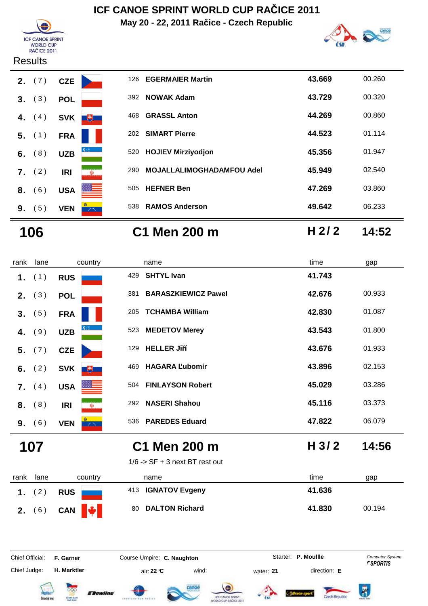

**May 20 - 22, 2011 Račice - Czech Republic**



#### **Results**

|    | $2.$ (7) | <b>CZE</b>      |
|----|----------|-----------------|
|    | 3. (3)   | <b>POL</b>      |
|    | 4. $(4)$ | <b>SVK</b>      |
|    | $5.$ (1) | FRA             |
|    | 6. $(8)$ | G<br><b>UZB</b> |
|    | $7.$ (2) | IRI<br>(Ü)      |
|    | 8. (6)   | <b>USA</b>      |
| 9. | (5)      | <b>VEN</b>      |

|    | <b>2.</b> $(7)$ | <b>CZE</b> |                                                               | 126 | <b>EGERMAIER Martin</b>          | 43.669 | 00.260 |
|----|-----------------|------------|---------------------------------------------------------------|-----|----------------------------------|--------|--------|
| 3. | (3)             | <b>POL</b> |                                                               | 392 | <b>NOWAK Adam</b>                | 43.729 | 00.320 |
| 4. | (4)             | <b>SVK</b> | $\begin{array}{ c c } \hline \text{ } & \text{ } \end{array}$ | 468 | <b>GRASSL Anton</b>              | 44.269 | 00.860 |
|    | $5.$ (1)        | <b>FRA</b> |                                                               | 202 | <b>SIMART Pierre</b>             | 44.523 | 01.114 |
|    | $6.$ (8)        | <b>UZB</b> |                                                               | 520 | <b>HOJIEV Mirziyodjon</b>        | 45.356 | 01.947 |
| 7. | (2)             | <b>IRI</b> | $\bullet$                                                     | 290 | <b>MOJALLALIMOGHADAMFOU Adel</b> | 45.949 | 02.540 |
| 8. | 6)              | <b>USA</b> | $=$                                                           | 505 | <b>HEFNER Ben</b>                | 47.269 | 03.860 |
| 9. | (5)             | <b>VEN</b> | $\sim 100$                                                    | 538 | <b>RAMOS Anderson</b>            | 49.642 | 06.233 |

**106 C1 Men 200 m H 2/ 2 14:52**

| rank | lane     | country                  |     | name                             | time             | gap    |
|------|----------|--------------------------|-----|----------------------------------|------------------|--------|
| 1.   | (1)      | <b>RUS</b>               | 429 | <b>SHTYL Ivan</b>                | 41.743           |        |
|      | 2. (3)   | <b>POL</b>               | 381 | <b>BARASZKIEWICZ Pawel</b>       | 42.676           | 00.933 |
| 3.   | (5)      | <b>FRA</b>               | 205 | <b>TCHAMBA William</b>           | 42.830           | 01.087 |
| 4.   | (9)      | <b>UZB</b>               | 523 | <b>MEDETOV Merey</b>             | 43.543           | 01.800 |
|      | 5. (7)   | <b>CZE</b>               | 129 | <b>HELLER Jiří</b>               | 43.676           | 01.933 |
|      | 6. $(2)$ | <b>SVK</b><br>$+$        | 469 | <b>HAGARA Lubomír</b>            | 43.896           | 02.153 |
| 7.   | (4)      | <b>USA</b>               | 504 | <b>FINLAYSON Robert</b>          | 45.029           | 03.286 |
|      | 8. (8)   | <b>IRI</b><br>W)         | 292 | <b>NASERI Shahou</b>             | 45.116           | 03.373 |
|      | 9. (6)   | <b>VEN</b><br>$\sim 100$ | 536 | <b>PAREDES Eduard</b>            | 47.822           | 06.079 |
|      | 107      |                          |     | C1 Men 200 m                     | H <sub>3/2</sub> | 14:56  |
|      |          |                          |     | $1/6$ -> SF + 3 next BT rest out |                  |        |

| rank | lane   | country                | name               | time<br>gap      |
|------|--------|------------------------|--------------------|------------------|
|      | 2)     | <b>RUS</b>             | 413 IGNATOV Evgeny | 41.636           |
|      | 2. (6) | CAN $\bigtriangledown$ | 80 DALTON Richard  | 41.830<br>00.194 |

Chief Official: **F. Garner Course Umpire: C. Naughton** Course **Starter: P. Moullle** Computer System Chief Judge: **H. Marktler air: 22 °C** wind: water: **21** direction: **E** 













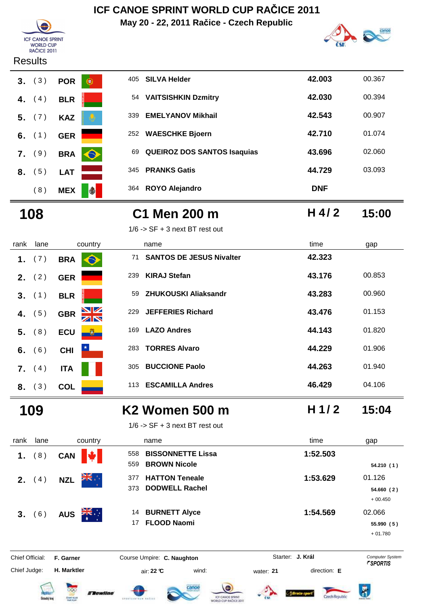**May 20 - 22, 2011 Račice - Czech Republic**





#### **Results**



### **108 C1 Men 200 m 15:00**

**H 4/ 2**

 $1/6$  ->  $SF + 3$  next BT rest out

| rank    | lane | country                                       | name                                  | time   | gap    |
|---------|------|-----------------------------------------------|---------------------------------------|--------|--------|
| 1.      | (7)  | <b>BRA</b><br>E                               | <b>SANTOS DE JESUS Nivalter</b><br>71 | 42.323 |        |
| $2_{-}$ | (2)  | <b>GER</b>                                    | <b>KIRAJ Stefan</b><br>239            | 43.176 | 00.853 |
| 3.      | (1)  | <b>BLR</b>                                    | <b>ZHUKOUSKI Aliaksandr</b><br>59     | 43.283 | 00.960 |
| 4.      | (5)  | $\frac{\mathbf{N}}{\mathbf{N}}$<br><b>GBR</b> | <b>JEFFERIES Richard</b><br>229       | 43.476 | 01.153 |
| 5.      | (8)  | <b>ECU</b><br>$\mathbf{0}$                    | <b>LAZO Andres</b><br>169             | 44.143 | 01.820 |
| 6.      | (6)  | <b>CHI</b>                                    | <b>TORRES Alvaro</b><br>283           | 44.229 | 01.906 |
| 7.      | (4)  | <b>ITA</b>                                    | <b>BUCCIONE Paolo</b><br>305          | 44.263 | 01.940 |
| 8.      | (3)  | <b>COL</b>                                    | <b>ESCAMILLA Andres</b><br>113        | 46.429 | 04.106 |

### **109 K2 Women 500 m 15:04**

 $1/6$  -> SF + 3 next BT rest out

| rank           | lane | country                            | name                                                          | time     | gap                              |
|----------------|------|------------------------------------|---------------------------------------------------------------|----------|----------------------------------|
| 1.             | (8)  | $ \mathbf{u} $<br><b>CAN</b>       | <b>BISSONNETTE Lissa</b><br>558<br><b>BROWN Nicole</b><br>559 | 1:52.503 | 54.210(1)                        |
| 2.             | 4)   | ÷, <del>a</del> k<br><b>NZL</b>    | <b>HATTON Teneale</b><br>377<br><b>DODWELL Rachel</b><br>373  | 1:53.629 | 01.126<br>54.660(2)<br>$+00.450$ |
| 3 <sub>1</sub> | 6)   | $\frac{1}{\sqrt{K}}$<br><b>AUS</b> | <b>BURNETT Alyce</b><br>14<br><b>FLOOD Naomi</b><br>17        | 1:54.569 | 02.066<br>55.990(5)<br>$+01.780$ |

Chief Judge: **H. Marktler air: 22 °C** wind: water: **21** direction: **E** 

Chief Official: **F. Garner Course Umpire: C. Naughton** Course Conputer System **Computer System** 

**J. Král**













**H 1/ 2**

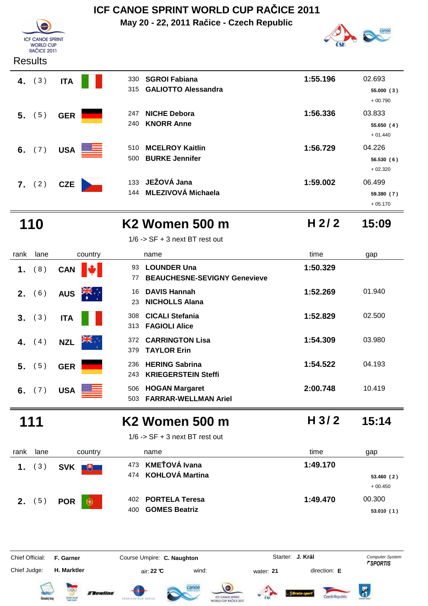### **May 20 - 22, 2011 Račice - Czech Republic ICF CANOE SPRINT WORLD CUP RAČICE 2011**



#### **Results**



| <b>SGROI Fabiana</b>       | 1:55.196 | 02.693     |
|----------------------------|----------|------------|
| <b>GALIOTTO Alessandra</b> |          | 55.000(3)  |
|                            |          | $+00.790$  |
| <b>NICHE Debora</b>        | 1:56.336 | 03.833     |
| <b>KNORR Anne</b>          |          | 55.650(4)  |
|                            |          | $+01.440$  |
| <b>MCELROY Kaitlin</b>     | 1:56.729 | 04.226     |
| <b>BURKE Jennifer</b>      |          | 56.530(6)  |
|                            |          | $+02.320$  |
| JEŽOVÁ Jana                | 1:59.002 | 06.499     |
| <b>MLEZIVOVÁ Michaela</b>  |          | 59.380 (7) |
|                            | 133      |            |

### **110 K2 Women 500 m 15:09**

1/6 -> SF + 3 next BT rest out

**H 2/ 2**

+ 05.170

| rank    | lane   |            | country           |             | name                                                      | time     | gap    |
|---------|--------|------------|-------------------|-------------|-----------------------------------------------------------|----------|--------|
| 1.      | (8)    | <b>CAN</b> |                   | 93<br>77    | <b>LOUNDER Una</b><br><b>BEAUCHESNE-SEVIGNY Genevieve</b> | 1:50.329 |        |
| $2_{-}$ | (6)    | <b>AUS</b> | ÷, ≫k             | 16<br>23    | <b>DAVIS Hannah</b><br><b>NICHOLLS Alana</b>              | 1:52.269 | 01.940 |
|         | 3. (3) | <b>ITA</b> |                   | 308<br>313  | <b>CICALI Stefania</b><br><b>FAGIOLI Alice</b>            | 1:52.829 | 02.500 |
| 4.      | (4)    | <b>NZL</b> | ÷, <del>a</del> k | 372.<br>379 | <b>CARRINGTON Lisa</b><br><b>TAYLOR Erin</b>              | 1:54.309 | 03.980 |
| 5.      | (5)    | <b>GER</b> |                   | 236<br>243  | <b>HERING Sabrina</b><br><b>KRIEGERSTEIN Steffi</b>       | 1:54.522 | 04.193 |
| 6.      | (7)    | <b>USA</b> |                   | 506<br>503  | <b>HOGAN Margaret</b><br><b>FARRAR-WELLMAN Ariel</b>      | 2:00.748 | 10.419 |
|         |        |            |                   |             | K <sub>2</sub> Women 500 m                                | H 3/2    | 15:14  |

 $1/6$  -> SF + 3 next BT rest out

| rank | lane     | country                     | name                                              | time     | gap                              |
|------|----------|-----------------------------|---------------------------------------------------|----------|----------------------------------|
|      | 1. $(3)$ | SVK <sup>#</sup>            | 473 KMEŤOVÁ Ivana<br>474 KOHLOVÁ Martina          | 1:49.170 | 53.460(2)                        |
| 2.   | (5)      | <b>POR</b><br>$\circledast$ | 402 PORTELA Teresa<br><b>GOMES Beatriz</b><br>400 | 1:49.470 | $+00.450$<br>00.300<br>53.010(1) |

Chief Judge: **H. Marktler air: 22 °C** wind: water: **21** direction: **E** 

Chief Official: **F. Garner Course Umpire: C. Naughton** Course Conputer System **Computer System** 

**J. Král**













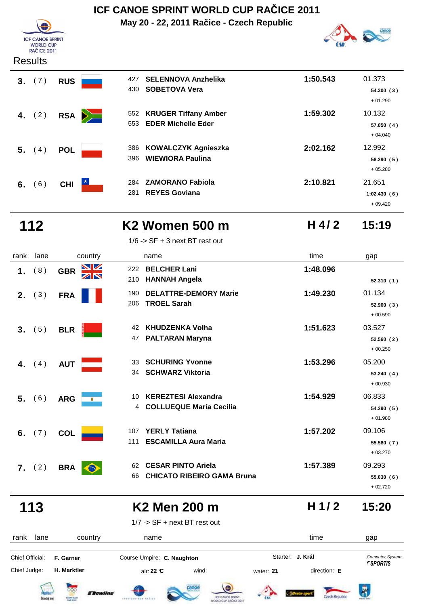

**Results** 

# **ICF CANOE SPRINT WORLD CUP RAČICE 2011**

**May 20 - 22, 2011 Račice - Czech Republic**



| 3.<br>(7)         | <b>RUS</b> | <b>SELENNOVA Anzhelika</b><br>427<br><b>SOBETOVA Vera</b><br>430 | 1:50.543 | 01.373                 |
|-------------------|------------|------------------------------------------------------------------|----------|------------------------|
|                   |            |                                                                  |          | 54.300(3)<br>$+01.290$ |
|                   |            | 552 KRUGER Tiffany Amber                                         | 1:59.302 | 10.132                 |
| 4. $(2)$          | RSA        | 553 EDER Michelle Eder                                           |          | 57.050(4)              |
|                   |            |                                                                  |          | $+04.040$              |
| 5. (4)            | <b>POL</b> | <b>KOWALCZYK Agnieszka</b><br>386                                | 2:02.162 | 12.992                 |
|                   |            | <b>WIEWIORA Paulina</b><br>396                                   |          | 58.290(5)              |
|                   |            |                                                                  |          | $+05.280$              |
| $6^{\circ}$<br>6. | <b>CHI</b> | <b>ZAMORANO Fabiola</b><br>284                                   | 2:10.821 | 21.651                 |
|                   |            | <b>REYES Goviana</b><br>281                                      |          | 1:02.430(6)            |

### **112 K2 Women 500 m 15:19**

 $1/6$  ->  $SF + 3$  next BT rest out

**H 4/ 2**

 281 **1:02.430 ( 6 )** + 09.420

| rank | lane      | country                 | name                                                                       | time     | gap                               |
|------|-----------|-------------------------|----------------------------------------------------------------------------|----------|-----------------------------------|
| 1.   | (8)       | <u>NZ</u><br><b>GBR</b> | <b>BELCHER Lani</b><br>222<br><b>HANNAH Angela</b><br>210                  | 1:48.096 | 52.310(1)                         |
| 2.   | (3)       | <b>FRA</b>              | <b>DELATTRE-DEMORY Marie</b><br>190<br><b>TROEL Sarah</b><br>206           | 1:49.230 | 01.134<br>52.900(3)<br>$+00.590$  |
|      | 3. (5)    | <b>BLR</b>              | <b>KHUDZENKA Volha</b><br>42<br><b>PALTARAN Maryna</b><br>47               | 1:51.623 | 03.527<br>52.560 (2)<br>$+00.250$ |
|      | 4. $(4)$  | <b>AUT</b>              | <b>SCHURING Yvonne</b><br>33<br><b>SCHWARZ Viktoria</b><br>34              | 1:53.296 | 05.200<br>53.240(4)<br>$+00.930$  |
| 5.   | (6)       | <b>ARG</b><br>$\bullet$ | <b>KEREZTESI Alexandra</b><br>10<br><b>COLLUEQUE María Cecilia</b><br>4    | 1:54.929 | 06.833<br>54.290 (5)<br>$+01.980$ |
|      | 6. $(7)$  | <b>COL</b>              | <b>YERLY Tatiana</b><br>107<br>111<br><b>ESCAMILLA Aura Maria</b>          | 1:57.202 | 09.106<br>55.580 (7)<br>$+03.270$ |
|      | 7. (2)    | <b>BRA</b>              | <b>CESAR PINTO Ariela</b><br>62<br><b>CHICATO RIBEIRO GAMA Bruna</b><br>66 | 1:57.389 | 09.293<br>55.030 (6)<br>$+02.720$ |
|      | 113       |                         | <b>K2 Men 200 m</b><br>1/7 -> SF + next BT rest out                        | H $1/2$  | 15:20                             |
|      | ronk lono | $\sim$ untru            | nomo                                                                       | $+imn$   | $\sim$                            |

rank lane country thame country time gap **J. Král**Chief Official: **F. Garner Course Umpire: C. Naughton** Course Conputer System **Computer System** Chief Judge: **H. Marktler air: 22 °C** wind: water: **21** direction: **E**  $\bar{R}$ **TRewline** Czech Republi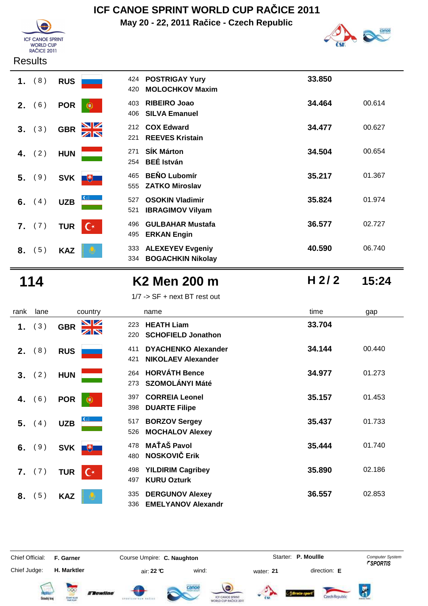

**May 20 - 22, 2011 Račice - Czech Republic**



#### **Results**

| (8)<br>1. | <b>RUS</b>                   | <b>POSTRIGAY Yury</b><br>424<br><b>MOLOCHKOV Maxim</b><br>420     | 33.850           |
|-----------|------------------------------|-------------------------------------------------------------------|------------------|
| (6)<br>2. | <b>POR</b>                   | <b>RIBEIRO Joao</b><br>403<br><b>SILVA Emanuel</b><br>406         | 34.464<br>00.614 |
| (3)<br>3. | <b>GBR</b>                   | <b>COX Edward</b><br>212<br><b>REEVES Kristain</b><br>221         | 34.477<br>00.627 |
| (2)<br>4. | <b>HUN</b>                   | <b>SÍK Márton</b><br>271<br><b>BEÉ István</b><br>254              | 34.504<br>00.654 |
| (9)<br>5. | <b>SVK</b><br>飞              | <b>BENO Lubomír</b><br>465<br><b>ZATKO Miroslav</b><br>555        | 35.217<br>01.367 |
| (4)<br>6. | <b>UZB</b>                   | <b>OSOKIN Vladimir</b><br>527<br><b>IBRAGIMOV Vilyam</b><br>521   | 35.824<br>01.974 |
| 7. (7)    | $\mathsf{C}^*$<br><b>TUR</b> | <b>GULBAHAR Mustafa</b><br>496<br><b>ERKAN Engin</b><br>495       | 36.577<br>02.727 |
| (5)<br>8. | <b>KAZ</b>                   | <b>ALEXEYEV Evgeniy</b><br>333<br><b>BOGACHKIN Nikolay</b><br>334 | 40.590<br>06.740 |

# **114 K2 Men 200 m 15:24**

| 1/7 -> SF + next BT rest out |  |
|------------------------------|--|
|------------------------------|--|

| rank | lane     | country                            | name                                                                  | time   | gap    |
|------|----------|------------------------------------|-----------------------------------------------------------------------|--------|--------|
|      | 1. $(3)$ | <u>NZ</u><br><b>GBR</b>            | <b>HEATH Liam</b><br>223<br><b>SCHOFIELD Jonathon</b><br>220          | 33.704 |        |
| 2.   | (8)      | <b>RUS</b>                         | <b>DYACHENKO Alexander</b><br>411<br><b>NIKOLAEV Alexander</b><br>421 | 34.144 | 00.440 |
|      | 3. (2)   | <b>HUN</b>                         | <b>HORVÁTH Bence</b><br>264<br><b>SZOMOLÁNYI Máté</b><br>273          | 34.977 | 01.273 |
| 4.   | (6)      | <b>POR</b><br>$^{\circ}$           | <b>CORREIA Leonel</b><br>397<br><b>DUARTE Filipe</b><br>398           | 35.157 | 01.453 |
| 5.   | (4)      | <b>UZB</b>                         | <b>BORZOV Sergey</b><br>517<br><b>MOCHALOV Alexey</b><br>526          | 35.437 | 01.733 |
| 6.   | (9)      | <b>SVK</b><br>一も一                  | <b>MAŤAŠ Pavol</b><br>478<br><b>NOSKOVIČ Erik</b><br>480              | 35.444 | 01.740 |
|      | 7. (7)   | $\mathsf{C}^{\star}$<br><b>TUR</b> | <b>YILDIRIM Cagribey</b><br>498<br><b>KURU Ozturk</b><br>497          | 35.890 | 02.186 |
| 8.   | (5)      | <b>KAZ</b>                         | 335<br><b>DERGUNOV Alexey</b><br><b>EMELYANOV Alexandr</b><br>336     | 36.557 | 02.853 |

Chief Judge:

Chief Official: **F. Garner Course Umpire: C. Naughton Carrier: C. Starter: P. Moullle** *Computer System* 

**H. Marktler air: 22 °C** wind: water: **21** direction: **E** 

Starter: **P. Moullle** 















**H 2/ 2**

 $\overline{R}$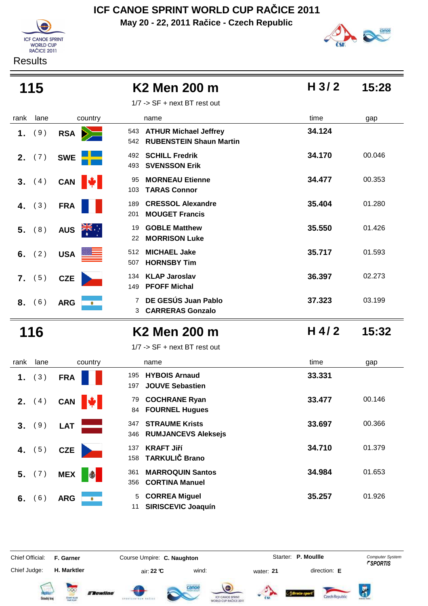**May 20 - 22, 2011 Račice - Czech Republic ICF CANOE SPRINT WORLD CUP RAČICE 2011**

**ICF CANOE SPRINT** WORLD CUP<br>RAČICE 2011





| 115          |                                    | K2 Men 200 m                                                       | H <sub>3/2</sub> | 15:28  |
|--------------|------------------------------------|--------------------------------------------------------------------|------------------|--------|
|              |                                    | $1/7$ -> SF + next BT rest out                                     |                  |        |
| rank<br>lane | country                            | name                                                               | time             | gap    |
| (9)<br>1.    | <b>RSA</b>                         | 543 ATHUR Michael Jeffrey<br><b>RUBENSTEIN Shaun Martin</b><br>542 | 34.124           |        |
| (7)<br>2.    | <b>SWE</b>                         | <b>SCHILL Fredrik</b><br>492<br><b>SVENSSON Erik</b><br>493        | 34.170           | 00.046 |
| (4)<br>3.    | CAN  <br>E.                        | <b>MORNEAU Etienne</b><br>95<br><b>TARAS Connor</b><br>103         | 34.477           | 00.353 |
| (3)<br>4.    | <b>FRA</b>                         | <b>CRESSOL Alexandre</b><br>189<br><b>MOUGET Francis</b><br>201    | 35.404           | 01.280 |
| (8)<br>5.    | $\frac{1}{\sqrt{2}}$<br><b>AUS</b> | <b>GOBLE Matthew</b><br>19<br><b>MORRISON Luke</b><br>22           | 35.550           | 01.426 |
| (2)<br>6.    | <b>USA</b>                         | <b>MICHAEL Jake</b><br>512<br><b>HORNSBY Tim</b><br>507            | 35.717           | 01.593 |
| (5)<br>7.    | <b>CZE</b>                         | <b>KLAP Jaroslav</b><br>134<br><b>PFOFF Michal</b><br>149          | 36.397           | 02.273 |
| 8. (6)       | <b>ARG</b><br>۰                    | DE GESÚS Juan Pablo<br>7<br><b>CARRERAS Gonzalo</b><br>3           | 37.323           | 03.199 |
| 116          |                                    | <b>K2 Men 200 m</b>                                                | $H$ 4/2          | 15:32  |
|              |                                    | $1/7$ -> SF + next BT rest out                                     |                  |        |
| lane<br>rank | country                            | name                                                               | time             | gap    |
| (3)<br>1.    | <b>FRA</b>                         | <b>HYBOIS Arnaud</b><br>195<br><b>JOUVE Sebastien</b><br>197       | 33.331           |        |
| (4)<br>2.    | CAN <b>W</b>                       | <b>COCHRANE Ryan</b><br>79<br><b>FOURNEL Hugues</b><br>84          | 33.477           | 00.146 |
| 3. (9)       | LAT                                | <b>STRAUME Krists</b><br>347<br><b>RUMJANCEVS Aleksejs</b><br>346  | 33.697           | 00.366 |
| (5)<br>4.    | <b>CZE</b>                         | <b>KRAFT Jiří</b><br>137<br><b>TARKULIČ Brano</b><br>158           | 34.710           | 01.379 |
| (7)<br>5.    | <b>MEX</b>                         | <b>MARROQUIN Santos</b><br>361<br><b>CORTINA Manuel</b><br>356     | 34.984           | 01.653 |
| (6)<br>6.    | <b>ARG</b>                         | <b>CORREA Miguel</b><br>5<br><b>SIRISCEVIC Joaquín</b><br>11       | 35.257           | 01.926 |

Chief Official: **F. Garner Course Umpire: C. Naughton Carrier: C. Starter: P. Moullle** *Computer System* 

Chief Judge:

**H. Marktler** air: **22 °C** wind: water: **21** direction: **E**

Starter: **P. Moullle** 

 $\overline{R}$ 













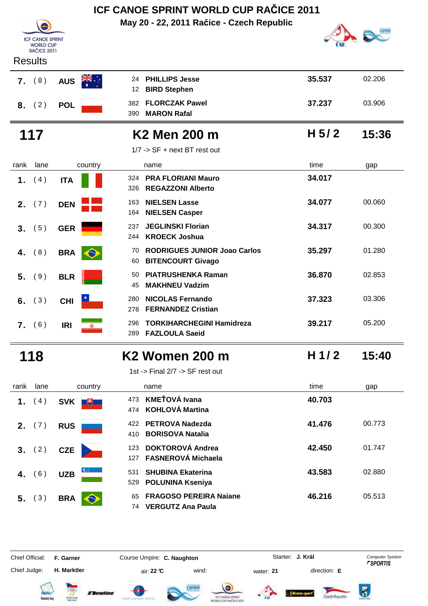| <b>ICF CANOE SPRINT</b><br><b>WORLD CUP</b><br><b>RAČICE 2011</b> |                        | May 20 - 22, 2011 Račice - Czech Republic                                   |         |        |
|-------------------------------------------------------------------|------------------------|-----------------------------------------------------------------------------|---------|--------|
| <b>Results</b>                                                    |                        |                                                                             |         |        |
| (8)<br>$\overline{7}$ .                                           | <b>AUS</b>             | <b>PHILLIPS Jesse</b><br>24<br><b>BIRD Stephen</b><br>12                    | 35.537  | 02.206 |
| (2)<br>8.                                                         | <b>POL</b>             | <b>FLORCZAK Pawel</b><br>382<br><b>MARON Rafal</b><br>390                   | 37.237  | 03.906 |
| 117                                                               |                        | K2 Men 200 m                                                                | H $5/2$ | 15:36  |
|                                                                   |                        | $1/7$ -> SF + next BT rest out                                              |         |        |
| lane<br>rank                                                      | country                | name                                                                        | time    | gap    |
| (4)<br>1.                                                         | <b>ITA</b>             | <b>PRA FLORIANI Mauro</b><br>324<br><b>REGAZZONI Alberto</b><br>326         | 34.017  |        |
| (7)<br>2.                                                         | <b>DEN</b>             | <b>NIELSEN Lasse</b><br>163<br><b>NIELSEN Casper</b><br>164                 | 34.077  | 00.060 |
| (5)<br>3.                                                         | <b>GER</b>             | <b>JEGLINSKI Florian</b><br>237<br><b>KROECK Joshua</b><br>244              | 34.317  | 00.300 |
| (8)<br>4.                                                         | <b>BRA</b>             | <b>RODRIGUES JUNIOR Joao Carlos</b><br>70<br><b>BITENCOURT Givago</b><br>60 | 35.297  | 01.280 |
| 5.<br>(9)                                                         | <b>BLR</b>             | <b>PIATRUSHENKA Raman</b><br>50<br><b>MAKHNEU Vadzim</b><br>45              | 36.870  | 02.853 |
| (3)<br>6.                                                         | <b>CHI</b>             | <b>NICOLAS Fernando</b><br>280<br><b>FERNANDEZ Cristian</b><br>278          | 37.323  | 03.306 |
| (6)<br>7.                                                         | <b>IRI</b><br>$\omega$ | <b>TORKIHARCHEGINI Hamidreza</b><br>296<br><b>FAZLOULA Saeid</b><br>289     | 39.217  | 05.200 |
| 118                                                               |                        | <b>K2 Women 200 m</b>                                                       | H $1/2$ | 15:40  |
|                                                                   |                        | 1st -> Final 2/7 -> SF rest out                                             |         |        |
| lane<br>rank                                                      | country                | name                                                                        | time    | gap    |
| (4)<br>1.                                                         | SVK <b>+</b>           | <b>KMEŤOVÁ Ivana</b><br>473                                                 | 40.703  |        |



|             | παπισ                                                     | une    | yaµ    |
|-------------|-----------------------------------------------------------|--------|--------|
| 473         | KMEŤOVÁ Ivana<br>474 KOHLOVÁ Martina                      | 40.703 |        |
| 422.<br>410 | PETROVA Nadezda<br><b>BORISOVA Natalia</b>                | 41.476 | 00.773 |
| 123<br>127  | <b>DOKTOROVÁ Andrea</b><br><b>FASNEROVÁ Michaela</b>      | 42.450 | 01.747 |
| 531<br>529  | <b>SHUBINA Ekaterina</b><br><b>POLUNINA Kseniya</b>       | 43.583 | 02.880 |
| 65<br>74    | <b>FRAGOSO PEREIRA Naiane</b><br><b>VERGUTZ Ana Paula</b> | 46.216 | 05.513 |

Chief Judge:

Chief Official: **F. Garner Course Umpire: C. Naughton** Course Conputer System **Computer System** 

**H. Marktler** air: **22 °C** wind: water: **21** direction: **E**

**J. Král**

















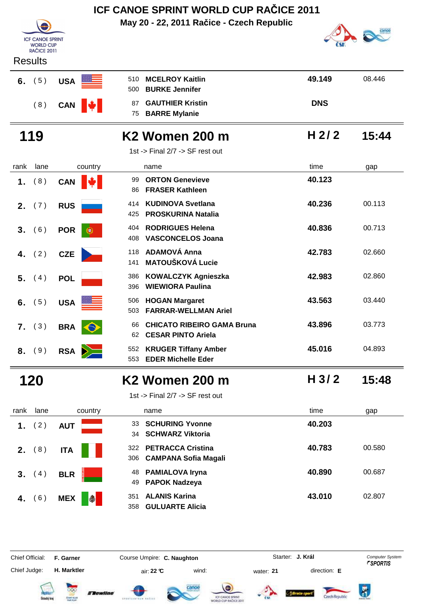| <b>ICF CANOE SPRINT</b><br><b>WORLD CUP</b><br><b>RAČICE 2011</b><br><b>Results</b> |                 | May 20 - 22, 2011 Račice - Czech Republic                                  |                  |        |
|-------------------------------------------------------------------------------------|-----------------|----------------------------------------------------------------------------|------------------|--------|
| (5)<br>6.                                                                           | <b>USA</b>      | <b>MCELROY Kaitlin</b><br>510<br><b>BURKE Jennifer</b><br>500              | 49.149           | 08.446 |
| (8)                                                                                 | <b>CAN</b>      | <b>GAUTHIER Kristin</b><br>87<br><b>BARRE Mylanie</b><br>75                | <b>DNS</b>       |        |
| 119                                                                                 |                 | K2 Women 200 m<br>1st -> Final 2/7 -> SF rest out                          | H <sub>2/2</sub> | 15:44  |
| rank<br>lane                                                                        | country         | name                                                                       | time             | gap    |
| (8)<br>1.                                                                           | <b>CAN</b>      | <b>ORTON Genevieve</b><br>99<br><b>FRASER Kathleen</b><br>86               | 40.123           |        |
| (7)<br>2.                                                                           | <b>RUS</b>      | <b>KUDINOVA Svetlana</b><br>414<br><b>PROSKURINA Natalia</b><br>425        | 40.236           | 00.113 |
| (6)<br>3.                                                                           | <b>POR</b><br>۰ | <b>RODRIGUES Helena</b><br>404<br><b>VASCONCELOS Joana</b><br>408          | 40.836           | 00.713 |
| (2)<br>4.                                                                           | <b>CZE</b>      | <b>ADAMOVÁ Anna</b><br>118<br><b>MATOUŠKOVÁ Lucie</b><br>141               | 42.783           | 02.660 |
| (4)<br>5.                                                                           | <b>POL</b>      | <b>KOWALCZYK Agnieszka</b><br>386<br><b>WIEWIORA Paulina</b><br>396        | 42.983           | 02.860 |
| (5)<br>6.                                                                           | <b>USA</b>      | <b>HOGAN Margaret</b><br>506<br><b>FARRAR-WELLMAN Ariel</b><br>503         | 43.563           | 03.440 |
| (3)<br>7.                                                                           | <b>BRA</b>      | <b>CHICATO RIBEIRO GAMA Bruna</b><br>66<br><b>CESAR PINTO Ariela</b><br>62 | 43.896           | 03.773 |
| (9)<br>8.                                                                           | <b>RSA</b>      | <b>KRUGER Tiffany Amber</b><br>552<br><b>EDER Michelle Eder</b><br>553     | 45.016           | 04.893 |
| 120                                                                                 |                 | K2 Women 200 m                                                             | H <sub>3/2</sub> | 15:48  |

# **3.** (4) **BLR 4.** (6) **MEX**

|      |             |                  | 1st -> Final $2/7$ -> SF rest out                            |        |        |
|------|-------------|------------------|--------------------------------------------------------------|--------|--------|
| rank | lane        | country          | name                                                         | time   | gap    |
| 1.   | (2)         | <b>AUT</b>       | <b>SCHURING Yvonne</b><br>33<br>34 SCHWARZ Viktoria          | 40.203 |        |
|      | 2. (8)      | <b>ITA</b>       | 322 PETRACCA Cristina<br>306 CAMPANA Sofia Magali            | 40.783 | 00.580 |
| 3.   | (4)         | <b>BLR</b>       | <b>PAMIALOVA Iryna</b><br>48<br><b>PAPOK Nadzeya</b><br>49   | 40.890 | 00.687 |
| 4.   | $6^{\circ}$ | \$<br><b>MEX</b> | <b>ALANIS Karina</b><br>351<br><b>GULUARTE Alicia</b><br>358 | 43.010 | 02.807 |

Chief Judge:

Chief Official: **F. Garner Course Umpire: C. Naughton** Course Conputer System **Computer System** 

**H. Marktler** air: **22 °C** wind: water: **21** direction: **E**

**J. Král**

 $\overline{\mathbf{r}}$ 















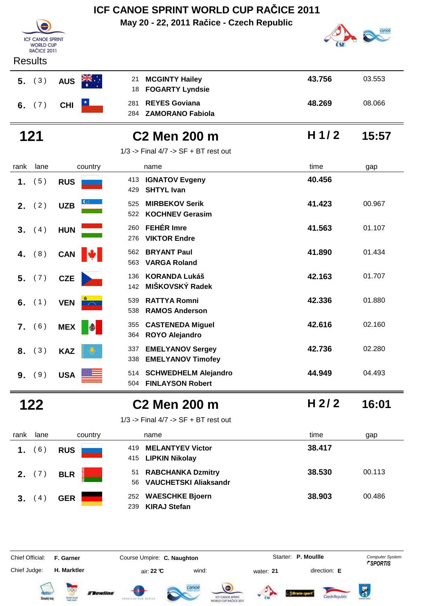|                                                                   |                           | ICF CANOE SPRINT WORLD CUP RAČICE 2011                            |                  |        |
|-------------------------------------------------------------------|---------------------------|-------------------------------------------------------------------|------------------|--------|
|                                                                   |                           | May 20 - 22, 2011 Račice - Czech Republic                         |                  |        |
| <b>ICF CANOE SPRINT</b><br><b>WORLD CUP</b><br><b>RAČICE 2011</b> |                           |                                                                   |                  |        |
| <b>Results</b>                                                    |                           |                                                                   |                  |        |
| 5. (3)                                                            | <b>AUS</b>                | <b>MCGINTY Hailey</b><br>21<br><b>FOGARTY Lyndsie</b><br>18       | 43.756           | 03.553 |
| 6. $(7)$                                                          | <b>CHI</b>                | <b>REYES Goviana</b><br>281<br><b>ZAMORANO Fabiola</b><br>284     | 48.269           | 08.066 |
| 121                                                               |                           | <b>C2 Men 200 m</b>                                               | H $1/2$          | 15:57  |
|                                                                   |                           | $1/3$ -> Final $4/7$ -> SF + BT rest out                          |                  |        |
| lane<br>rank                                                      | country                   | name                                                              | time             | gap    |
| (5)<br>1.                                                         | <b>RUS</b>                | <b>IGNATOV Evgeny</b><br>413<br><b>SHTYL Ivan</b><br>429          | 40.456           |        |
| (2)<br>2.                                                         | <b>UZB</b>                | <b>MIRBEKOV Serik</b><br>525<br><b>KOCHNEV Gerasim</b><br>522     | 41.423           | 00.967 |
| 3.<br>(4)                                                         | <b>HUN</b>                | <b>FEHÉR Imre</b><br>260<br><b>VIKTOR Endre</b><br>276            | 41.563           | 01.107 |
| (8)<br>4.                                                         | <b>CAN</b>                | <b>BRYANT Paul</b><br>562<br><b>VARGA Roland</b><br>563           | 41.890           | 01.434 |
| (7)<br>5.                                                         | <b>CZE</b>                | <b>KORANDA Lukáš</b><br>136<br>MIŠKOVSKÝ Radek<br>142             | 42.163           | 01.707 |
| (1)<br>6.                                                         | <b>VEN</b><br>$\sim 100$  | <b>RATTYA Romni</b><br>539<br><b>RAMOS Anderson</b><br>538        | 42.336           | 01.880 |
|                                                                   | 7. (6) MEX <mark>参</mark> | 355 CASTENEDA Miguel<br>364 ROYO Alejandro                        | 42.616           | 02.160 |
| 8. (3)                                                            | <b>KAZ</b>                | <b>EMELYANOV Sergey</b><br>337<br><b>EMELYANOV Timofey</b><br>338 | 42.736           | 02.280 |
| 9. (9)                                                            | USA <b>Exercise</b>       | 514 SCHWEDHELM Alejandro<br>504 FINLAYSON Robert                  | 44.949           | 04.493 |
| 122                                                               |                           | C2 Men 200 m                                                      | H <sub>2/2</sub> | 16:01  |

| rank lane    | country      |  |
|--------------|--------------|--|
|              | 1. $(6)$ RUS |  |
|              | 2. $(7)$ BLR |  |
| 3. $(4)$ GER |              |  |

| $1/3$ -> Final $4/7$ -> SF + BT rest out |
|------------------------------------------|
|------------------------------------------|

| rank | lane     | country    | name                                                 | time   | gap    |
|------|----------|------------|------------------------------------------------------|--------|--------|
| 1.   | (6)      | <b>RUS</b> | <b>MELANTYEV Victor</b><br>419<br>415 LIPKIN Nikolay | 38.417 |        |
|      | 2. (7)   | <b>BLR</b> | 51 RABCHANKA Dzmitry<br>56 VAUCHETSKI Aliaksandr     | 38.530 | 00.113 |
| 3.   | $\sim$ 4 | <b>GER</b> | 252 WAESCHKE Bjoern<br><b>KIRAJ Stefan</b><br>239    | 38.903 | 00.486 |

Chief Judge:

Chief Official: **F. Garner Course Umpire: C. Naughton** Course **Starter: P. Moullle** Computer System

**H. Marktler** air: **22 °C** wind: water: **21** direction: **E**













 $\overline{R}$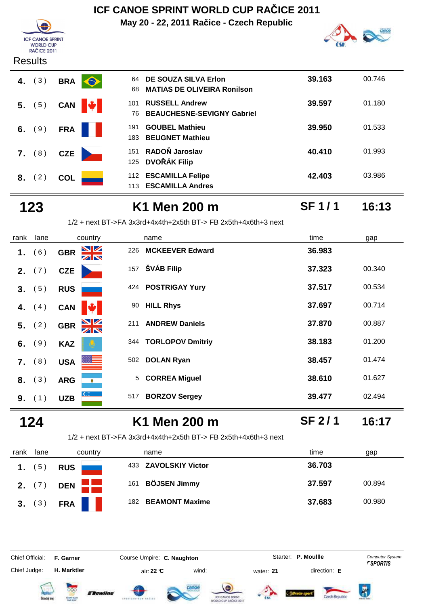**May 20 - 22, 2011 Račice - Czech Republic**



**SF 1 / 1**

#### **ICF CANOE SPRINT F CANCE SPRI**<br>WORLD CUP<br>RAČICE 2011 **Results**



| 64<br>68   | DE SOUZA SILVA Erlon<br><b>MATIAS DE OLIVEIRA Ronilson</b> | 39.163 | 00.746 |
|------------|------------------------------------------------------------|--------|--------|
| 101<br>76  | <b>RUSSELL Andrew</b><br><b>BEAUCHESNE-SEVIGNY Gabriel</b> | 39.597 | 01.180 |
| 191<br>183 | <b>GOUBEL Mathieu</b><br><b>BEUGNET Mathieu</b>            | 39,950 | 01.533 |
| 151        | RADOŇ Jaroslav<br>125 DVOŘÁK Filip                         | 40.410 | 01.993 |
| 113        | 112 ESCAMILLA Felipe<br><b>ESCAMILLA Andres</b>            | 42.403 | 03.986 |

### **123 K1 Men 200 m 16:13**

1/2 + next BT->FA 3x3rd+4x4th+2x5th BT-> FB 2x5th+4x6th+3 next

| rank | lane            | country                       | name                           | time   | gap    |
|------|-----------------|-------------------------------|--------------------------------|--------|--------|
| 1.   | (6)             | <u>NZ</u><br><b>GBR</b><br>ZN | <b>MCKEEVER Edward</b><br>226  | 36.983 |        |
|      | <b>2.</b> $(7)$ | <b>CZE</b>                    | ŠVÁB Filip<br>157              | 37.323 | 00.340 |
| 3.   | (5)             | <b>RUS</b>                    | <b>POSTRIGAY Yury</b><br>424   | 37.517 | 00.534 |
| 4.   | (4)             | <b>CAN</b>                    | <b>HILL Rhys</b><br>90         | 37.697 | 00.714 |
| 5.   | (2)             | $\frac{N}{N}$<br><b>GBR</b>   | <b>ANDREW Daniels</b><br>211   | 37.870 | 00.887 |
| 6.   | (9)             | <b>KAZ</b>                    | <b>TORLOPOV Dmitriy</b><br>344 | 38.183 | 01.200 |
| 7.   | (8)             | <b>USA</b>                    | <b>DOLAN Ryan</b><br>502       | 38.457 | 01.474 |
| 8.   | (3)             | <b>ARG</b><br>$\bullet$       | <b>CORREA Miguel</b><br>5      | 38.610 | 01.627 |
| 9.   | (1)             | <b>UZB</b>                    | <b>BORZOV Sergey</b><br>517    | 39.477 | 02.494 |

### **124 K1 Men 200 m 16:17**

**SF 2 / 1**

1/2 + next BT->FA 3x3rd+4x4th+2x5th BT-> FB 2x5th+4x6th+3 next

| rank | lane            | country    | name                       | time<br>gap      |
|------|-----------------|------------|----------------------------|------------------|
|      | 5 <sup>5</sup>  | <b>RUS</b> | 433 ZAVOLSKIY Victor       | 36.703           |
|      | <b>2.</b> $(7)$ | <b>DEN</b> | <b>BÖJSEN Jimmy</b><br>161 | 37.597<br>00.894 |
| 3.   | (3)             | <b>FRA</b> | 182 BEAMONT Maxime         | 37.683<br>00.980 |

Chief Official: **F. Garner Course Umpire: C. Naughton Carrier: C. Starter: P. Moullle** *Computer System* Chief Judge:

Starter: P. Moullle















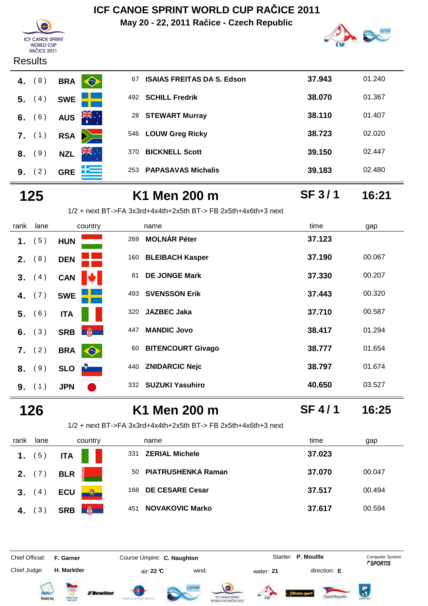**May 20 - 22, 2011 Račice - Czech Republic**





#### **Results**

| 4. $(8)$        | <b>BRA</b>     |
|-----------------|----------------|
| 5. (4)          | <b>SWE</b>     |
| 6. $(6)$        | AUS <b>ZIN</b> |
| $7.$ (1)        | <b>RSA</b>     |
| $8.$ (9)        | <b>NZL</b>     |
| <b>9.</b> $(2)$ | <b>GRE</b>     |

| 01.367 |
|--------|
| 01.407 |
| 02.020 |
| 02.447 |
| 02.480 |
|        |

# **125 K1 Men 200 m 16:21**

**SF 3 / 1**

|  |  | 1/2 + next        BT->FA 3x3rd+4x4th+2x5th        BT-> FB 2x5th+4x6th+3        next |  |  |  |
|--|--|-------------------------------------------------------------------------------------|--|--|--|
|--|--|-------------------------------------------------------------------------------------|--|--|--|

| rank | lane   | country                      | name                           | time   | gap    |
|------|--------|------------------------------|--------------------------------|--------|--------|
| 1.   | (5)    | <b>HUN</b>                   | <b>MOLNÁR Péter</b><br>269     | 37.123 |        |
| 2.   | (8)    | <b>DEN</b>                   | 160 BLEIBACH Kasper            | 37.190 | 00.067 |
| 3.   | (4)    | <b>CAN</b>                   | <b>DE JONGE Mark</b><br>81     | 37.330 | 00.207 |
| 4.   | (7)    | <b>SWE</b>                   | <b>SVENSSON Erik</b><br>493    | 37.443 | 00.320 |
| 5.   | (6)    | <b>ITA</b>                   | <b>JAZBEC Jaka</b><br>320      | 37.710 | 00.587 |
| 6.   | (3)    | <b>PARTIES</b><br><b>SRB</b> | <b>MANDIC Jovo</b><br>447      | 38.417 | 01.294 |
| 7.   | (2)    | <b>BRA</b><br>$\bullet$      | <b>BITENCOURT Givago</b><br>60 | 38.777 | 01.654 |
|      | 8. (9) | <b>SLO</b>                   | <b>ZNIDARCIC Nejc</b><br>440   | 38.797 | 01.674 |
| 9.   | (1)    | <b>JPN</b>                   | <b>SUZUKI Yasuhiro</b><br>332  | 40.650 | 03.527 |

### **126 K1 Men 200 m 16:25**

**SF 4 / 1**

1/2 + next BT->FA 3x3rd+4x4th+2x5th BT-> FB 2x5th+4x6th+3 next

| rank | lane            | country         | name                            | time<br>gap      |
|------|-----------------|-----------------|---------------------------------|------------------|
| 1.   | (5)             | <b>ITA</b>      | <b>ZERIAL Michele</b><br>331    | 37.023           |
|      | <b>2.</b> $(7)$ | <b>BLR</b>      | <b>PIATRUSHENKA Raman</b><br>50 | 37.070<br>00.047 |
| 3.   | (4)             | <b>ECU</b>      | <b>DE CESARE Cesar</b><br>168   | 37.517<br>00.494 |
| 4.   | 3)              | <b>SRB</b><br>篇 | <b>NOVAKOVIC Marko</b><br>451   | 37.617<br>00.594 |

Chief Official: **F. Garner Course Umpire: C. Naughton Carrier: C. Starter: P. Moullle** *Computer System* Chief Judge:

**H. Marktler air: 22 °C** wind: water: **21** direction: **E** 

Starter: P. Moullle













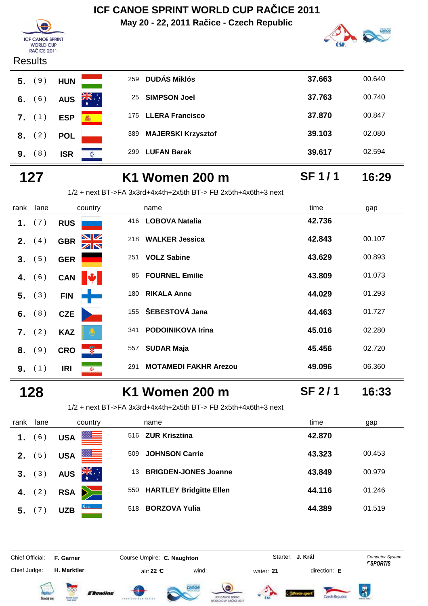**May 20 - 22, 2011 Račice - Czech Republic**



**SF 1 / 1**



#### **Results**

|  | <b>5.</b> (9) HUN          |  |
|--|----------------------------|--|
|  | 6. $(6)$ AUS $\frac{2}{3}$ |  |
|  | 7. (1) ESP                 |  |
|  | 8. (2) POL                 |  |
|  | $9. (8)$ ISR               |  |

| 5. | (9)      | <b>HUN</b> | 259                   | <b>DUDÁS Miklós</b>       | 37.663 | 00.640 |
|----|----------|------------|-----------------------|---------------------------|--------|--------|
|    | 6. $(6)$ | <b>AUS</b> | ∵, <del>≫</del><br>25 | <b>SIMPSON Joel</b>       | 37.763 | 00.740 |
| 7. | (1)      | <b>ESP</b> | 審                     | 175 LLERA Francisco       | 37.870 | 00.847 |
|    | 8. (2)   | <b>POL</b> | 389                   | <b>MAJERSKI Krzysztof</b> | 39.103 | 02.080 |
| 9. | (8)      | <b>ISR</b> | 299<br>ΣΩΣ            | <b>LUFAN Barak</b>        | 39.617 | 02.594 |
|    |          |            |                       |                           |        |        |

# **127 K1 Women 200 m 16:29**

|      | $1/2$ + next BT->FA 3x3rd+4x4th+2x5th BT-> FB 2x5th+4x6th+3 next |                  |                                     |        |        |
|------|------------------------------------------------------------------|------------------|-------------------------------------|--------|--------|
| rank | lane                                                             | country          | name                                | time   | gap    |
|      | 1. $(7)$                                                         | <b>RUS</b>       | <b>LOBOVA Natalia</b><br>416        | 42.736 |        |
|      | <b>2.</b> $(4)$                                                  | <b>GBR</b>       | 218 WALKER Jessica                  | 42.843 | 00.107 |
|      | 3. (5)                                                           | <b>GER</b>       | <b>VOLZ Sabine</b><br>251           | 43.629 | 00.893 |
| 4.   | (6)                                                              | <b>CAN</b>       | <b>FOURNEL Emilie</b><br>85         | 43.809 | 01.073 |
|      | 5. (3)                                                           | <b>FIN</b>       | 180 RIKALA Anne                     | 44.029 | 01.293 |
|      | 6. $(8)$                                                         | <b>CZE</b>       | 155 ŠEBESTOVÁ Jana                  | 44.463 | 01.727 |
|      | $7.$ (2)                                                         | <b>KAZ</b>       | 341 PODOINIKOVA Irina               | 45.016 | 02.280 |
| 8.   | (9)                                                              | ₩.<br><b>CRO</b> | <b>SUDAR Maja</b><br>557            | 45.456 | 02.720 |
|      | <b>9.</b> $(1)$                                                  | <b>IRI</b><br>Ŵ. | <b>MOTAMEDI FAKHR Arezou</b><br>291 | 49.096 | 06.360 |

### **128 K1 Women 200 m 16:33**

**SF 2 / 1**

1/2 + next BT->FA 3x3rd+4x4th+2x5th BT-> FB 2x5th+4x6th+3 next

| rank | lane     | country                        | name                              | time<br>gap      |
|------|----------|--------------------------------|-----------------------------------|------------------|
| 1.   | (6)      | <b>USA</b>                     | <b>ZUR Krisztina</b><br>516       | 42.870           |
| 2.   | (5)      | <u> III.a </u><br><b>USA</b>   | <b>JOHNSON Carrie</b><br>509      | 43.323<br>00.453 |
|      | 3. (3)   | $\sum_{k=1}^{N}$<br><b>AUS</b> | <b>BRIGDEN-JONES Joanne</b><br>13 | 43.849<br>00.979 |
|      | 4. $(2)$ | $\geq$<br><b>RSA</b>           | 550 HARTLEY Bridgitte Ellen       | 44.116<br>01.246 |
| 5.   |          | $C_{\text{max}}$<br><b>UZB</b> | <b>BORZOVA Yulia</b><br>518       | 44.389<br>01.519 |

Chief Official: **F. Garner Course Umpire: C. Naughton** Course Conputer System **Computer System** 

Chief Judge:

**H. Marktler air: 22 °C** wind: water: **21** direction: **E** 

**J. Král**













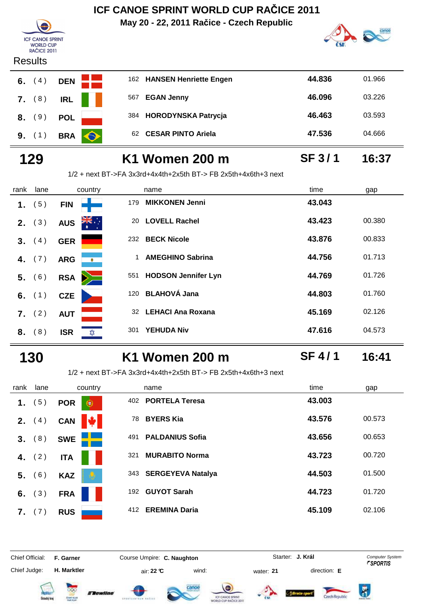**May 20 - 22, 2011 Račice - Czech Republic**



### **ICF CANOE SPRINT F CANCE SPRI**<br>WORLD CUP<br>RAČICE 2011

#### **Results**



| 6.     | ≺esults<br>(4) | <b>DEN</b> |           |     | 162 HANSEN Henriette Engen | 44.836 | 01.966 |
|--------|----------------|------------|-----------|-----|----------------------------|--------|--------|
| 7. (8) |                | <b>IRL</b> |           | 567 | <b>EGAN Jenny</b>          | 46.096 | 03.226 |
|        | 8. (9)         | <b>POL</b> |           | 384 | <b>HORODYNSKA Patrycja</b> | 46.463 | 03.593 |
|        | 9. (1)         | <b>BRA</b> | $\bullet$ | 62. | <b>CESAR PINTO Ariela</b>  | 47.536 | 04.666 |

# **129 K1 Women 200 m 16:37**

1/2 + next BT->FA 3x3rd+4x4th+2x5th BT-> FB 2x5th+4x6th+3 next

| rank | lane     | country                        | name                                   | time   | gap    |
|------|----------|--------------------------------|----------------------------------------|--------|--------|
| 1.   | 5)       | <b>FIN</b>                     | <b>MIKKONEN Jenni</b><br>179           | 43.043 |        |
| 2.   | (3)      | $\sum_{k=1}^{N}$<br><b>AUS</b> | <b>LOVELL Rachel</b><br>20             | 43.423 | 00.380 |
| 3.   | (4)      | <b>GER</b>                     | <b>BECK Nicole</b><br>232              | 43.876 | 00.833 |
| 4.   | (7)      | <b>ARG</b><br>$\bullet$        | <b>AMEGHINO Sabrina</b><br>$\mathbf 1$ | 44.756 | 01.713 |
| 5.   | (6)      | $\searrow$<br><b>RSA</b>       | <b>HODSON Jennifer Lyn</b><br>551      | 44.769 | 01.726 |
|      | 6. $(1)$ | <b>CZE</b>                     | 120 BLAHOVÁ Jana                       | 44.803 | 01.760 |
| 7.   | (2)      | <b>AUT</b>                     | <b>LEHACI Ana Roxana</b><br>32         | 45.169 | 02.126 |
| 8.   | (8)      | <b>ISR</b><br>✿                | <b>YEHUDA Niv</b><br>301               | 47.616 | 04.573 |

### **130 K1 Women 200 m 16:41**

**SF 4 / 1**

**SF 3 / 1**

1/2 + next BT->FA 3x3rd+4x4th+2x5th BT-> FB 2x5th+4x6th+3 next

| rank | lane             | country         | name                          | time<br>gap      |
|------|------------------|-----------------|-------------------------------|------------------|
| 1.   | 5)               | <b>POR</b><br>€ | <b>PORTELA Teresa</b><br>402  | 43.003           |
| 2.   | 4)               | <b>CAN</b>      | <b>BYERS Kia</b><br>78        | 43.576<br>00.573 |
| 3.   | (8)              | <b>SWE</b>      | <b>PALDANIUS Sofia</b><br>491 | 43.656<br>00.653 |
| 4.   | (2)              | <b>ITA</b>      | <b>MURABITO Norma</b><br>321  | 43.723<br>00.720 |
| 5.   | (6)              | <b>KAZ</b>      | 343 SERGEYEVA Natalya         | 44.503<br>01.500 |
| 6.   | $\left(3\right)$ | <b>FRA</b>      | <b>GUYOT Sarah</b><br>192     | 44.723<br>01.720 |
| 7.   | 7)               | <b>RUS</b>      | <b>EREMINA Daria</b><br>412   | 45.109<br>02.106 |



**J. Král**













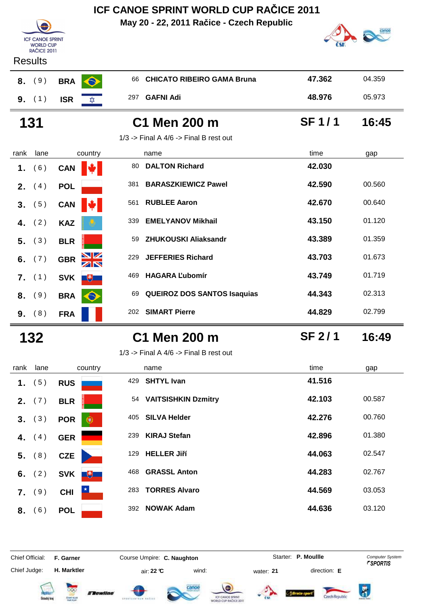**May 20 - 22, 2011 Račice - Czech Republic**



### **Results**

**ICF CANOE SPRINT F CANCE SPRI**<br>WORLD CUP<br>RAČICE 2011

| 8. | (9) | <b>BRA</b> |  |
|----|-----|------------|--|
| 9  | (1) | <b>ISR</b> |  |

| 8.                         | (9)  | $\bullet$<br><b>BRA</b>    | 66 CHICATO RIBEIRO GAMA Bruna              | 47.362 | 04.359 |
|----------------------------|------|----------------------------|--------------------------------------------|--------|--------|
| 9.                         | (1)  | <b>ISR</b><br><b>XXX</b>   | <b>GAFNI Adi</b><br>297                    | 48.976 | 05.973 |
| <b>C1 Men 200 m</b><br>131 |      |                            | <b>SF1/1</b>                               | 16:45  |        |
|                            |      |                            | $1/3$ -> Final A $4/6$ -> Final B rest out |        |        |
| rank                       | lane | country                    | name                                       | time   | gap    |
| 1.                         | (6)  | $\mathbf{v}$<br><b>CAN</b> | <b>DALTON Richard</b><br>80                | 42.030 |        |
| 2.                         | (4)  | <b>POL</b>                 | <b>BARASZKIEWICZ Pawel</b><br>381          | 42.590 | 00.560 |
| 3.                         | 5)   | <b>CAN</b>                 | <b>RUBLEE Aaron</b><br>561                 | 42.670 | 00.640 |

 **43.150 EMELYANOV Mikhail 43.150** 01.120

 **5.** ( 3 ) **BLR**<sup>59</sup> **ZHUKOUSKI Aliaksandr 43.389** 01.359

 **6.** ( 7 ) **GBR**<sup>229</sup> **JEFFERIES Richard 43.703** 01.673

 **7.** ( 1 ) **SVK**<sup>469</sup> **HAGARA Ľubomír 43.749** 01.719

 **8.** ( 9 ) **BRA**<sup>69</sup> **QUEIROZ DOS SANTOS Isaquias 44.343** 02.313

 **9.** ( 8 ) **FRA**<sup>202</sup> **SIMART Pierre 44.829** 02.799

| 2. | (4) | POL        |             |
|----|-----|------------|-------------|
| 3. | (5) | CAN        |             |
| 4. | (2) | <b>KAZ</b> |             |
| 5. | (3) | <b>BLR</b> |             |
| 6. | (7) | <b>GBR</b> |             |
| 7. | (1) | <b>SVK</b> | $\biguplus$ |
| 8. | (9) | <b>BRA</b> |             |
| 9. | (8) | <b>FRA</b> |             |

| 132 | C1 Men 200 m | <b>SF 2/1</b> | 16:49 |
|-----|--------------|---------------|-------|

1/3 -> Final A  $4/6$  -> Final B rest out

| rank | lane     | country         | name                             | time<br>gap      |
|------|----------|-----------------|----------------------------------|------------------|
| 1.   | (5)      | <b>RUS</b>      | <b>SHTYL Ivan</b><br>429         | 41.516           |
| 2.   | (7)      | <b>BLR</b>      | <b>VAITSISHKIN Dzmitry</b><br>54 | 42.103<br>00.587 |
| 3.   | (3)      | <b>POR</b><br>G | <b>SILVA Helder</b><br>405       | 42.276<br>00.760 |
| 4.   | (4)      | <b>GER</b>      | <b>KIRAJ Stefan</b><br>239       | 42.896<br>01.380 |
|      | 5. (8)   | <b>CZE</b>      | <b>HELLER Jiří</b><br>129        | 44.063<br>02.547 |
| 6.   | (2)      | <b>SVK</b><br>电 | <b>GRASSL Anton</b><br>468       | 44.283<br>02.767 |
|      | $7.$ (9) | <b>CHI</b>      | <b>TORRES Alvaro</b><br>283      | 44.569<br>03.053 |
| 8.   | (6)      | <b>POL</b>      | <b>NOWAK Adam</b><br>392         | 44.636<br>03.120 |

Chief Official: **F. Garner Course Umpire: C. Naughton** Course **Starter: P. Moullle** Computer System

Chief Judge:

**H. Marktler air: 22 °C** wind: water: **21** direction: **E** 















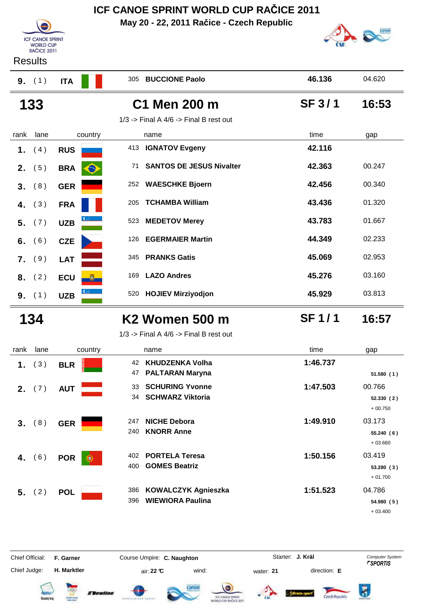|      |                                                                   |                 |            | ICF CANOE SPRINT WORLD CUP RACICE 2011                |               |                                   |
|------|-------------------------------------------------------------------|-----------------|------------|-------------------------------------------------------|---------------|-----------------------------------|
|      | <b>ICF CANOE SPRINT</b><br><b>WORLD CUP</b><br><b>RAČICE 2011</b> |                 |            | May 20 - 22, 2011 Račice - Czech Republic             |               |                                   |
|      | <b>Results</b>                                                    |                 |            |                                                       |               |                                   |
|      | 9. (1)                                                            | <b>ITA</b>      | 305        | <b>BUCCIONE Paolo</b>                                 | 46.136        | 04.620                            |
|      | 133                                                               |                 |            | C1 Men 200 m                                          | <b>SF 3/1</b> | 16:53                             |
|      |                                                                   |                 |            | $1/3$ -> Final A $4/6$ -> Final B rest out            |               |                                   |
| rank | lane                                                              | country         |            | name                                                  | time          | gap                               |
| 1.   | (4)                                                               | <b>RUS</b>      | 413        | <b>IGNATOV Evgeny</b>                                 | 42.116        |                                   |
| 2.   | (5)                                                               | <b>BRA</b>      | 71         | <b>SANTOS DE JESUS Nivalter</b>                       | 42.363        | 00.247                            |
| 3.   | (8)                                                               | <b>GER</b>      | 252        | <b>WAESCHKE Bjoern</b>                                | 42.456        | 00.340                            |
| 4.   | (3)                                                               | <b>FRA</b>      | 205        | <b>TCHAMBA William</b>                                | 43.436        | 01.320                            |
| 5.   | (7)                                                               | <b>UZB</b>      | 523        | <b>MEDETOV Merey</b>                                  | 43.783        | 01.667                            |
| 6.   | (6)                                                               | <b>CZE</b>      | 126        | <b>EGERMAIER Martin</b>                               | 44.349        | 02.233                            |
| 7.   | (9)                                                               | <b>LAT</b>      | 345        | <b>PRANKS Gatis</b>                                   | 45.069        | 02.953                            |
| 8.   | (2)                                                               | <b>ECU</b>      | 169        | <b>LAZO Andres</b>                                    | 45.276        | 03.160                            |
| 9.   | (1)                                                               | <b>UZB</b>      | 520        | <b>HOJIEV Mirziyodjon</b>                             | 45.929        | 03.813                            |
|      | 134                                                               |                 |            | K <sub>2</sub> Women 500 m                            | <b>SF1/1</b>  | 16:57                             |
|      |                                                                   |                 |            | $1/3$ -> Final A $4/6$ -> Final B rest out            |               |                                   |
| rank | lane                                                              | country         |            | name                                                  | time          | gap                               |
| 1.   | (3)                                                               | <b>BLR</b>      | 47         | 42 KHUDZENKA Volha<br><b>PALTARAN Maryna</b>          | 1:46.737      | 51.580(1)                         |
| 2.   | (7)                                                               | <b>AUT</b>      | 33<br>34   | <b>SCHURING Yvonne</b><br><b>SCHWARZ Viktoria</b>     | 1:47.503      | 00.766<br>52.330(2)<br>$+00.750$  |
| 3.   | (8)                                                               | <b>GER</b>      | 247<br>240 | <b>NICHE Debora</b><br><b>KNORR Anne</b>              | 1:49.910      | 03.173<br>55.240 (6)<br>$+03.660$ |
| 4.   | (6)                                                               | <b>POR</b><br>о | 402        | <b>PORTELA Teresa</b>                                 | 1:50.156      | 03.419                            |
|      |                                                                   |                 | 400        | <b>GOMES Beatriz</b>                                  |               | 53.280(3)<br>$+01.700$            |
| 5.   | (2)                                                               | <b>POL</b>      | 386<br>396 | <b>KOWALCZYK Agnieszka</b><br><b>WIEWIORA Paulina</b> | 1:51.523      | 04.786<br>54.980 (5)<br>$+03.400$ |

Chief Official: **F. Garner Course Umpire: C. Naughton** Course Conputer System **Computer System** Chief Judge: **H. Marktler** air: **22 °C** wind: water: **21** direction: **E**

**J. Král**

















 $\ddot{\bm{\delta}}$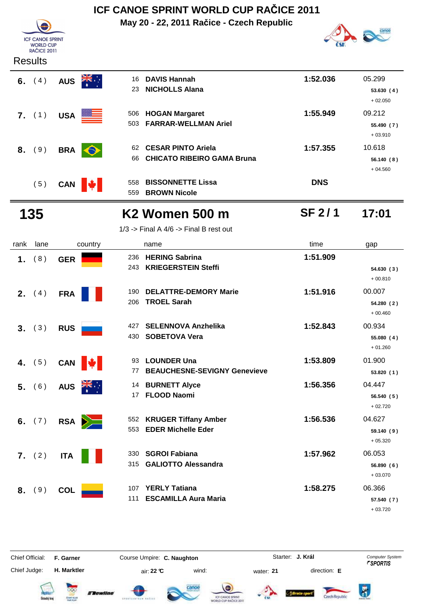**May 20 - 22, 2011 Račice - Czech Republic**



| וטו טרוויטב טרוט   |
|--------------------|
| <b>WORLD CUP</b>   |
| <b>RAČICE 2011</b> |
| Results            |

**ICF CANOE SPRINT** 

| 1.   | (8)      | <b>GER</b>                                                 | <b>HERING Sabrina</b><br>236<br><b>KRIEGERSTEIN Steffi</b><br>243  | 1:51.909      | 54.630 (3)              |
|------|----------|------------------------------------------------------------|--------------------------------------------------------------------|---------------|-------------------------|
| rank | lane     | country                                                    | name                                                               | time          | gap                     |
|      |          |                                                            | $1/3$ -> Final A $4/6$ -> Final B rest out                         |               |                         |
|      | 135      |                                                            | <b>K2 Women 500 m</b>                                              | <b>SF 2/1</b> | 17:01                   |
|      | (5)      | CAN $\Vert \psi \Vert$                                     | <b>BISSONNETTE Lissa</b><br>558<br><b>BROWN Nicole</b><br>559      | <b>DNS</b>    |                         |
|      |          |                                                            | <b>CHICATO RIBEIRO GAMA Bruna</b><br>66                            |               | 56.140 (8)<br>$+04.560$ |
| 8.   | (9)      | <b>BRA</b><br>$\bullet$                                    | <b>CESAR PINTO Ariela</b><br>62                                    | 1:57.355      | $+03.910$<br>10.618     |
|      | 7. (1)   | USA <b>NORTH</b>                                           | <b>HOGAN Margaret</b><br>506<br><b>FARRAR-WELLMAN Ariel</b><br>503 | 1:55.949      | 09.212<br>55.490 (7)    |
|      |          |                                                            |                                                                    |               | $+02.050$               |
|      | 6. $(4)$ | $\frac{1}{\frac{1}{\sqrt{2}}}\sum_{i=1}^{n}$<br><b>AUS</b> | <b>DAVIS Hannah</b><br>16<br><b>NICHOLLS Alana</b><br>23           | 1:52.036      | 05.299<br>53.630(4)     |
|      |          |                                                            |                                                                    |               |                         |

| 1.             | (8)             | <b>GER</b> | 236                    | <b>HERING Sabrina</b>                     | 1:51.909 |            |
|----------------|-----------------|------------|------------------------|-------------------------------------------|----------|------------|
|                |                 |            |                        | <b>KRIEGERSTEIN Steffi</b><br>243         |          | 54.630(3)  |
|                |                 |            |                        |                                           |          | $+00.810$  |
|                | <b>2.</b> $(4)$ | <b>FRA</b> |                        | <b>DELATTRE-DEMORY Marie</b><br>190       | 1:51.916 | 00.007     |
|                |                 |            |                        | <b>TROEL Sarah</b><br>206                 |          | 54.280 (2) |
|                |                 |            |                        |                                           |          | $+00.460$  |
| 3 <sub>1</sub> | (3)             | <b>RUS</b> |                        | <b>SELENNOVA Anzhelika</b><br>427         | 1:52.843 | 00.934     |
|                |                 |            |                        | <b>SOBETOVA Vera</b><br>430               |          | 55.080(4)  |
|                |                 |            |                        |                                           |          | $+01.260$  |
| 4.             | (5)             |            | CAN $\Vert \psi \Vert$ | <b>LOUNDER Una</b><br>93                  | 1:53.809 | 01.900     |
|                |                 |            |                        | <b>BEAUCHESNE-SEVIGNY Genevieve</b><br>77 |          | 53.820 (1) |
|                | 5. (6)          | <b>AUS</b> | $\overline{z}$         | 14 BURNETT Alyce                          | 1:56.356 | 04.447     |
|                |                 |            |                        | <b>FLOOD Naomi</b><br>17                  |          | 56.540(5)  |
|                |                 |            |                        |                                           |          | $+02.720$  |
|                | 6. $(7)$        |            | RSA <b>D</b>           | 552 KRUGER Tiffany Amber                  | 1:56.536 | 04.627     |
|                |                 |            |                        | 553<br><b>EDER Michelle Eder</b>          |          | 59.140(9)  |
|                |                 |            |                        |                                           |          | $+05.320$  |
|                | 7. (2)          | <b>ITA</b> |                        | <b>SGROI Fabiana</b><br>330               | 1:57.962 | 06.053     |
|                |                 |            |                        | <b>GALIOTTO Alessandra</b><br>315         |          | 56.890 (6) |
|                |                 |            |                        |                                           |          | $+03.070$  |
| 8.             | (9)             | <b>COL</b> | 107                    | <b>YERLY Tatiana</b>                      | 1:58.275 | 06.366     |
|                |                 |            | 111                    | <b>ESCAMILLA Aura Maria</b>               |          | 57.540 (7) |
|                |                 |            |                        |                                           |          | $+03.720$  |

Chief Official: **F. Garner Course Umpire: C. Naughton** Course Conputer System **Computer System** Chief Judge:

**H. Marktler** air: **22 °C** wind: water: **21** direction: **E**

**J. Král**















 $\overline{R}$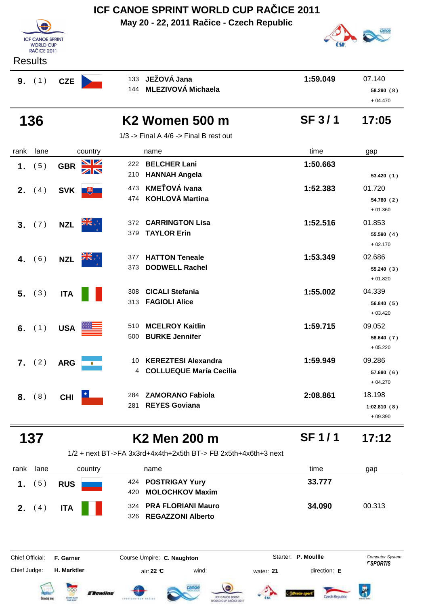|                |                                             |            |                         | ICF CANOE SPRINT WORLD CUP RACICE 2011                         |               |                                    |
|----------------|---------------------------------------------|------------|-------------------------|----------------------------------------------------------------|---------------|------------------------------------|
|                | <b>ICF CANOE SPRINT</b><br><b>WORLD CUP</b> |            |                         | May 20 - 22, 2011 Račice - Czech Republic                      |               |                                    |
|                | <b>RAČICE 2011</b><br><b>Results</b>        |            |                         |                                                                |               |                                    |
|                | 9. (1)                                      | <b>CZE</b> | 133<br>144              | JEŽOVÁ Jana<br><b>MLEZIVOVÁ Michaela</b>                       | 1:59.049      | 07.140<br>58.290(8)<br>$+04.470$   |
|                | 136                                         |            |                         | K <sub>2</sub> Women 500 m                                     | <b>SF 3/1</b> | 17:05                              |
|                |                                             |            |                         | $1/3$ -> Final A $4/6$ -> Final B rest out                     |               |                                    |
| rank           | lane                                        | country    |                         | name                                                           | time          | gap                                |
| 1.             | (5)                                         | <b>GBR</b> | <u>NZ</u><br>222<br>210 | <b>BELCHER Lani</b><br><b>HANNAH Angela</b>                    | 1:50.663      | 53.420 (1)                         |
| 2 <sub>1</sub> | (4)                                         | <b>SVK</b> | 473<br>$+$<br>474       | <b>KMEŤOVÁ Ivana</b><br><b>KOHLOVÁ Martina</b>                 | 1:52.383      | 01.720<br>54.780 (2)<br>$+01.360$  |
| 3.             | (7)                                         | <b>NZL</b> | 372<br>379              | <b>CARRINGTON Lisa</b><br><b>TAYLOR Erin</b>                   | 1:52.516      | 01.853<br>55.590 (4)<br>$+02.170$  |
| 4.             | (6)                                         | <b>NZL</b> | 377<br>373              | <b>HATTON Teneale</b><br><b>DODWELL Rachel</b>                 | 1:53.349      | 02.686<br>55.240(3)<br>$+01.820$   |
| 5.             | (3)                                         | <b>ITA</b> | 308<br>313              | <b>CICALI Stefania</b><br><b>FAGIOLI Alice</b>                 | 1:55.002      | 04.339<br>56.840 (5)<br>$+03.420$  |
|                | 6. $(1)$                                    | <b>USA</b> | 500                     | 510 MCELROY Kaitlin<br><b>BURKE Jennifer</b>                   | 1:59.715      | 09.052<br>58.640 (7)<br>$+05.220$  |
|                | 7. (2)                                      | <b>ARG</b> | 10<br>۰<br>4            | <b>KEREZTESI Alexandra</b><br><b>COLLUEQUE María Cecilia</b>   | 1:59.949      | 09.286<br>57.690(6)<br>$+04.270$   |
|                | 8. (8)                                      | <b>CHI</b> | 284<br>281              | <b>ZAMORANO Fabiola</b><br><b>REYES Goviana</b>                | 2:08.861      | 18.198<br>1:02.810(8)<br>$+09.390$ |
|                | 137                                         |            |                         | K2 Men 200 m                                                   | <b>SF1/1</b>  | 17:12                              |
|                |                                             |            |                         | 1/2 + next BT->FA 3x3rd+4x4th+2x5th BT-> FB 2x5th+4x6th+3 next |               |                                    |
| rank           | lane                                        | country    |                         | name                                                           | time          | gap                                |
| 1 <sub>1</sub> | (5)                                         | <b>RUS</b> | 420                     | 424 POSTRIGAY Yury<br><b>MOLOCHKOV Maxim</b>                   | 33.777        |                                    |
|                | <b>2.</b> $(4)$                             | <b>ITA</b> | 324<br>326              | <b>PRA FLORIANI Mauro</b><br><b>REGAZZONI Alberto</b>          | 34.090        | 00.313                             |

Chief Official: **F. Garner Course Umpire: C. Naughton Carrier: C. Starter: P. Moullle** *Computer System* **H. Marktler** air: **22 °C** wind: water: **21** direction: **E** Starter: **P. Moullle** 



Chief Judge:











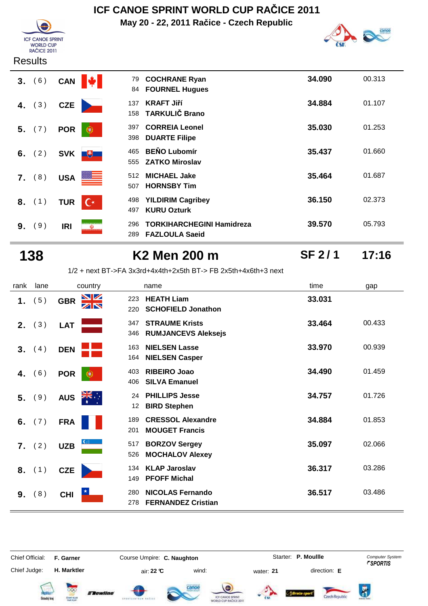

**May 20 - 22, 2011 Račice - Czech Republic**



**SF 2 / 1**

#### **Results**

| (6)<br>3 <sub>1</sub> | <b>CAN</b> | 79<br>84                          | <b>COCHRANE Ryan</b><br><b>FOURNEL Hugues</b>             | 34.090 | 00.313 |
|-----------------------|------------|-----------------------------------|-----------------------------------------------------------|--------|--------|
| (3)<br>4.             | <b>CZE</b> | 137<br>158                        | <b>KRAFT Jiří</b><br><b>TARKULIČ Brano</b>                | 34.884 | 01.107 |
| (7)<br>5.             | <b>POR</b> | 397<br>€<br>398                   | <b>CORREIA Leonel</b><br><b>DUARTE Filipe</b>             | 35.030 | 01.253 |
| 6. $(2)$              | <b>SVK</b> | 465<br>电<br>555                   | <b>BENO Lubomír</b><br><b>ZATKO Miroslav</b>              | 35.437 | 01.660 |
| (8)<br>7.             | <b>USA</b> | 512<br><u> 22 - J</u><br>507      | <b>MICHAEL Jake</b><br><b>HORNSBY Tim</b>                 | 35.464 | 01.687 |
| (1)<br>8.             | <b>TUR</b> | 498<br>$\mathsf{C}^*$<br>497      | <b>YILDIRIM Cagribey</b><br><b>KURU Ozturk</b>            | 36.150 | 02.373 |
| (9)<br>9.             | <b>IRI</b> | 296<br>$\boldsymbol{\Phi}$<br>289 | <b>TORKIHARCHEGINI Hamidreza</b><br><b>FAZLOULA Saeid</b> | 39.570 | 05.793 |

### **138 K2 Men 200 m 17:16**

1/2 + next BT->FA 3x3rd+4x4th+2x5th BT-> FB 2x5th+4x6th+3 next

| rank | lane   | country                | name                                                               | time   | gap    |
|------|--------|------------------------|--------------------------------------------------------------------|--------|--------|
| 1.   | (5)    | VZ<br><b>GBR</b><br>ZN | <b>HEATH Liam</b><br>223<br><b>SCHOFIELD Jonathon</b><br>220       | 33.031 |        |
| 2.   | (3)    | <b>LAT</b>             | <b>STRAUME Krists</b><br>347<br><b>RUMJANCEVS Aleksejs</b><br>346  | 33.464 | 00.433 |
| 3.   | (4)    | <b>DEN</b>             | <b>NIELSEN Lasse</b><br>163<br><b>NIELSEN Casper</b><br>164        | 33.970 | 00.939 |
| 4.   | (6)    | <b>POR</b>             | <b>RIBEIRO Joao</b><br>403<br><b>SILVA Emanuel</b><br>406          | 34.490 | 01.459 |
| 5.   | (9)    | <b>AUS</b>             | <b>PHILLIPS Jesse</b><br>24<br><b>BIRD Stephen</b><br>12           | 34.757 | 01.726 |
| 6.   | (7)    | <b>FRA</b>             | <b>CRESSOL Alexandre</b><br>189<br><b>MOUGET Francis</b><br>201    | 34.884 | 01.853 |
|      | 7. (2) | <b>UZB</b>             | <b>BORZOV Sergey</b><br>517<br>526<br><b>MOCHALOV Alexey</b>       | 35.097 | 02.066 |
|      | 8. (1) | <b>CZE</b>             | <b>KLAP Jaroslav</b><br>134<br><b>PFOFF Michal</b><br>149          | 36.317 | 03.286 |
| 9.   | (8)    | <b>CHI</b>             | <b>NICOLAS Fernando</b><br>280<br><b>FERNANDEZ Cristian</b><br>278 | 36.517 | 03.486 |

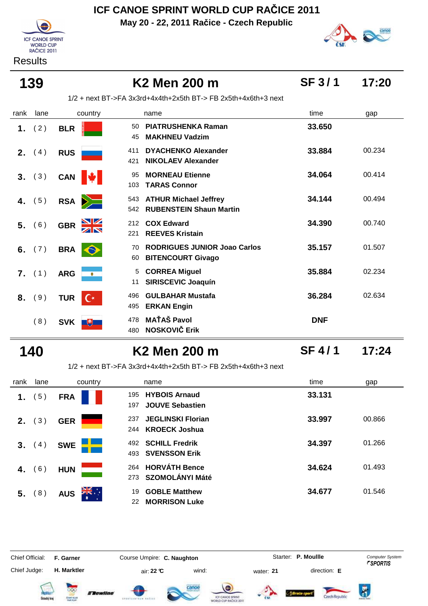**May 20 - 22, 2011 Račice - Czech Republic**



#### **Results**



# **139 K2 Men 200 m 17:20**

**SF 3 / 1**

1/2 + next BT->FA 3x3rd+4x4th+2x5th BT-> FB 2x5th+4x6th+3 next

| rank | lane | country                      | name                                                                         | time       | gap    |
|------|------|------------------------------|------------------------------------------------------------------------------|------------|--------|
| 1.   | (2)  | <b>BLR</b>                   | <b>PIATRUSHENKA Raman</b><br>50<br><b>MAKHNEU Vadzim</b><br>45               | 33.650     |        |
| 2.   | (4)  | <b>RUS</b>                   | <b>DYACHENKO Alexander</b><br>411<br><b>NIKOLAEV Alexander</b><br>421        | 33.884     | 00.234 |
| 3.   | (3)  | <b>CAN</b>                   | <b>MORNEAU Etienne</b><br>95<br><b>TARAS Connor</b><br>103                   | 34.064     | 00.414 |
| 4.   | (5)  | <b>RSA</b><br>$\geq$         | <b>ATHUR Michael Jeffrey</b><br>543<br><b>RUBENSTEIN Shaun Martin</b><br>542 | 34.144     | 00.494 |
| 5.   | (6)  | <b>GBR</b>                   | <b>COX Edward</b><br>212<br><b>REEVES Kristain</b><br>221                    | 34.390     | 00.740 |
| 6.   | (7)  | <b>BRA</b><br>$\bullet$      | <b>RODRIGUES JUNIOR Joao Carlos</b><br>70<br><b>BITENCOURT Givago</b><br>60  | 35.157     | 01.507 |
| 7.   | (1)  | <b>ARG</b><br>$\bullet$      | <b>CORREA Miguel</b><br>5<br><b>SIRISCEVIC Joaquín</b><br>11                 | 35.884     | 02.234 |
| 8.   | (9)  | <b>TUR</b><br>$\mathsf{C}^*$ | <b>GULBAHAR Mustafa</b><br>496<br><b>ERKAN Engin</b><br>495                  | 36.284     | 02.634 |
|      | (8)  | <b>SVK</b><br>飞书             | <b>MAŤAŠ Pavol</b><br>478<br><b>NOSKOVIČ Erik</b><br>480                     | <b>DNF</b> |        |

### **140 K2 Men 200 m 17:24**

**SF 4 / 1**

1/2 + next BT->FA 3x3rd+4x4th+2x5th BT-> FB 2x5th+4x6th+3 next

| rank           | lane | country            | name                                                         | time<br>gap      |  |
|----------------|------|--------------------|--------------------------------------------------------------|------------------|--|
| 1.             | 5)   | <b>FRA</b>         | <b>HYBOIS Arnaud</b><br>195<br><b>JOUVE Sebastien</b><br>197 | 33.131           |  |
| 2.             | 3)   | <b>GER</b>         | <b>JEGLINSKI Florian</b><br>237<br>244 KROECK Joshua         | 33.997<br>00.866 |  |
| 3 <sub>1</sub> | 4)   | <b>SWE</b>         | <b>SCHILL Fredrik</b><br>492<br><b>SVENSSON Erik</b><br>493  | 34.397<br>01.266 |  |
| 4.             | 6)   | <b>HUN</b>         | <b>HORVÁTH Bence</b><br>264<br><b>SZOMOLÁNYI Máté</b><br>273 | 34.624<br>01.493 |  |
| 5.             | 8)   | ूँ*ँ<br><b>AUS</b> | <b>GOBLE Matthew</b><br>19<br><b>MORRISON Luke</b><br>22     | 34.677<br>01.546 |  |

Chief Official: **F. Garner Course Umpire: C. Naughton Carrier: C. Starter: P. Moullle** *Computer System* Chief Judge: **H. Marktler air: 22 °C** wind: water: **21** direction: **E** 

Starter: P. Moullle

 $\overline{R}$ 













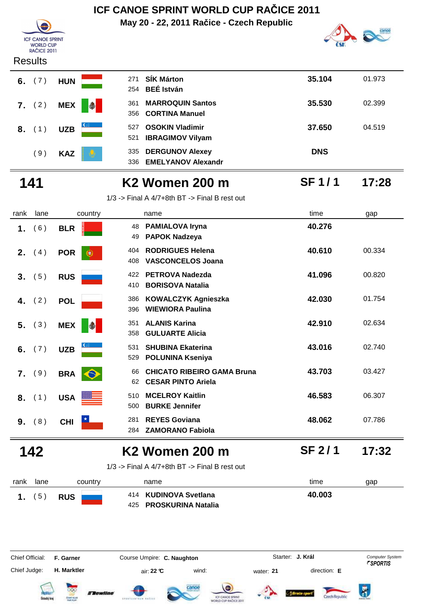### **ICF CANOE SPRINT WORLD CUP RAČICE 2011 May 20 - 22, 2011 Račice - Czech Republic ICF CANOE SPRINT F CANCE SPRI**<br>WORLD CUP<br>RAČICE 2011





| 271<br>254 | <b>SÍK Márton</b><br><b>BEÉ István</b>              | 35.104     | 01.973 |
|------------|-----------------------------------------------------|------------|--------|
| 361<br>356 | <b>MARROQUIN Santos</b><br><b>CORTINA Manuel</b>    | 35.530     | 02.399 |
| 527<br>521 | <b>OSOKIN Vladimir</b><br><b>IBRAGIMOV Vilyam</b>   | 37.650     | 04.519 |
| 335<br>336 | <b>DERGUNOV Alexey</b><br><b>EMELYANOV Alexandr</b> | <b>DNS</b> |        |

**SF 1 / 1**

# **141 K2 Women 200 m 17:28**

1/3 -> Final A 4/7+8th BT -> Final B rest out

| rank | lane | country                  | name                                                                       | time   | gap    |
|------|------|--------------------------|----------------------------------------------------------------------------|--------|--------|
| 1.   | (6)  | <b>BLR</b>               | <b>PAMIALOVA Iryna</b><br>48<br><b>PAPOK Nadzeya</b><br>49                 | 40.276 |        |
| 2.   | (4)  | <b>POR</b><br>œ          | <b>RODRIGUES Helena</b><br>404<br><b>VASCONCELOS Joana</b><br>408          | 40.610 | 00.334 |
| 3.   | 5)   | <b>RUS</b>               | <b>PETROVA Nadezda</b><br>422<br><b>BORISOVA Natalia</b><br>410            | 41.096 | 00.820 |
| 4.   | (2)  | <b>POL</b>               | <b>KOWALCZYK Agnieszka</b><br>386<br><b>WIEWIORA Paulina</b><br>396        | 42.030 | 01.754 |
| 5.   | (3)  | <b>MEX</b><br>$\bigcirc$ | <b>ALANIS Karina</b><br>351<br><b>GULUARTE Alicia</b><br>358               | 42.910 | 02.634 |
| 6.   | (7)  | <b>UZB</b>               | <b>SHUBINA Ekaterina</b><br>531<br><b>POLUNINA Kseniya</b><br>529          | 43.016 | 02.740 |
| 7.   | (9)  | <b>BRA</b>               | <b>CHICATO RIBEIRO GAMA Bruna</b><br>66<br><b>CESAR PINTO Ariela</b><br>62 | 43.703 | 03.427 |
| 8.   | (1)  | <b>USA</b>               | <b>MCELROY Kaitlin</b><br>510<br><b>BURKE Jennifer</b><br>500              | 46.583 | 06.307 |
| 9.   | (8)  | <b>CHI</b>               | <b>REYES Goviana</b><br>281<br><b>ZAMORANO Fabiola</b><br>284              | 48.062 | 07.786 |

# **142 K2 Women 200 m 17:32**

1/3 -> Final A 4/7+8th BT -> Final B rest out

| rank | lane | country    | name                                            | time<br>gap |
|------|------|------------|-------------------------------------------------|-------------|
|      | (5)  | <b>RUS</b> | 414 KUDINOVA Svetlana<br>425 PROSKURINA Natalia | 40.003      |



Chief Official: **F. Garner Course Umpire: C. Naughton** Course Conputer System **Computer System** 

**H. Marktler air: 22 °C** wind: water: **21** direction: **E** 

**J. Král**

Ä













**SF 2 / 1**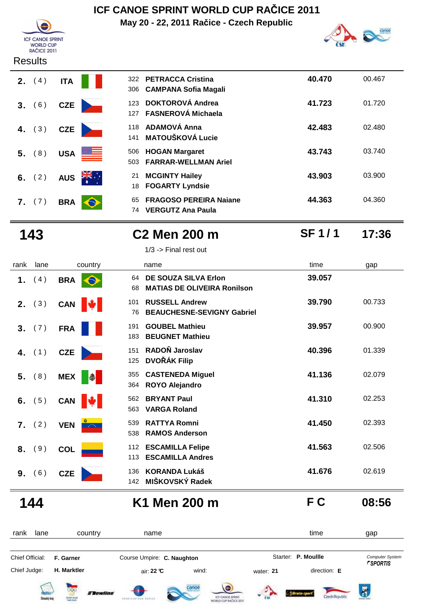# **ICF CANOE SPRINT F CANCE SPRI**<br>WORLD CUP<br>RAČICE 2011

#### **Results**

| <b>2.</b> $(4)$ <b>ITA</b> |                              | 322 PETRACCA Cristina<br>306 CAMPANA Sofia Maga      |
|----------------------------|------------------------------|------------------------------------------------------|
|                            | 3. (6) CZE                   | 123 DOKTOROVÁ Andrea<br>127 FASNEROVÁ Michael        |
|                            | 4. (3) CZE                   | 118 ADAMOVÁ Anna<br>141 MATOUŠKOVÁ Lucie             |
| 5. (8) USA                 |                              | 506 HOGAN Margaret<br><b>FARRAR-WELLMAN</b><br>503   |
|                            | 6. $(2)$ AUS $\frac{21}{10}$ | <b>MCGINTY Hailey</b><br>21<br>18 FOGARTY Lyndsie    |
| 7. (7) BRA                 |                              | <b>FRAGOSO PEREIRA</b><br>65<br>74 VERGUTZ Ana Paula |

**ICF CANOE SPRINT WORLD CUP RAČICE 2011**

**May 20 - 22, 2011 Račice - Czech Republic**



|    | <b>2.</b> $(4)$ | <b>ITA</b> |                  | 322        | <b>PETRACCA Cristina</b><br>306 CAMPANA Sofia Magali      | 40.470 | 00.467 |
|----|-----------------|------------|------------------|------------|-----------------------------------------------------------|--------|--------|
|    | 3. (6)          | <b>CZE</b> |                  | 127        | 123 DOKTOROVÁ Andrea<br><b>FASNEROVÁ Michaela</b>         | 41.723 | 01.720 |
|    | 4. $(3)$        | <b>CZE</b> |                  | 118<br>141 | ADAMOVÁ Anna<br><b>MATOUŠKOVÁ Lucie</b>                   | 42.483 | 02.480 |
|    | $5.$ (8)        | <b>USA</b> | <u> SSI L</u>    | 506<br>503 | <b>HOGAN Margaret</b><br><b>FARRAR-WELLMAN Ariel</b>      | 43.743 | 03.740 |
|    | 6. $(2)$        | <b>AUS</b> | $\sum_{k=1}^{N}$ | 21<br>18.  | <b>MCGINTY Hailey</b><br><b>FOGARTY Lyndsie</b>           | 43.903 | 03.900 |
| 7. | (7)             | <b>BRA</b> | $\bullet$        | 65<br>74   | <b>FRAGOSO PEREIRA Naiane</b><br><b>VERGUTZ Ana Paula</b> | 44.363 | 04.360 |

# 1/3 -> Final rest out

**143 C2 Men 200 m 17:36 SF 1 / 1**

| rank | lane     | country                  | name                                                                    | time   | gap    |
|------|----------|--------------------------|-------------------------------------------------------------------------|--------|--------|
| 1.   | (4)      | <b>BRA</b><br>$\bullet$  | DE SOUZA SILVA Erlon<br>64<br><b>MATIAS DE OLIVEIRA Ronilson</b><br>68  | 39.057 |        |
| 2.   | (3)      | CAN <b> </b>             | <b>RUSSELL Andrew</b><br>101<br><b>BEAUCHESNE-SEVIGNY Gabriel</b><br>76 | 39.790 | 00.733 |
| 3.   | (7)      | <b>FRA</b>               | <b>GOUBEL Mathieu</b><br>191<br><b>BEUGNET Mathieu</b><br>183           | 39.957 | 00.900 |
| 4.   | (1)      | CZE                      | RADOŇ Jaroslav<br>151<br><b>DVOŘÁK Filip</b><br>125                     | 40.396 | 01.339 |
| 5.   | (8)      | <b>MEX</b><br>$\bullet$  | <b>CASTENEDA Miguel</b><br>355<br><b>ROYO Alejandro</b><br>364          | 41.136 | 02.079 |
|      | 6. $(5)$ | <b>CAN</b><br><b>IV</b>  | <b>BRYANT Paul</b><br>562<br><b>VARGA Roland</b><br>563                 | 41.310 | 02.253 |
|      | 7. (2)   | <b>VEN</b><br>$\sim 100$ | <b>RATTYA Romni</b><br>539<br><b>RAMOS Anderson</b><br>538              | 41.450 | 02.393 |
| 8.   | (9)      | <b>COL</b>               | <b>ESCAMILLA Felipe</b><br>112<br><b>ESCAMILLA Andres</b><br>113        | 41.563 | 02.506 |
|      | 9. (6)   | <b>CZE</b>               | <b>KORANDA Lukáš</b><br>136<br>MIŠKOVSKÝ Radek<br>142                   | 41.676 | 02.619 |
|      | - - -    |                          |                                                                         |        |        |

**144 K1 Men 200 m F C 08:56**

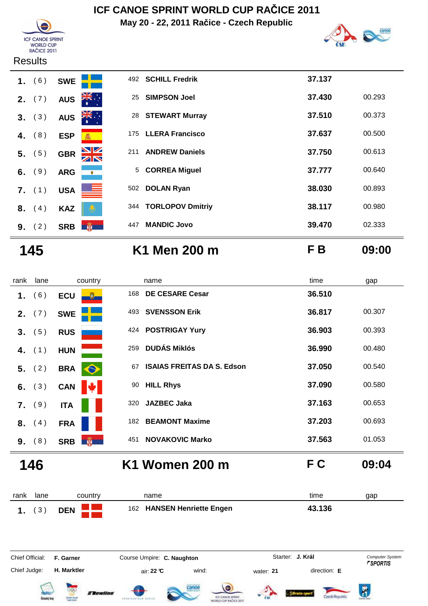





#### **Results**

|    | 9. (2)   |            | SRB <b>剛</b>     | 447 | <b>MANDIC Jovo</b>    | 39.470 | 02.333 |
|----|----------|------------|------------------|-----|-----------------------|--------|--------|
| 8. | (4)      | <b>KAZ</b> |                  |     | 344 TORLOPOV Dmitriy  | 38.117 | 00.980 |
|    | $7.$ (1) | <b>USA</b> | ≝                | 502 | <b>DOLAN Ryan</b>     | 38.030 | 00.893 |
|    | 6. $(9)$ | <b>ARG</b> | $\bullet$        |     | 5 CORREA Miguel       | 37.777 | 00.640 |
|    | 5. (5)   | <b>GBR</b> | $\frac{N}{N}$    | 211 | <b>ANDREW Daniels</b> | 37.750 | 00.613 |
|    | 4. $(8)$ | <b>ESP</b> | 泰                |     | 175 LLERA Francisco   | 37.637 | 00.500 |
|    | 3. (3)   | <b>AUS</b> | $\sum_{k=1}^{N}$ |     | 28 STEWART Murray     | 37.510 | 00.373 |
|    | 2. $(7)$ | <b>AUS</b> | ्∶्र<br>भू       | 25  | <b>SIMPSON Joel</b>   | 37.430 | 00.293 |
| 1. | (6)      | <b>SWE</b> |                  |     | 492 SCHILL Fredrik    | 37.137 |        |

# **145 K1 Men 200 m F B 09:00**

| rank | lane            | country                      |     | name                              | time   | gap    |
|------|-----------------|------------------------------|-----|-----------------------------------|--------|--------|
| 1.   | (6)             | <b>ECU</b><br>$\mathbf{U}^-$ | 168 | <b>DE CESARE Cesar</b>            | 36.510 |        |
|      | <b>2.</b> $(7)$ | <b>SWE</b>                   | 493 | <b>SVENSSON Erik</b>              | 36.817 | 00.307 |
|      | 3. (5)          | <b>RUS</b>                   |     | 424 POSTRIGAY Yury                | 36.903 | 00.393 |
| 4.   | (1)             | <b>HUN</b>                   | 259 | <b>DUDÁS Miklós</b>               | 36.990 | 00.480 |
|      | 5. (2)          | <b>BRA</b><br>$\bullet$      | 67  | <b>ISAIAS FREITAS DA S. Edson</b> | 37.050 | 00.540 |
| 6.   | (3)             | <b>CAN</b>                   | 90  | <b>HILL Rhys</b>                  | 37.090 | 00.580 |
|      | $7.$ (9)        | <b>ITA</b>                   | 320 | <b>JAZBEC Jaka</b>                | 37.163 | 00.653 |
| 8.   | (4)             | <b>FRA</b>                   | 182 | <b>BEAMONT Maxime</b>             | 37.203 | 00.693 |
|      | 9. (8)          | 第一<br><b>SRB</b>             | 451 | <b>NOVAKOVIC Marko</b>            | 37.563 | 01.053 |
|      | 146             |                              |     | K1 Women 200 m                    | F C    | 09:04  |

rank lane country thame the name time time gap  **1.** ( 3 ) **DEN**<sup>162</sup> **HANSEN Henriette Engen 43.136** Chief Official: **F. Garner Course Umpire: C. Naughton** Course Conputer System **Computer System** Chief Judge: **H. Marktler air: 22 °C** wind: water: **21** direction: **E J. Král**













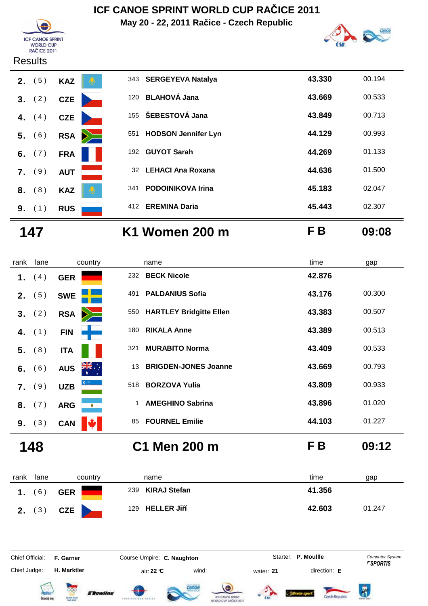**May 20 - 22, 2011 Račice - Czech Republic**





#### **Results**

| 2. | (5)      | <b>KAZ</b> |        |     | 343 SERGEYEVA Natalya    | 43.330 | 00.194 |
|----|----------|------------|--------|-----|--------------------------|--------|--------|
|    | 3. (2)   | <b>CZE</b> |        | 120 | <b>BLAHOVÁ Jana</b>      | 43.669 | 00.533 |
| 4. | (4)      | <b>CZE</b> |        |     | 155 ŠEBESTOVÁ Jana       | 43.849 | 00.713 |
|    | 5. (6)   | <b>RSA</b> | $\geq$ |     | 551 HODSON Jennifer Lyn  | 44.129 | 00.993 |
|    | 6. $(7)$ | <b>FRA</b> |        | 192 | <b>GUYOT Sarah</b>       | 44.269 | 01.133 |
|    | $7.$ (9) | <b>AUT</b> |        |     | 32 LEHACI Ana Roxana     | 44.636 | 01.500 |
|    | 8. (8)   | <b>KAZ</b> |        | 341 | <b>PODOINIKOVA Irina</b> | 45.183 | 02.047 |
|    | 9. (1)   | <b>RUS</b> |        | 412 | <b>EREMINA Daria</b>     | 45.443 | 02.307 |
|    |          |            |        |     |                          |        |        |

**147 K1 Women 200 m F B 09:08**

| rank           | lane     | country                        | name                                    | time   | gap    |
|----------------|----------|--------------------------------|-----------------------------------------|--------|--------|
| 1.             | (4)      | <b>GER</b>                     | <b>BECK Nicole</b><br>232               | 42.876 |        |
| 2 <sub>1</sub> | (5)      | <b>SWE</b>                     | <b>PALDANIUS Sofia</b><br>491           | 43.176 | 00.300 |
|                | 3. (2)   | <b>RSA</b>                     | <b>HARTLEY Bridgitte Ellen</b><br>550   | 43.383 | 00.507 |
|                | 4. $(1)$ | <b>FIN</b>                     | <b>RIKALA Anne</b><br>180               | 43.389 | 00.513 |
| 5.             | (8)      | <b>ITA</b>                     | <b>MURABITO Norma</b><br>321            | 43.409 | 00.533 |
| 6.             | (6)      | $\sum_{k=1}^{N}$<br><b>AUS</b> | <b>BRIGDEN-JONES Joanne</b><br>13       | 43.669 | 00.793 |
| 7.             | (9)      | <b>UZB</b>                     | <b>BORZOVA Yulia</b><br>518             | 43.809 | 00.933 |
| 8.             | (7)      | <b>ARG</b><br>$\bullet$        | <b>AMEGHINO Sabrina</b><br>$\mathbf{1}$ | 43.896 | 01.020 |
|                | 9. (3)   | <b>CAN</b>                     | <b>FOURNEL Emilie</b><br>85             | 44.103 | 01.227 |
|                | 148      |                                | C1 Men 200 m                            | F B    | 09:12  |

| rank | lane            | country    | name                | time<br>gap      |
|------|-----------------|------------|---------------------|------------------|
|      | $6^{\circ}$     | <b>GER</b> | KIRAJ Stefan<br>239 | 41.356           |
|      | <b>2.</b> $(3)$ | CZE \      | 129 HELLER Jiří     | 42.603<br>01.247 |

Chief Official: **F. Garner Course Umpire: C. Naughton** Course **Starter: P. Moullle** Computer System Chief Judge: **H. Marktler air: 22 °C** wind: water: **21** direction: **E** 













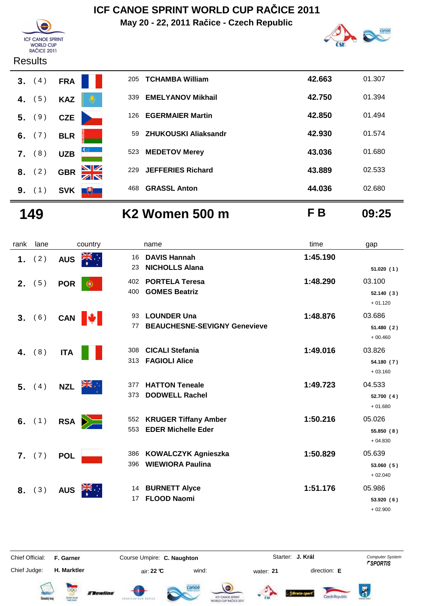**May 20 - 22, 2011 Račice - Czech Republic**





#### **Results**



|    | 3. (4)   | <b>FRA</b> |              | 205 | <b>TCHAMBA William</b>   | 42.663 | 01.307 |
|----|----------|------------|--------------|-----|--------------------------|--------|--------|
| 4. | (5)      | <b>KAZ</b> |              | 339 | <b>EMELYANOV Mikhail</b> | 42.750 | 01.394 |
|    | 5. (9)   | <b>CZE</b> |              | 126 | <b>EGERMAIER Martin</b>  | 42.850 | 01.494 |
|    | 6. $(7)$ | <b>BLR</b> |              | 59  | ZHUKOUSKI Aliaksandr     | 42.930 | 01.574 |
| 7. | (8)      | <b>UZB</b> | $\mathbf{C}$ |     | 523 MEDETOV Merey        | 43.036 | 01.680 |
| 8. | (2)      | <b>GBR</b> | NK<br>AR     | 229 | <b>JEFFERIES Richard</b> | 43.889 | 02.533 |
| 9. | (1)      | <b>SVK</b> | $+$          | 468 | <b>GRASSL Anton</b>      | 44.036 | 02.680 |

**149 K2 Women 500 m F B 09:25**

| rank           | lane | country                | name                                                                   | time     | gap                               |
|----------------|------|------------------------|------------------------------------------------------------------------|----------|-----------------------------------|
| 1.             | (2)  | <b>AUS</b>             | <b>DAVIS Hannah</b><br>16<br><b>NICHOLLS Alana</b><br>23               | 1:45.190 | 51.020(1)                         |
| 2.             | (5)  | <b>POR</b><br>Œ        | <b>PORTELA Teresa</b><br>402<br><b>GOMES Beatriz</b><br>400            | 1:48.290 | 03.100<br>52.140(3)<br>$+01.120$  |
| 3.             | (6)  | CAN $\Vert \psi \Vert$ | <b>LOUNDER Una</b><br>93<br><b>BEAUCHESNE-SEVIGNY Genevieve</b><br>77  | 1:48.876 | 03.686<br>51.480(2)<br>$+00.460$  |
| 4.             | (8)  | <b>ITA</b>             | <b>CICALI Stefania</b><br>308<br><b>FAGIOLI Alice</b><br>313           | 1:49.016 | 03.826<br>54.180 (7)<br>$+03.160$ |
| 5 <sub>1</sub> | (4)  | ▓€⋰<br><b>NZL</b>      | <b>HATTON Teneale</b><br>377<br><b>DODWELL Rachel</b><br>373           | 1:49.723 | 04.533<br>52.700(4)<br>$+01.680$  |
| 6.             | (1)  | <b>RSA</b><br>$\geq$   | <b>KRUGER Tiffany Amber</b><br>552<br><b>EDER Michelle Eder</b><br>553 | 1:50.216 | 05.026<br>55.850 (8)<br>$+04.830$ |
| 7.             | (7)  | <b>POL</b>             | <b>KOWALCZYK Agnieszka</b><br>386<br><b>WIEWIORA Paulina</b><br>396    | 1:50.829 | 05.639<br>53.060 (5)<br>$+02.040$ |
| 8.             | (3)  | <b>AUS</b>             | 14 BURNETT Alyce<br><b>FLOOD Naomi</b><br>17                           | 1:51.176 | 05.986<br>53.920 (6)<br>$+02.900$ |



Chief Official: **F. Garner Course Umpire: C. Naughton** Course Conputer System **Computer System** 

**J. Král**















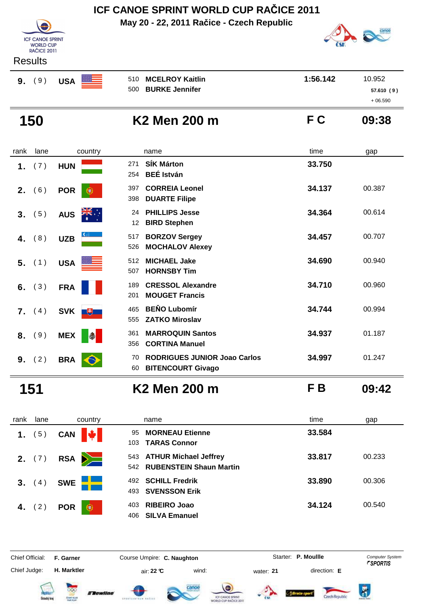**May 20 - 22, 2011 Račice - Czech Republic**



| <b>Results</b> |  |
|----------------|--|
|----------------|--|

| 9. | (9) | <b>USA</b> |
|----|-----|------------|
|    |     |            |

**ICF CANOE SPRINT F CANCE SPRI**<br>WORLD CUP<br>RAČICE 2011

|    | www.c |            |   |                     |          |           |
|----|-------|------------|---|---------------------|----------|-----------|
| 9. | (9)   | <b>USA</b> | ▓ | 510 MCELROY Kaitlin | 1:56.142 | 10.952    |
|    |       |            |   | 500 BURKE Jennifer  |          | 57.610(9) |
|    |       |            |   |                     |          | $+06.590$ |

**150 K2 Men 200 m F C 09:38**

| rank | lane | country                 | name                                                                        | time   | gap    |
|------|------|-------------------------|-----------------------------------------------------------------------------|--------|--------|
| 1.   | (7)  | <b>HUN</b>              | <b>SÍK Márton</b><br>271<br><b>BEÉ István</b><br>254                        | 33.750 |        |
| 2.   | 6)   | <b>POR</b><br>$\bullet$ | <b>CORREIA Leonel</b><br>397<br><b>DUARTE Filipe</b><br>398                 | 34.137 | 00.387 |
| 3.   | (5)  | <b>AUS</b>              | <b>PHILLIPS Jesse</b><br>24<br><b>BIRD Stephen</b><br>12                    | 34.364 | 00.614 |
| 4.   | (8)  | <b>UZB</b>              | <b>BORZOV Sergey</b><br>517<br><b>MOCHALOV Alexey</b><br>526                | 34.457 | 00.707 |
| 5.   | (1)  | <b>USA</b>              | <b>MICHAEL Jake</b><br>512<br><b>HORNSBY Tim</b><br>507                     | 34.690 | 00.940 |
| 6.   | (3)  | <b>FRA</b>              | <b>CRESSOL Alexandre</b><br>189<br><b>MOUGET Francis</b><br>201             | 34.710 | 00.960 |
| 7.   | (4)  | <b>SVK</b><br>一も        | <b>BEŇO Lubomír</b><br>465<br><b>ZATKO Miroslav</b><br>555                  | 34.744 | 00.994 |
| 8.   | (9)  | <b>MEX</b>              | <b>MARROQUIN Santos</b><br>361<br><b>CORTINA Manuel</b><br>356              | 34.937 | 01.187 |
| 9.   | (2)  | <b>BRA</b>              | <b>RODRIGUES JUNIOR Joao Carlos</b><br>70<br><b>BITENCOURT Givago</b><br>60 | 34.997 | 01.247 |

**151 K2 Men 200 m F B 09:42**

| rank | lane     | country                     | name                                                       | time<br>gap      |
|------|----------|-----------------------------|------------------------------------------------------------|------------------|
| 1.   | (5)      | <b>VALLEY</b><br><b>CAN</b> | <b>MORNEAU Etienne</b><br>95<br><b>TARAS Connor</b><br>103 | 33.584           |
|      | 2. $(7)$ | RSA <b>D</b>                | 543 ATHUR Michael Jeffrey<br>542 RUBENSTEIN Shaun Martin   | 00.233<br>33.817 |
| 3.   | (4)      | <b>SWE</b>                  | <b>SCHILL Fredrik</b><br>492<br>493 SVENSSON Erik          | 33.890<br>00.306 |
|      | 4. $(2)$ | <b>POR</b><br>$\bigcirc$    | <b>RIBEIRO Joao</b><br>403<br><b>SILVA Emanuel</b><br>406  | 34.124<br>00.540 |

Chief Judge:

**H. Marktler air: 22 °C** wind: water: **21** direction: **E** 

Chief Official: **F. Garner Course Umpire: C. Naughton Carrier: C. Starter: P. Moullle** *Computer System* Starter: P. Moullle













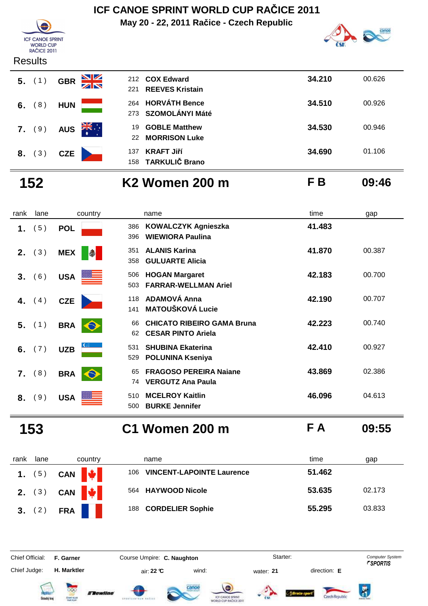**May 20 - 22, 2011 Račice - Czech Republic**



|   | <b>WORLD CUP</b><br>RAČICE 2011 |            |            |                 |
|---|---------------------------------|------------|------------|-----------------|
|   | <b>Results</b>                  |            |            |                 |
|   |                                 |            | 5. (1) GBR | 212 COX Edward  |
|   |                                 |            |            | 221 REEVES Kris |
| 6 |                                 | <b>HUN</b> |            | 264 HORVÁTH Bo  |

**ICF CANOE SPRINT** 

| <b>NGOUILO</b> |            |                            |                                          |        |        |
|----------------|------------|----------------------------|------------------------------------------|--------|--------|
| $5.$ (1)       | <b>GBR</b> | NK<br>AR<br>221            | 212 COX Edward<br><b>REEVES Kristain</b> | 34.210 | 00.626 |
| 6. $(8)$       | <b>HUN</b> |                            | 264 HORVÁTH Bence<br>273 SZOMOLÁNYI Máté | 34.510 | 00.926 |
| 7. (9)         | <b>AUS</b> | $\frac{1}{\sqrt{K}}$<br>22 | 19 GOBLE Matthew<br><b>MORRISON Luke</b> | 34.530 | 00.946 |
| 8. (3)         | <b>CZE</b> | 137                        | <b>KRAFT Jiří</b><br>158 TARKULIČ Brano  | 34.690 | 01.106 |

**152 K2 Women 200 m F B 09:46**

| rank | lane     | country                        | name                                                                       | time   | gap    |
|------|----------|--------------------------------|----------------------------------------------------------------------------|--------|--------|
| 1.   | (5)      | <b>POL</b>                     | <b>KOWALCZYK Agnieszka</b><br>386<br><b>WIEWIORA Paulina</b><br>396        | 41.483 |        |
| 2.   | (3)      | <b>MEX</b><br>I                | <b>ALANIS Karina</b><br>351<br><b>GULUARTE Alicia</b><br>358               | 41.870 | 00.387 |
| 3.   | (6)      | <del>▓▓</del> ▅▅<br><b>USA</b> | <b>HOGAN Margaret</b><br>506<br><b>FARRAR-WELLMAN Ariel</b><br>503         | 42.183 | 00.700 |
|      | 4. $(4)$ | <b>CZE</b>                     | <b>ADAMOVÁ Anna</b><br>118<br><b>MATOUŠKOVÁ Lucie</b><br>141               | 42.190 | 00.707 |
| 5.   | (1)      | <b>BRA</b><br>$\bullet$        | <b>CHICATO RIBEIRO GAMA Bruna</b><br>66<br><b>CESAR PINTO Ariela</b><br>62 | 42.223 | 00.740 |
| 6.   | (7)      | <b>UZB</b>                     | <b>SHUBINA Ekaterina</b><br>531<br><b>POLUNINA Kseniya</b><br>529          | 42.410 | 00.927 |
| 7.   | (8)      | <b>BRA</b><br>$\bullet$        | <b>FRAGOSO PEREIRA Naiane</b><br>65<br><b>VERGUTZ Ana Paula</b><br>74      | 43.869 | 02.386 |
| 8.   | (9)      | <b>USA</b>                     | <b>MCELROY Kaitlin</b><br>510<br><b>BURKE Jennifer</b><br>500              | 46.096 | 04.613 |

**153 C1 Women 200 m F A 09:55**

| rank   | lane     | country     | name                                     | time<br>gap      |
|--------|----------|-------------|------------------------------------------|------------------|
|        | 1. $(5)$ | CAN $\big $ | <b>VINCENT-LAPOINTE Laurence</b><br>106. | 51.462           |
|        |          | 2. (3) CAN  | 564 HAYWOOD Nicole                       | 53.635<br>02.173 |
| 3. (2) |          | <b>FRA</b>  | <b>CORDELIER Sophie</b><br>188           | 55.295<br>03.833 |

Chief Official: **F. Garner Course Umpire: C. Naughton** Course Conputer System

Chief Judge:

**H. Marktler air: 22 °C** wind: water: **21** direction: **E** 

 $\overline{\mathbf{R}}$ 













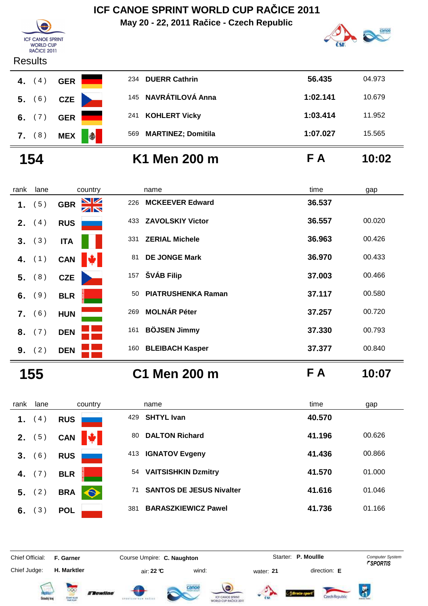**May 20 - 22, 2011 Račice - Czech Republic**





**ICF CANOE SPRINT WORLD CUP RAČICE 2011** 

| 1094113   |                 |                                  |          |        |
|-----------|-----------------|----------------------------------|----------|--------|
| 4.<br>(4) | <b>GER</b>      | 234 DUERR Cathrin                | 56.435   | 04.973 |
| 5. (6)    | <b>CZE</b>      | 145 NAVRÁTILOVÁ Anna             | 1:02.141 | 10.679 |
| 6. $(7)$  | <b>GER</b>      | <b>KOHLERT Vicky</b><br>241      | 1:03.414 | 11.952 |
| 7. (8)    | I<br><b>MEX</b> | <b>MARTINEZ; Domitila</b><br>569 | 1:07.027 | 15.565 |
|           |                 |                                  |          |        |

# **154 K1 Men 200 m F A 10:02**

| rank | lane   | country          | name                            | time   | gap    |
|------|--------|------------------|---------------------------------|--------|--------|
| 1.   | (5)    | <b>GBR</b><br>ZN | <b>MCKEEVER Edward</b><br>226   | 36.537 |        |
| 2.   | (4)    | <b>RUS</b>       | <b>ZAVOLSKIY Victor</b><br>433  | 36.557 | 00.020 |
| 3.   | (3)    | <b>ITA</b>       | <b>ZERIAL Michele</b><br>331    | 36.963 | 00.426 |
| 4.   | (1)    | M<br><b>CAN</b>  | <b>DE JONGE Mark</b><br>81      | 36.970 | 00.433 |
| 5.   | (8)    | <b>CZE</b>       | ŠVÁB Filip<br>157               | 37.003 | 00.466 |
| 6.   | (9)    | <b>BLR</b>       | <b>PIATRUSHENKA Raman</b><br>50 | 37.117 | 00.580 |
| 7.   | (6)    | <b>HUN</b>       | <b>MOLNÁR Péter</b><br>269      | 37.257 | 00.720 |
| 8.   | (7)    | <b>DEN</b>       | <b>BÖJSEN Jimmy</b><br>161      | 37.330 | 00.793 |
|      | 9. (2) | <b>DEN</b>       | 160 BLEIBACH Kasper             | 37.377 | 00.840 |
|      | 155    |                  | C1 Men 200 m                    | F A    | 10:07  |

rank lane country thame the name time time gap  **1.** (4) **RUS 429 SHTYL Ivan 40.570 2.** (5) **CAN 41.196** 00.626 **3.** (6) RUS 413 **IGNATOV Evgeny** 41.436 00.866 **4.** (7) **BLR**<sup>5</sup> **1.000 54 VAITSISHKIN Dzmitry 41.570 1.000 5.** ( 2 ) **BRA 3**<sup>1</sup> **SANTOS DE JESUS Nivalter 41.616** 01.046 **6.** (3) **POL** 381 **BARASZKIEWICZ Pawel 41.736** 01.166

Chief Official: **F. Garner Course Umpire: C. Naughton** Course **Starter: P. Moullle** Computer System

Chief Judge:

**H. Marktler air: 22 °C** wind: water: **21** direction: **E** 













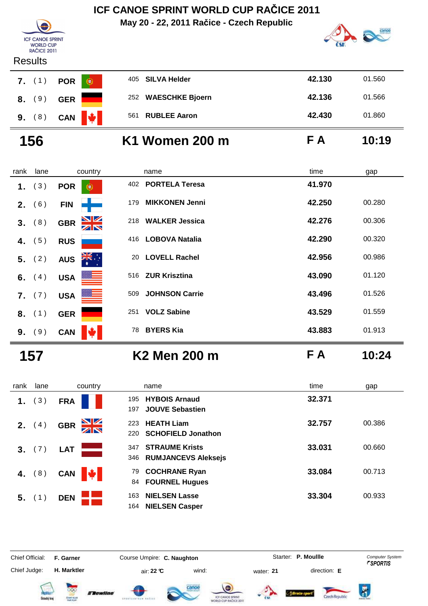**May 20 - 22, 2011 Račice - Czech Republic**



#### **Results**

**ICF CANOE SPRINT F CANCE SPRI**<br>WORLD CUP<br>RAČICE 2011

|  | 7. (1) POR |  |
|--|------------|--|
|  | 8. (9) GER |  |
|  | 9. (8) CAN |  |

| wuuu   |                          |                   |     |                     |        |        |
|--------|--------------------------|-------------------|-----|---------------------|--------|--------|
|        | <b>7.</b> (1) <b>POR</b> | $_{\circledcirc}$ |     | 405 SILVA Helder    | 42.130 | 01.560 |
| 8. (9) | <b>GER</b>               |                   |     | 252 WAESCHKE Bjoern | 42.136 | 01.566 |
| 9. (8) | <b>CAN</b>               | HV.               | 561 | <b>RUBLEE Aaron</b> | 42.430 | 01.860 |
|        |                          |                   |     |                     |        |        |

# **156 K1 Women 200 m F A 10:19**

| rank | lane   | country                                       | name                         | time<br>gap      |
|------|--------|-----------------------------------------------|------------------------------|------------------|
| 1.   | (3)    | <b>POR</b><br>۷                               | <b>PORTELA Teresa</b><br>402 | 41.970           |
| 2.   | (6)    | <b>FIN</b>                                    | <b>MIKKONEN Jenni</b><br>179 | 42.250<br>00.280 |
| 3.   | (8)    | $\frac{\mathbf{N}}{\mathbf{N}}$<br><b>GBR</b> | <b>WALKER Jessica</b><br>218 | 42.276<br>00.306 |
| 4.   | (5)    | <b>RUS</b>                                    | <b>LOBOVA Natalia</b><br>416 | 42.290<br>00.320 |
| 5.   | (2)    | ÷, ≱ <mark>≼</mark><br><b>AUS</b><br>∗        | <b>LOVELL Rachel</b><br>20   | 42.956<br>00.986 |
| 6.   | (4)    | <b>USA</b>                                    | <b>ZUR Krisztina</b><br>516  | 43.090<br>01.120 |
|      | 7. (7) | <b>USA</b>                                    | <b>JOHNSON Carrie</b><br>509 | 43.496<br>01.526 |
|      | 8. (1) | <b>GER</b>                                    | <b>VOLZ Sabine</b><br>251    | 43.529<br>01.559 |
|      | 9. (9) | <b>CAN</b>                                    | <b>BYERS Kia</b><br>78       | 43.883<br>01.913 |

**157 K2 Men 200 m F A 10:24**

| rank | lane             | country                | name                                                         | time<br>gap      |  |
|------|------------------|------------------------|--------------------------------------------------------------|------------------|--|
| 1.   | 3)               | <b>FRA</b>             | <b>HYBOIS Arnaud</b><br>195<br><b>JOUVE Sebastien</b><br>197 | 32.371           |  |
| 2.   | $\left(4\right)$ | NK<br>AR<br><b>GBR</b> | <b>HEATH Liam</b><br>223<br><b>SCHOFIELD Jonathon</b><br>220 | 00.386<br>32.757 |  |
|      | 3. (7)           | <b>LAT</b>             | <b>STRAUME Krists</b><br>347<br>346 RUMJANCEVS Aleksejs      | 33.031<br>00.660 |  |
| 4.   | 8)               | <b>CAN</b>             | <b>COCHRANE Ryan</b><br>79<br><b>FOURNEL Hugues</b><br>84    | 33.084<br>00.713 |  |
| 5.   |                  | <b>DEN</b>             | <b>NIELSEN Lasse</b><br>163<br><b>NIELSEN Casper</b><br>164  | 33.304<br>00.933 |  |

Chief Judge:

Chief Official: **F. Garner Course Umpire: C. Naughton Carrier: C. Starter: P. Moullle** *Computer System* 

**H. Marktler air: 22 °C** wind: water: **21** direction: **E** 

Starter: P. Moullle







Flewline











 $\overline{R}$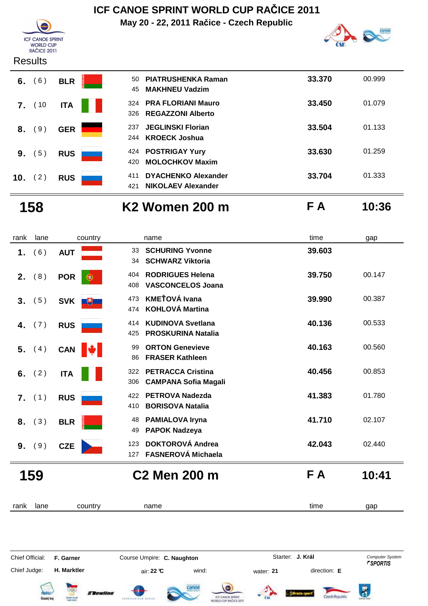#### **ICF CANOE SPRINT WORLD CUP RAČICE 2011 May 20 - 22, 2011 Račice - Czech Republic**  $\hat{\mathbf{A}}$



### **Results**



| ÷.<br>ČSK | œ<br><b>ATOM</b> |
|-----------|------------------|
|           |                  |

| 50<br>45    | <b>PIATRUSHENKA Raman</b><br><b>MAKHNEU Vadzim</b>      | 33.370 | 00.999 |
|-------------|---------------------------------------------------------|--------|--------|
| 324<br>326. | <b>PRA FLORIANI Mauro</b><br><b>REGAZZONI Alberto</b>   | 33.450 | 01.079 |
| 237<br>244  | <b>JEGLINSKI Florian</b><br><b>KROECK Joshua</b>        | 33.504 | 01.133 |
| 424<br>420  | <b>POSTRIGAY Yury</b><br><b>MOLOCHKOV Maxim</b>         | 33.630 | 01.259 |
| 411<br>421  | <b>DYACHENKO Alexander</b><br><b>NIKOLAEV Alexander</b> | 33.704 | 01.333 |

**158 K2 Women 200 m F A 10:36**

| Α |  |  | 10:3 |
|---|--|--|------|
|---|--|--|------|

| rank             | lane | country         | name                                                                  | time   | gap    |
|------------------|------|-----------------|-----------------------------------------------------------------------|--------|--------|
| 1.               | (6)  | <b>AUT</b>      | <b>SCHURING Yvonne</b><br>33<br><b>SCHWARZ Viktoria</b><br>34         | 39.603 |        |
| 2.               | (8)  | <b>POR</b><br>Œ | <b>RODRIGUES Helena</b><br>404<br><b>VASCONCELOS Joana</b><br>408     | 39.750 | 00.147 |
| 3.               | (5)  | SVK +           | <b>KMEŤOVÁ Ivana</b><br>473<br><b>KOHLOVÁ Martina</b><br>474          | 39.990 | 00.387 |
| 4.               | (7)  | <b>RUS</b>      | <b>KUDINOVA Svetlana</b><br>414<br><b>PROSKURINA Natalia</b><br>425   | 40.136 | 00.533 |
| 5.               | (4)  | CAN <b> </b>    | <b>ORTON Genevieve</b><br>99<br><b>FRASER Kathleen</b><br>86          | 40.163 | 00.560 |
| 6.               | (2)  | <b>ITA</b>      | <b>PETRACCA Cristina</b><br>322<br><b>CAMPANA Sofia Magali</b><br>306 | 40.456 | 00.853 |
| $\overline{7}$ . | (1)  | <b>RUS</b>      | <b>PETROVA Nadezda</b><br>422<br><b>BORISOVA Natalia</b><br>410       | 41.383 | 01.780 |
| 8.               | (3)  | <b>BLR</b>      | <b>PAMIALOVA Iryna</b><br>48<br><b>PAPOK Nadzeya</b><br>49            | 41.710 | 02.107 |
| 9.               | (9)  | <b>CZE</b>      | <b>DOKTOROVÁ Andrea</b><br>123<br><b>FASNEROVÁ Michaela</b><br>127    | 42.043 | 02.440 |
|                  | 159  |                 | <b>C2 Men 200 m</b>                                                   | F A    | 10:41  |
| rank             | lane | country         | name                                                                  | time   | gap    |

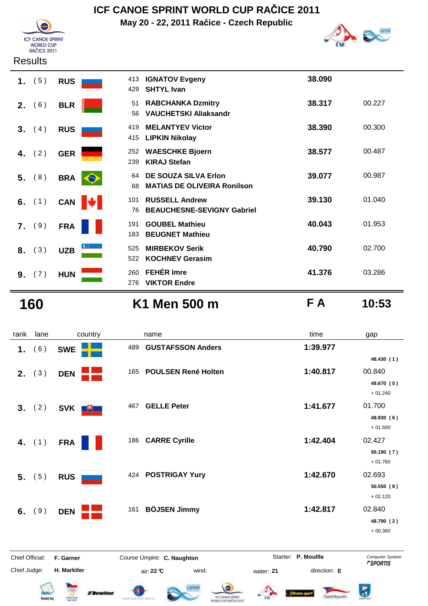

**May 20 - 22, 2011 Račice - Czech Republic**



|                  | 1. $(5)$ | <b>RUS</b> | 413<br>429            | <b>IGNATOV Evgeny</b><br><b>SHTYL Ivan</b>                        | 38.090 |        |
|------------------|----------|------------|-----------------------|-------------------------------------------------------------------|--------|--------|
| 2.               | (6)      | <b>BLR</b> | 51<br>56              | <b>RABCHANKA Dzmitry</b><br><b>VAUCHETSKI Aliaksandr</b>          | 38.317 | 00.227 |
| 3.               | (4)      | <b>RUS</b> | 419<br>415            | <b>MELANTYEV Victor</b><br><b>LIPKIN Nikolay</b>                  | 38.390 | 00.300 |
| 4.               | (2)      | <b>GER</b> | 252<br>239            | <b>WAESCHKE Bjoern</b><br><b>KIRAJ Stefan</b>                     | 38.577 | 00.487 |
|                  | 5. (8)   | <b>BRA</b> | 64<br>$\bullet$<br>68 | <b>DE SOUZA SILVA Erlon</b><br><b>MATIAS DE OLIVEIRA Ronilson</b> | 39.077 | 00.987 |
|                  | 6. $(1)$ | <b>CAN</b> | 101<br>M<br>76        | <b>RUSSELL Andrew</b><br><b>BEAUCHESNE-SEVIGNY Gabriel</b>        | 39.130 | 01.040 |
| $\overline{7}$ . | (9)      | <b>FRA</b> | 191<br>183            | <b>GOUBEL Mathieu</b><br><b>BEUGNET Mathieu</b>                   | 40.043 | 01.953 |
| 8.               | (3)      | <b>UZB</b> | 525<br>522            | <b>MIRBEKOV Serik</b><br><b>KOCHNEV Gerasim</b>                   | 40.790 | 02.700 |
| 9.               | (7)      | <b>HUN</b> | 260<br>276            | <b>FEHÉR Imre</b><br><b>VIKTOR Endre</b>                          | 41.376 | 03.286 |

**160 K1 Men 500 m F A 10:53**

| rank            | lane     | country           | name                              | time                | gap                     |
|-----------------|----------|-------------------|-----------------------------------|---------------------|-------------------------|
| 1.              | (6)      | <b>SWE</b>        | <b>GUSTAFSSON Anders</b><br>489   | 1:39.977            |                         |
|                 |          |                   |                                   |                     | 48.430 (1)              |
| 2.              | (3)      | <b>DEN</b>        | <b>POULSEN René Holten</b><br>165 | 1:40.817            | 00.840                  |
|                 |          |                   |                                   |                     | 49.670 (5)<br>$+01.240$ |
| 3.              | (2)      | <b>SVK</b><br>$+$ | <b>GELLE Peter</b><br>467         | 1:41.677            | 01.700                  |
|                 |          |                   |                                   |                     | 49.930 (6)<br>$+01.500$ |
| 4.              | (1)      | <b>FRA</b>        | <b>CARRE Cyrille</b><br>186       | 1:42.404            | 02.427                  |
|                 |          |                   |                                   |                     | 50.190(7)<br>$+01.760$  |
|                 | $5.$ (5) | <b>RUS</b>        | 424 POSTRIGAY Yury                | 1:42.670            | 02.693                  |
|                 |          |                   |                                   |                     | 50.550(8)<br>$+02.120$  |
| 6.              | (9)      | <b>DEN</b>        | <b>BÖJSEN Jimmy</b><br>161        | 1:42.817            | 02.840                  |
|                 |          |                   |                                   |                     | 48.790 (2)              |
|                 |          |                   |                                   |                     | $+00.360$               |
| Chief Official: |          | F. Garner         | Course Umpire: C. Naughton        | Starter: P. Moullle | <b>Computer System</b>  |

Chief Judge:

 $\overline{\infty}$ 

**FRewline** 

**H. Marktler** air: **22 °C** wind: water: **21** direction: **E**

canoe

ABrace sp

2)



 $\overline{\mathbf{r}}$ 

Czech Republic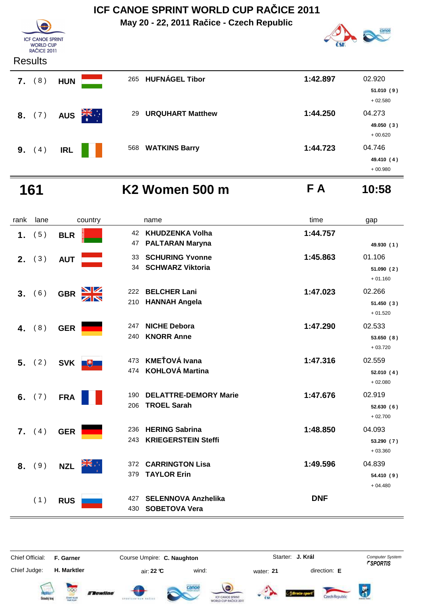**May 20 - 22, 2011 Račice - Czech Republic**



#### Results

**ICF CANOE SPRINT** WORLD CUP<br>RAČICE 2011

|    | .      |            |                        |     |                         |          |                         |
|----|--------|------------|------------------------|-----|-------------------------|----------|-------------------------|
| 7. | (8)    | <b>HUN</b> |                        | 265 | <b>HUFNÁGEL Tibor</b>   | 1:42.897 | 02.920                  |
|    |        |            |                        |     |                         |          | 51.010(9)<br>$+02.580$  |
|    | 8. (7) |            | AUS $\frac{2\pi}{\pi}$ | 29  | <b>URQUHART Matthew</b> | 1:44.250 | 04.273                  |
|    |        |            |                        |     |                         |          | 49.050 (3)<br>$+00.620$ |
| 9. | (4)    | <b>IRL</b> |                        |     | 568 WATKINS Barry       | 1:44.723 | 04.746                  |
|    |        |            |                        |     |                         |          | 49.410 (4)              |
|    |        |            |                        |     |                         |          | $+00.980$               |

### **161 K2 Women 500 m F A 10:58**

| rank           | lane | country                     | name                                                              | time       | gap                               |
|----------------|------|-----------------------------|-------------------------------------------------------------------|------------|-----------------------------------|
| 1.             | (5)  | <b>BLR</b>                  | <b>KHUDZENKA Volha</b><br>42<br><b>PALTARAN Maryna</b><br>47      | 1:44.757   | 49.930 (1)                        |
| 2.             | (3)  | <b>AUT</b>                  | <b>SCHURING Yvonne</b><br>33<br><b>SCHWARZ Viktoria</b><br>34     | 1:45.863   | 01.106<br>51.090 (2)<br>$+01.160$ |
| 3 <sub>1</sub> | (6)  | $\frac{N}{N}$<br><b>GBR</b> | <b>BELCHER Lani</b><br>222<br><b>HANNAH Angela</b><br>210         | 1:47.023   | 02.266<br>51.450 (3)<br>$+01.520$ |
| 4.             | (8)  | <b>GER</b>                  | <b>NICHE Debora</b><br>247<br><b>KNORR Anne</b><br>240            | 1:47.290   | 02.533<br>53.650(8)<br>$+03.720$  |
| 5 <sub>1</sub> | (2)  | SVK <b>+</b>                | <b>KMEŤOVÁ Ivana</b><br>473<br><b>KOHLOVÁ Martina</b><br>474      | 1:47.316   | 02.559<br>52.010(4)<br>$+02.080$  |
| 6.             | (7)  | <b>FRA</b>                  | <b>DELATTRE-DEMORY Marie</b><br>190<br><b>TROEL Sarah</b><br>206  | 1:47.676   | 02.919<br>52.630(6)<br>$+02.700$  |
| 7.             | (4)  | <b>GER</b>                  | <b>HERING Sabrina</b><br>236<br><b>KRIEGERSTEIN Steffi</b><br>243 | 1:48.850   | 04.093<br>53.290 (7)<br>$+03.360$ |
| 8.             | (9)  | <b>NZL</b>                  | <b>CARRINGTON Lisa</b><br>372<br>379<br><b>TAYLOR Erin</b>        | 1:49.596   | 04.839<br>54.410 (9)<br>$+04.480$ |
|                | (1)  | <b>RUS</b>                  | <b>SELENNOVA Anzhelika</b><br>427<br><b>SOBETOVA Vera</b><br>430  | <b>DNF</b> |                                   |

Chief Official: **F. Garner Course Umpire: C. Naughton** Course Conputer System **Computer System** Chief Judge: **H. Marktler air: 22 °C** wind: water: **21** direction: **E** 

**J. Král**











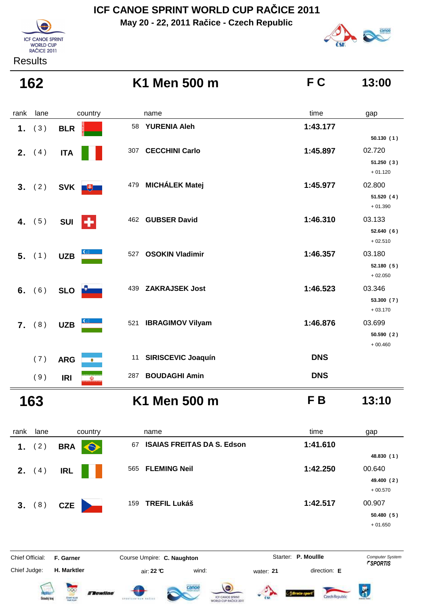**May 20 - 22, 2011 Račice - Czech Republic**





#### **Results**

|                  | K1 Men 500 m                                                              | F C                                                                   | 13:00                              |
|------------------|---------------------------------------------------------------------------|-----------------------------------------------------------------------|------------------------------------|
| country          | name                                                                      | time                                                                  | gap                                |
| <b>BLR</b>       | <b>YURENIA Aleh</b><br>58                                                 | 1:43.177                                                              |                                    |
|                  |                                                                           |                                                                       | 50.130(1)                          |
|                  |                                                                           |                                                                       | 02.720<br>51.250(3)<br>$+01.120$   |
|                  | 479 MICHÁLEK Matej                                                        | 1:45.977                                                              | 02.800                             |
|                  |                                                                           |                                                                       | 51.520 (4)<br>$+01.390$            |
| SUI <sup>L</sup> | 462 GUBSER David                                                          | 1:46.310                                                              | 03.133                             |
|                  |                                                                           |                                                                       | 52.640(6)<br>$+02.510$             |
| <b>UZB</b>       | <b>OSOKIN Vladimir</b><br>527                                             | 1:46.357                                                              | 03.180                             |
|                  |                                                                           |                                                                       | 52.180 (5)<br>$+02.050$            |
| SLO <b>D</b>     | <b>ZAKRAJSEK Jost</b><br>439                                              | 1:46.523                                                              | 03.346                             |
|                  |                                                                           |                                                                       | 53.300 (7)<br>$+03.170$            |
|                  | 521 IBRAGIMOV Vilyam                                                      | 1:46.876                                                              | 03.699                             |
|                  |                                                                           |                                                                       | 50.590 (2)                         |
| ۰                | <b>SIRISCEVIC Joaquín</b><br>11                                           | <b>DNS</b>                                                            | $+00.460$                          |
|                  |                                                                           |                                                                       |                                    |
|                  |                                                                           |                                                                       |                                    |
|                  | K1 Men 500 m                                                              | FB                                                                    | 13:10                              |
| country          | name                                                                      | time                                                                  | gap                                |
| <b>BRA</b>       | 67 ISAIAS FREITAS DA S. Edson                                             | 1:41.610                                                              |                                    |
|                  |                                                                           |                                                                       | 48.830 (1)                         |
| <b>IRL</b>       |                                                                           |                                                                       | 00.640<br>49.400 (2)               |
|                  | <b>ITA</b><br>SVK +<br><b>UZB</b><br><b>ARG</b><br><b>IRI</b><br>$\omega$ | <b>CECCHINI Carlo</b><br>307<br>287 BOUDAGHI Amin<br>565 FLEMING Neil | 1:45.897<br><b>DNS</b><br>1:42.250 |

+ 00.570

 **3.** ( 8 ) **CZE 159 TREFIL Lukáš 1:42.517** 00.907 **50.480 ( 5 )**

+ 01.650















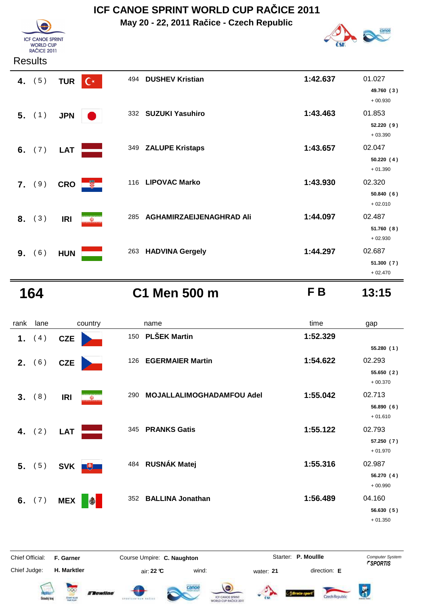**May 20 - 22, 2011 Račice - Czech Republic**



#### **Results**

**ICF CANOE SPRINT** WORLD CUP<br>RAČICE 2011

| 4. $(5)$ | $C^*$<br><b>TUR</b>    |     | 494 DUSHEV Kristian      | 1:42.637 | 01.027<br>49.760 (3)<br>$+00.930$ |
|----------|------------------------|-----|--------------------------|----------|-----------------------------------|
| 5. (1)   | <b>JPN</b>             |     | 332 SUZUKI Yasuhiro      | 1:43.463 | 01.853<br>52.220(9)<br>$+03.390$  |
| 6. $(7)$ | <b>LAT</b>             |     | 349 ZALUPE Kristaps      | 1:43.657 | 02.047<br>50.220(4)<br>$+01.390$  |
| 7. (9)   | 一般一<br><b>CRO</b>      |     | 116 LIPOVAC Marko        | 1:43.930 | 02.320<br>50.840(6)<br>$+02.010$  |
| 8. (3)   | <b>IRI</b><br>$\omega$ | 285 | AGHAMIRZAEIJENAGHRAD Ali | 1:44.097 | 02.487<br>51.760(8)<br>$+02.930$  |
| 9. (6)   | <b>HUN</b>             |     | 263 HADVINA Gergely      | 1:44.297 | 02.687<br>51.300 (7)<br>$+02.470$ |

### **164 C1 Men 500 m F B 13:15**

| 13:15 |  |
|-------|--|
|       |  |

| rank | lane     | country                  | name                                    | time     | gap                     |
|------|----------|--------------------------|-----------------------------------------|----------|-------------------------|
|      | 1. $(4)$ | <b>CZE</b>               | <b>PLŠEK Martin</b><br>150              | 1:52.329 |                         |
|      |          |                          |                                         |          | 55.280(1)               |
|      | 2. (6)   | <b>CZE</b>               | <b>EGERMAIER Martin</b><br>126          | 1:54.622 | 02.293                  |
|      |          |                          |                                         |          | 55.650(2)               |
|      |          |                          |                                         |          | $+00.370$               |
| 3.   | (8)      | <b>IRI</b><br>$\omega$   | <b>MOJALLALIMOGHADAMFOU Adel</b><br>290 | 1:55.042 | 02.713                  |
|      |          |                          |                                         |          | 56.890(6)               |
|      |          |                          |                                         |          | $+01.610$               |
|      | 4. $(2)$ | <b>LAT</b>               | 345<br><b>PRANKS Gatis</b>              | 1:55.122 | 02.793                  |
|      |          |                          |                                         |          | 57.250(7)               |
|      |          |                          |                                         |          | $+01.970$               |
|      | 5. (5)   | <b>SVK</b><br>$+$        | 484 RUSNÁK Matej                        | 1:55.316 | 02.987                  |
|      |          |                          |                                         |          | 56.270 (4)<br>$+00.990$ |
|      |          |                          |                                         |          |                         |
| 6.   | (7)      | <b>MEX</b><br>$\bigcirc$ | <b>BALLINA Jonathan</b><br>352          | 1:56.489 | 04.160                  |
|      |          |                          |                                         |          | 56.630 (5)<br>$+01.350$ |
|      |          |                          |                                         |          |                         |

Chief Official: **F. Garner Course Umpire: C. Naughton** Course **Starter: P. Moullle** Computer System Chief Judge: **H. Marktler** air: **22 °C** wind: water: **21** direction: **E**















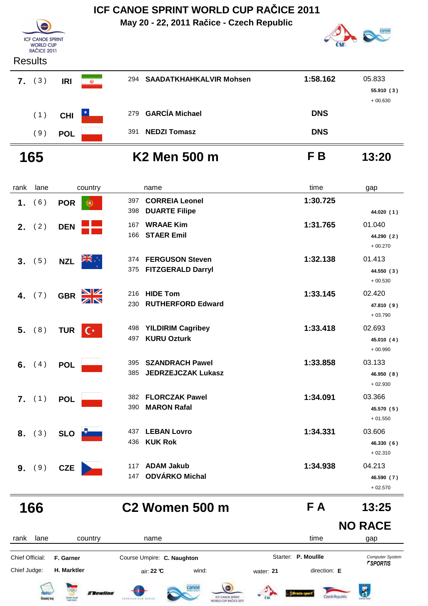

| .                |            |                                                         |     |                             |            |            |
|------------------|------------|---------------------------------------------------------|-----|-----------------------------|------------|------------|
| (3)<br>7.        | <b>IRI</b> | <b>In terms to claim committed</b><br>$\mathbb{\omega}$ |     | 294 SAADATKHAHKALVIR Mohsen | 1:58.162   | 05.833     |
|                  |            |                                                         |     |                             |            | 55.910 (3) |
|                  |            |                                                         |     |                             |            | $+00.630$  |
| (1)              | <b>CHI</b> | $\star$                                                 |     | 279 GARCÍA Michael          | <b>DNS</b> |            |
| $\left(9\right)$ | <b>POL</b> |                                                         | 391 | <b>NEDZI Tomasz</b>         | <b>DNS</b> |            |
|                  |            |                                                         |     |                             |            |            |

# **165 K2 Men 500 m F B 13:20**

| rank | lane     | country                | name                                                              | time     | gap                               |
|------|----------|------------------------|-------------------------------------------------------------------|----------|-----------------------------------|
| 1.   | (6)      | <b>POR</b><br>æ.       | <b>CORREIA Leonel</b><br>397<br><b>DUARTE Filipe</b><br>398       | 1:30.725 | 44.020 (1)                        |
|      | 2. $(2)$ | <b>DEN</b>             | <b>WRAAE Kim</b><br>167<br><b>STAER Emil</b><br>166               | 1:31.765 | 01.040<br>44.290 (2)<br>$+00.270$ |
| 3.   | (5)      | <b>NZL</b>             | <b>FERGUSON Steven</b><br>374<br>375<br><b>FITZGERALD Darryl</b>  | 1:32.138 | 01.413<br>44.550 (3)<br>$+00.530$ |
| 4.   | (7)      | NK<br>AR<br><b>GBR</b> | <b>HIDE Tom</b><br>216<br><b>RUTHERFORD Edward</b><br>230         | 1:33.145 | 02.420<br>47.810 (9)<br>$+03.790$ |
|      | $5.$ (8) | $C^*$<br><b>TUR</b>    | <b>YILDIRIM Cagribey</b><br>498<br><b>KURU Ozturk</b><br>497      | 1:33.418 | 02.693<br>45.010 (4)<br>$+00.990$ |
|      | 6. $(4)$ | <b>POL</b>             | <b>SZANDRACH Pawel</b><br>395<br><b>JEDRZEJCZAK Lukasz</b><br>385 | 1:33.858 | 03.133<br>46.950 (8)<br>$+02.930$ |
|      | 7. (1)   | <b>POL</b>             | <b>FLORCZAK Pawel</b><br>382<br><b>MARON Rafal</b><br>390         | 1:34.091 | 03.366<br>45.570 (5)<br>$+01.550$ |
|      | 8. (3)   | <b>SLO</b>             | <b>LEBAN Lovro</b><br>437<br><b>KUK Rok</b><br>436                | 1:34.331 | 03.606<br>46.330 (6)<br>$+02.310$ |
| 9.   | (9)      | <b>CZE</b>             | <b>ADAM Jakub</b><br>117<br><b>ODVÁRKO Michal</b><br>147          | 1:34.938 | 04.213<br>46.590 (7)<br>$+02.570$ |

**166 C2 Women 500 m F A 13:25**

### **NO RACE**

cance









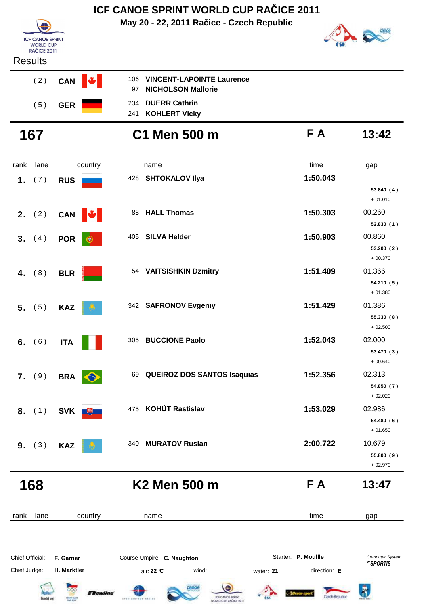### **May 20 - 22, 2011 Račice - Czech Republic ICF CANOE SPRINT WORLD CUP RAČICE 2011**



# canoe

### **Results**



- **NICHOLSON Mallorie** 97 234
- 241 KOHLERT Vicky

**167 C1 Men 500 m F A 13:42**

| rank | lane   | country                  |     | name                               | time     | gap                               |
|------|--------|--------------------------|-----|------------------------------------|----------|-----------------------------------|
| 1.   | (7)    | <b>RUS</b>               | 428 | <b>SHTOKALOV IIya</b>              | 1:50.043 | 53.840 (4)<br>$+01.010$           |
| 2.   | (2)    | CAN <b> </b>             | 88  | <b>HALL Thomas</b>                 | 1:50.303 | 00.260<br>52.830(1)               |
|      | 3. (4) | <b>POR</b><br>$_{\circ}$ | 405 | <b>SILVA Helder</b>                | 1:50.903 | 00.860<br>53.200 (2)<br>$+00.370$ |
| 4.   | (8)    | <b>BLR</b>               |     | 54 VAITSISHKIN Dzmitry             | 1:51.409 | 01.366<br>54.210 (5)<br>$+01.380$ |
| 5.   | (5)    | <b>KAZ</b>               |     | 342 SAFRONOV Evgeniy               | 1:51.429 | 01.386<br>55.330 (8)<br>$+02.500$ |
| 6.   | (6)    | <b>ITA</b>               | 305 | <b>BUCCIONE Paolo</b>              | 1:52.043 | 02.000<br>53.470 (3)<br>$+00.640$ |
|      | 7. (9) | <b>BRA</b><br>$\bullet$  | 69  | <b>QUEIROZ DOS SANTOS Isaquias</b> | 1:52.356 | 02.313<br>54.850 (7)<br>$+02.020$ |
|      | 8. (1) | <b>SVK</b><br>$+$        | 475 | <b>KOHÚT Rastislav</b>             | 1:53.029 | 02.986<br>54.480 (6)<br>$+01.650$ |
|      | 9. (3) | <b>KAZ</b>               | 340 | <b>MURATOV Ruslan</b>              | 2:00.722 | 10.679<br>55.800 (9)<br>$+02.970$ |
|      | 168    |                          |     | K2 Men 500 m                       | FA       | 13:47                             |

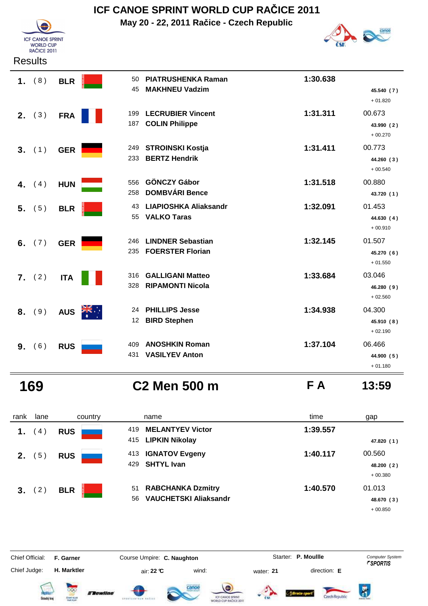

# **ICF CANOE SPRINT WORLD CUP RAČICE 2011**

**May 20 - 22, 2011 Račice - Czech Republic**



| Results |
|---------|
|---------|

| 1.             | (8)    | <b>BLR</b> |       | 50<br>45        | <b>PIATRUSHENKA Raman</b><br><b>MAKHNEU Vadzim</b> | 1:30.638 |                         |
|----------------|--------|------------|-------|-----------------|----------------------------------------------------|----------|-------------------------|
|                |        |            |       |                 |                                                    |          | 45.540 (7)<br>$+01.820$ |
| 2.             | (3)    | <b>FRA</b> |       | 199             | <b>LECRUBIER Vincent</b>                           | 1:31.311 | 00.673                  |
|                |        |            |       | 187             | <b>COLIN Philippe</b>                              |          | 43.990 (2)<br>$+00.270$ |
|                | 3. (1) | <b>GER</b> |       | 249             | <b>STROINSKI Kostja</b>                            | 1:31.411 | 00.773                  |
|                |        |            |       | 233             | <b>BERTZ Hendrik</b>                               |          | 44.260 (3)<br>$+00.540$ |
| 4.             | (4)    | <b>HUN</b> |       | 556             | <b>GÖNCZY Gábor</b>                                | 1:31.518 | 00.880                  |
|                |        |            |       | 258             | <b>DOMBVÁRI Bence</b>                              |          | 43.720 (1)              |
| 5 <sub>1</sub> | (5)    | <b>BLR</b> |       | 43              | <b>LIAPIOSHKA Aliaksandr</b><br><b>VALKO Taras</b> | 1:32.091 | 01.453                  |
|                |        |            |       | 55              |                                                    |          | 44.630 (4)<br>$+00.910$ |
| 6.             | (7)    | <b>GER</b> |       | 246             | <b>LINDNER Sebastian</b>                           | 1:32.145 | 01.507                  |
|                |        |            |       | 235             | <b>FOERSTER Florian</b>                            |          | 45.270 (6)<br>$+01.550$ |
|                | 7. (2) | <b>ITA</b> |       | 316             | <b>GALLIGANI Matteo</b>                            | 1:33.684 | 03.046                  |
|                |        |            |       | 328             | <b>RIPAMONTI Nicola</b>                            |          | 46.280 (9)<br>$+02.560$ |
| 8.             | (9)    | <b>AUS</b> | ्रों≼ | 24              | <b>PHILLIPS Jesse</b>                              | 1:34.938 | 04.300                  |
|                |        |            |       | 12 <sup>°</sup> | <b>BIRD Stephen</b>                                |          | 45.910 (8)<br>$+02.190$ |
| 9.             | (6)    | <b>RUS</b> |       | 409             | <b>ANOSHKIN Roman</b>                              | 1:37.104 | 06.466                  |
|                |        |            |       | 431             | <b>VASILYEV Anton</b>                              |          | 44.900 (5)              |
|                |        |            |       |                 |                                                    |          | $+01.180$               |

**169 C2 Men 500 m F A 13:59**

| rank           | lane        | country    | name                                                                 | time     | gap                               |
|----------------|-------------|------------|----------------------------------------------------------------------|----------|-----------------------------------|
| 1.             | $4^{\circ}$ | <b>RUS</b> | <b>MELANTYEV Victor</b><br>419<br>415 LIPKIN Nikolay                 | 1:39.557 | 47.820 (1)                        |
| 2 <sub>1</sub> | 5)          | <b>RUS</b> | <b>IGNATOV Evgeny</b><br>413<br><b>SHTYL Ivan</b><br>429             | 1:40.117 | 00.560<br>48.200 (2)<br>$+00.380$ |
| 3.             | 2)          | <b>BLR</b> | <b>RABCHANKA Dzmitry</b><br>51<br><b>VAUCHETSKI Aliaksandr</b><br>56 | 1:40.570 | 01.013<br>48.670 (3)<br>$+00.850$ |





Czech Republic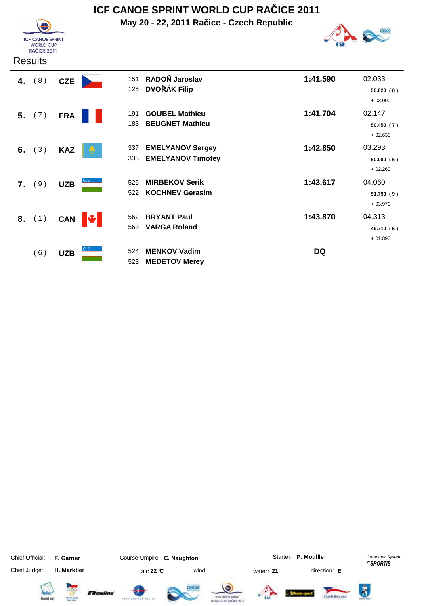

# **ICF CANOE SPRINT WORLD CUP RAČICE 2011**

**May 20 - 22, 2011 Račice - Czech Republic**



| <b>Results</b> |                        |                                                                   |          |                                   |
|----------------|------------------------|-------------------------------------------------------------------|----------|-----------------------------------|
| (8)<br>4.      | <b>CZE</b>             | RADOŇ Jaroslav<br>151<br><b>DVOŘÁK Filip</b><br>125               | 1:41.590 | 02.033<br>50.820 (8)<br>$+03.000$ |
| 5. (7)         | <b>FRA</b>             | <b>GOUBEL Mathieu</b><br>191<br><b>BEUGNET Mathieu</b><br>183     | 1:41.704 | 02.147<br>50.450(7)<br>$+02.630$  |
| (3)<br>6.      | <b>KAZ</b>             | <b>EMELYANOV Sergey</b><br>337<br><b>EMELYANOV Timofey</b><br>338 | 1:42.850 | 03.293<br>50.080(6)<br>$+02.260$  |
| 7. (9)         | <b>UZB</b>             | <b>MIRBEKOV Serik</b><br>525<br><b>KOCHNEV Gerasim</b><br>522     | 1:43.617 | 04.060<br>51.790(9)<br>$+03.970$  |
| 8. (1)         | CAN $\Vert \psi \Vert$ | <b>BRYANT Paul</b><br>562<br><b>VARGA Roland</b><br>563           | 1:43.870 | 04.313<br>49.710 (5)<br>$+01.890$ |
| (6)            | <b>UZB</b>             | <b>MENKOV Vadim</b><br>524<br>523<br><b>MEDETOV Merey</b>         | DQ       |                                   |

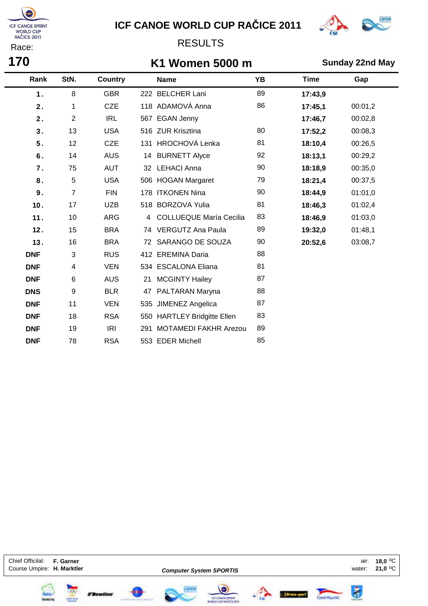

# **ICF CANOE WORLD CUP RAČICE 2011**



### RESULTS

### **K1 Women 5000 m Sunday 22nd May**

| Rank       | StN.           | <b>Country</b> |                | <b>Name</b>                    | <b>YB</b> | <b>Time</b> | Gap     |
|------------|----------------|----------------|----------------|--------------------------------|-----------|-------------|---------|
| 1.         | 8              | <b>GBR</b>     |                | 222 BELCHER Lani               | 89        | 17:43,9     |         |
| 2.         | 1              | <b>CZE</b>     |                | 118 ADAMOVÁ Anna               | 86        | 17:45,1     | 00:01,2 |
| 2.         | $\overline{2}$ | <b>IRL</b>     |                | 567 EGAN Jenny                 |           | 17:46,7     | 00:02,8 |
| 3.         | 13             | <b>USA</b>     |                | 516 ZUR Krisztina              | 80        | 17:52,2     | 00:08,3 |
| 5.         | 12             | <b>CZE</b>     | 131            | <b>HROCHOVÁ Lenka</b>          | 81        | 18:10,4     | 00:26,5 |
| 6.         | 14             | <b>AUS</b>     | 14             | <b>BURNETT Alyce</b>           | 92        | 18:13,1     | 00:29,2 |
| 7.         | 75             | <b>AUT</b>     | 32             | <b>LEHACI Anna</b>             | 90        | 18:18,9     | 00:35,0 |
| 8.         | 5              | <b>USA</b>     |                | 506 HOGAN Margaret             | 79        | 18:21,4     | 00:37,5 |
| 9.         | $\overline{7}$ | <b>FIN</b>     |                | 178 ITKONEN Nina               | 90        | 18:44,9     | 01:01,0 |
| 10.        | 17             | <b>UZB</b>     |                | 518 BORZOVA Yulia              | 81        | 18:46,3     | 01:02,4 |
| 11.        | 10             | <b>ARG</b>     | $\overline{4}$ | <b>COLLUEQUE María Cecilia</b> | 83        | 18:46,9     | 01:03,0 |
| 12.        | 15             | <b>BRA</b>     |                | 74 VERGUTZ Ana Paula           | 89        | 19:32,0     | 01:48,1 |
| 13.        | 16             | <b>BRA</b>     |                | 72 SARANGO DE SOUZA            | 90        | 20:52,6     | 03:08,7 |
| <b>DNF</b> | 3              | <b>RUS</b>     |                | 412 EREMINA Daria              | 88        |             |         |
| <b>DNF</b> | 4              | <b>VEN</b>     |                | 534 ESCALONA Eliana            | 81        |             |         |
| <b>DNF</b> | $\,6$          | <b>AUS</b>     | 21             | <b>MCGINTY Hailey</b>          | 87        |             |         |
| <b>DNS</b> | 9              | <b>BLR</b>     | 47             | PALTARAN Maryna                | 88        |             |         |
| <b>DNF</b> | 11             | <b>VEN</b>     |                | 535 JIMENEZ Angelica           | 87        |             |         |
| <b>DNF</b> | 18             | <b>RSA</b>     |                | 550 HARTLEY Bridgitte Ellen    | 83        |             |         |
| <b>DNF</b> | 19             | <b>IRI</b>     | 291            | <b>MOTAMEDI FAKHR Arezou</b>   | 89        |             |         |
| <b>DNF</b> | 78             | <b>RSA</b>     |                | 553 EDER Michell               | 85        |             |         |

Chief Officilal: **F. Garner 18,0** oC Course Umpire: **H. Marktler Computer System SPORTIS Course Umpire: H. Marktler** occurse 1999 **Computer System SPORTIS** 

**YOK** 

FRowline

**Computer System SPORTIS**







air:

**21,0**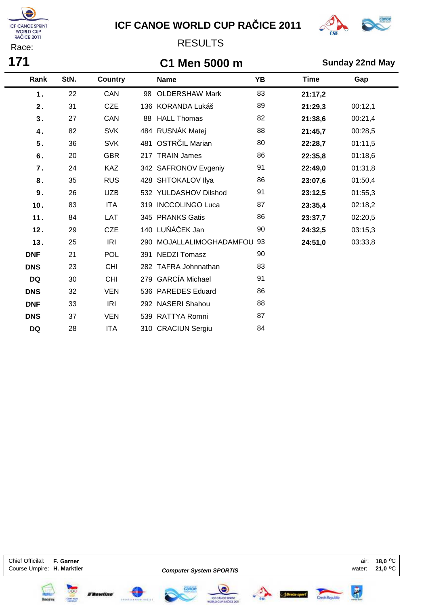

 $\blacksquare$ 

# **ICF CANOE WORLD CUP RAČICE 2011**



### RESULTS

## **C1 Men 5000 m Sunday 22nd May**

| Rank       | StN. | <b>Country</b> |     | <b>Name</b>              | <b>YB</b> | <b>Time</b> | Gap     |
|------------|------|----------------|-----|--------------------------|-----------|-------------|---------|
| 1.         | 22   | <b>CAN</b>     | 98  | <b>OLDERSHAW Mark</b>    | 83        | 21:17,2     |         |
| 2.         | 31   | <b>CZE</b>     |     | 136 KORANDA Lukáš        | 89        | 21:29,3     | 00:12,1 |
| 3.         | 27   | CAN            | 88  | <b>HALL Thomas</b>       | 82        | 21:38,6     | 00:21,4 |
| 4.         | 82   | <b>SVK</b>     |     | 484 RUSNÁK Matej         | 88        | 21:45,7     | 00:28,5 |
| 5.         | 36   | <b>SVK</b>     | 481 | OSTRČIL Marian           | 80        | 22:28,7     | 01:11,5 |
| 6.         | 20   | <b>GBR</b>     |     | 217 TRAIN James          | 86        | 22:35,8     | 01:18,6 |
| 7.         | 24   | <b>KAZ</b>     |     | 342 SAFRONOV Evgeniy     | 91        | 22:49,0     | 01:31,8 |
| 8.         | 35   | <b>RUS</b>     |     | 428 SHTOKALOV IIya       | 86        | 23:07,6     | 01:50,4 |
| 9.         | 26   | <b>UZB</b>     |     | 532 YULDASHOV Dilshod    | 91        | 23:12,5     | 01:55,3 |
| 10.        | 83   | <b>ITA</b>     |     | 319 INCCOLINGO Luca      | 87        | 23:35,4     | 02:18,2 |
| 11.        | 84   | LAT            |     | 345 PRANKS Gatis         | 86        | 23:37,7     | 02:20,5 |
| 12.        | 29   | <b>CZE</b>     |     | 140 LUŇÁČEK Jan          | 90        | 24:32,5     | 03:15,3 |
| 13.        | 25   | IRI            |     | 290 MOJALLALIMOGHADAMFOU | -93       | 24:51,0     | 03:33,8 |
| <b>DNF</b> | 21   | <b>POL</b>     |     | 391 NEDZI Tomasz         | 90        |             |         |
| <b>DNS</b> | 23   | <b>CHI</b>     |     | 282 TAFRA Johnnathan     | 83        |             |         |
| <b>DQ</b>  | 30   | <b>CHI</b>     |     | 279 GARCÍA Michael       | 91        |             |         |
| <b>DNS</b> | 32   | <b>VEN</b>     |     | 536 PAREDES Eduard       | 86        |             |         |
| <b>DNF</b> | 33   | <b>IRI</b>     |     | 292 NASERI Shahou        | 88        |             |         |
| <b>DNS</b> | 37   | <b>VEN</b>     |     | 539 RATTYA Romni         | 87        |             |         |
| <b>DQ</b>  | 28   | <b>ITA</b>     |     | 310 CRACIUN Sergiu       | 84        |             |         |

Chief Officilal: **F. Garner 18,0** oC **Course Umpire: H. Marktler** 

**YOK** 

FRowline

**Computer System SPORTIS**

 $\frac{1}{2}$ 







air:<br>:water

**21,0**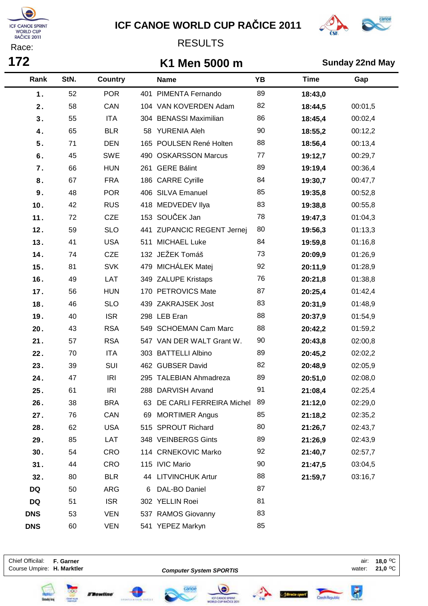

# **ICF CANOE WORLD CUP RAČICE 2011**



### RESULTS

### **K1 Men 5000 m Sunday 22nd May**

| Rank       | StN. | <b>Country</b> |    | <b>Name</b>                 | YB | <b>Time</b> | Gap     |
|------------|------|----------------|----|-----------------------------|----|-------------|---------|
| 1.         | 52   | <b>POR</b>     |    | 401 PIMENTA Fernando        | 89 | 18:43,0     |         |
| 2.         | 58   | CAN            |    | 104 VAN KOVERDEN Adam       | 82 | 18:44,5     | 00:01,5 |
| 3.         | 55   | <b>ITA</b>     |    | 304 BENASSI Maximilian      | 86 | 18:45,4     | 00:02,4 |
| 4.         | 65   | <b>BLR</b>     |    | 58 YURENIA Aleh             | 90 | 18:55,2     | 00:12,2 |
| 5.         | 71   | <b>DEN</b>     |    | 165 POULSEN René Holten     | 88 | 18:56,4     | 00:13,4 |
| $\bf 6$ .  | 45   | <b>SWE</b>     |    | 490 OSKARSSON Marcus        | 77 | 19:12,7     | 00:29,7 |
| 7.         | 66   | <b>HUN</b>     |    | 261 GERE Bálint             | 89 | 19:19,4     | 00:36,4 |
| 8.         | 67   | <b>FRA</b>     |    | 186 CARRE Cyrille           | 84 | 19:30,7     | 00:47,7 |
| $9$ .      | 48   | <b>POR</b>     |    | 406 SILVA Emanuel           | 85 | 19:35,8     | 00:52,8 |
| 10.        | 42   | <b>RUS</b>     |    | 418 MEDVEDEV Ilya           | 83 | 19:38,8     | 00:55,8 |
| 11.        | 72   | <b>CZE</b>     |    | 153 SOUČEK Jan              | 78 | 19:47,3     | 01:04,3 |
| 12.        | 59   | <b>SLO</b>     |    | 441 ZUPANCIC REGENT Jernej  | 80 | 19:56,3     | 01:13,3 |
| 13.        | 41   | <b>USA</b>     |    | 511 MICHAEL Luke            | 84 | 19:59,8     | 01:16,8 |
| 14.        | 74   | <b>CZE</b>     |    | 132 JEŽEK Tomáš             | 73 | 20:09.9     | 01:26,9 |
| 15.        | 81   | <b>SVK</b>     |    | 479 MICHÁLEK Matej          | 92 | 20:11,9     | 01:28,9 |
| 16.        | 49   | LAT            |    | 349 ZALUPE Kristaps         | 76 | 20:21,8     | 01:38,8 |
| 17.        | 56   | <b>HUN</b>     |    | 170 PETROVICS Mate          | 87 | 20:25,4     | 01:42,4 |
| 18.        | 46   | <b>SLO</b>     |    | 439 ZAKRAJSEK Jost          | 83 | 20:31,9     | 01:48,9 |
| 19.        | 40   | <b>ISR</b>     |    | 298 LEB Eran                | 88 | 20:37,9     | 01:54,9 |
| 20.        | 43   | <b>RSA</b>     |    | 549 SCHOEMAN Cam Marc       | 88 | 20:42,2     | 01:59,2 |
| 21.        | 57   | <b>RSA</b>     |    | 547 VAN DER WALT Grant W.   | 90 | 20:43,8     | 02:00,8 |
| 22.        | 70   | <b>ITA</b>     |    | 303 BATTELLI Albino         | 89 | 20:45,2     | 02:02,2 |
| 23.        | 39   | SUI            |    | 462 GUBSER David            | 82 | 20:48,9     | 02:05,9 |
| 24.        | 47   | IRI            |    | 295 TALEBIAN Ahmadreza      | 89 | 20:51,0     | 02:08,0 |
| 25.        | 61   | IRI            |    | 288 DARVISH Arvand          | 91 | 21:08,4     | 02:25,4 |
| 26.        | 38   | <b>BRA</b>     | 63 | DE CARLI FERREIRA Michel 89 |    | 21:12,0     | 02:29,0 |
| 27.        | 76   | CAN            | 69 | <b>MORTIMER Angus</b>       | 85 | 21:18,2     | 02:35,2 |
| 28.        | 62   | <b>USA</b>     |    | 515 SPROUT Richard          | 80 | 21:26,7     | 02:43,7 |
| 29.        | 85   | LAT            |    | 348 VEINBERGS Gints         | 89 | 21:26,9     | 02:43,9 |
| 30.        | 54   | <b>CRO</b>     |    | 114 CRNEKOVIC Marko         | 92 | 21:40,7     | 02:57,7 |
| 31.        | 44   | <b>CRO</b>     |    | 115 IVIC Mario              | 90 | 21:47,5     | 03:04,5 |
| 32.        | 80   | <b>BLR</b>     |    | 44 LITVINCHUK Artur         | 88 | 21:59,7     | 03:16,7 |
| <b>DQ</b>  | 50   | ARG            | 6  | DAL-BO Daniel               | 87 |             |         |
| <b>DQ</b>  | 51   | <b>ISR</b>     |    | 302 YELLIN Roei             | 81 |             |         |
| <b>DNS</b> | 53   | <b>VEN</b>     |    | 537 RAMOS Giovanny          | 83 |             |         |
| <b>DNS</b> | 60   | <b>VEN</b>     |    | 541 YEPEZ Markyn            | 85 |             |         |

Chief Officilal: **F. Garner 18,0** oC Course Umpire: **H. Marktler Computer System SPORTIS Course Umpire: H. Marktler** occurse 1999 **Computer System SPORTIS** 

**Computer System SPORTIS**



 $\ddot{\bm{s}}$ 





**SP** 



Ø